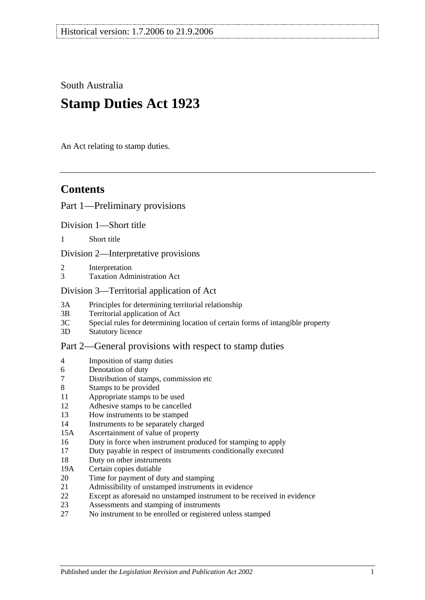South Australia

# **Stamp Duties Act 1923**

An Act relating to stamp duties.

# **Contents**

## [Part 1—Preliminary provisions](#page-6-0)

[Division 1—Short title](#page-6-1)

1 [Short title](#page-6-2)

[Division 2—Interpretative provisions](#page-6-3)

- 2 [Interpretation](#page-6-4)
- 3 [Taxation Administration Act](#page-9-0)

#### [Division 3—Territorial application of Act](#page-9-1)

- 3A [Principles for determining territorial relationship](#page-9-2)
- 3B [Territorial application of Act](#page-10-0)
- 3C [Special rules for determining location of certain forms of intangible property](#page-10-1)
- 3D [Statutory licence](#page-11-0)

## [Part 2—General provisions with respect to stamp duties](#page-12-0)

- 4 [Imposition of stamp duties](#page-12-1)
- 6 [Denotation of duty](#page-12-2)
- 7 [Distribution of stamps, commission etc](#page-12-3)
- 8 [Stamps to be provided](#page-12-4)
- 11 [Appropriate stamps to be used](#page-12-5)
- 12 [Adhesive stamps to be cancelled](#page-13-0)
- 13 [How instruments to be stamped](#page-13-1)
- 14 [Instruments to be separately charged](#page-13-2)
- 15A [Ascertainment of value of property](#page-13-3)
- 16 [Duty in force when instrument produced for stamping to apply](#page-14-0)
- 17 [Duty payable in respect of instruments conditionally executed](#page-14-1)
- 18 [Duty on other instruments](#page-14-2)
- 19A [Certain copies dutiable](#page-14-3)
- 20 [Time for payment of duty and stamping](#page-15-0)
- 21 [Admissibility of unstamped instruments in evidence](#page-15-1)
- 22 [Except as aforesaid no unstamped instrument to be received in evidence](#page-15-2)
- 23 [Assessments and stamping of instruments](#page-16-0)
- 27 [No instrument to be enrolled or registered unless stamped](#page-16-1)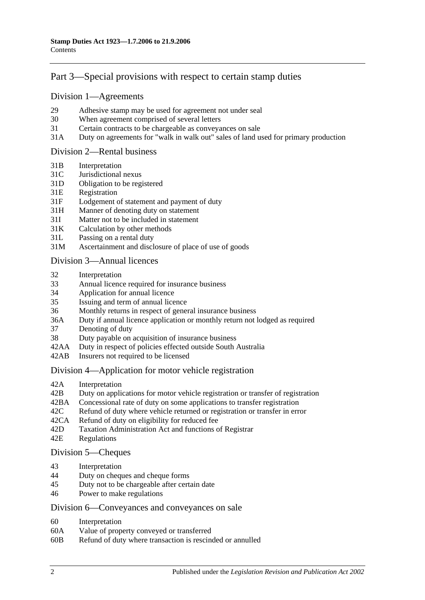# [Part 3—Special provisions with respect to certain stamp duties](#page-18-0)

#### [Division 1—Agreements](#page-18-1)

- 29 [Adhesive stamp may be used for agreement not under seal](#page-18-2)
- 30 [When agreement comprised of several letters](#page-18-3)
- 31 [Certain contracts to be chargeable as conveyances on sale](#page-18-4)
- 31A [Duty on agreements for "walk in walk out" sales of land used for primary production](#page-19-0)

#### [Division 2—Rental business](#page-19-1)

- 31B [Interpretation](#page-19-2)
- 31C [Jurisdictional nexus](#page-21-0)
- 31D [Obligation to be registered](#page-21-1)
- 31E [Registration](#page-21-2)
- 31F [Lodgement of statement and payment of duty](#page-21-3)
- 31H [Manner of denoting duty on statement](#page-22-0)
- 31I [Matter not to be included in statement](#page-23-0)
- 31K [Calculation by other methods](#page-24-0)
- 31L [Passing on a rental duty](#page-25-0)
- 31M [Ascertainment and disclosure of place of use of goods](#page-25-1)

#### [Division 3—Annual licences](#page-26-0)

- 32 [Interpretation](#page-26-1)
- 33 [Annual licence required for insurance business](#page-26-2)
- 34 [Application for annual licence](#page-27-0)
- 35 [Issuing and term of annual licence](#page-27-1)
- 36 [Monthly returns in respect of general insurance business](#page-27-2)
- 36A [Duty if annual licence application or monthly return not lodged as required](#page-27-3)
- 37 [Denoting of duty](#page-28-0)
- 38 [Duty payable on acquisition of insurance business](#page-28-1)
- 42AA [Duty in respect of policies effected outside South Australia](#page-28-2)
- 42AB [Insurers not required to be licensed](#page-28-3)

#### [Division 4—Application for motor vehicle registration](#page-29-0)

- 42A [Interpretation](#page-29-1)
- 42B [Duty on applications for motor vehicle registration or transfer of registration](#page-30-0)
- 42BA [Concessional rate of duty on some applications to transfer registration](#page-32-0)
- 42C [Refund of duty where vehicle returned or registration or transfer in error](#page-33-0)
- 42CA [Refund of duty on eligibility for reduced fee](#page-33-1)
- 42D [Taxation Administration Act and functions of Registrar](#page-33-2)
- 42E [Regulations](#page-33-3)

#### [Division 5—Cheques](#page-33-4)

- 43 [Interpretation](#page-33-5)<br>44 Duty on cheque
- [Duty on cheques and cheque forms](#page-34-0)
- 45 [Duty not to be chargeable after certain date](#page-34-1)
- 46 [Power to make regulations](#page-35-0)

#### [Division 6—Conveyances and conveyances on sale](#page-35-1)

- 60 [Interpretation](#page-35-2)
- 60A [Value of property conveyed or transferred](#page-35-3)
- 60B [Refund of duty where transaction is rescinded or annulled](#page-37-0)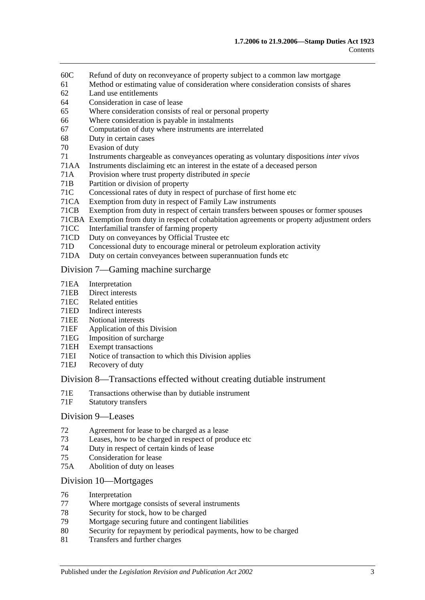- 60C [Refund of duty on reconveyance of property subject to a common law mortgage](#page-38-0)
- 61 [Method or estimating value of consideration where consideration consists of shares](#page-38-1)
- 62 [Land use entitlements](#page-38-2)
- 64 [Consideration in case of lease](#page-39-0)
- 65 [Where consideration consists of real or personal property](#page-39-1)
- 66 [Where consideration is payable in instalments](#page-39-2)
- 67 [Computation of duty where instruments are interrelated](#page-39-3)
- 68 [Duty in certain cases](#page-40-0)
- 70 [Evasion of duty](#page-40-1)
- 71 [Instruments chargeable as conveyances operating as voluntary dispositions](#page-41-0) *inter vivos*
- 71AA [Instruments disclaiming etc an interest in the estate of a deceased person](#page-44-0)
- 71A [Provision where trust property distributed](#page-45-0) *in specie*
- 71B [Partition or division of property](#page-45-1)
- 71C [Concessional rates of duty in respect of purchase of first home etc](#page-45-2)
- 71CA [Exemption from duty in respect of Family Law instruments](#page-49-0)
- 71CB [Exemption from duty in respect of certain transfers between spouses or former spouses](#page-52-0)
- 71CBA [Exemption from duty in respect of cohabitation agreements or property adjustment orders](#page-53-0)
- 71CC [Interfamilial transfer of farming property](#page-54-0)
- 71CD [Duty on conveyances by Official Trustee etc](#page-56-0)
- 71D [Concessional duty to encourage mineral or petroleum exploration activity](#page-56-1)
- 71DA [Duty on certain conveyances between superannuation funds etc](#page-58-0)

#### [Division 7—Gaming machine surcharge](#page-59-0)

- 71EA [Interpretation](#page-59-1)
- 71EB [Direct interests](#page-60-0)
- 71EC [Related entities](#page-61-0)
- 71ED [Indirect interests](#page-61-1)
- 71EE [Notional interests](#page-62-0)
- 71EF [Application of this](#page-62-1) Division
- 71EG [Imposition of surcharge](#page-62-2)
- 71EH [Exempt transactions](#page-63-0)
- 71EI [Notice of transaction to which this Division applies](#page-63-1)
- 71EJ [Recovery of duty](#page-63-2)

#### [Division 8—Transactions effected without creating dutiable instrument](#page-64-0)

- 71E [Transactions otherwise than by dutiable instrument](#page-64-1)
- 71F [Statutory transfers](#page-65-0)

#### [Division 9—Leases](#page-66-0)

- 72 [Agreement for lease to be charged as a lease](#page-66-1)
- 73 [Leases, how to be charged in respect of produce etc](#page-66-2)
- 74 [Duty in respect of certain kinds of lease](#page-67-0)
- 75 [Consideration for lease](#page-67-1)
- 75A [Abolition of duty on leases](#page-68-0)

#### [Division 10—Mortgages](#page-68-1)

- 76 [Interpretation](#page-68-2)
- 77 [Where mortgage consists of several instruments](#page-68-3)<br>78 Security for stock how to be charged
- [Security for stock, how to be charged](#page-69-0)
- 79 [Mortgage securing future and contingent liabilities](#page-69-1)
- 80 [Security for repayment by periodical payments, how to be charged](#page-71-0)
- 81 [Transfers and further charges](#page-71-1)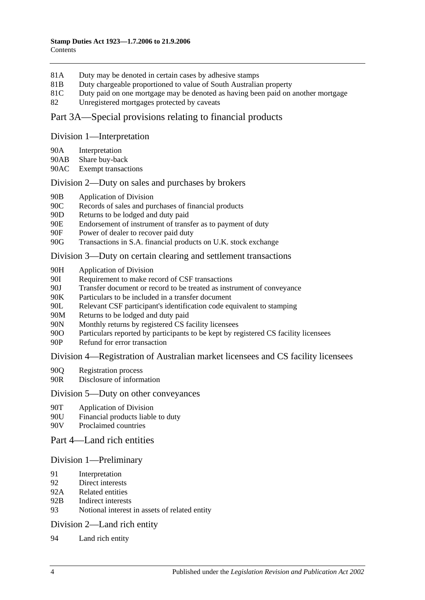- 81A [Duty may be denoted in certain cases by adhesive stamps](#page-71-2)
- 81B [Duty chargeable proportioned to value of South Australian property](#page-71-3)
- 81C [Duty paid on one mortgage may be denoted as having been paid on another mortgage](#page-72-0)
- 82 [Unregistered mortgages protected by caveats](#page-73-0)

# [Part 3A—Special provisions relating to financial products](#page-74-0)

#### [Division 1—Interpretation](#page-74-1)

- 90A [Interpretation](#page-74-2)
- 90AB [Share buy-back](#page-76-0)
- 90AC [Exempt transactions](#page-76-1)

## [Division 2—Duty on sales and purchases by brokers](#page-76-2)

- 90B [Application of Division](#page-76-3)
- 90C [Records of sales and purchases of financial products](#page-77-0)
- 90D [Returns to be lodged and duty paid](#page-78-0)
- 90E [Endorsement of instrument of transfer as to payment of duty](#page-79-0)
- 90F [Power of dealer to recover paid duty](#page-79-1)
- 90G [Transactions in S.A. financial products on U.K. stock exchange](#page-79-2)

## [Division 3—Duty on certain clearing and settlement transactions](#page-81-0)

- 90H [Application of Division](#page-81-1)
- 90I [Requirement to make record of CSF transactions](#page-82-0)
- 90J [Transfer document or record to be treated as instrument of conveyance](#page-82-1)
- 90K [Particulars to be included in a transfer document](#page-83-0)
- 90L [Relevant CSF participant's identification code equivalent to stamping](#page-83-1)
- 90M [Returns to be lodged and duty paid](#page-83-2)
- 90N [Monthly returns by registered CS facility licensees](#page-83-3)
- 90O [Particulars reported by participants to be kept by registered CS facility licensees](#page-84-0)
- 90P [Refund for error transaction](#page-84-1)

## [Division 4—Registration of Australian market licensees and CS facility licensees](#page-84-2)

- 90Q [Registration process](#page-84-3)
- 90R [Disclosure of information](#page-85-0)

## [Division 5—Duty on other conveyances](#page-85-1)

- 90T [Application of Division](#page-85-2)
- 90U [Financial products liable to duty](#page-85-3)
- 90V [Proclaimed countries](#page-85-4)

## [Part 4—Land rich entities](#page-86-0)

## [Division 1—Preliminary](#page-86-1)

- 91 [Interpretation](#page-86-2)
- 92 [Direct interests](#page-88-0)
- 92A [Related entities](#page-89-0)
- 92B [Indirect interests](#page-89-1)
- 93 [Notional interest in assets of related entity](#page-89-2)

## [Division 2—Land rich entity](#page-90-0)

94 [Land rich entity](#page-90-1)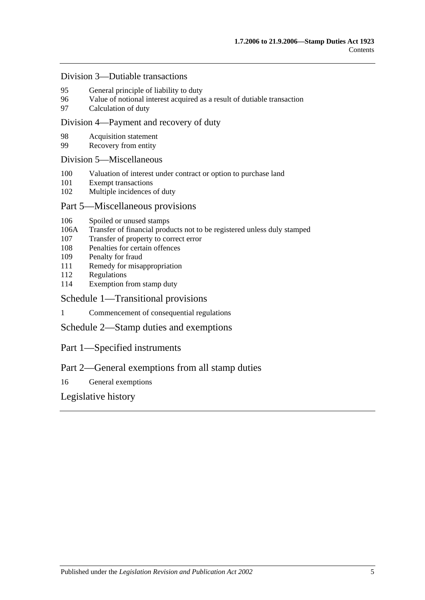#### [Division 3—Dutiable transactions](#page-91-0)

- 95 [General principle of liability to duty](#page-91-1)<br>96 Value of notional interest acquired a
- [Value of notional interest acquired as a result of dutiable transaction](#page-91-2)
- 97 [Calculation of duty](#page-92-0)

#### [Division 4—Payment and recovery of duty](#page-93-0)

- 98 [Acquisition statement](#page-93-1)<br>99 Recovery from entity
- [Recovery from entity](#page-93-2)

#### [Division 5—Miscellaneous](#page-94-0)

- 100 [Valuation of interest under contract or option to purchase land](#page-94-1)
- 101 [Exempt transactions](#page-94-2)
- 102 [Multiple incidences of duty](#page-95-0)

#### [Part 5—Miscellaneous provisions](#page-96-0)

- 106 [Spoiled or unused stamps](#page-96-1)
- 106A [Transfer of financial products not to be registered unless duly stamped](#page-96-2)
- 107 [Transfer of property to correct error](#page-97-0)
- 108 [Penalties for certain offences](#page-97-1)
- 109 [Penalty for fraud](#page-98-0)
- 111 [Remedy for misappropriation](#page-98-1)
- 112 [Regulations](#page-98-2)
- 114 [Exemption from stamp duty](#page-99-0)

#### [Schedule 1—Transitional provisions](#page-100-0)

1 [Commencement of consequential regulations](#page-100-1)

[Schedule 2—Stamp duties and exemptions](#page-100-2)

## Part 1—Specified instruments

## Part 2—General exemptions from all stamp duties

16 [General exemptions](#page-114-0)

[Legislative history](#page-120-0)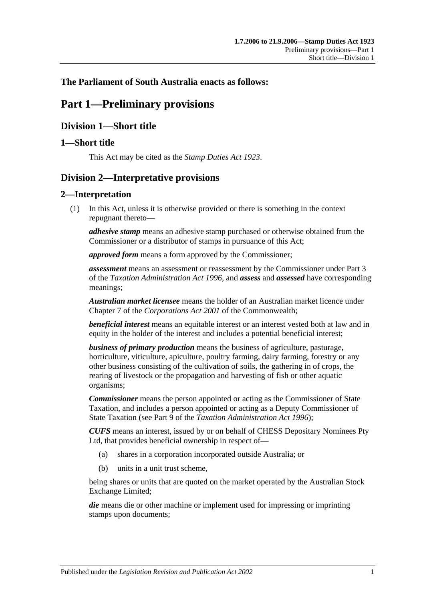## <span id="page-6-0"></span>**The Parliament of South Australia enacts as follows:**

# **Part 1—Preliminary provisions**

# <span id="page-6-1"></span>**Division 1—Short title**

## <span id="page-6-2"></span>**1—Short title**

This Act may be cited as the *Stamp Duties Act 1923*.

# <span id="page-6-3"></span>**Division 2—Interpretative provisions**

## <span id="page-6-4"></span>**2—Interpretation**

(1) In this Act, unless it is otherwise provided or there is something in the context repugnant thereto—

*adhesive stamp* means an adhesive stamp purchased or otherwise obtained from the Commissioner or a distributor of stamps in pursuance of this Act;

*approved form* means a form approved by the Commissioner;

*assessment* means an assessment or reassessment by the Commissioner under Part 3 of the *[Taxation Administration Act](http://www.legislation.sa.gov.au/index.aspx?action=legref&type=act&legtitle=Taxation%20Administration%20Act%201996) 1996*, and *assess* and *assessed* have corresponding meanings;

*Australian market licensee* means the holder of an Australian market licence under Chapter 7 of the *Corporations Act 2001* of the Commonwealth;

*beneficial interest* means an equitable interest or an interest vested both at law and in equity in the holder of the interest and includes a potential beneficial interest;

*business of primary production* means the business of agriculture, pasturage, horticulture, viticulture, apiculture, poultry farming, dairy farming, forestry or any other business consisting of the cultivation of soils, the gathering in of crops, the rearing of livestock or the propagation and harvesting of fish or other aquatic organisms;

*Commissioner* means the person appointed or acting as the Commissioner of State Taxation, and includes a person appointed or acting as a Deputy Commissioner of State Taxation (see Part 9 of the *[Taxation Administration Act](http://www.legislation.sa.gov.au/index.aspx?action=legref&type=act&legtitle=Taxation%20Administration%20Act%201996) 1996*);

*CUFS* means an interest, issued by or on behalf of CHESS Depositary Nominees Pty Ltd, that provides beneficial ownership in respect of—

- (a) shares in a corporation incorporated outside Australia; or
- (b) units in a unit trust scheme,

being shares or units that are quoted on the market operated by the Australian Stock Exchange Limited;

*die* means die or other machine or implement used for impressing or imprinting stamps upon documents;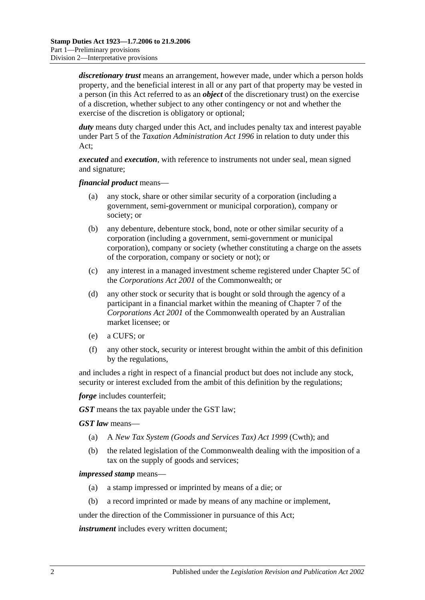*discretionary trust* means an arrangement, however made, under which a person holds property, and the beneficial interest in all or any part of that property may be vested in a person (in this Act referred to as an *object* of the discretionary trust) on the exercise of a discretion, whether subject to any other contingency or not and whether the exercise of the discretion is obligatory or optional;

*duty* means duty charged under this Act, and includes penalty tax and interest payable under Part 5 of the *[Taxation Administration Act](http://www.legislation.sa.gov.au/index.aspx?action=legref&type=act&legtitle=Taxation%20Administration%20Act%201996) 1996* in relation to duty under this Act;

*executed* and *execution*, with reference to instruments not under seal, mean signed and signature;

*financial product* means—

- (a) any stock, share or other similar security of a corporation (including a government, semi-government or municipal corporation), company or society; or
- (b) any debenture, debenture stock, bond, note or other similar security of a corporation (including a government, semi-government or municipal corporation), company or society (whether constituting a charge on the assets of the corporation, company or society or not); or
- (c) any interest in a managed investment scheme registered under Chapter 5C of the *Corporations Act 2001* of the Commonwealth; or
- (d) any other stock or security that is bought or sold through the agency of a participant in a financial market within the meaning of Chapter 7 of the *Corporations Act 2001* of the Commonwealth operated by an Australian market licensee; or
- (e) a CUFS; or
- (f) any other stock, security or interest brought within the ambit of this definition by the regulations,

and includes a right in respect of a financial product but does not include any stock, security or interest excluded from the ambit of this definition by the regulations;

*forge* includes counterfeit;

*GST* means the tax payable under the GST law;

*GST law* means—

- (a) A *New Tax System (Goods and Services Tax) Act 1999* (Cwth); and
- (b) the related legislation of the Commonwealth dealing with the imposition of a tax on the supply of goods and services;

#### *impressed stamp* means—

- (a) a stamp impressed or imprinted by means of a die; or
- (b) a record imprinted or made by means of any machine or implement,

under the direction of the Commissioner in pursuance of this Act;

*instrument* includes every written document;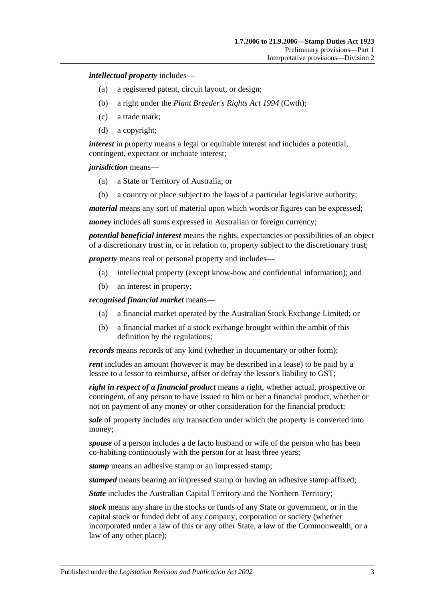*intellectual property* includes—

- (a) a registered patent, circuit layout, or design;
- (b) a right under the *Plant Breeder's Rights Act 1994* (Cwth);
- (c) a trade mark;
- (d) a copyright;

*interest* in property means a legal or equitable interest and includes a potential, contingent, expectant or inchoate interest;

*jurisdiction* means—

- (a) a State or Territory of Australia; or
- (b) a country or place subject to the laws of a particular legislative authority;

*material* means any sort of material upon which words or figures can be expressed;

*money* includes all sums expressed in Australian or foreign currency;

*potential beneficial interest* means the rights, expectancies or possibilities of an object of a discretionary trust in, or in relation to, property subject to the discretionary trust;

*property* means real or personal property and includes—

- (a) intellectual property (except know-how and confidential information); and
- (b) an interest in property;

*recognised financial market* means—

- (a) a financial market operated by the Australian Stock Exchange Limited; or
- (b) a financial market of a stock exchange brought within the ambit of this definition by the regulations;

*records* means records of any kind (whether in documentary or other form);

*rent* includes an amount (however it may be described in a lease) to be paid by a lessee to a lessor to reimburse, offset or defray the lessor's liability to GST;

*right in respect of a financial product* means a right, whether actual, prospective or contingent, of any person to have issued to him or her a financial product, whether or not on payment of any money or other consideration for the financial product;

*sale* of property includes any transaction under which the property is converted into money;

*spouse* of a person includes a de facto husband or wife of the person who has been co-habiting continuously with the person for at least three years;

*stamp* means an adhesive stamp or an impressed stamp;

*stamped* means bearing an impressed stamp or having an adhesive stamp affixed;

*State* includes the Australian Capital Territory and the Northern Territory;

*stock* means any share in the stocks or funds of any State or government, or in the capital stock or funded debt of any company, corporation or society (whether incorporated under a law of this or any other State, a law of the Commonwealth, or a law of any other place);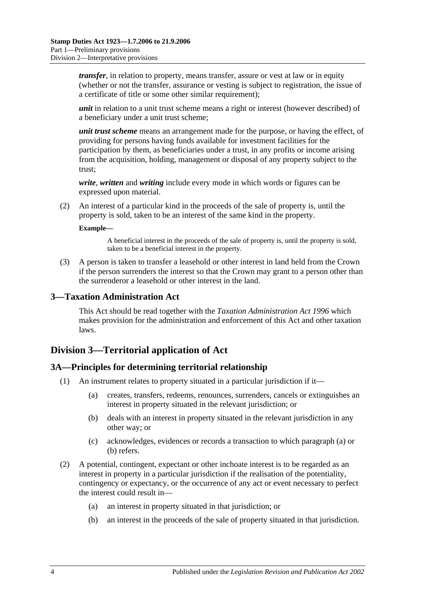*transfer*, in relation to property, means transfer, assure or vest at law or in equity (whether or not the transfer, assurance or vesting is subject to registration, the issue of a certificate of title or some other similar requirement);

*unit* in relation to a unit trust scheme means a right or interest (however described) of a beneficiary under a unit trust scheme;

*unit trust scheme* means an arrangement made for the purpose, or having the effect, of providing for persons having funds available for investment facilities for the participation by them, as beneficiaries under a trust, in any profits or income arising from the acquisition, holding, management or disposal of any property subject to the trust;

*write*, *written* and *writing* include every mode in which words or figures can be expressed upon material.

(2) An interest of a particular kind in the proceeds of the sale of property is, until the property is sold, taken to be an interest of the same kind in the property.

#### **Example—**

A beneficial interest in the proceeds of the sale of property is, until the property is sold, taken to be a beneficial interest in the property.

(3) A person is taken to transfer a leasehold or other interest in land held from the Crown if the person surrenders the interest so that the Crown may grant to a person other than the surrenderor a leasehold or other interest in the land.

#### <span id="page-9-0"></span>**3—Taxation Administration Act**

This Act should be read together with the *[Taxation Administration Act](http://www.legislation.sa.gov.au/index.aspx?action=legref&type=act&legtitle=Taxation%20Administration%20Act%201996) 1996* which makes provision for the administration and enforcement of this Act and other taxation laws.

## <span id="page-9-1"></span>**Division 3—Territorial application of Act**

#### <span id="page-9-2"></span>**3A—Principles for determining territorial relationship**

- <span id="page-9-4"></span><span id="page-9-3"></span>(1) An instrument relates to property situated in a particular jurisdiction if it—
	- (a) creates, transfers, redeems, renounces, surrenders, cancels or extinguishes an interest in property situated in the relevant jurisdiction; or
	- (b) deals with an interest in property situated in the relevant jurisdiction in any other way; or
	- (c) acknowledges, evidences or records a transaction to which [paragraph](#page-9-3) (a) or [\(b\)](#page-9-4) refers.
- (2) A potential, contingent, expectant or other inchoate interest is to be regarded as an interest in property in a particular jurisdiction if the realisation of the potentiality, contingency or expectancy, or the occurrence of any act or event necessary to perfect the interest could result in—
	- (a) an interest in property situated in that jurisdiction; or
	- (b) an interest in the proceeds of the sale of property situated in that jurisdiction.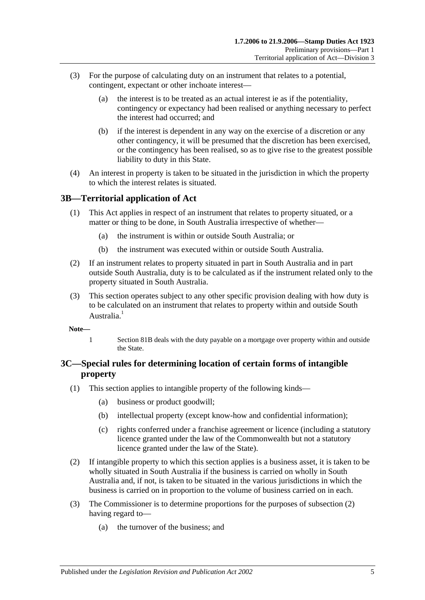- (3) For the purpose of calculating duty on an instrument that relates to a potential, contingent, expectant or other inchoate interest—
	- (a) the interest is to be treated as an actual interest ie as if the potentiality, contingency or expectancy had been realised or anything necessary to perfect the interest had occurred; and
	- (b) if the interest is dependent in any way on the exercise of a discretion or any other contingency, it will be presumed that the discretion has been exercised, or the contingency has been realised, so as to give rise to the greatest possible liability to duty in this State.
- (4) An interest in property is taken to be situated in the jurisdiction in which the property to which the interest relates is situated.

## <span id="page-10-0"></span>**3B—Territorial application of Act**

- (1) This Act applies in respect of an instrument that relates to property situated, or a matter or thing to be done, in South Australia irrespective of whether—
	- (a) the instrument is within or outside South Australia; or
	- (b) the instrument was executed within or outside South Australia.
- (2) If an instrument relates to property situated in part in South Australia and in part outside South Australia, duty is to be calculated as if the instrument related only to the property situated in South Australia.
- (3) This section operates subject to any other specific provision dealing with how duty is to be calculated on an instrument that relates to property within and outside South Australia<sup>1</sup>
- **Note—**
	- 1 [Section](#page-71-3) 81B deals with the duty payable on a mortgage over property within and outside the State.

# <span id="page-10-1"></span>**3C—Special rules for determining location of certain forms of intangible property**

- (1) This section applies to intangible property of the following kinds—
	- (a) business or product goodwill;
	- (b) intellectual property (except know-how and confidential information);
	- (c) rights conferred under a franchise agreement or licence (including a statutory licence granted under the law of the Commonwealth but not a statutory licence granted under the law of the State).
- <span id="page-10-2"></span>(2) If intangible property to which this section applies is a business asset, it is taken to be wholly situated in South Australia if the business is carried on wholly in South Australia and, if not, is taken to be situated in the various jurisdictions in which the business is carried on in proportion to the volume of business carried on in each.
- (3) The Commissioner is to determine proportions for the purposes of [subsection](#page-10-2) (2) having regard to—
	- (a) the turnover of the business; and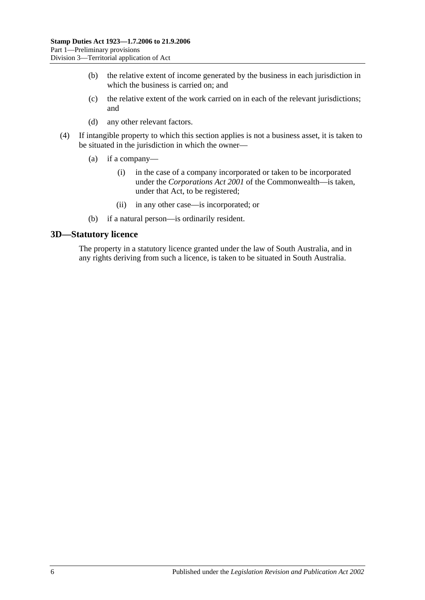- (b) the relative extent of income generated by the business in each jurisdiction in which the business is carried on; and
- (c) the relative extent of the work carried on in each of the relevant jurisdictions; and
- (d) any other relevant factors.
- (4) If intangible property to which this section applies is not a business asset, it is taken to be situated in the jurisdiction in which the owner—
	- (a) if a company—
		- (i) in the case of a company incorporated or taken to be incorporated under the *Corporations Act 2001* of the Commonwealth—is taken, under that Act, to be registered;
		- (ii) in any other case—is incorporated; or
	- (b) if a natural person—is ordinarily resident.

#### <span id="page-11-0"></span>**3D—Statutory licence**

The property in a statutory licence granted under the law of South Australia, and in any rights deriving from such a licence, is taken to be situated in South Australia.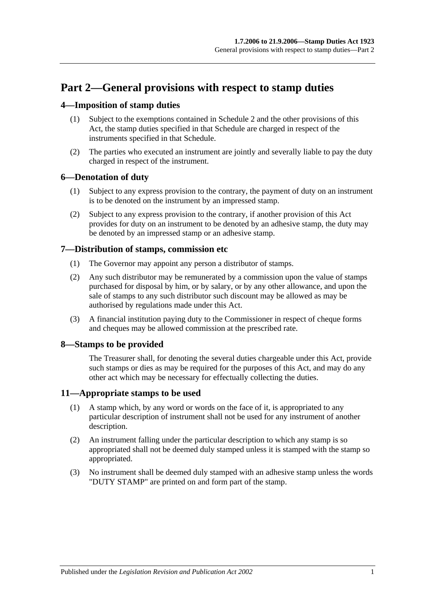# <span id="page-12-0"></span>**Part 2—General provisions with respect to stamp duties**

## <span id="page-12-1"></span>**4—Imposition of stamp duties**

- (1) Subject to the exemptions contained in [Schedule 2](#page-100-2) and the other provisions of this Act, the stamp duties specified in that Schedule are charged in respect of the instruments specified in that Schedule.
- (2) The parties who executed an instrument are jointly and severally liable to pay the duty charged in respect of the instrument.

## <span id="page-12-2"></span>**6—Denotation of duty**

- (1) Subject to any express provision to the contrary, the payment of duty on an instrument is to be denoted on the instrument by an impressed stamp.
- (2) Subject to any express provision to the contrary, if another provision of this Act provides for duty on an instrument to be denoted by an adhesive stamp, the duty may be denoted by an impressed stamp or an adhesive stamp.

## <span id="page-12-3"></span>**7—Distribution of stamps, commission etc**

- (1) The Governor may appoint any person a distributor of stamps.
- (2) Any such distributor may be remunerated by a commission upon the value of stamps purchased for disposal by him, or by salary, or by any other allowance, and upon the sale of stamps to any such distributor such discount may be allowed as may be authorised by regulations made under this Act.
- (3) A financial institution paying duty to the Commissioner in respect of cheque forms and cheques may be allowed commission at the prescribed rate.

# <span id="page-12-4"></span>**8—Stamps to be provided**

The Treasurer shall, for denoting the several duties chargeable under this Act, provide such stamps or dies as may be required for the purposes of this Act, and may do any other act which may be necessary for effectually collecting the duties.

## <span id="page-12-5"></span>**11—Appropriate stamps to be used**

- (1) A stamp which, by any word or words on the face of it, is appropriated to any particular description of instrument shall not be used for any instrument of another description.
- (2) An instrument falling under the particular description to which any stamp is so appropriated shall not be deemed duly stamped unless it is stamped with the stamp so appropriated.
- (3) No instrument shall be deemed duly stamped with an adhesive stamp unless the words "DUTY STAMP" are printed on and form part of the stamp.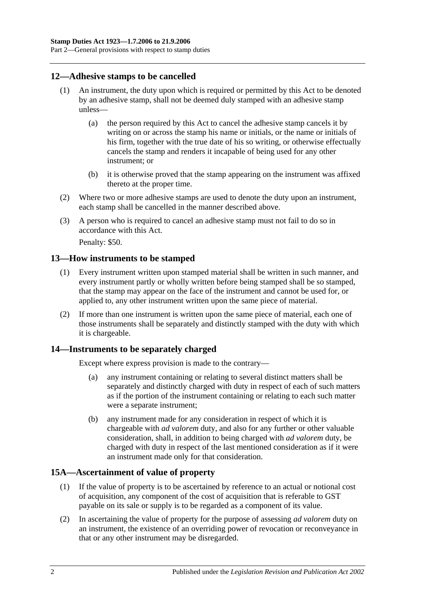## <span id="page-13-0"></span>**12—Adhesive stamps to be cancelled**

- (1) An instrument, the duty upon which is required or permitted by this Act to be denoted by an adhesive stamp, shall not be deemed duly stamped with an adhesive stamp unless—
	- (a) the person required by this Act to cancel the adhesive stamp cancels it by writing on or across the stamp his name or initials, or the name or initials of his firm, together with the true date of his so writing, or otherwise effectually cancels the stamp and renders it incapable of being used for any other instrument; or
	- (b) it is otherwise proved that the stamp appearing on the instrument was affixed thereto at the proper time.
- (2) Where two or more adhesive stamps are used to denote the duty upon an instrument, each stamp shall be cancelled in the manner described above.
- (3) A person who is required to cancel an adhesive stamp must not fail to do so in accordance with this Act.

Penalty: \$50.

#### <span id="page-13-1"></span>**13—How instruments to be stamped**

- (1) Every instrument written upon stamped material shall be written in such manner, and every instrument partly or wholly written before being stamped shall be so stamped, that the stamp may appear on the face of the instrument and cannot be used for, or applied to, any other instrument written upon the same piece of material.
- (2) If more than one instrument is written upon the same piece of material, each one of those instruments shall be separately and distinctly stamped with the duty with which it is chargeable.

## <span id="page-13-2"></span>**14—Instruments to be separately charged**

Except where express provision is made to the contrary—

- (a) any instrument containing or relating to several distinct matters shall be separately and distinctly charged with duty in respect of each of such matters as if the portion of the instrument containing or relating to each such matter were a separate instrument;
- (b) any instrument made for any consideration in respect of which it is chargeable with *ad valorem* duty, and also for any further or other valuable consideration, shall, in addition to being charged with *ad valorem* duty, be charged with duty in respect of the last mentioned consideration as if it were an instrument made only for that consideration.

## <span id="page-13-3"></span>**15A—Ascertainment of value of property**

- (1) If the value of property is to be ascertained by reference to an actual or notional cost of acquisition, any component of the cost of acquisition that is referable to GST payable on its sale or supply is to be regarded as a component of its value.
- (2) In ascertaining the value of property for the purpose of assessing *ad valorem* duty on an instrument, the existence of an overriding power of revocation or reconveyance in that or any other instrument may be disregarded.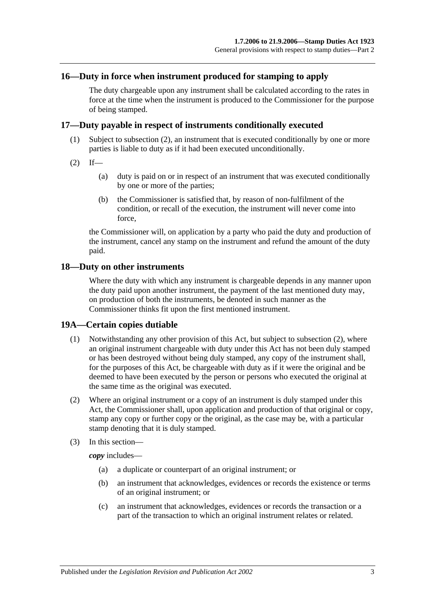#### <span id="page-14-0"></span>**16—Duty in force when instrument produced for stamping to apply**

The duty chargeable upon any instrument shall be calculated according to the rates in force at the time when the instrument is produced to the Commissioner for the purpose of being stamped.

#### <span id="page-14-1"></span>**17—Duty payable in respect of instruments conditionally executed**

- (1) Subject to [subsection](#page-14-4) (2), an instrument that is executed conditionally by one or more parties is liable to duty as if it had been executed unconditionally.
- <span id="page-14-4"></span> $(2)$  If—
	- (a) duty is paid on or in respect of an instrument that was executed conditionally by one or more of the parties;
	- (b) the Commissioner is satisfied that, by reason of non-fulfilment of the condition, or recall of the execution, the instrument will never come into force,

the Commissioner will, on application by a party who paid the duty and production of the instrument, cancel any stamp on the instrument and refund the amount of the duty paid.

#### <span id="page-14-2"></span>**18—Duty on other instruments**

Where the duty with which any instrument is chargeable depends in any manner upon the duty paid upon another instrument, the payment of the last mentioned duty may, on production of both the instruments, be denoted in such manner as the Commissioner thinks fit upon the first mentioned instrument.

#### <span id="page-14-3"></span>**19A—Certain copies dutiable**

- (1) Notwithstanding any other provision of this Act, but subject to [subsection](#page-14-5) (2), where an original instrument chargeable with duty under this Act has not been duly stamped or has been destroyed without being duly stamped, any copy of the instrument shall, for the purposes of this Act, be chargeable with duty as if it were the original and be deemed to have been executed by the person or persons who executed the original at the same time as the original was executed.
- <span id="page-14-5"></span>(2) Where an original instrument or a copy of an instrument is duly stamped under this Act, the Commissioner shall, upon application and production of that original or copy, stamp any copy or further copy or the original, as the case may be, with a particular stamp denoting that it is duly stamped.
- (3) In this section—

*copy* includes—

- (a) a duplicate or counterpart of an original instrument; or
- (b) an instrument that acknowledges, evidences or records the existence or terms of an original instrument; or
- (c) an instrument that acknowledges, evidences or records the transaction or a part of the transaction to which an original instrument relates or related.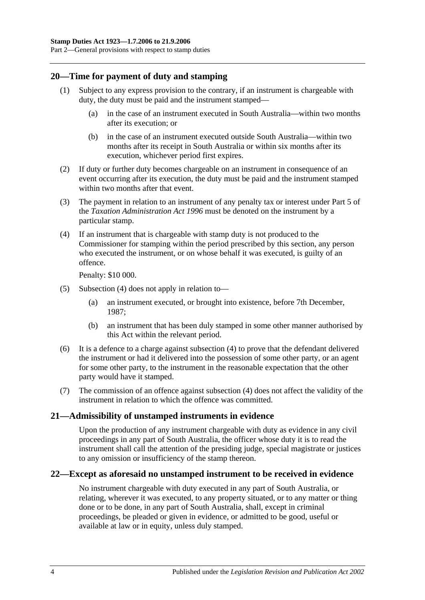## <span id="page-15-0"></span>**20—Time for payment of duty and stamping**

- (1) Subject to any express provision to the contrary, if an instrument is chargeable with duty, the duty must be paid and the instrument stamped—
	- (a) in the case of an instrument executed in South Australia—within two months after its execution; or
	- (b) in the case of an instrument executed outside South Australia—within two months after its receipt in South Australia or within six months after its execution, whichever period first expires.
- (2) If duty or further duty becomes chargeable on an instrument in consequence of an event occurring after its execution, the duty must be paid and the instrument stamped within two months after that event.
- (3) The payment in relation to an instrument of any penalty tax or interest under Part 5 of the *[Taxation Administration Act](http://www.legislation.sa.gov.au/index.aspx?action=legref&type=act&legtitle=Taxation%20Administration%20Act%201996) 1996* must be denoted on the instrument by a particular stamp.
- <span id="page-15-3"></span>(4) If an instrument that is chargeable with stamp duty is not produced to the Commissioner for stamping within the period prescribed by this section, any person who executed the instrument, or on whose behalf it was executed, is guilty of an offence.

Penalty: \$10 000.

- (5) [Subsection](#page-15-3) (4) does not apply in relation to—
	- (a) an instrument executed, or brought into existence, before 7th December, 1987;
	- (b) an instrument that has been duly stamped in some other manner authorised by this Act within the relevant period.
- (6) It is a defence to a charge against [subsection](#page-15-3) (4) to prove that the defendant delivered the instrument or had it delivered into the possession of some other party, or an agent for some other party, to the instrument in the reasonable expectation that the other party would have it stamped.
- (7) The commission of an offence against [subsection](#page-15-3) (4) does not affect the validity of the instrument in relation to which the offence was committed.

## <span id="page-15-1"></span>**21—Admissibility of unstamped instruments in evidence**

Upon the production of any instrument chargeable with duty as evidence in any civil proceedings in any part of South Australia, the officer whose duty it is to read the instrument shall call the attention of the presiding judge, special magistrate or justices to any omission or insufficiency of the stamp thereon.

## <span id="page-15-2"></span>**22—Except as aforesaid no unstamped instrument to be received in evidence**

No instrument chargeable with duty executed in any part of South Australia, or relating, wherever it was executed, to any property situated, or to any matter or thing done or to be done, in any part of South Australia, shall, except in criminal proceedings, be pleaded or given in evidence, or admitted to be good, useful or available at law or in equity, unless duly stamped.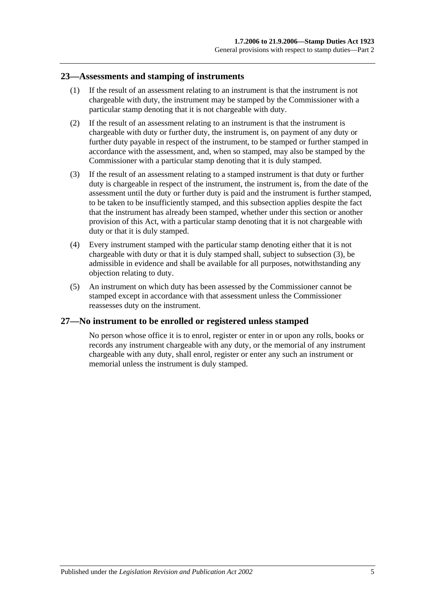#### <span id="page-16-0"></span>**23—Assessments and stamping of instruments**

- (1) If the result of an assessment relating to an instrument is that the instrument is not chargeable with duty, the instrument may be stamped by the Commissioner with a particular stamp denoting that it is not chargeable with duty.
- (2) If the result of an assessment relating to an instrument is that the instrument is chargeable with duty or further duty, the instrument is, on payment of any duty or further duty payable in respect of the instrument, to be stamped or further stamped in accordance with the assessment, and, when so stamped, may also be stamped by the Commissioner with a particular stamp denoting that it is duly stamped.
- <span id="page-16-2"></span>(3) If the result of an assessment relating to a stamped instrument is that duty or further duty is chargeable in respect of the instrument, the instrument is, from the date of the assessment until the duty or further duty is paid and the instrument is further stamped, to be taken to be insufficiently stamped, and this subsection applies despite the fact that the instrument has already been stamped, whether under this section or another provision of this Act, with a particular stamp denoting that it is not chargeable with duty or that it is duly stamped.
- (4) Every instrument stamped with the particular stamp denoting either that it is not chargeable with duty or that it is duly stamped shall, subject to [subsection](#page-16-2) (3), be admissible in evidence and shall be available for all purposes, notwithstanding any objection relating to duty.
- (5) An instrument on which duty has been assessed by the Commissioner cannot be stamped except in accordance with that assessment unless the Commissioner reassesses duty on the instrument.

## <span id="page-16-1"></span>**27—No instrument to be enrolled or registered unless stamped**

No person whose office it is to enrol, register or enter in or upon any rolls, books or records any instrument chargeable with any duty, or the memorial of any instrument chargeable with any duty, shall enrol, register or enter any such an instrument or memorial unless the instrument is duly stamped.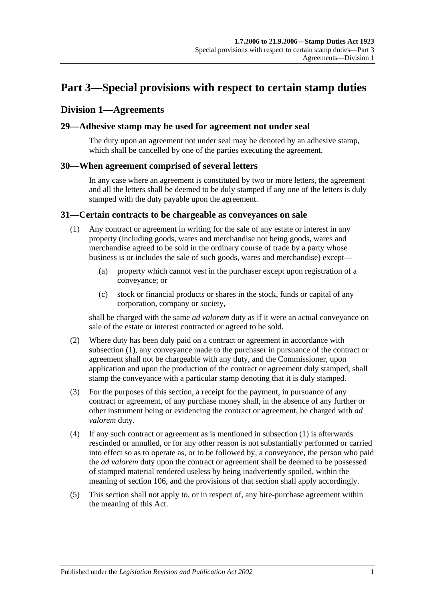# <span id="page-18-0"></span>**Part 3—Special provisions with respect to certain stamp duties**

## <span id="page-18-1"></span>**Division 1—Agreements**

#### <span id="page-18-2"></span>**29—Adhesive stamp may be used for agreement not under seal**

The duty upon an agreement not under seal may be denoted by an adhesive stamp, which shall be cancelled by one of the parties executing the agreement.

#### <span id="page-18-3"></span>**30—When agreement comprised of several letters**

In any case where an agreement is constituted by two or more letters, the agreement and all the letters shall be deemed to be duly stamped if any one of the letters is duly stamped with the duty payable upon the agreement.

#### <span id="page-18-5"></span><span id="page-18-4"></span>**31—Certain contracts to be chargeable as conveyances on sale**

- (1) Any contract or agreement in writing for the sale of any estate or interest in any property (including goods, wares and merchandise not being goods, wares and merchandise agreed to be sold in the ordinary course of trade by a party whose business is or includes the sale of such goods, wares and merchandise) except—
	- (a) property which cannot vest in the purchaser except upon registration of a conveyance; or
	- (c) stock or financial products or shares in the stock, funds or capital of any corporation, company or society,

shall be charged with the same *ad valorem* duty as if it were an actual conveyance on sale of the estate or interest contracted or agreed to be sold.

- (2) Where duty has been duly paid on a contract or agreement in accordance with [subsection](#page-18-5) (1), any conveyance made to the purchaser in pursuance of the contract or agreement shall not be chargeable with any duty, and the Commissioner, upon application and upon the production of the contract or agreement duly stamped, shall stamp the conveyance with a particular stamp denoting that it is duly stamped.
- (3) For the purposes of this section, a receipt for the payment, in pursuance of any contract or agreement, of any purchase money shall, in the absence of any further or other instrument being or evidencing the contract or agreement, be charged with *ad valorem* duty.
- (4) If any such contract or agreement as is mentioned in [subsection](#page-18-5) (1) is afterwards rescinded or annulled, or for any other reason is not substantially performed or carried into effect so as to operate as, or to be followed by, a conveyance, the person who paid the *ad valorem* duty upon the contract or agreement shall be deemed to be possessed of stamped material rendered useless by being inadvertently spoiled, within the meaning of [section](#page-96-1) 106, and the provisions of that section shall apply accordingly.
- (5) This section shall not apply to, or in respect of, any hire-purchase agreement within the meaning of this Act.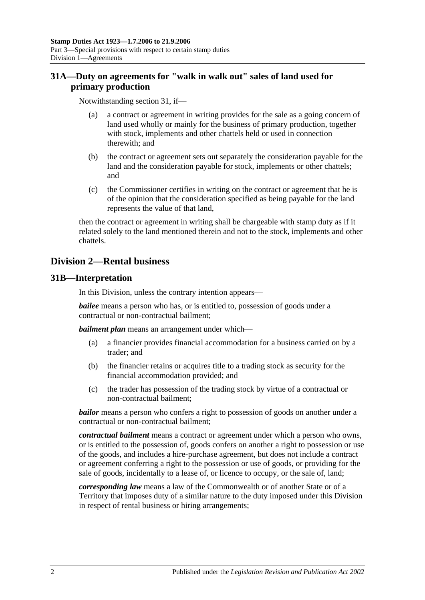# <span id="page-19-0"></span>**31A—Duty on agreements for "walk in walk out" sales of land used for primary production**

Notwithstanding [section](#page-18-4) 31, if—

- (a) a contract or agreement in writing provides for the sale as a going concern of land used wholly or mainly for the business of primary production, together with stock, implements and other chattels held or used in connection therewith; and
- (b) the contract or agreement sets out separately the consideration payable for the land and the consideration payable for stock, implements or other chattels; and
- (c) the Commissioner certifies in writing on the contract or agreement that he is of the opinion that the consideration specified as being payable for the land represents the value of that land,

then the contract or agreement in writing shall be chargeable with stamp duty as if it related solely to the land mentioned therein and not to the stock, implements and other chattels.

# <span id="page-19-1"></span>**Division 2—Rental business**

## <span id="page-19-2"></span>**31B—Interpretation**

In this Division, unless the contrary intention appears—

*bailee* means a person who has, or is entitled to, possession of goods under a contractual or non-contractual bailment;

*bailment plan* means an arrangement under which—

- (a) a financier provides financial accommodation for a business carried on by a trader; and
- (b) the financier retains or acquires title to a trading stock as security for the financial accommodation provided; and
- (c) the trader has possession of the trading stock by virtue of a contractual or non-contractual bailment;

*bailor* means a person who confers a right to possession of goods on another under a contractual or non-contractual bailment;

*contractual bailment* means a contract or agreement under which a person who owns, or is entitled to the possession of, goods confers on another a right to possession or use of the goods, and includes a hire-purchase agreement, but does not include a contract or agreement conferring a right to the possession or use of goods, or providing for the sale of goods, incidentally to a lease of, or licence to occupy, or the sale of, land;

*corresponding law* means a law of the Commonwealth or of another State or of a Territory that imposes duty of a similar nature to the duty imposed under this Division in respect of rental business or hiring arrangements;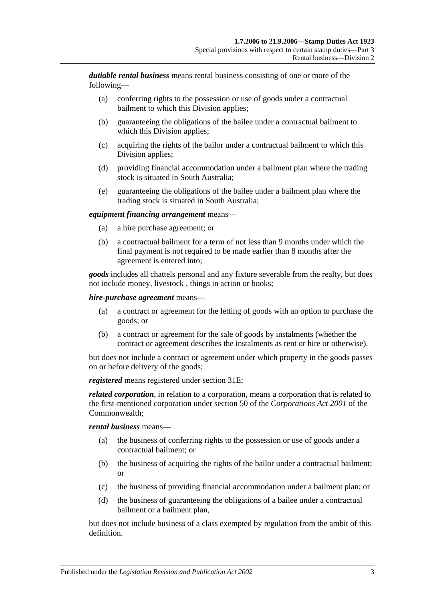*dutiable rental business* means rental business consisting of one or more of the following—

- (a) conferring rights to the possession or use of goods under a contractual bailment to which this Division applies;
- (b) guaranteeing the obligations of the bailee under a contractual bailment to which this Division applies;
- (c) acquiring the rights of the bailor under a contractual bailment to which this Division applies;
- (d) providing financial accommodation under a bailment plan where the trading stock is situated in South Australia;
- (e) guaranteeing the obligations of the bailee under a bailment plan where the trading stock is situated in South Australia;

#### *equipment financing arrangement* means—

- (a) a hire purchase agreement; or
- (b) a contractual bailment for a term of not less than 9 months under which the final payment is not required to be made earlier than 8 months after the agreement is entered into;

*goods* includes all chattels personal and any fixture severable from the realty, but does not include money, livestock , things in action or books;

#### *hire-purchase agreement* means—

- (a) a contract or agreement for the letting of goods with an option to purchase the goods; or
- (b) a contract or agreement for the sale of goods by instalments (whether the contract or agreement describes the instalments as rent or hire or otherwise),

but does not include a contract or agreement under which property in the goods passes on or before delivery of the goods;

*registered* means registered under [section](#page-21-2) 31E;

*related corporation*, in relation to a corporation, means a corporation that is related to the first-mentioned corporation under section 50 of the *Corporations Act 2001* of the Commonwealth;

#### *rental business* means—

- (a) the business of conferring rights to the possession or use of goods under a contractual bailment; or
- (b) the business of acquiring the rights of the bailor under a contractual bailment; or
- (c) the business of providing financial accommodation under a bailment plan; or
- (d) the business of guaranteeing the obligations of a bailee under a contractual bailment or a bailment plan,

but does not include business of a class exempted by regulation from the ambit of this definition.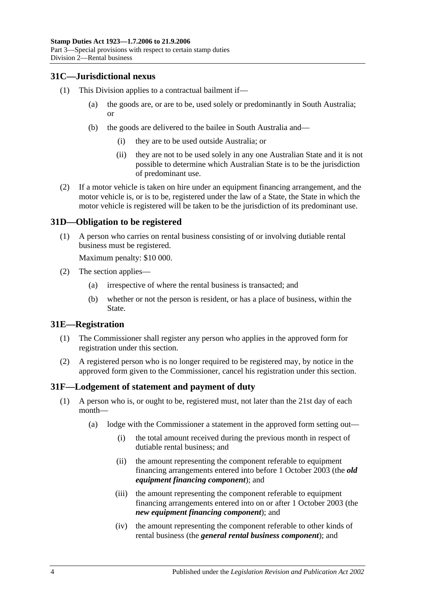## <span id="page-21-0"></span>**31C—Jurisdictional nexus**

- (1) This Division applies to a contractual bailment if—
	- (a) the goods are, or are to be, used solely or predominantly in South Australia; or
	- (b) the goods are delivered to the bailee in South Australia and—
		- (i) they are to be used outside Australia; or
		- (ii) they are not to be used solely in any one Australian State and it is not possible to determine which Australian State is to be the jurisdiction of predominant use.
- (2) If a motor vehicle is taken on hire under an equipment financing arrangement, and the motor vehicle is, or is to be, registered under the law of a State, the State in which the motor vehicle is registered will be taken to be the jurisdiction of its predominant use.

#### <span id="page-21-1"></span>**31D—Obligation to be registered**

(1) A person who carries on rental business consisting of or involving dutiable rental business must be registered.

Maximum penalty: \$10 000.

- (2) The section applies—
	- (a) irrespective of where the rental business is transacted; and
	- (b) whether or not the person is resident, or has a place of business, within the State.

#### <span id="page-21-2"></span>**31E—Registration**

- (1) The Commissioner shall register any person who applies in the approved form for registration under this section.
- (2) A registered person who is no longer required to be registered may, by notice in the approved form given to the Commissioner, cancel his registration under this section.

#### <span id="page-21-4"></span><span id="page-21-3"></span>**31F—Lodgement of statement and payment of duty**

- (1) A person who is, or ought to be, registered must, not later than the 21st day of each month—
	- (a) lodge with the Commissioner a statement in the approved form setting out—
		- (i) the total amount received during the previous month in respect of dutiable rental business; and
		- (ii) the amount representing the component referable to equipment financing arrangements entered into before 1 October 2003 (the *old equipment financing component*); and
		- (iii) the amount representing the component referable to equipment financing arrangements entered into on or after 1 October 2003 (the *new equipment financing component*); and
		- (iv) the amount representing the component referable to other kinds of rental business (the *general rental business component*); and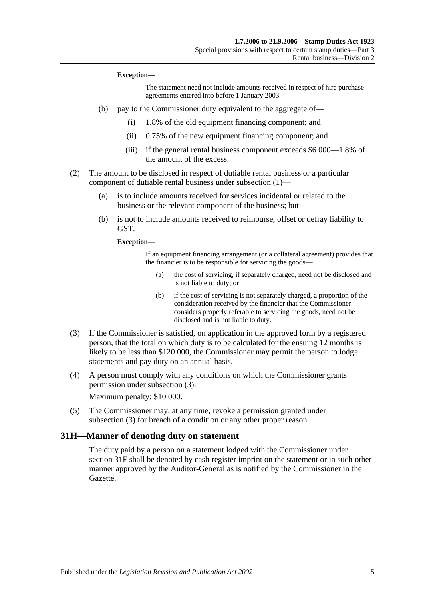#### **Exception—**

The statement need not include amounts received in respect of hire purchase agreements entered into before 1 January 2003.

- (b) pay to the Commissioner duty equivalent to the aggregate of—
	- (i) 1.8% of the old equipment financing component; and
	- (ii) 0.75% of the new equipment financing component; and
	- (iii) if the general rental business component exceeds \$6 000—1.8% of the amount of the excess.
- (2) The amount to be disclosed in respect of dutiable rental business or a particular component of dutiable rental business under [subsection](#page-21-4) (1)—
	- (a) is to include amounts received for services incidental or related to the business or the relevant component of the business; but
	- (b) is not to include amounts received to reimburse, offset or defray liability to GST.

**Exception—**

If an equipment financing arrangement (or a collateral agreement) provides that the financier is to be responsible for servicing the goods—

- (a) the cost of servicing, if separately charged, need not be disclosed and is not liable to duty; or
- (b) if the cost of servicing is not separately charged, a proportion of the consideration received by the financier that the Commissioner considers properly referable to servicing the goods, need not be disclosed and is not liable to duty.
- <span id="page-22-1"></span>(3) If the Commissioner is satisfied, on application in the approved form by a registered person, that the total on which duty is to be calculated for the ensuing 12 months is likely to be less than \$120 000, the Commissioner may permit the person to lodge statements and pay duty on an annual basis.
- (4) A person must comply with any conditions on which the Commissioner grants permission under [subsection](#page-22-1) (3).

Maximum penalty: \$10 000.

(5) The Commissioner may, at any time, revoke a permission granted under [subsection](#page-22-1) (3) for breach of a condition or any other proper reason.

#### <span id="page-22-0"></span>**31H—Manner of denoting duty on statement**

The duty paid by a person on a statement lodged with the Commissioner under [section](#page-21-3) 31F shall be denoted by cash register imprint on the statement or in such other manner approved by the Auditor-General as is notified by the Commissioner in the Gazette.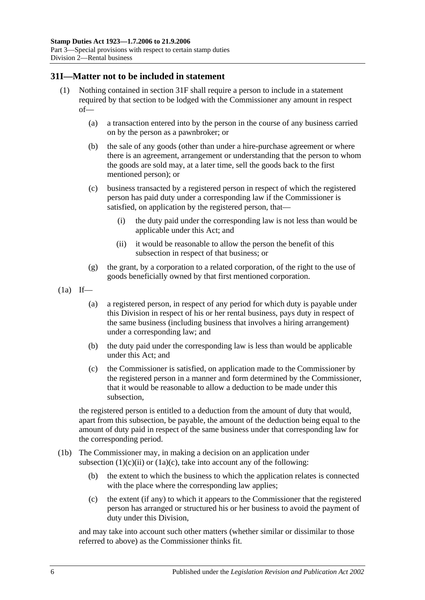## <span id="page-23-0"></span>**31I—Matter not to be included in statement**

- (1) Nothing contained in [section](#page-21-3) 31F shall require a person to include in a statement required by that section to be lodged with the Commissioner any amount in respect of—
	- (a) a transaction entered into by the person in the course of any business carried on by the person as a pawnbroker; or
	- (b) the sale of any goods (other than under a hire-purchase agreement or where there is an agreement, arrangement or understanding that the person to whom the goods are sold may, at a later time, sell the goods back to the first mentioned person); or
	- (c) business transacted by a registered person in respect of which the registered person has paid duty under a corresponding law if the Commissioner is satisfied, on application by the registered person, that—
		- (i) the duty paid under the corresponding law is not less than would be applicable under this Act; and
		- (ii) it would be reasonable to allow the person the benefit of this subsection in respect of that business; or
	- (g) the grant, by a corporation to a related corporation, of the right to the use of goods beneficially owned by that first mentioned corporation.
- <span id="page-23-1"></span> $(1a)$  If—
	- (a) a registered person, in respect of any period for which duty is payable under this Division in respect of his or her rental business, pays duty in respect of the same business (including business that involves a hiring arrangement) under a corresponding law; and
	- (b) the duty paid under the corresponding law is less than would be applicable under this Act; and
	- (c) the Commissioner is satisfied, on application made to the Commissioner by the registered person in a manner and form determined by the Commissioner, that it would be reasonable to allow a deduction to be made under this subsection,

<span id="page-23-2"></span>the registered person is entitled to a deduction from the amount of duty that would, apart from this subsection, be payable, the amount of the deduction being equal to the amount of duty paid in respect of the same business under that corresponding law for the corresponding period.

- (1b) The Commissioner may, in making a decision on an application under [subsection](#page-23-1)  $(1)(c)(ii)$  or  $(1a)(c)$ , take into account any of the following:
	- (b) the extent to which the business to which the application relates is connected with the place where the corresponding law applies;
	- (c) the extent (if any) to which it appears to the Commissioner that the registered person has arranged or structured his or her business to avoid the payment of duty under this Division,

and may take into account such other matters (whether similar or dissimilar to those referred to above) as the Commissioner thinks fit.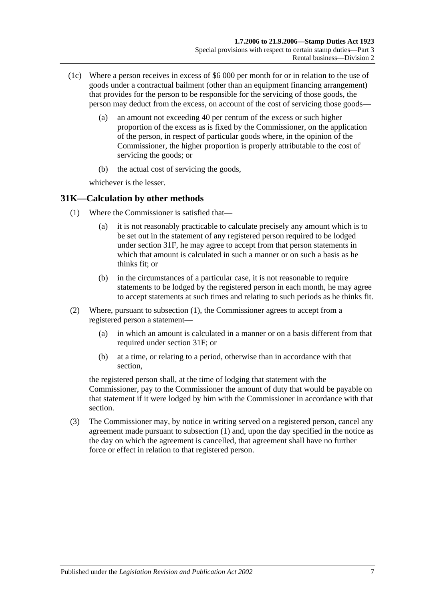- (1c) Where a person receives in excess of \$6 000 per month for or in relation to the use of goods under a contractual bailment (other than an equipment financing arrangement) that provides for the person to be responsible for the servicing of those goods, the person may deduct from the excess, on account of the cost of servicing those goods—
	- (a) an amount not exceeding 40 per centum of the excess or such higher proportion of the excess as is fixed by the Commissioner, on the application of the person, in respect of particular goods where, in the opinion of the Commissioner, the higher proportion is properly attributable to the cost of servicing the goods; or
	- (b) the actual cost of servicing the goods,

whichever is the lesser.

## <span id="page-24-1"></span><span id="page-24-0"></span>**31K—Calculation by other methods**

- (1) Where the Commissioner is satisfied that—
	- (a) it is not reasonably practicable to calculate precisely any amount which is to be set out in the statement of any registered person required to be lodged under [section](#page-21-3) 31F, he may agree to accept from that person statements in which that amount is calculated in such a manner or on such a basis as he thinks fit: or
	- (b) in the circumstances of a particular case, it is not reasonable to require statements to be lodged by the registered person in each month, he may agree to accept statements at such times and relating to such periods as he thinks fit.
- (2) Where, pursuant to [subsection](#page-24-1) (1), the Commissioner agrees to accept from a registered person a statement—
	- (a) in which an amount is calculated in a manner or on a basis different from that required under [section](#page-21-3) 31F; or
	- (b) at a time, or relating to a period, otherwise than in accordance with that section,

the registered person shall, at the time of lodging that statement with the Commissioner, pay to the Commissioner the amount of duty that would be payable on that statement if it were lodged by him with the Commissioner in accordance with that section.

(3) The Commissioner may, by notice in writing served on a registered person, cancel any agreement made pursuant to [subsection](#page-24-1) (1) and, upon the day specified in the notice as the day on which the agreement is cancelled, that agreement shall have no further force or effect in relation to that registered person.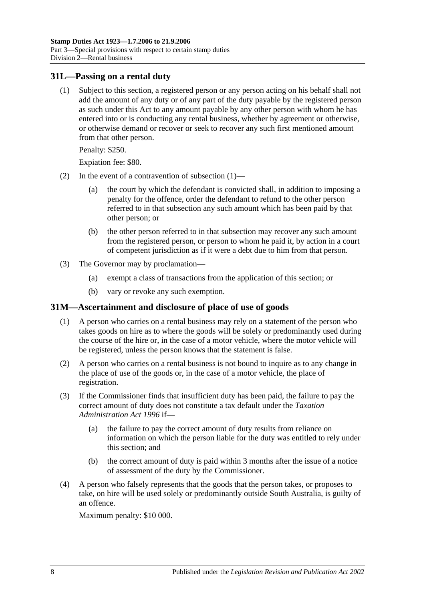#### <span id="page-25-2"></span><span id="page-25-0"></span>**31L—Passing on a rental duty**

(1) Subject to this section, a registered person or any person acting on his behalf shall not add the amount of any duty or of any part of the duty payable by the registered person as such under this Act to any amount payable by any other person with whom he has entered into or is conducting any rental business, whether by agreement or otherwise, or otherwise demand or recover or seek to recover any such first mentioned amount from that other person.

Penalty: \$250.

Expiation fee: \$80.

- (2) In the event of a contravention of [subsection](#page-25-2) (1)—
	- (a) the court by which the defendant is convicted shall, in addition to imposing a penalty for the offence, order the defendant to refund to the other person referred to in that subsection any such amount which has been paid by that other person; or
	- (b) the other person referred to in that subsection may recover any such amount from the registered person, or person to whom he paid it, by action in a court of competent jurisdiction as if it were a debt due to him from that person.
- (3) The Governor may by proclamation—
	- (a) exempt a class of transactions from the application of this section; or
	- (b) vary or revoke any such exemption.

#### <span id="page-25-1"></span>**31M—Ascertainment and disclosure of place of use of goods**

- (1) A person who carries on a rental business may rely on a statement of the person who takes goods on hire as to where the goods will be solely or predominantly used during the course of the hire or, in the case of a motor vehicle, where the motor vehicle will be registered, unless the person knows that the statement is false.
- (2) A person who carries on a rental business is not bound to inquire as to any change in the place of use of the goods or, in the case of a motor vehicle, the place of registration.
- (3) If the Commissioner finds that insufficient duty has been paid, the failure to pay the correct amount of duty does not constitute a tax default under the *[Taxation](http://www.legislation.sa.gov.au/index.aspx?action=legref&type=act&legtitle=Taxation%20Administration%20Act%201996)  [Administration Act](http://www.legislation.sa.gov.au/index.aspx?action=legref&type=act&legtitle=Taxation%20Administration%20Act%201996) 1996* if—
	- (a) the failure to pay the correct amount of duty results from reliance on information on which the person liable for the duty was entitled to rely under this section; and
	- (b) the correct amount of duty is paid within 3 months after the issue of a notice of assessment of the duty by the Commissioner.
- (4) A person who falsely represents that the goods that the person takes, or proposes to take, on hire will be used solely or predominantly outside South Australia, is guilty of an offence.

Maximum penalty: \$10 000.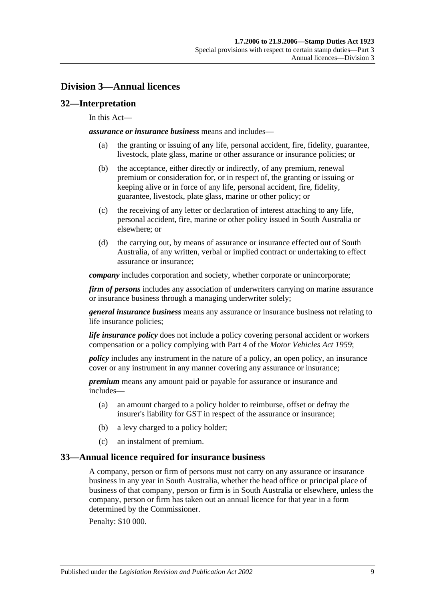# <span id="page-26-0"></span>**Division 3—Annual licences**

## <span id="page-26-1"></span>**32—Interpretation**

#### In this Act—

*assurance or insurance business* means and includes—

- (a) the granting or issuing of any life, personal accident, fire, fidelity, guarantee, livestock, plate glass, marine or other assurance or insurance policies; or
- (b) the acceptance, either directly or indirectly, of any premium, renewal premium or consideration for, or in respect of, the granting or issuing or keeping alive or in force of any life, personal accident, fire, fidelity, guarantee, livestock, plate glass, marine or other policy; or
- (c) the receiving of any letter or declaration of interest attaching to any life, personal accident, fire, marine or other policy issued in South Australia or elsewhere; or
- (d) the carrying out, by means of assurance or insurance effected out of South Australia, of any written, verbal or implied contract or undertaking to effect assurance or insurance;

*company* includes corporation and society, whether corporate or unincorporate;

*firm of persons* includes any association of underwriters carrying on marine assurance or insurance business through a managing underwriter solely;

*general insurance business* means any assurance or insurance business not relating to life insurance policies;

*life insurance policy* does not include a policy covering personal accident or workers compensation or a policy complying with Part 4 of the *[Motor Vehicles Act](http://www.legislation.sa.gov.au/index.aspx?action=legref&type=act&legtitle=Motor%20Vehicles%20Act%201959) 1959*;

*policy* includes any instrument in the nature of a policy, an open policy, an insurance cover or any instrument in any manner covering any assurance or insurance;

*premium* means any amount paid or payable for assurance or insurance and includes—

- (a) an amount charged to a policy holder to reimburse, offset or defray the insurer's liability for GST in respect of the assurance or insurance;
- (b) a levy charged to a policy holder;
- (c) an instalment of premium.

#### <span id="page-26-2"></span>**33—Annual licence required for insurance business**

A company, person or firm of persons must not carry on any assurance or insurance business in any year in South Australia, whether the head office or principal place of business of that company, person or firm is in South Australia or elsewhere, unless the company, person or firm has taken out an annual licence for that year in a form determined by the Commissioner.

Penalty: \$10 000.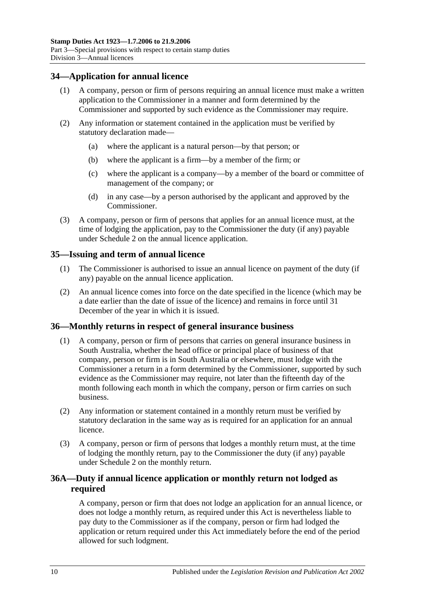## <span id="page-27-0"></span>**34—Application for annual licence**

- (1) A company, person or firm of persons requiring an annual licence must make a written application to the Commissioner in a manner and form determined by the Commissioner and supported by such evidence as the Commissioner may require.
- (2) Any information or statement contained in the application must be verified by statutory declaration made—
	- (a) where the applicant is a natural person—by that person; or
	- (b) where the applicant is a firm—by a member of the firm; or
	- (c) where the applicant is a company—by a member of the board or committee of management of the company; or
	- (d) in any case—by a person authorised by the applicant and approved by the Commissioner.
- (3) A company, person or firm of persons that applies for an annual licence must, at the time of lodging the application, pay to the Commissioner the duty (if any) payable under [Schedule 2](#page-100-2) on the annual licence application.

## <span id="page-27-1"></span>**35—Issuing and term of annual licence**

- (1) The Commissioner is authorised to issue an annual licence on payment of the duty (if any) payable on the annual licence application.
- (2) An annual licence comes into force on the date specified in the licence (which may be a date earlier than the date of issue of the licence) and remains in force until 31 December of the year in which it is issued.

#### <span id="page-27-2"></span>**36—Monthly returns in respect of general insurance business**

- (1) A company, person or firm of persons that carries on general insurance business in South Australia, whether the head office or principal place of business of that company, person or firm is in South Australia or elsewhere, must lodge with the Commissioner a return in a form determined by the Commissioner, supported by such evidence as the Commissioner may require, not later than the fifteenth day of the month following each month in which the company, person or firm carries on such business.
- (2) Any information or statement contained in a monthly return must be verified by statutory declaration in the same way as is required for an application for an annual licence.
- (3) A company, person or firm of persons that lodges a monthly return must, at the time of lodging the monthly return, pay to the Commissioner the duty (if any) payable under [Schedule 2](#page-100-2) on the monthly return.

## <span id="page-27-3"></span>**36A—Duty if annual licence application or monthly return not lodged as required**

A company, person or firm that does not lodge an application for an annual licence, or does not lodge a monthly return, as required under this Act is nevertheless liable to pay duty to the Commissioner as if the company, person or firm had lodged the application or return required under this Act immediately before the end of the period allowed for such lodgment.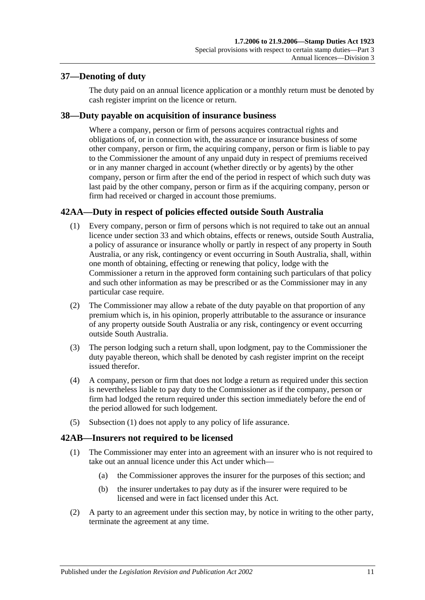## <span id="page-28-0"></span>**37—Denoting of duty**

The duty paid on an annual licence application or a monthly return must be denoted by cash register imprint on the licence or return.

## <span id="page-28-1"></span>**38—Duty payable on acquisition of insurance business**

Where a company, person or firm of persons acquires contractual rights and obligations of, or in connection with, the assurance or insurance business of some other company, person or firm, the acquiring company, person or firm is liable to pay to the Commissioner the amount of any unpaid duty in respect of premiums received or in any manner charged in account (whether directly or by agents) by the other company, person or firm after the end of the period in respect of which such duty was last paid by the other company, person or firm as if the acquiring company, person or firm had received or charged in account those premiums.

# <span id="page-28-4"></span><span id="page-28-2"></span>**42AA—Duty in respect of policies effected outside South Australia**

- (1) Every company, person or firm of persons which is not required to take out an annual licence under [section](#page-26-2) 33 and which obtains, effects or renews, outside South Australia, a policy of assurance or insurance wholly or partly in respect of any property in South Australia, or any risk, contingency or event occurring in South Australia, shall, within one month of obtaining, effecting or renewing that policy, lodge with the Commissioner a return in the approved form containing such particulars of that policy and such other information as may be prescribed or as the Commissioner may in any particular case require.
- (2) The Commissioner may allow a rebate of the duty payable on that proportion of any premium which is, in his opinion, properly attributable to the assurance or insurance of any property outside South Australia or any risk, contingency or event occurring outside South Australia.
- (3) The person lodging such a return shall, upon lodgment, pay to the Commissioner the duty payable thereon, which shall be denoted by cash register imprint on the receipt issued therefor.
- (4) A company, person or firm that does not lodge a return as required under this section is nevertheless liable to pay duty to the Commissioner as if the company, person or firm had lodged the return required under this section immediately before the end of the period allowed for such lodgement.
- (5) [Subsection](#page-28-4) (1) does not apply to any policy of life assurance.

## <span id="page-28-3"></span>**42AB—Insurers not required to be licensed**

- (1) The Commissioner may enter into an agreement with an insurer who is not required to take out an annual licence under this Act under which—
	- (a) the Commissioner approves the insurer for the purposes of this section; and
	- (b) the insurer undertakes to pay duty as if the insurer were required to be licensed and were in fact licensed under this Act.
- (2) A party to an agreement under this section may, by notice in writing to the other party, terminate the agreement at any time.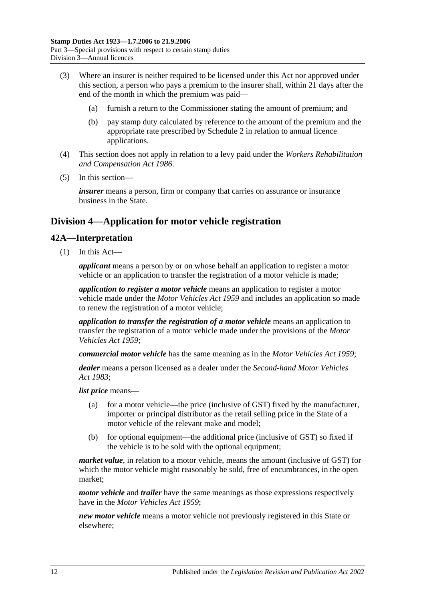- (3) Where an insurer is neither required to be licensed under this Act nor approved under this section, a person who pays a premium to the insurer shall, within 21 days after the end of the month in which the premium was paid—
	- (a) furnish a return to the Commissioner stating the amount of premium; and
	- (b) pay stamp duty calculated by reference to the amount of the premium and the appropriate rate prescribed by [Schedule 2](#page-100-2) in relation to annual licence applications.
- (4) This section does not apply in relation to a levy paid under the *[Workers Rehabilitation](http://www.legislation.sa.gov.au/index.aspx?action=legref&type=act&legtitle=Workers%20Rehabilitation%20and%20Compensation%20Act%201986)  [and Compensation Act](http://www.legislation.sa.gov.au/index.aspx?action=legref&type=act&legtitle=Workers%20Rehabilitation%20and%20Compensation%20Act%201986) 1986*.
- (5) In this section—

*insurer* means a person, firm or company that carries on assurance or insurance business in the State.

# <span id="page-29-0"></span>**Division 4—Application for motor vehicle registration**

## <span id="page-29-1"></span>**42A—Interpretation**

(1) In this Act—

*applicant* means a person by or on whose behalf an application to register a motor vehicle or an application to transfer the registration of a motor vehicle is made;

*application to register a motor vehicle* means an application to register a motor vehicle made under the *[Motor Vehicles Act](http://www.legislation.sa.gov.au/index.aspx?action=legref&type=act&legtitle=Motor%20Vehicles%20Act%201959) 1959* and includes an application so made to renew the registration of a motor vehicle;

*application to transfer the registration of a motor vehicle* means an application to transfer the registration of a motor vehicle made under the provisions of the *[Motor](http://www.legislation.sa.gov.au/index.aspx?action=legref&type=act&legtitle=Motor%20Vehicles%20Act%201959)  [Vehicles Act](http://www.legislation.sa.gov.au/index.aspx?action=legref&type=act&legtitle=Motor%20Vehicles%20Act%201959) 1959*;

*commercial motor vehicle* has the same meaning as in the *[Motor Vehicles Act](http://www.legislation.sa.gov.au/index.aspx?action=legref&type=act&legtitle=Motor%20Vehicles%20Act%201959) 1959*;

*dealer* means a person licensed as a dealer under the *[Second-hand Motor Vehicles](http://www.legislation.sa.gov.au/index.aspx?action=legref&type=act&legtitle=Second-hand%20Motor%20Vehicles%20Act%201983)  Act [1983](http://www.legislation.sa.gov.au/index.aspx?action=legref&type=act&legtitle=Second-hand%20Motor%20Vehicles%20Act%201983)*;

*list price* means—

- (a) for a motor vehicle—the price (inclusive of GST) fixed by the manufacturer, importer or principal distributor as the retail selling price in the State of a motor vehicle of the relevant make and model;
- (b) for optional equipment—the additional price (inclusive of GST) so fixed if the vehicle is to be sold with the optional equipment;

*market value*, in relation to a motor vehicle, means the amount (inclusive of GST) for which the motor vehicle might reasonably be sold, free of encumbrances, in the open market;

*motor vehicle* and *trailer* have the same meanings as those expressions respectively have in the *[Motor Vehicles Act](http://www.legislation.sa.gov.au/index.aspx?action=legref&type=act&legtitle=Motor%20Vehicles%20Act%201959) 1959*;

*new motor vehicle* means a motor vehicle not previously registered in this State or elsewhere;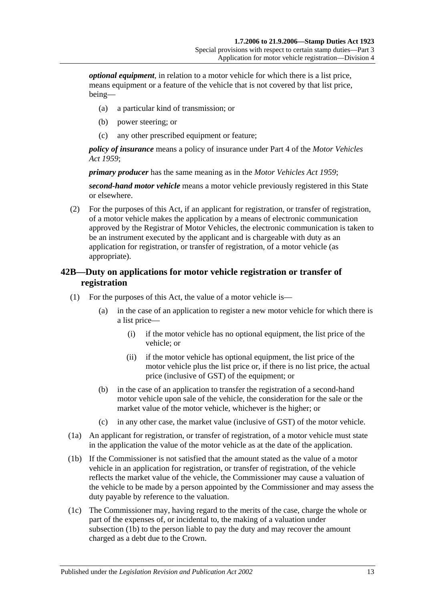*optional equipment*, in relation to a motor vehicle for which there is a list price, means equipment or a feature of the vehicle that is not covered by that list price, being—

- (a) a particular kind of transmission; or
- (b) power steering; or
- (c) any other prescribed equipment or feature;

*policy of insurance* means a policy of insurance under Part 4 of the *[Motor Vehicles](http://www.legislation.sa.gov.au/index.aspx?action=legref&type=act&legtitle=Motor%20Vehicles%20Act%201959)  Act [1959](http://www.legislation.sa.gov.au/index.aspx?action=legref&type=act&legtitle=Motor%20Vehicles%20Act%201959)*;

*primary producer* has the same meaning as in the *[Motor Vehicles Act](http://www.legislation.sa.gov.au/index.aspx?action=legref&type=act&legtitle=Motor%20Vehicles%20Act%201959) 1959*;

*second-hand motor vehicle* means a motor vehicle previously registered in this State or elsewhere.

(2) For the purposes of this Act, if an applicant for registration, or transfer of registration, of a motor vehicle makes the application by a means of electronic communication approved by the Registrar of Motor Vehicles, the electronic communication is taken to be an instrument executed by the applicant and is chargeable with duty as an application for registration, or transfer of registration, of a motor vehicle (as appropriate).

## <span id="page-30-0"></span>**42B—Duty on applications for motor vehicle registration or transfer of registration**

- (1) For the purposes of this Act, the value of a motor vehicle is—
	- (a) in the case of an application to register a new motor vehicle for which there is a list price—
		- (i) if the motor vehicle has no optional equipment, the list price of the vehicle; or
		- (ii) if the motor vehicle has optional equipment, the list price of the motor vehicle plus the list price or, if there is no list price, the actual price (inclusive of GST) of the equipment; or
	- (b) in the case of an application to transfer the registration of a second-hand motor vehicle upon sale of the vehicle, the consideration for the sale or the market value of the motor vehicle, whichever is the higher; or
	- (c) in any other case, the market value (inclusive of GST) of the motor vehicle.
- (1a) An applicant for registration, or transfer of registration, of a motor vehicle must state in the application the value of the motor vehicle as at the date of the application.
- <span id="page-30-1"></span>(1b) If the Commissioner is not satisfied that the amount stated as the value of a motor vehicle in an application for registration, or transfer of registration, of the vehicle reflects the market value of the vehicle, the Commissioner may cause a valuation of the vehicle to be made by a person appointed by the Commissioner and may assess the duty payable by reference to the valuation.
- (1c) The Commissioner may, having regard to the merits of the case, charge the whole or part of the expenses of, or incidental to, the making of a valuation under [subsection](#page-30-1) (1b) to the person liable to pay the duty and may recover the amount charged as a debt due to the Crown.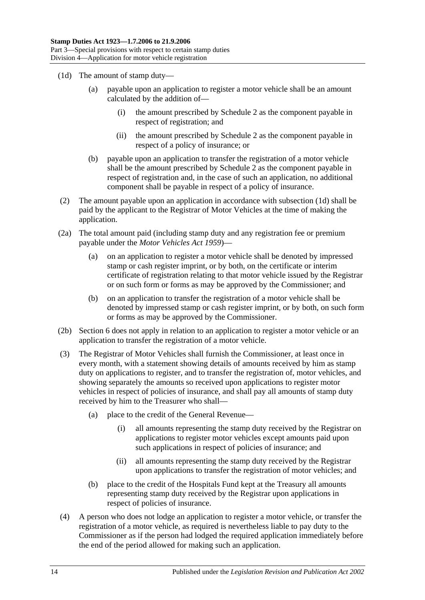- <span id="page-31-0"></span>(1d) The amount of stamp duty—
	- (a) payable upon an application to register a motor vehicle shall be an amount calculated by the addition of—
		- (i) the amount prescribed by [Schedule 2](#page-100-2) as the component payable in respect of registration; and
		- (ii) the amount prescribed by [Schedule 2](#page-100-2) as the component payable in respect of a policy of insurance; or
	- (b) payable upon an application to transfer the registration of a motor vehicle shall be the amount prescribed by [Schedule 2](#page-100-2) as the component payable in respect of registration and, in the case of such an application, no additional component shall be payable in respect of a policy of insurance.
- (2) The amount payable upon an application in accordance with [subsection](#page-31-0) (1d) shall be paid by the applicant to the Registrar of Motor Vehicles at the time of making the application.
- (2a) The total amount paid (including stamp duty and any registration fee or premium payable under the *[Motor Vehicles Act](http://www.legislation.sa.gov.au/index.aspx?action=legref&type=act&legtitle=Motor%20Vehicles%20Act%201959) 1959*)—
	- (a) on an application to register a motor vehicle shall be denoted by impressed stamp or cash register imprint, or by both, on the certificate or interim certificate of registration relating to that motor vehicle issued by the Registrar or on such form or forms as may be approved by the Commissioner; and
	- (b) on an application to transfer the registration of a motor vehicle shall be denoted by impressed stamp or cash register imprint, or by both, on such form or forms as may be approved by the Commissioner.
- (2b) Section 6 does not apply in relation to an application to register a motor vehicle or an application to transfer the registration of a motor vehicle.
- (3) The Registrar of Motor Vehicles shall furnish the Commissioner, at least once in every month, with a statement showing details of amounts received by him as stamp duty on applications to register, and to transfer the registration of, motor vehicles, and showing separately the amounts so received upon applications to register motor vehicles in respect of policies of insurance, and shall pay all amounts of stamp duty received by him to the Treasurer who shall—
	- (a) place to the credit of the General Revenue—
		- (i) all amounts representing the stamp duty received by the Registrar on applications to register motor vehicles except amounts paid upon such applications in respect of policies of insurance; and
		- (ii) all amounts representing the stamp duty received by the Registrar upon applications to transfer the registration of motor vehicles; and
	- (b) place to the credit of the Hospitals Fund kept at the Treasury all amounts representing stamp duty received by the Registrar upon applications in respect of policies of insurance.
- (4) A person who does not lodge an application to register a motor vehicle, or transfer the registration of a motor vehicle, as required is nevertheless liable to pay duty to the Commissioner as if the person had lodged the required application immediately before the end of the period allowed for making such an application.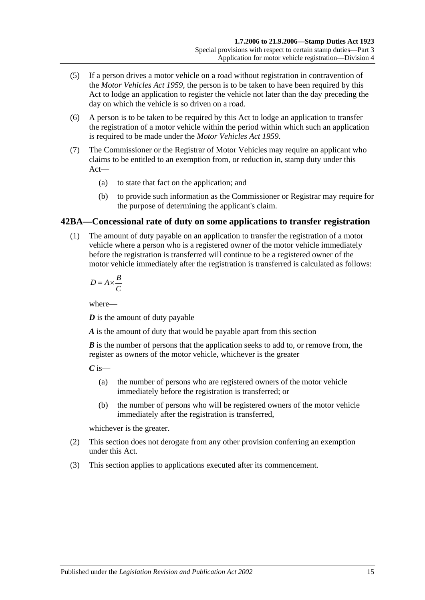- (5) If a person drives a motor vehicle on a road without registration in contravention of the *[Motor Vehicles Act](http://www.legislation.sa.gov.au/index.aspx?action=legref&type=act&legtitle=Motor%20Vehicles%20Act%201959) 1959*, the person is to be taken to have been required by this Act to lodge an application to register the vehicle not later than the day preceding the day on which the vehicle is so driven on a road.
- (6) A person is to be taken to be required by this Act to lodge an application to transfer the registration of a motor vehicle within the period within which such an application is required to be made under the *[Motor Vehicles Act](http://www.legislation.sa.gov.au/index.aspx?action=legref&type=act&legtitle=Motor%20Vehicles%20Act%201959) 1959*.
- (7) The Commissioner or the Registrar of Motor Vehicles may require an applicant who claims to be entitled to an exemption from, or reduction in, stamp duty under this Act—
	- (a) to state that fact on the application; and
	- (b) to provide such information as the Commissioner or Registrar may require for the purpose of determining the applicant's claim.

## <span id="page-32-0"></span>**42BA—Concessional rate of duty on some applications to transfer registration**

(1) The amount of duty payable on an application to transfer the registration of a motor vehicle where a person who is a registered owner of the motor vehicle immediately before the registration is transferred will continue to be a registered owner of the motor vehicle immediately after the registration is transferred is calculated as follows:

$$
D = A \times \frac{B}{C}
$$

where—

*D* is the amount of duty payable

*A* is the amount of duty that would be payable apart from this section

*B* is the number of persons that the application seeks to add to, or remove from, the register as owners of the motor vehicle, whichever is the greater

 $C$  is—

- (a) the number of persons who are registered owners of the motor vehicle immediately before the registration is transferred; or
- (b) the number of persons who will be registered owners of the motor vehicle immediately after the registration is transferred,

whichever is the greater.

- (2) This section does not derogate from any other provision conferring an exemption under this Act.
- (3) This section applies to applications executed after its commencement.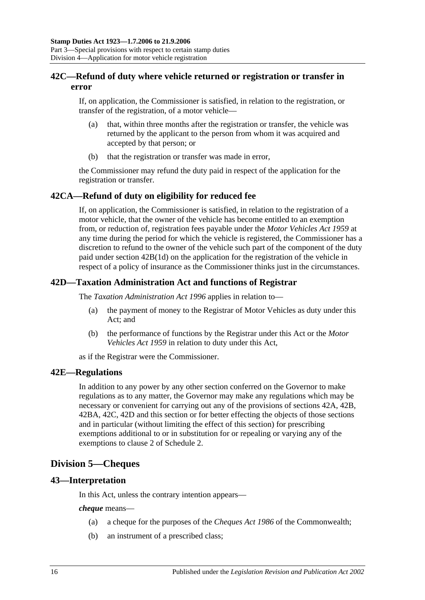## <span id="page-33-0"></span>**42C—Refund of duty where vehicle returned or registration or transfer in error**

If, on application, the Commissioner is satisfied, in relation to the registration, or transfer of the registration, of a motor vehicle—

- (a) that, within three months after the registration or transfer, the vehicle was returned by the applicant to the person from whom it was acquired and accepted by that person; or
- (b) that the registration or transfer was made in error,

the Commissioner may refund the duty paid in respect of the application for the registration or transfer.

## <span id="page-33-1"></span>**42CA—Refund of duty on eligibility for reduced fee**

If, on application, the Commissioner is satisfied, in relation to the registration of a motor vehicle, that the owner of the vehicle has become entitled to an exemption from, or reduction of, registration fees payable under the *[Motor Vehicles Act](http://www.legislation.sa.gov.au/index.aspx?action=legref&type=act&legtitle=Motor%20Vehicles%20Act%201959) 1959* at any time during the period for which the vehicle is registered, the Commissioner has a discretion to refund to the owner of the vehicle such part of the component of the duty paid under section [42B\(1d\)](#page-31-0) on the application for the registration of the vehicle in respect of a policy of insurance as the Commissioner thinks just in the circumstances.

## <span id="page-33-2"></span>**42D—Taxation Administration Act and functions of Registrar**

The *[Taxation Administration Act](http://www.legislation.sa.gov.au/index.aspx?action=legref&type=act&legtitle=Taxation%20Administration%20Act%201996) 1996* applies in relation to—

- (a) the payment of money to the Registrar of Motor Vehicles as duty under this Act; and
- (b) the performance of functions by the Registrar under this Act or the *[Motor](http://www.legislation.sa.gov.au/index.aspx?action=legref&type=act&legtitle=Motor%20Vehicles%20Act%201959)  [Vehicles Act](http://www.legislation.sa.gov.au/index.aspx?action=legref&type=act&legtitle=Motor%20Vehicles%20Act%201959) 1959* in relation to duty under this Act,

as if the Registrar were the Commissioner.

#### <span id="page-33-3"></span>**42E—Regulations**

In addition to any power by any other section conferred on the Governor to make regulations as to any matter, the Governor may make any regulations which may be necessary or convenient for carrying out any of the provisions of [sections](#page-29-1) 42A, [42B,](#page-30-0) [42BA,](#page-32-0) [42C,](#page-33-0) [42D](#page-33-2) and this section or for better effecting the objects of those sections and in particular (without limiting the effect of this section) for prescribing exemptions additional to or in substitution for or repealing or varying any of the exemptions to clause 2 of [Schedule 2.](#page-100-2)

# <span id="page-33-4"></span>**Division 5—Cheques**

## <span id="page-33-5"></span>**43—Interpretation**

In this Act, unless the contrary intention appears—

*cheque* means—

- (a) a cheque for the purposes of the *Cheques Act 1986* of the Commonwealth;
- (b) an instrument of a prescribed class;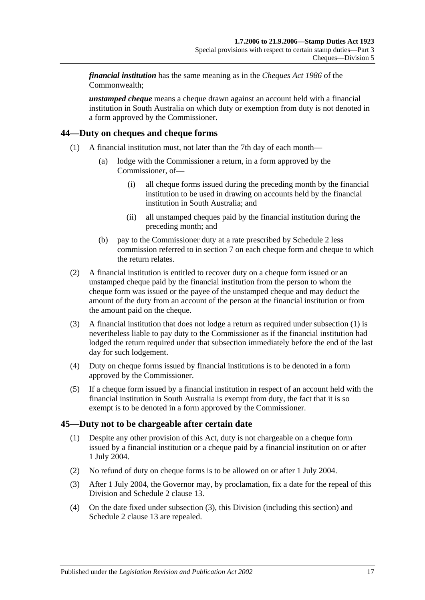*financial institution* has the same meaning as in the *Cheques Act 1986* of the Commonwealth;

*unstamped cheque* means a cheque drawn against an account held with a financial institution in South Australia on which duty or exemption from duty is not denoted in a form approved by the Commissioner.

## <span id="page-34-2"></span><span id="page-34-0"></span>**44—Duty on cheques and cheque forms**

- (1) A financial institution must, not later than the 7th day of each month—
	- (a) lodge with the Commissioner a return, in a form approved by the Commissioner, of—
		- (i) all cheque forms issued during the preceding month by the financial institution to be used in drawing on accounts held by the financial institution in South Australia; and
		- (ii) all unstamped cheques paid by the financial institution during the preceding month; and
	- (b) pay to the Commissioner duty at a rate prescribed by [Schedule 2](#page-100-2) less commission referred to in [section](#page-12-3) 7 on each cheque form and cheque to which the return relates.
- (2) A financial institution is entitled to recover duty on a cheque form issued or an unstamped cheque paid by the financial institution from the person to whom the cheque form was issued or the payee of the unstamped cheque and may deduct the amount of the duty from an account of the person at the financial institution or from the amount paid on the cheque.
- (3) A financial institution that does not lodge a return as required under [subsection](#page-34-2) (1) is nevertheless liable to pay duty to the Commissioner as if the financial institution had lodged the return required under that subsection immediately before the end of the last day for such lodgement.
- (4) Duty on cheque forms issued by financial institutions is to be denoted in a form approved by the Commissioner.
- (5) If a cheque form issued by a financial institution in respect of an account held with the financial institution in South Australia is exempt from duty, the fact that it is so exempt is to be denoted in a form approved by the Commissioner.

## <span id="page-34-1"></span>**45—Duty not to be chargeable after certain date**

- (1) Despite any other provision of this Act, duty is not chargeable on a cheque form issued by a financial institution or a cheque paid by a financial institution on or after 1 July 2004.
- (2) No refund of duty on cheque forms is to be allowed on or after 1 July 2004.
- <span id="page-34-3"></span>(3) After 1 July 2004, the Governor may, by proclamation, fix a date for the repeal of this Division and Schedule 2 clause 13.
- (4) On the date fixed under [subsection](#page-34-3) (3), this Division (including this section) and Schedule 2 clause 13 are repealed.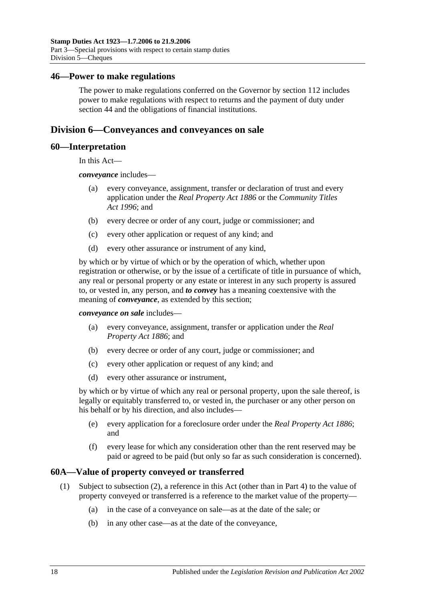#### <span id="page-35-0"></span>**46—Power to make regulations**

The power to make regulations conferred on the Governor by [section](#page-98-2) 112 includes power to make regulations with respect to returns and the payment of duty under [section](#page-34-0) 44 and the obligations of financial institutions.

## <span id="page-35-1"></span>**Division 6—Conveyances and conveyances on sale**

#### <span id="page-35-2"></span>**60—Interpretation**

In this Act—

*conveyance* includes—

- (a) every conveyance, assignment, transfer or declaration of trust and every application under the *[Real Property Act](http://www.legislation.sa.gov.au/index.aspx?action=legref&type=act&legtitle=Real%20Property%20Act%201886) 1886* or the *[Community Titles](http://www.legislation.sa.gov.au/index.aspx?action=legref&type=act&legtitle=Community%20Titles%20Act%201996)  Act [1996](http://www.legislation.sa.gov.au/index.aspx?action=legref&type=act&legtitle=Community%20Titles%20Act%201996)*; and
- (b) every decree or order of any court, judge or commissioner; and
- (c) every other application or request of any kind; and
- (d) every other assurance or instrument of any kind,

by which or by virtue of which or by the operation of which, whether upon registration or otherwise, or by the issue of a certificate of title in pursuance of which, any real or personal property or any estate or interest in any such property is assured to, or vested in, any person, and *to convey* has a meaning coextensive with the meaning of *conveyance*, as extended by this section;

*conveyance on sale* includes—

- (a) every conveyance, assignment, transfer or application under the *[Real](http://www.legislation.sa.gov.au/index.aspx?action=legref&type=act&legtitle=Real%20Property%20Act%201886)  [Property Act](http://www.legislation.sa.gov.au/index.aspx?action=legref&type=act&legtitle=Real%20Property%20Act%201886) 1886*; and
- (b) every decree or order of any court, judge or commissioner; and
- (c) every other application or request of any kind; and
- (d) every other assurance or instrument,

by which or by virtue of which any real or personal property, upon the sale thereof, is legally or equitably transferred to, or vested in, the purchaser or any other person on his behalf or by his direction, and also includes—

- (e) every application for a foreclosure order under the *[Real Property Act](http://www.legislation.sa.gov.au/index.aspx?action=legref&type=act&legtitle=Real%20Property%20Act%201886) 1886*; and
- (f) every lease for which any consideration other than the rent reserved may be paid or agreed to be paid (but only so far as such consideration is concerned).

#### <span id="page-35-3"></span>**60A—Value of property conveyed or transferred**

- (1) Subject to [subsection](#page-36-0) (2), a reference in this Act (other than in [Part 4\)](#page-86-0) to the value of property conveyed or transferred is a reference to the market value of the property—
	- (a) in the case of a conveyance on sale—as at the date of the sale; or
	- (b) in any other case—as at the date of the conveyance,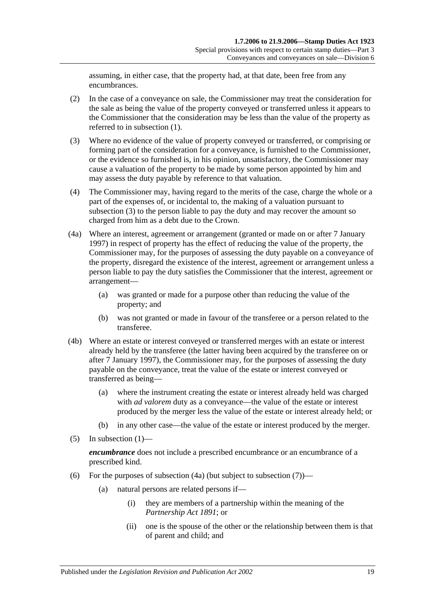assuming, in either case, that the property had, at that date, been free from any encumbrances.

- (2) In the case of a conveyance on sale, the Commissioner may treat the consideration for the sale as being the value of the property conveyed or transferred unless it appears to the Commissioner that the consideration may be less than the value of the property as referred to in [subsection](#page-35-0) (1).
- <span id="page-36-0"></span>(3) Where no evidence of the value of property conveyed or transferred, or comprising or forming part of the consideration for a conveyance, is furnished to the Commissioner, or the evidence so furnished is, in his opinion, unsatisfactory, the Commissioner may cause a valuation of the property to be made by some person appointed by him and may assess the duty payable by reference to that valuation.
- (4) The Commissioner may, having regard to the merits of the case, charge the whole or a part of the expenses of, or incidental to, the making of a valuation pursuant to [subsection](#page-36-0) (3) to the person liable to pay the duty and may recover the amount so charged from him as a debt due to the Crown.
- <span id="page-36-1"></span>(4a) Where an interest, agreement or arrangement (granted or made on or after 7 January 1997) in respect of property has the effect of reducing the value of the property, the Commissioner may, for the purposes of assessing the duty payable on a conveyance of the property, disregard the existence of the interest, agreement or arrangement unless a person liable to pay the duty satisfies the Commissioner that the interest, agreement or arrangement—
	- (a) was granted or made for a purpose other than reducing the value of the property; and
	- (b) was not granted or made in favour of the transferee or a person related to the transferee.
- (4b) Where an estate or interest conveyed or transferred merges with an estate or interest already held by the transferee (the latter having been acquired by the transferee on or after 7 January 1997), the Commissioner may, for the purposes of assessing the duty payable on the conveyance, treat the value of the estate or interest conveyed or transferred as being—
	- (a) where the instrument creating the estate or interest already held was charged with *ad valorem* duty as a conveyance—the value of the estate or interest produced by the merger less the value of the estate or interest already held; or
	- (b) in any other case—the value of the estate or interest produced by the merger.
- $(5)$  In [subsection](#page-35-0)  $(1)$ —

*encumbrance* does not include a prescribed encumbrance or an encumbrance of a prescribed kind.

- <span id="page-36-2"></span>(6) For the purposes of [subsection](#page-37-0)  $(4a)$  (but subject to subsection  $(7)$ )—
	- (a) natural persons are related persons if—
		- (i) they are members of a partnership within the meaning of the *[Partnership Act](http://www.legislation.sa.gov.au/index.aspx?action=legref&type=act&legtitle=Partnership%20Act%201891) 1891*; or
		- (ii) one is the spouse of the other or the relationship between them is that of parent and child; and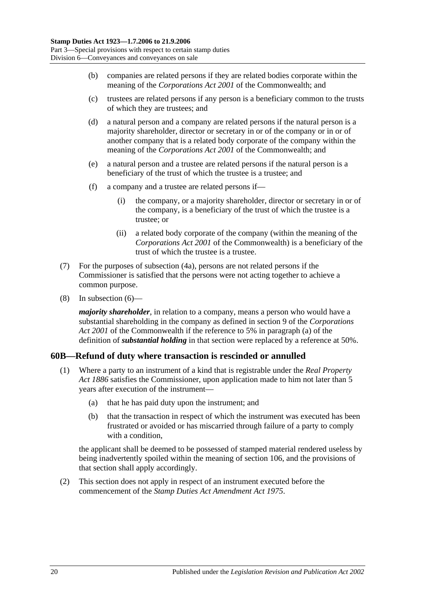- (b) companies are related persons if they are related bodies corporate within the meaning of the *Corporations Act 2001* of the Commonwealth; and
- (c) trustees are related persons if any person is a beneficiary common to the trusts of which they are trustees; and
- (d) a natural person and a company are related persons if the natural person is a majority shareholder, director or secretary in or of the company or in or of another company that is a related body corporate of the company within the meaning of the *Corporations Act 2001* of the Commonwealth; and
- (e) a natural person and a trustee are related persons if the natural person is a beneficiary of the trust of which the trustee is a trustee; and
- (f) a company and a trustee are related persons if—
	- (i) the company, or a majority shareholder, director or secretary in or of the company, is a beneficiary of the trust of which the trustee is a trustee; or
	- (ii) a related body corporate of the company (within the meaning of the *Corporations Act 2001* of the Commonwealth) is a beneficiary of the trust of which the trustee is a trustee.
- <span id="page-37-0"></span>(7) For the purposes of [subsection](#page-36-1) (4a), persons are not related persons if the Commissioner is satisfied that the persons were not acting together to achieve a common purpose.
- (8) In [subsection](#page-36-2) (6)—

*majority shareholder*, in relation to a company, means a person who would have a substantial shareholding in the company as defined in section 9 of the *Corporations Act 2001* of the Commonwealth if the reference to 5% in paragraph (a) of the definition of *substantial holding* in that section were replaced by a reference at 50%.

# **60B—Refund of duty where transaction is rescinded or annulled**

- (1) Where a party to an instrument of a kind that is registrable under the *[Real Property](http://www.legislation.sa.gov.au/index.aspx?action=legref&type=act&legtitle=Real%20Property%20Act%201886)  Act [1886](http://www.legislation.sa.gov.au/index.aspx?action=legref&type=act&legtitle=Real%20Property%20Act%201886)* satisfies the Commissioner, upon application made to him not later than 5 years after execution of the instrument—
	- (a) that he has paid duty upon the instrument; and
	- (b) that the transaction in respect of which the instrument was executed has been frustrated or avoided or has miscarried through failure of a party to comply with a condition.

the applicant shall be deemed to be possessed of stamped material rendered useless by being inadvertently spoiled within the meaning of [section](#page-96-0) 106, and the provisions of that section shall apply accordingly.

(2) This section does not apply in respect of an instrument executed before the commencement of the *[Stamp Duties Act Amendment Act](http://www.legislation.sa.gov.au/index.aspx?action=legref&type=act&legtitle=Stamp%20Duties%20Act%20Amendment%20Act%201975) 1975*.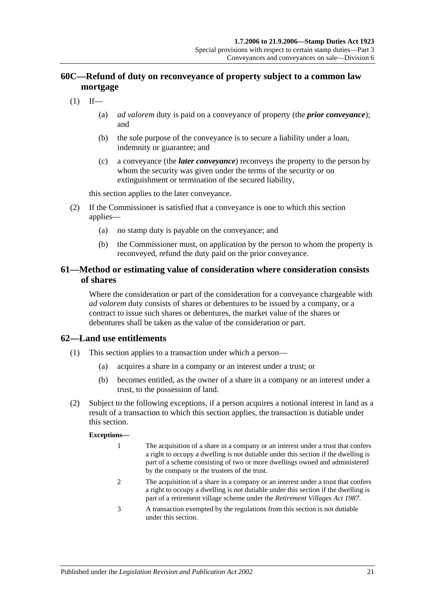# **60C—Refund of duty on reconveyance of property subject to a common law mortgage**

- $(1)$  If—
	- (a) *ad valorem* duty is paid on a conveyance of property (the *prior conveyance*); and
	- (b) the sole purpose of the conveyance is to secure a liability under a loan, indemnity or guarantee; and
	- (c) a conveyance (the *later conveyance*) reconveys the property to the person by whom the security was given under the terms of the security or on extinguishment or termination of the secured liability,

this section applies to the later conveyance.

- (2) If the Commissioner is satisfied that a conveyance is one to which this section applies—
	- (a) no stamp duty is payable on the conveyance; and
	- (b) the Commissioner must, on application by the person to whom the property is reconveyed, refund the duty paid on the prior conveyance.

## **61—Method or estimating value of consideration where consideration consists of shares**

Where the consideration or part of the consideration for a conveyance chargeable with *ad valorem* duty consists of shares or debentures to be issued by a company, or a contract to issue such shares or debentures, the market value of the shares or debentures shall be taken as the value of the consideration or part.

## **62—Land use entitlements**

- (1) This section applies to a transaction under which a person—
	- (a) acquires a share in a company or an interest under a trust; or
	- (b) becomes entitled, as the owner of a share in a company or an interest under a trust, to the possession of land.
- (2) Subject to the following exceptions, if a person acquires a notional interest in land as a result of a transaction to which this section applies, the transaction is dutiable under this section.

#### **Exceptions—**

- 1 The acquisition of a share in a company or an interest under a trust that confers a right to occupy a dwelling is not dutiable under this section if the dwelling is part of a scheme consisting of two or more dwellings owned and administered by the company or the trustees of the trust.
- 2 The acquisition of a share in a company or an interest under a trust that confers a right to occupy a dwelling is not dutiable under this section if the dwelling is part of a retirement village scheme under the *[Retirement Villages Act](http://www.legislation.sa.gov.au/index.aspx?action=legref&type=act&legtitle=Retirement%20Villages%20Act%201987) 1987*.
- 3 A transaction exempted by the regulations from this section is not dutiable under this section.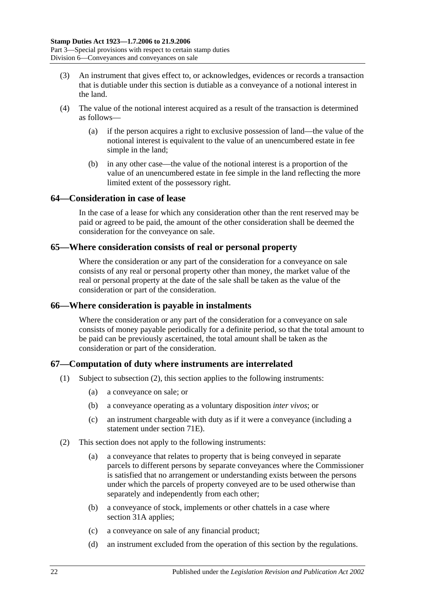- (3) An instrument that gives effect to, or acknowledges, evidences or records a transaction that is dutiable under this section is dutiable as a conveyance of a notional interest in the land.
- (4) The value of the notional interest acquired as a result of the transaction is determined as follows—
	- (a) if the person acquires a right to exclusive possession of land—the value of the notional interest is equivalent to the value of an unencumbered estate in fee simple in the land;
	- (b) in any other case—the value of the notional interest is a proportion of the value of an unencumbered estate in fee simple in the land reflecting the more limited extent of the possessory right.

### **64—Consideration in case of lease**

In the case of a lease for which any consideration other than the rent reserved may be paid or agreed to be paid, the amount of the other consideration shall be deemed the consideration for the conveyance on sale.

### **65—Where consideration consists of real or personal property**

Where the consideration or any part of the consideration for a conveyance on sale consists of any real or personal property other than money, the market value of the real or personal property at the date of the sale shall be taken as the value of the consideration or part of the consideration.

## **66—Where consideration is payable in instalments**

Where the consideration or any part of the consideration for a conveyance on sale consists of money payable periodically for a definite period, so that the total amount to be paid can be previously ascertained, the total amount shall be taken as the consideration or part of the consideration.

## **67—Computation of duty where instruments are interrelated**

- (1) Subject to [subsection](#page-39-0) (2), this section applies to the following instruments:
	- (a) a conveyance on sale; or
	- (b) a conveyance operating as a voluntary disposition *inter vivos*; or
	- (c) an instrument chargeable with duty as if it were a conveyance (including a statement under [section](#page-64-0) 71E).
- <span id="page-39-0"></span>(2) This section does not apply to the following instruments:
	- (a) a conveyance that relates to property that is being conveyed in separate parcels to different persons by separate conveyances where the Commissioner is satisfied that no arrangement or understanding exists between the persons under which the parcels of property conveyed are to be used otherwise than separately and independently from each other;
	- (b) a conveyance of stock, implements or other chattels in a case where [section](#page-19-0) 31A applies;
	- (c) a conveyance on sale of any financial product;
	- (d) an instrument excluded from the operation of this section by the regulations.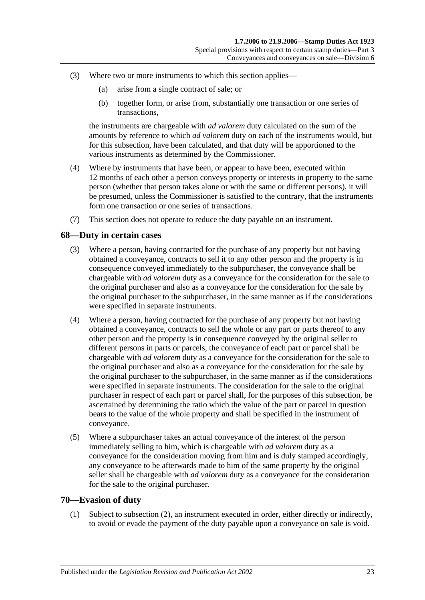- (3) Where two or more instruments to which this section applies—
	- (a) arise from a single contract of sale; or
	- (b) together form, or arise from, substantially one transaction or one series of transactions,

the instruments are chargeable with *ad valorem* duty calculated on the sum of the amounts by reference to which *ad valorem* duty on each of the instruments would, but for this subsection, have been calculated, and that duty will be apportioned to the various instruments as determined by the Commissioner.

- (4) Where by instruments that have been, or appear to have been, executed within 12 months of each other a person conveys property or interests in property to the same person (whether that person takes alone or with the same or different persons), it will be presumed, unless the Commissioner is satisfied to the contrary, that the instruments form one transaction or one series of transactions.
- (7) This section does not operate to reduce the duty payable on an instrument.

### **68—Duty in certain cases**

- (3) Where a person, having contracted for the purchase of any property but not having obtained a conveyance, contracts to sell it to any other person and the property is in consequence conveyed immediately to the subpurchaser, the conveyance shall be chargeable with *ad valorem* duty as a conveyance for the consideration for the sale to the original purchaser and also as a conveyance for the consideration for the sale by the original purchaser to the subpurchaser, in the same manner as if the considerations were specified in separate instruments.
- (4) Where a person, having contracted for the purchase of any property but not having obtained a conveyance, contracts to sell the whole or any part or parts thereof to any other person and the property is in consequence conveyed by the original seller to different persons in parts or parcels, the conveyance of each part or parcel shall be chargeable with *ad valorem* duty as a conveyance for the consideration for the sale to the original purchaser and also as a conveyance for the consideration for the sale by the original purchaser to the subpurchaser, in the same manner as if the considerations were specified in separate instruments. The consideration for the sale to the original purchaser in respect of each part or parcel shall, for the purposes of this subsection, be ascertained by determining the ratio which the value of the part or parcel in question bears to the value of the whole property and shall be specified in the instrument of conveyance.
- (5) Where a subpurchaser takes an actual conveyance of the interest of the person immediately selling to him, which is chargeable with *ad valorem* duty as a conveyance for the consideration moving from him and is duly stamped accordingly, any conveyance to be afterwards made to him of the same property by the original seller shall be chargeable with *ad valorem* duty as a conveyance for the consideration for the sale to the original purchaser.

### <span id="page-40-0"></span>**70—Evasion of duty**

(1) Subject to [subsection](#page-41-0) (2), an instrument executed in order, either directly or indirectly, to avoid or evade the payment of the duty payable upon a conveyance on sale is void.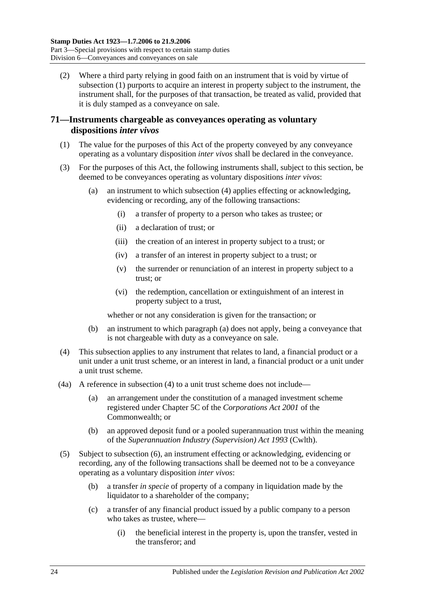<span id="page-41-0"></span>(2) Where a third party relying in good faith on an instrument that is void by virtue of [subsection](#page-40-0) (1) purports to acquire an interest in property subject to the instrument, the instrument shall, for the purposes of that transaction, be treated as valid, provided that it is duly stamped as a conveyance on sale.

## **71—Instruments chargeable as conveyances operating as voluntary dispositions** *inter vivos*

- (1) The value for the purposes of this Act of the property conveyed by any conveyance operating as a voluntary disposition *inter vivos* shall be declared in the conveyance.
- <span id="page-41-2"></span>(3) For the purposes of this Act, the following instruments shall, subject to this section, be deemed to be conveyances operating as voluntary dispositions *inter vivos*:
	- (a) an instrument to which [subsection](#page-41-1) (4) applies effecting or acknowledging, evidencing or recording, any of the following transactions:
		- (i) a transfer of property to a person who takes as trustee; or
		- (ii) a declaration of trust; or
		- (iii) the creation of an interest in property subject to a trust; or
		- (iv) a transfer of an interest in property subject to a trust; or
		- (v) the surrender or renunciation of an interest in property subject to a trust; or
		- (vi) the redemption, cancellation or extinguishment of an interest in property subject to a trust,

whether or not any consideration is given for the transaction; or

- (b) an instrument to which [paragraph](#page-41-2) (a) does not apply, being a conveyance that is not chargeable with duty as a conveyance on sale.
- <span id="page-41-1"></span>(4) This subsection applies to any instrument that relates to land, a financial product or a unit under a unit trust scheme, or an interest in land, a financial product or a unit under a unit trust scheme.
- (4a) A reference in [subsection](#page-41-1) (4) to a unit trust scheme does not include—
	- (a) an arrangement under the constitution of a managed investment scheme registered under Chapter 5C of the *Corporations Act 2001* of the Commonwealth; or
	- (b) an approved deposit fund or a pooled superannuation trust within the meaning of the *Superannuation Industry (Supervision) Act 1993* (Cwlth).
- <span id="page-41-3"></span>(5) Subject to [subsection](#page-43-0) (6), an instrument effecting or acknowledging, evidencing or recording, any of the following transactions shall be deemed not to be a conveyance operating as a voluntary disposition *inter vivos*:
	- (b) a transfer *in specie* of property of a company in liquidation made by the liquidator to a shareholder of the company;
	- (c) a transfer of any financial product issued by a public company to a person who takes as trustee, where—
		- (i) the beneficial interest in the property is, upon the transfer, vested in the transferor; and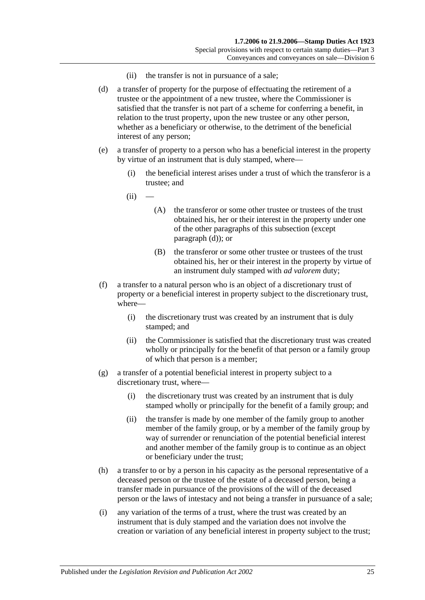- (ii) the transfer is not in pursuance of a sale;
- <span id="page-42-0"></span>(d) a transfer of property for the purpose of effectuating the retirement of a trustee or the appointment of a new trustee, where the Commissioner is satisfied that the transfer is not part of a scheme for conferring a benefit, in relation to the trust property, upon the new trustee or any other person, whether as a beneficiary or otherwise, to the detriment of the beneficial interest of any person;
- <span id="page-42-1"></span>(e) a transfer of property to a person who has a beneficial interest in the property by virtue of an instrument that is duly stamped, where—
	- (i) the beneficial interest arises under a trust of which the transferor is a trustee; and
	- $(ii)$ 
		- (A) the transferor or some other trustee or trustees of the trust obtained his, her or their interest in the property under one of the other paragraphs of this subsection (except [paragraph](#page-42-0) (d)); or
		- (B) the transferor or some other trustee or trustees of the trust obtained his, her or their interest in the property by virtue of an instrument duly stamped with *ad valorem* duty;
- (f) a transfer to a natural person who is an object of a discretionary trust of property or a beneficial interest in property subject to the discretionary trust, where—
	- (i) the discretionary trust was created by an instrument that is duly stamped; and
	- (ii) the Commissioner is satisfied that the discretionary trust was created wholly or principally for the benefit of that person or a family group of which that person is a member;
- (g) a transfer of a potential beneficial interest in property subject to a discretionary trust, where—
	- (i) the discretionary trust was created by an instrument that is duly stamped wholly or principally for the benefit of a family group; and
	- (ii) the transfer is made by one member of the family group to another member of the family group, or by a member of the family group by way of surrender or renunciation of the potential beneficial interest and another member of the family group is to continue as an object or beneficiary under the trust;
- (h) a transfer to or by a person in his capacity as the personal representative of a deceased person or the trustee of the estate of a deceased person, being a transfer made in pursuance of the provisions of the will of the deceased person or the laws of intestacy and not being a transfer in pursuance of a sale;
- (i) any variation of the terms of a trust, where the trust was created by an instrument that is duly stamped and the variation does not involve the creation or variation of any beneficial interest in property subject to the trust;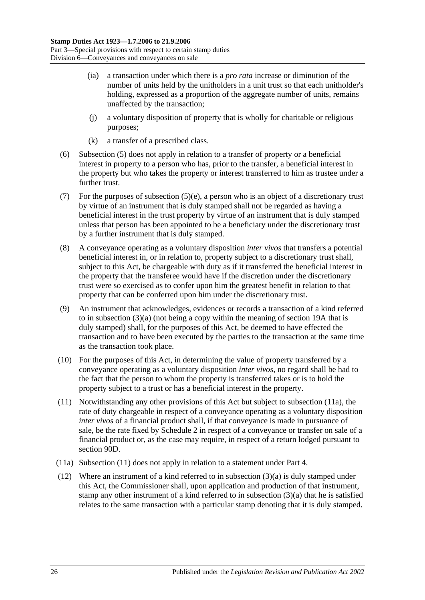- (ia) a transaction under which there is a *pro rata* increase or diminution of the number of units held by the unitholders in a unit trust so that each unitholder's holding, expressed as a proportion of the aggregate number of units, remains unaffected by the transaction;
- (j) a voluntary disposition of property that is wholly for charitable or religious purposes;
- (k) a transfer of a prescribed class.
- <span id="page-43-0"></span>(6) [Subsection](#page-41-3) (5) does not apply in relation to a transfer of property or a beneficial interest in property to a person who has, prior to the transfer, a beneficial interest in the property but who takes the property or interest transferred to him as trustee under a further trust.
- (7) For the purposes of [subsection](#page-42-1) (5)(e), a person who is an object of a discretionary trust by virtue of an instrument that is duly stamped shall not be regarded as having a beneficial interest in the trust property by virtue of an instrument that is duly stamped unless that person has been appointed to be a beneficiary under the discretionary trust by a further instrument that is duly stamped.
- (8) A conveyance operating as a voluntary disposition *inter vivos* that transfers a potential beneficial interest in, or in relation to, property subject to a discretionary trust shall, subject to this Act, be chargeable with duty as if it transferred the beneficial interest in the property that the transferee would have if the discretion under the discretionary trust were so exercised as to confer upon him the greatest benefit in relation to that property that can be conferred upon him under the discretionary trust.
- (9) An instrument that acknowledges, evidences or records a transaction of a kind referred to in [subsection](#page-41-2) (3)(a) (not being a copy within the meaning of [section](#page-14-0) 19A that is duly stamped) shall, for the purposes of this Act, be deemed to have effected the transaction and to have been executed by the parties to the transaction at the same time as the transaction took place.
- (10) For the purposes of this Act, in determining the value of property transferred by a conveyance operating as a voluntary disposition *inter vivos*, no regard shall be had to the fact that the person to whom the property is transferred takes or is to hold the property subject to a trust or has a beneficial interest in the property.
- <span id="page-43-2"></span>(11) Notwithstanding any other provisions of this Act but subject to [subsection](#page-43-1) (11a), the rate of duty chargeable in respect of a conveyance operating as a voluntary disposition *inter vivos* of a financial product shall, if that conveyance is made in pursuance of sale, be the rate fixed by [Schedule 2](#page-100-0) in respect of a conveyance or transfer on sale of a financial product or, as the case may require, in respect of a return lodged pursuant to [section](#page-78-0) 90D.
- <span id="page-43-1"></span>(11a) [Subsection](#page-43-2) (11) does not apply in relation to a statement under [Part 4.](#page-86-0)
- <span id="page-43-3"></span>(12) Where an instrument of a kind referred to in [subsection](#page-41-2) (3)(a) is duly stamped under this Act, the Commissioner shall, upon application and production of that instrument, stamp any other instrument of a kind referred to in [subsection](#page-41-2) (3)(a) that he is satisfied relates to the same transaction with a particular stamp denoting that it is duly stamped.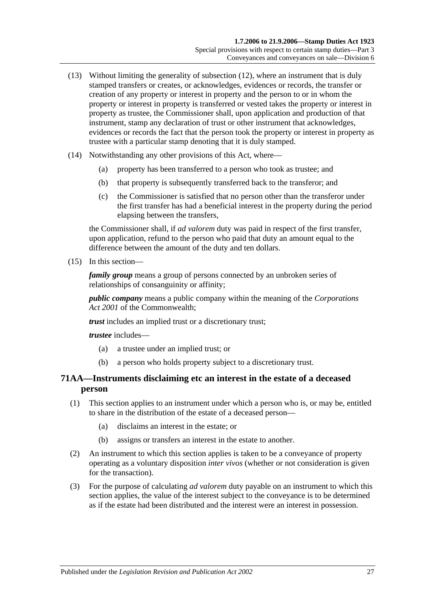- (13) Without limiting the generality of [subsection](#page-43-3) (12), where an instrument that is duly stamped transfers or creates, or acknowledges, evidences or records, the transfer or creation of any property or interest in property and the person to or in whom the property or interest in property is transferred or vested takes the property or interest in property as trustee, the Commissioner shall, upon application and production of that instrument, stamp any declaration of trust or other instrument that acknowledges, evidences or records the fact that the person took the property or interest in property as trustee with a particular stamp denoting that it is duly stamped.
- (14) Notwithstanding any other provisions of this Act, where—
	- (a) property has been transferred to a person who took as trustee; and
	- (b) that property is subsequently transferred back to the transferor; and
	- (c) the Commissioner is satisfied that no person other than the transferor under the first transfer has had a beneficial interest in the property during the period elapsing between the transfers,

the Commissioner shall, if *ad valorem* duty was paid in respect of the first transfer, upon application, refund to the person who paid that duty an amount equal to the difference between the amount of the duty and ten dollars.

<span id="page-44-0"></span>(15) In this section—

*family group* means a group of persons connected by an unbroken series of relationships of consanguinity or affinity;

*public company* means a public company within the meaning of the *Corporations Act 2001* of the Commonwealth;

*trust* includes an implied trust or a discretionary trust;

*trustee* includes—

- (a) a trustee under an implied trust; or
- (b) a person who holds property subject to a discretionary trust.

# **71AA—Instruments disclaiming etc an interest in the estate of a deceased person**

- (1) This section applies to an instrument under which a person who is, or may be, entitled to share in the distribution of the estate of a deceased person—
	- (a) disclaims an interest in the estate; or
	- (b) assigns or transfers an interest in the estate to another.
- (2) An instrument to which this section applies is taken to be a conveyance of property operating as a voluntary disposition *inter vivos* (whether or not consideration is given for the transaction).
- (3) For the purpose of calculating *ad valorem* duty payable on an instrument to which this section applies, the value of the interest subject to the conveyance is to be determined as if the estate had been distributed and the interest were an interest in possession.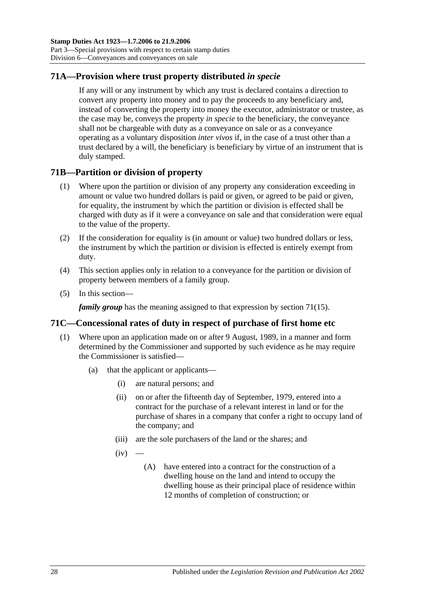# **71A—Provision where trust property distributed** *in specie*

If any will or any instrument by which any trust is declared contains a direction to convert any property into money and to pay the proceeds to any beneficiary and, instead of converting the property into money the executor, administrator or trustee, as the case may be, conveys the property *in specie* to the beneficiary, the conveyance shall not be chargeable with duty as a conveyance on sale or as a conveyance operating as a voluntary disposition *inter vivos* if, in the case of a trust other than a trust declared by a will, the beneficiary is beneficiary by virtue of an instrument that is duly stamped.

## **71B—Partition or division of property**

- (1) Where upon the partition or division of any property any consideration exceeding in amount or value two hundred dollars is paid or given, or agreed to be paid or given, for equality, the instrument by which the partition or division is effected shall be charged with duty as if it were a conveyance on sale and that consideration were equal to the value of the property.
- (2) If the consideration for equality is (in amount or value) two hundred dollars or less, the instrument by which the partition or division is effected is entirely exempt from duty.
- (4) This section applies only in relation to a conveyance for the partition or division of property between members of a family group.
- (5) In this section—

*family group* has the meaning assigned to that expression by [section](#page-44-0) 71(15).

## **71C—Concessional rates of duty in respect of purchase of first home etc**

- <span id="page-45-1"></span><span id="page-45-0"></span>(1) Where upon an application made on or after 9 August, 1989, in a manner and form determined by the Commissioner and supported by such evidence as he may require the Commissioner is satisfied—
	- (a) that the applicant or applicants—
		- (i) are natural persons; and
		- (ii) on or after the fifteenth day of September, 1979, entered into a contract for the purchase of a relevant interest in land or for the purchase of shares in a company that confer a right to occupy land of the company; and
		- (iii) are the sole purchasers of the land or the shares; and
		- $(iv)$ 
			- (A) have entered into a contract for the construction of a dwelling house on the land and intend to occupy the dwelling house as their principal place of residence within 12 months of completion of construction; or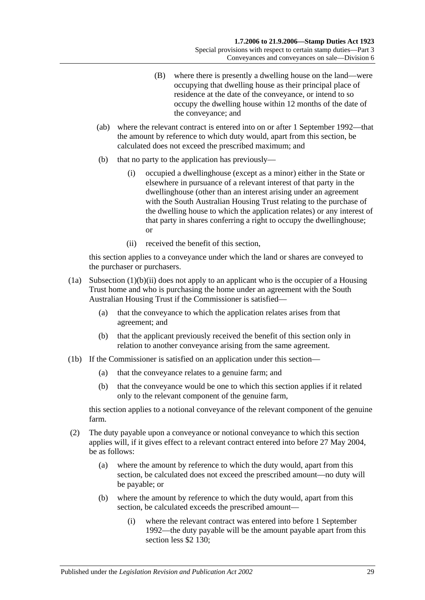- (B) where there is presently a dwelling house on the land—were occupying that dwelling house as their principal place of residence at the date of the conveyance, or intend to so occupy the dwelling house within 12 months of the date of the conveyance; and
- (ab) where the relevant contract is entered into on or after 1 September 1992—that the amount by reference to which duty would, apart from this section, be calculated does not exceed the prescribed maximum; and
- (b) that no party to the application has previously—
	- (i) occupied a dwellinghouse (except as a minor) either in the State or elsewhere in pursuance of a relevant interest of that party in the dwellinghouse (other than an interest arising under an agreement with the South Australian Housing Trust relating to the purchase of the dwelling house to which the application relates) or any interest of that party in shares conferring a right to occupy the dwellinghouse; or
	- (ii) received the benefit of this section,

<span id="page-46-0"></span>this section applies to a conveyance under which the land or shares are conveyed to the purchaser or purchasers.

- (1a) [Subsection](#page-46-0) (1)(b)(ii) does not apply to an applicant who is the occupier of a Housing Trust home and who is purchasing the home under an agreement with the South Australian Housing Trust if the Commissioner is satisfied—
	- (a) that the conveyance to which the application relates arises from that agreement; and
	- (b) that the applicant previously received the benefit of this section only in relation to another conveyance arising from the same agreement.
- (1b) If the Commissioner is satisfied on an application under this section—
	- (a) that the conveyance relates to a genuine farm; and
	- (b) that the conveyance would be one to which this section applies if it related only to the relevant component of the genuine farm,

this section applies to a notional conveyance of the relevant component of the genuine farm.

- (2) The duty payable upon a conveyance or notional conveyance to which this section applies will, if it gives effect to a relevant contract entered into before 27 May 2004, be as follows:
	- (a) where the amount by reference to which the duty would, apart from this section, be calculated does not exceed the prescribed amount—no duty will be payable; or
	- (b) where the amount by reference to which the duty would, apart from this section, be calculated exceeds the prescribed amount—
		- (i) where the relevant contract was entered into before 1 September 1992—the duty payable will be the amount payable apart from this section less \$2 130: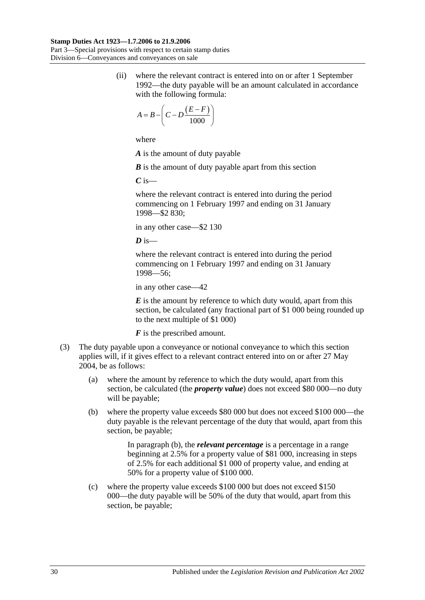(ii) where the relevant contract is entered into on or after 1 September 1992—the duty payable will be an amount calculated in accordance with the following formula:

$$
A = B - \left(C - D \frac{(E - F)}{1000}\right)
$$

where

*A* is the amount of duty payable

*B* is the amount of duty payable apart from this section

*C* is—

where the relevant contract is entered into during the period commencing on 1 February 1997 and ending on 31 January 1998—\$2 830;

in any other case—\$2 130

 $\overline{D}$  is—

where the relevant contract is entered into during the period commencing on 1 February 1997 and ending on 31 January 1998—56;

in any other case—42

*E* is the amount by reference to which duty would, apart from this section, be calculated (any fractional part of \$1 000 being rounded up to the next multiple of \$1 000)

*F* is the prescribed amount.

- <span id="page-47-0"></span>(3) The duty payable upon a conveyance or notional conveyance to which this section applies will, if it gives effect to a relevant contract entered into on or after 27 May 2004, be as follows:
	- (a) where the amount by reference to which the duty would, apart from this section, be calculated (the *property value*) does not exceed \$80 000—no duty will be payable;
	- (b) where the property value exceeds \$80 000 but does not exceed \$100 000—the duty payable is the relevant percentage of the duty that would, apart from this section, be payable;

In [paragraph](#page-47-0) (b), the *relevant percentage* is a percentage in a range beginning at 2.5% for a property value of \$81 000, increasing in steps of 2.5% for each additional \$1 000 of property value, and ending at 50% for a property value of \$100 000.

(c) where the property value exceeds \$100 000 but does not exceed \$150 000—the duty payable will be 50% of the duty that would, apart from this section, be payable;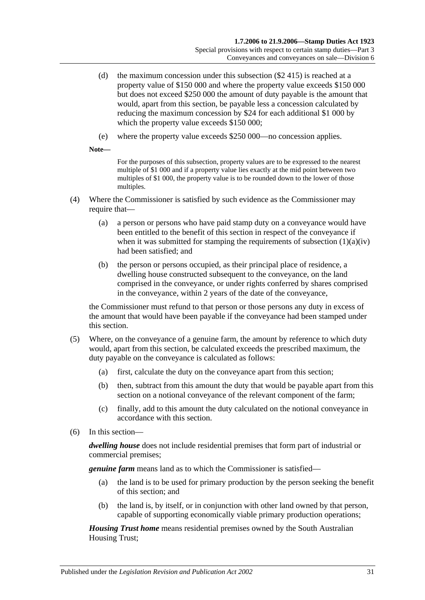- (d) the maximum concession under this subsection (\$2 415) is reached at a property value of \$150 000 and where the property value exceeds \$150 000 but does not exceed \$250 000 the amount of duty payable is the amount that would, apart from this section, be payable less a concession calculated by reducing the maximum concession by \$24 for each additional \$1 000 by which the property value exceeds \$150 000;
- (e) where the property value exceeds \$250 000—no concession applies.

**Note—**

For the purposes of this subsection, property values are to be expressed to the nearest multiple of \$1 000 and if a property value lies exactly at the mid point between two multiples of \$1 000, the property value is to be rounded down to the lower of those multiples.

- (4) Where the Commissioner is satisfied by such evidence as the Commissioner may require that—
	- (a) a person or persons who have paid stamp duty on a conveyance would have been entitled to the benefit of this section in respect of the conveyance if when it was submitted for stamping the requirements of [subsection](#page-45-0)  $(1)(a)(iv)$ had been satisfied; and
	- (b) the person or persons occupied, as their principal place of residence, a dwelling house constructed subsequent to the conveyance, on the land comprised in the conveyance, or under rights conferred by shares comprised in the conveyance, within 2 years of the date of the conveyance,

the Commissioner must refund to that person or those persons any duty in excess of the amount that would have been payable if the conveyance had been stamped under this section.

- (5) Where, on the conveyance of a genuine farm, the amount by reference to which duty would, apart from this section, be calculated exceeds the prescribed maximum, the duty payable on the conveyance is calculated as follows:
	- (a) first, calculate the duty on the conveyance apart from this section;
	- (b) then, subtract from this amount the duty that would be payable apart from this section on a notional conveyance of the relevant component of the farm;
	- (c) finally, add to this amount the duty calculated on the notional conveyance in accordance with this section.
- (6) In this section—

*dwelling house* does not include residential premises that form part of industrial or commercial premises;

*genuine farm* means land as to which the Commissioner is satisfied—

- (a) the land is to be used for primary production by the person seeking the benefit of this section; and
- (b) the land is, by itself, or in conjunction with other land owned by that person, capable of supporting economically viable primary production operations;

*Housing Trust home* means residential premises owned by the South Australian Housing Trust;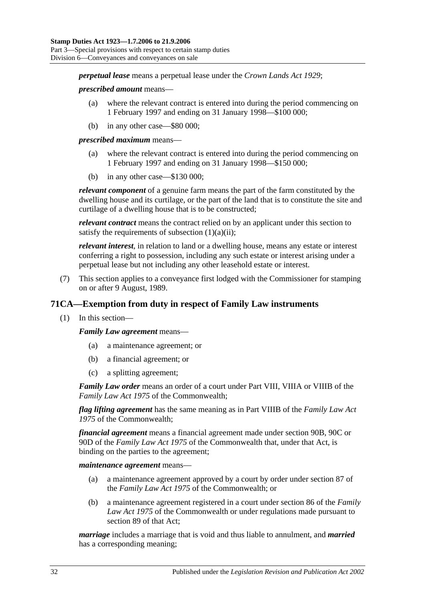*perpetual lease* means a perpetual lease under the *[Crown Lands Act](http://www.legislation.sa.gov.au/index.aspx?action=legref&type=act&legtitle=Crown%20Lands%20Act%201929) 1929*;

#### *prescribed amount* means—

- (a) where the relevant contract is entered into during the period commencing on 1 February 1997 and ending on 31 January 1998—\$100 000;
- (b) in any other case—\$80 000;

*prescribed maximum* means—

- (a) where the relevant contract is entered into during the period commencing on 1 February 1997 and ending on 31 January 1998—\$150 000;
- (b) in any other case—\$130 000;

*relevant component* of a genuine farm means the part of the farm constituted by the dwelling house and its curtilage, or the part of the land that is to constitute the site and curtilage of a dwelling house that is to be constructed;

*relevant contract* means the contract relied on by an applicant under this section to satisfy the requirements of [subsection](#page-45-1)  $(1)(a)(ii)$ ;

*relevant interest*, in relation to land or a dwelling house, means any estate or interest conferring a right to possession, including any such estate or interest arising under a perpetual lease but not including any other leasehold estate or interest.

(7) This section applies to a conveyance first lodged with the Commissioner for stamping on or after 9 August, 1989.

## **71CA—Exemption from duty in respect of Family Law instruments**

(1) In this section—

*Family Law agreement* means—

- (a) a maintenance agreement; or
- (b) a financial agreement; or
- (c) a splitting agreement;

*Family Law order* means an order of a court under Part VIII, VIIIA or VIIIB of the *Family Law Act 1975* of the Commonwealth;

*flag lifting agreement* has the same meaning as in Part VIIIB of the *Family Law Act 1975* of the Commonwealth;

*financial agreement* means a financial agreement made under section 90B, 90C or 90D of the *Family Law Act 1975* of the Commonwealth that, under that Act, is binding on the parties to the agreement;

*maintenance agreement* means—

- (a) a maintenance agreement approved by a court by order under section 87 of the *Family Law Act 1975* of the Commonwealth; or
- (b) a maintenance agreement registered in a court under section 86 of the *Family Law Act 1975* of the Commonwealth or under regulations made pursuant to section 89 of that Act;

*marriage* includes a marriage that is void and thus liable to annulment, and *married* has a corresponding meaning;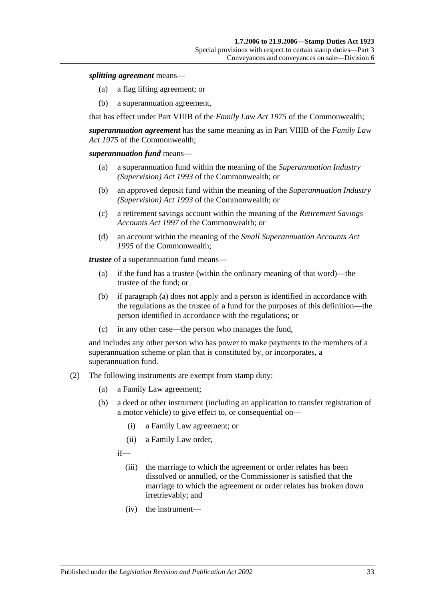#### *splitting agreement* means—

- (a) a flag lifting agreement; or
- (b) a superannuation agreement,

that has effect under Part VIIIB of the *Family Law Act 1975* of the Commonwealth;

*superannuation agreement* has the same meaning as in Part VIIIB of the *Family Law Act 1975* of the Commonwealth;

#### *superannuation fund* means—

- (a) a superannuation fund within the meaning of the *Superannuation Industry (Supervision) Act 1993* of the Commonwealth; or
- (b) an approved deposit fund within the meaning of the *Superannuation Industry (Supervision) Act 1993* of the Commonwealth; or
- (c) a retirement savings account within the meaning of the *Retirement Savings Accounts Act 1997* of the Commonwealth; or
- (d) an account within the meaning of the *Small Superannuation Accounts Act 1995* of the Commonwealth;

<span id="page-50-0"></span>*trustee* of a superannuation fund means—

- (a) if the fund has a trustee (within the ordinary meaning of that word)—the trustee of the fund; or
- (b) if [paragraph](#page-50-0) (a) does not apply and a person is identified in accordance with the regulations as the trustee of a fund for the purposes of this definition—the person identified in accordance with the regulations; or
- (c) in any other case—the person who manages the fund,

and includes any other person who has power to make payments to the members of a superannuation scheme or plan that is constituted by, or incorporates, a superannuation fund.

- (2) The following instruments are exempt from stamp duty:
	- (a) a Family Law agreement;
	- (b) a deed or other instrument (including an application to transfer registration of a motor vehicle) to give effect to, or consequential on—
		- (i) a Family Law agreement; or
		- (ii) a Family Law order,
		- if—
			- (iii) the marriage to which the agreement or order relates has been dissolved or annulled, or the Commissioner is satisfied that the marriage to which the agreement or order relates has broken down irretrievably; and
			- (iv) the instrument—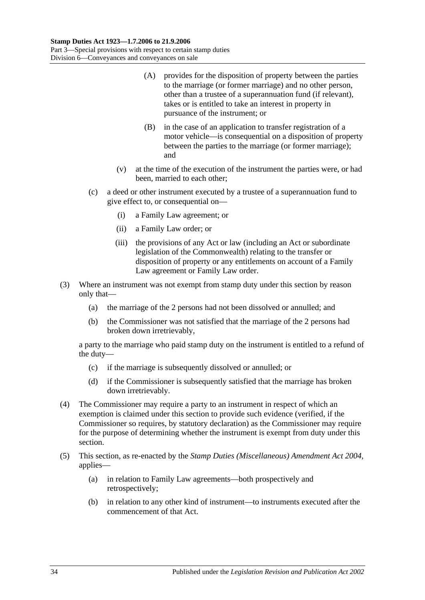- (A) provides for the disposition of property between the parties to the marriage (or former marriage) and no other person, other than a trustee of a superannuation fund (if relevant), takes or is entitled to take an interest in property in pursuance of the instrument; or
- (B) in the case of an application to transfer registration of a motor vehicle—is consequential on a disposition of property between the parties to the marriage (or former marriage); and
- (v) at the time of the execution of the instrument the parties were, or had been, married to each other;
- (c) a deed or other instrument executed by a trustee of a superannuation fund to give effect to, or consequential on—
	- (i) a Family Law agreement; or
	- (ii) a Family Law order; or
	- (iii) the provisions of any Act or law (including an Act or subordinate legislation of the Commonwealth) relating to the transfer or disposition of property or any entitlements on account of a Family Law agreement or Family Law order.
- (3) Where an instrument was not exempt from stamp duty under this section by reason only that—
	- (a) the marriage of the 2 persons had not been dissolved or annulled; and
	- (b) the Commissioner was not satisfied that the marriage of the 2 persons had broken down irretrievably,

a party to the marriage who paid stamp duty on the instrument is entitled to a refund of the duty—

- (c) if the marriage is subsequently dissolved or annulled; or
- (d) if the Commissioner is subsequently satisfied that the marriage has broken down irretrievably.
- (4) The Commissioner may require a party to an instrument in respect of which an exemption is claimed under this section to provide such evidence (verified, if the Commissioner so requires, by statutory declaration) as the Commissioner may require for the purpose of determining whether the instrument is exempt from duty under this section.
- (5) This section, as re-enacted by the *[Stamp Duties \(Miscellaneous\) Amendment Act 2004](http://www.legislation.sa.gov.au/index.aspx?action=legref&type=act&legtitle=Stamp%20Duties%20(Miscellaneous)%20Amendment%20Act%202004)*, applies—
	- (a) in relation to Family Law agreements—both prospectively and retrospectively;
	- (b) in relation to any other kind of instrument—to instruments executed after the commencement of that Act.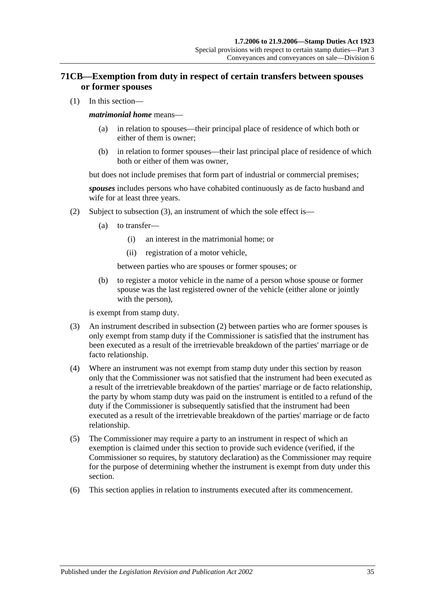# **71CB—Exemption from duty in respect of certain transfers between spouses or former spouses**

(1) In this section—

#### *matrimonial home* means—

- (a) in relation to spouses—their principal place of residence of which both or either of them is owner;
- (b) in relation to former spouses—their last principal place of residence of which both or either of them was owner,

but does not include premises that form part of industrial or commercial premises;

*spouses* includes persons who have cohabited continuously as de facto husband and wife for at least three years.

- (2) Subject to [subsection](#page-52-0) (3), an instrument of which the sole effect is—
	- (a) to transfer—
		- (i) an interest in the matrimonial home; or
		- (ii) registration of a motor vehicle,

between parties who are spouses or former spouses; or

(b) to register a motor vehicle in the name of a person whose spouse or former spouse was the last registered owner of the vehicle (either alone or jointly with the person),

is exempt from stamp duty.

- <span id="page-52-0"></span>(3) An instrument described in subsection (2) between parties who are former spouses is only exempt from stamp duty if the Commissioner is satisfied that the instrument has been executed as a result of the irretrievable breakdown of the parties' marriage or de facto relationship.
- (4) Where an instrument was not exempt from stamp duty under this section by reason only that the Commissioner was not satisfied that the instrument had been executed as a result of the irretrievable breakdown of the parties' marriage or de facto relationship, the party by whom stamp duty was paid on the instrument is entitled to a refund of the duty if the Commissioner is subsequently satisfied that the instrument had been executed as a result of the irretrievable breakdown of the parties' marriage or de facto relationship.
- (5) The Commissioner may require a party to an instrument in respect of which an exemption is claimed under this section to provide such evidence (verified, if the Commissioner so requires, by statutory declaration) as the Commissioner may require for the purpose of determining whether the instrument is exempt from duty under this section.
- (6) This section applies in relation to instruments executed after its commencement.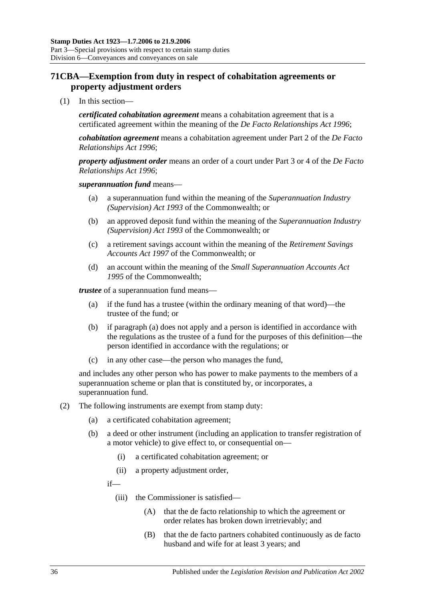# **71CBA—Exemption from duty in respect of cohabitation agreements or property adjustment orders**

(1) In this section—

*certificated cohabitation agreement* means a cohabitation agreement that is a certificated agreement within the meaning of the *[De Facto Relationships Act](http://www.legislation.sa.gov.au/index.aspx?action=legref&type=act&legtitle=De%20Facto%20Relationships%20Act%201996) 1996*;

*cohabitation agreement* means a cohabitation agreement under Part 2 of the *[De Facto](http://www.legislation.sa.gov.au/index.aspx?action=legref&type=act&legtitle=De%20Facto%20Relationships%20Act%201996)  [Relationships Act](http://www.legislation.sa.gov.au/index.aspx?action=legref&type=act&legtitle=De%20Facto%20Relationships%20Act%201996) 1996*;

*property adjustment order* means an order of a court under Part 3 or 4 of the *[De Facto](http://www.legislation.sa.gov.au/index.aspx?action=legref&type=act&legtitle=De%20Facto%20Relationships%20Act%201996)  [Relationships Act](http://www.legislation.sa.gov.au/index.aspx?action=legref&type=act&legtitle=De%20Facto%20Relationships%20Act%201996) 1996*;

#### *superannuation fund* means—

- (a) a superannuation fund within the meaning of the *Superannuation Industry (Supervision) Act 1993* of the Commonwealth; or
- (b) an approved deposit fund within the meaning of the *Superannuation Industry (Supervision) Act 1993* of the Commonwealth; or
- (c) a retirement savings account within the meaning of the *Retirement Savings Accounts Act 1997* of the Commonwealth; or
- (d) an account within the meaning of the *Small Superannuation Accounts Act 1995* of the Commonwealth;

<span id="page-53-0"></span>*trustee* of a superannuation fund means—

- (a) if the fund has a trustee (within the ordinary meaning of that word)—the trustee of the fund; or
- (b) if [paragraph](#page-53-0) (a) does not apply and a person is identified in accordance with the regulations as the trustee of a fund for the purposes of this definition—the person identified in accordance with the regulations; or
- (c) in any other case—the person who manages the fund,

and includes any other person who has power to make payments to the members of a superannuation scheme or plan that is constituted by, or incorporates, a superannuation fund.

- (2) The following instruments are exempt from stamp duty:
	- (a) a certificated cohabitation agreement;
	- (b) a deed or other instrument (including an application to transfer registration of a motor vehicle) to give effect to, or consequential on—
		- (i) a certificated cohabitation agreement; or
		- (ii) a property adjustment order,

if—

- (iii) the Commissioner is satisfied—
	- (A) that the de facto relationship to which the agreement or order relates has broken down irretrievably; and
	- (B) that the de facto partners cohabited continuously as de facto husband and wife for at least 3 years; and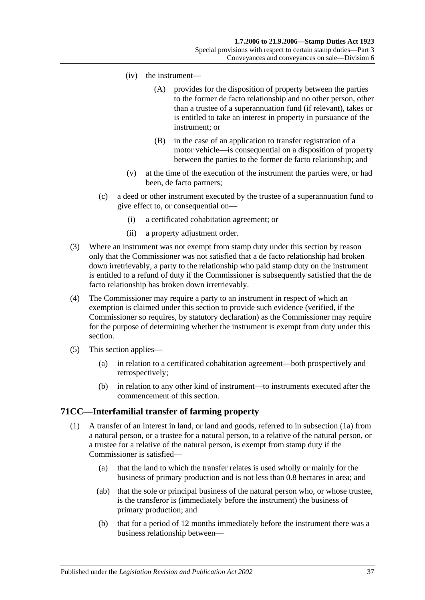- (iv) the instrument—
	- (A) provides for the disposition of property between the parties to the former de facto relationship and no other person, other than a trustee of a superannuation fund (if relevant), takes or is entitled to take an interest in property in pursuance of the instrument; or
	- (B) in the case of an application to transfer registration of a motor vehicle—is consequential on a disposition of property between the parties to the former de facto relationship; and
- (v) at the time of the execution of the instrument the parties were, or had been, de facto partners;
- (c) a deed or other instrument executed by the trustee of a superannuation fund to give effect to, or consequential on—
	- (i) a certificated cohabitation agreement; or
	- (ii) a property adjustment order.
- (3) Where an instrument was not exempt from stamp duty under this section by reason only that the Commissioner was not satisfied that a de facto relationship had broken down irretrievably, a party to the relationship who paid stamp duty on the instrument is entitled to a refund of duty if the Commissioner is subsequently satisfied that the de facto relationship has broken down irretrievably.
- (4) The Commissioner may require a party to an instrument in respect of which an exemption is claimed under this section to provide such evidence (verified, if the Commissioner so requires, by statutory declaration) as the Commissioner may require for the purpose of determining whether the instrument is exempt from duty under this section.
- (5) This section applies—
	- (a) in relation to a certificated cohabitation agreement—both prospectively and retrospectively;
	- (b) in relation to any other kind of instrument—to instruments executed after the commencement of this section.

## <span id="page-54-0"></span>**71CC—Interfamilial transfer of farming property**

- <span id="page-54-1"></span>(1) A transfer of an interest in land, or land and goods, referred to in [subsection](#page-55-0) (1a) from a natural person, or a trustee for a natural person, to a relative of the natural person, or a trustee for a relative of the natural person, is exempt from stamp duty if the Commissioner is satisfied—
	- (a) that the land to which the transfer relates is used wholly or mainly for the business of primary production and is not less than 0.8 hectares in area; and
	- (ab) that the sole or principal business of the natural person who, or whose trustee, is the transferor is (immediately before the instrument) the business of primary production; and
	- (b) that for a period of 12 months immediately before the instrument there was a business relationship between—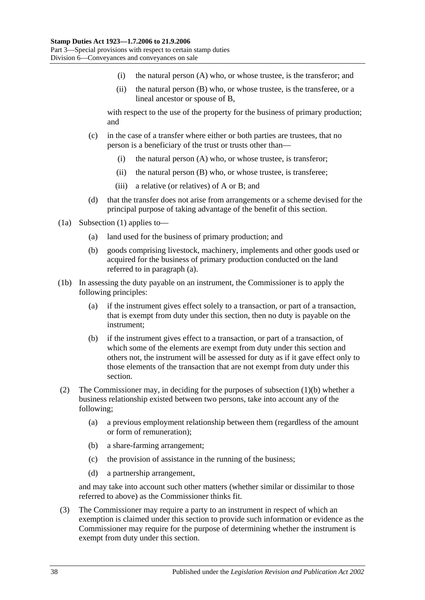- (i) the natural person (A) who, or whose trustee, is the transferor; and
- (ii) the natural person (B) who, or whose trustee, is the transferee, or a lineal ancestor or spouse of B,

with respect to the use of the property for the business of primary production; and

- (c) in the case of a transfer where either or both parties are trustees, that no person is a beneficiary of the trust or trusts other than—
	- (i) the natural person (A) who, or whose trustee, is transferor;
	- (ii) the natural person (B) who, or whose trustee, is transferee;
	- (iii) a relative (or relatives) of A or B; and
- (d) that the transfer does not arise from arrangements or a scheme devised for the principal purpose of taking advantage of the benefit of this section.
- <span id="page-55-1"></span><span id="page-55-0"></span>(1a) [Subsection](#page-54-0) (1) applies to—
	- (a) land used for the business of primary production; and
	- (b) goods comprising livestock, machinery, implements and other goods used or acquired for the business of primary production conducted on the land referred to in [paragraph](#page-55-1) (a).
- (1b) In assessing the duty payable on an instrument, the Commissioner is to apply the following principles:
	- (a) if the instrument gives effect solely to a transaction, or part of a transaction, that is exempt from duty under this section, then no duty is payable on the instrument;
	- (b) if the instrument gives effect to a transaction, or part of a transaction, of which some of the elements are exempt from duty under this section and others not, the instrument will be assessed for duty as if it gave effect only to those elements of the transaction that are not exempt from duty under this section.
- (2) The Commissioner may, in deciding for the purposes of [subsection](#page-54-1) (1)(b) whether a business relationship existed between two persons, take into account any of the following;
	- (a) a previous employment relationship between them (regardless of the amount or form of remuneration);
	- (b) a share-farming arrangement;
	- (c) the provision of assistance in the running of the business;
	- (d) a partnership arrangement,

and may take into account such other matters (whether similar or dissimilar to those referred to above) as the Commissioner thinks fit.

(3) The Commissioner may require a party to an instrument in respect of which an exemption is claimed under this section to provide such information or evidence as the Commissioner may require for the purpose of determining whether the instrument is exempt from duty under this section.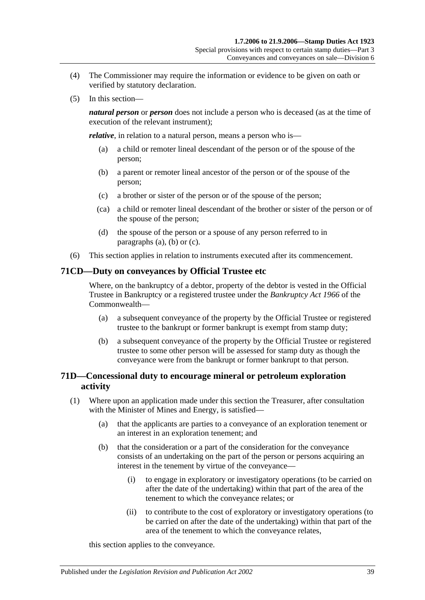- (4) The Commissioner may require the information or evidence to be given on oath or verified by statutory declaration.
- (5) In this section—

*natural person* or *person* does not include a person who is deceased (as at the time of execution of the relevant instrument);

<span id="page-56-0"></span>*relative*, in relation to a natural person, means a person who is—

- (a) a child or remoter lineal descendant of the person or of the spouse of the person;
- <span id="page-56-1"></span>(b) a parent or remoter lineal ancestor of the person or of the spouse of the person;
- <span id="page-56-2"></span>(c) a brother or sister of the person or of the spouse of the person;
- (ca) a child or remoter lineal descendant of the brother or sister of the person or of the spouse of the person;
- (d) the spouse of the person or a spouse of any person referred to in [paragraphs](#page-56-0) (a), [\(b\)](#page-56-1) or [\(c\).](#page-56-2)
- (6) This section applies in relation to instruments executed after its commencement.

### **71CD—Duty on conveyances by Official Trustee etc**

Where, on the bankruptcy of a debtor, property of the debtor is vested in the Official Trustee in Bankruptcy or a registered trustee under the *Bankruptcy Act 1966* of the Commonwealth—

- (a) a subsequent conveyance of the property by the Official Trustee or registered trustee to the bankrupt or former bankrupt is exempt from stamp duty;
- (b) a subsequent conveyance of the property by the Official Trustee or registered trustee to some other person will be assessed for stamp duty as though the conveyance were from the bankrupt or former bankrupt to that person.

## **71D—Concessional duty to encourage mineral or petroleum exploration activity**

- <span id="page-56-3"></span>(1) Where upon an application made under this section the Treasurer, after consultation with the Minister of Mines and Energy, is satisfied—
	- (a) that the applicants are parties to a conveyance of an exploration tenement or an interest in an exploration tenement; and
	- (b) that the consideration or a part of the consideration for the conveyance consists of an undertaking on the part of the person or persons acquiring an interest in the tenement by virtue of the conveyance—
		- (i) to engage in exploratory or investigatory operations (to be carried on after the date of the undertaking) within that part of the area of the tenement to which the conveyance relates; or
		- (ii) to contribute to the cost of exploratory or investigatory operations (to be carried on after the date of the undertaking) within that part of the area of the tenement to which the conveyance relates,

this section applies to the conveyance.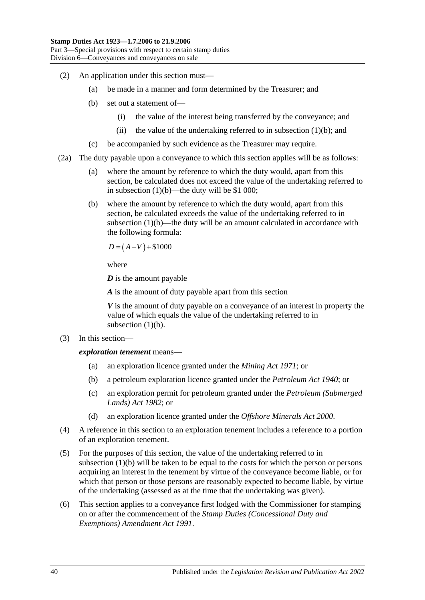- (2) An application under this section must—
	- (a) be made in a manner and form determined by the Treasurer; and
	- (b) set out a statement of—
		- (i) the value of the interest being transferred by the conveyance; and
		- (ii) the value of the undertaking referred to in [subsection](#page-56-3)  $(1)(b)$ ; and
	- (c) be accompanied by such evidence as the Treasurer may require.
- (2a) The duty payable upon a conveyance to which this section applies will be as follows:
	- (a) where the amount by reference to which the duty would, apart from this section, be calculated does not exceed the value of the undertaking referred to in [subsection](#page-56-3)  $(1)(b)$ —the duty will be \$1 000;
	- (b) where the amount by reference to which the duty would, apart from this section, be calculated exceeds the value of the undertaking referred to in [subsection](#page-56-3) (1)(b)—the duty will be an amount calculated in accordance with the following formula:

$$
D = (A - V) + $1000
$$

where

*D* is the amount payable

*A* is the amount of duty payable apart from this section

*V* is the amount of duty payable on a conveyance of an interest in property the value of which equals the value of the undertaking referred to in [subsection](#page-56-3)  $(1)(b)$ .

(3) In this section—

*exploration tenement* means—

- (a) an exploration licence granted under the *[Mining Act](http://www.legislation.sa.gov.au/index.aspx?action=legref&type=act&legtitle=Mining%20Act%201971) 1971*; or
- (b) a petroleum exploration licence granted under the *[Petroleum Act](http://www.legislation.sa.gov.au/index.aspx?action=legref&type=act&legtitle=Petroleum%20Act%201940) 1940*; or
- (c) an exploration permit for petroleum granted under the *[Petroleum \(Submerged](http://www.legislation.sa.gov.au/index.aspx?action=legref&type=act&legtitle=Petroleum%20(Submerged%20Lands)%20Act%201982)  [Lands\) Act](http://www.legislation.sa.gov.au/index.aspx?action=legref&type=act&legtitle=Petroleum%20(Submerged%20Lands)%20Act%201982) 1982*; or
- (d) an exploration licence granted under the *[Offshore Minerals Act](http://www.legislation.sa.gov.au/index.aspx?action=legref&type=act&legtitle=Offshore%20Minerals%20Act%202000) 2000*.
- (4) A reference in this section to an exploration tenement includes a reference to a portion of an exploration tenement.
- (5) For the purposes of this section, the value of the undertaking referred to in [subsection](#page-56-3) (1)(b) will be taken to be equal to the costs for which the person or persons acquiring an interest in the tenement by virtue of the conveyance become liable, or for which that person or those persons are reasonably expected to become liable, by virtue of the undertaking (assessed as at the time that the undertaking was given).
- (6) This section applies to a conveyance first lodged with the Commissioner for stamping on or after the commencement of the *[Stamp Duties \(Concessional Duty and](http://www.legislation.sa.gov.au/index.aspx?action=legref&type=act&legtitle=Stamp%20Duties%20(Concessional%20Duty%20and%20Exemptions)%20Amendment%20Act%201991)  [Exemptions\) Amendment Act](http://www.legislation.sa.gov.au/index.aspx?action=legref&type=act&legtitle=Stamp%20Duties%20(Concessional%20Duty%20and%20Exemptions)%20Amendment%20Act%201991) 1991*.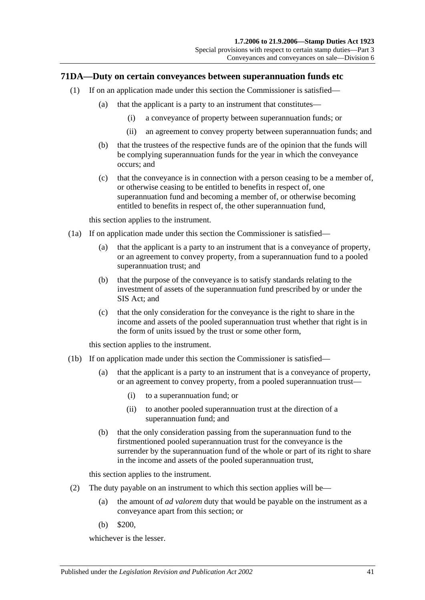### <span id="page-58-0"></span>**71DA—Duty on certain conveyances between superannuation funds etc**

- (1) If on an application made under this section the Commissioner is satisfied—
	- (a) that the applicant is a party to an instrument that constitutes—
		- (i) a conveyance of property between superannuation funds; or
		- (ii) an agreement to convey property between superannuation funds; and
	- (b) that the trustees of the respective funds are of the opinion that the funds will be complying superannuation funds for the year in which the conveyance occurs; and
	- (c) that the conveyance is in connection with a person ceasing to be a member of, or otherwise ceasing to be entitled to benefits in respect of, one superannuation fund and becoming a member of, or otherwise becoming entitled to benefits in respect of, the other superannuation fund,

this section applies to the instrument.

- <span id="page-58-1"></span>(1a) If on application made under this section the Commissioner is satisfied—
	- (a) that the applicant is a party to an instrument that is a conveyance of property, or an agreement to convey property, from a superannuation fund to a pooled superannuation trust; and
	- (b) that the purpose of the conveyance is to satisfy standards relating to the investment of assets of the superannuation fund prescribed by or under the SIS Act; and
	- (c) that the only consideration for the conveyance is the right to share in the income and assets of the pooled superannuation trust whether that right is in the form of units issued by the trust or some other form,

this section applies to the instrument.

- <span id="page-58-2"></span>(1b) If on application made under this section the Commissioner is satisfied—
	- (a) that the applicant is a party to an instrument that is a conveyance of property, or an agreement to convey property, from a pooled superannuation trust—
		- (i) to a superannuation fund; or
		- (ii) to another pooled superannuation trust at the direction of a superannuation fund; and
	- (b) that the only consideration passing from the superannuation fund to the firstmentioned pooled superannuation trust for the conveyance is the surrender by the superannuation fund of the whole or part of its right to share in the income and assets of the pooled superannuation trust,

this section applies to the instrument.

- (2) The duty payable on an instrument to which this section applies will be—
	- (a) the amount of *ad valorem* duty that would be payable on the instrument as a conveyance apart from this section; or
	- (b) \$200,

whichever is the lesser.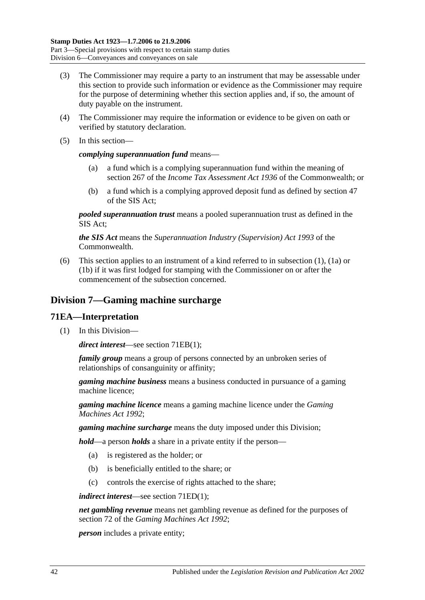- (3) The Commissioner may require a party to an instrument that may be assessable under this section to provide such information or evidence as the Commissioner may require for the purpose of determining whether this section applies and, if so, the amount of duty payable on the instrument.
- (4) The Commissioner may require the information or evidence to be given on oath or verified by statutory declaration.
- (5) In this section—

#### *complying superannuation fund* means—

- (a) a fund which is a complying superannuation fund within the meaning of section 267 of the *Income Tax Assessment Act 1936* of the Commonwealth; or
- (b) a fund which is a complying approved deposit fund as defined by section 47 of the SIS Act;

*pooled superannuation trust* means a pooled superannuation trust as defined in the SIS Act;

*the SIS Act* means the *Superannuation Industry (Supervision) Act 1993* of the Commonwealth.

(6) This section applies to an instrument of a kind referred to in [subsection](#page-58-0) (1), [\(1a\)](#page-58-1) or [\(1b\)](#page-58-2) if it was first lodged for stamping with the Commissioner on or after the commencement of the subsection concerned.

# **Division 7—Gaming machine surcharge**

### **71EA—Interpretation**

(1) In this Division—

*direct interest*—see section [71EB\(1\);](#page-60-0)

*family group* means a group of persons connected by an unbroken series of relationships of consanguinity or affinity;

*gaming machine business* means a business conducted in pursuance of a gaming machine licence;

*gaming machine licence* means a gaming machine licence under the *[Gaming](http://www.legislation.sa.gov.au/index.aspx?action=legref&type=act&legtitle=Gaming%20Machines%20Act%201992)  [Machines Act](http://www.legislation.sa.gov.au/index.aspx?action=legref&type=act&legtitle=Gaming%20Machines%20Act%201992) 1992*;

*gaming machine surcharge* means the duty imposed under this Division;

*hold*—a person *holds* a share in a private entity if the person—

- (a) is registered as the holder; or
- (b) is beneficially entitled to the share; or
- (c) controls the exercise of rights attached to the share;

*indirect interest*—see section [71ED\(1\);](#page-61-0)

*net gambling revenue* means net gambling revenue as defined for the purposes of section 72 of the *[Gaming Machines Act](http://www.legislation.sa.gov.au/index.aspx?action=legref&type=act&legtitle=Gaming%20Machines%20Act%201992) 1992*;

*person* includes a private entity;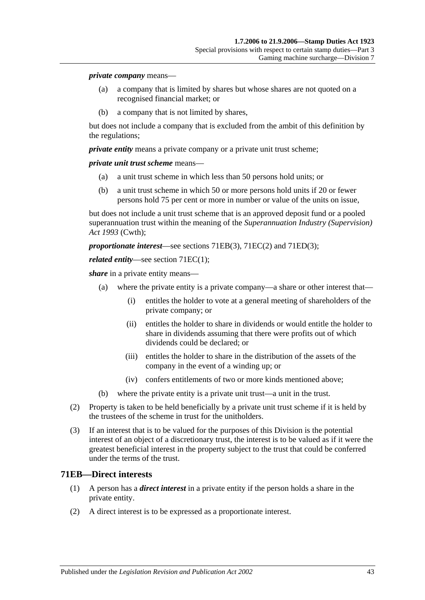#### *private company* means—

- (a) a company that is limited by shares but whose shares are not quoted on a recognised financial market; or
- (b) a company that is not limited by shares,

but does not include a company that is excluded from the ambit of this definition by the regulations;

*private entity* means a private company or a private unit trust scheme;

*private unit trust scheme* means—

- (a) a unit trust scheme in which less than 50 persons hold units; or
- (b) a unit trust scheme in which 50 or more persons hold units if 20 or fewer persons hold 75 per cent or more in number or value of the units on issue,

but does not include a unit trust scheme that is an approved deposit fund or a pooled superannuation trust within the meaning of the *Superannuation Industry (Supervision) Act 1993* (Cwth);

*proportionate interest*—see sections [71EB\(3\),](#page-61-1) [71EC\(2\)](#page-61-2) and [71ED\(3\);](#page-61-3)

#### *related entity*—see section [71EC\(1\);](#page-61-4)

*share* in a private entity means—

- (a) where the private entity is a private company—a share or other interest that—
	- (i) entitles the holder to vote at a general meeting of shareholders of the private company; or
	- (ii) entitles the holder to share in dividends or would entitle the holder to share in dividends assuming that there were profits out of which dividends could be declared; or
	- (iii) entitles the holder to share in the distribution of the assets of the company in the event of a winding up; or
	- (iv) confers entitlements of two or more kinds mentioned above;
- (b) where the private entity is a private unit trust—a unit in the trust.
- (2) Property is taken to be held beneficially by a private unit trust scheme if it is held by the trustees of the scheme in trust for the unitholders.
- (3) If an interest that is to be valued for the purposes of this Division is the potential interest of an object of a discretionary trust, the interest is to be valued as if it were the greatest beneficial interest in the property subject to the trust that could be conferred under the terms of the trust.

#### <span id="page-60-0"></span>**71EB—Direct interests**

- (1) A person has a *direct interest* in a private entity if the person holds a share in the private entity.
- (2) A direct interest is to be expressed as a proportionate interest.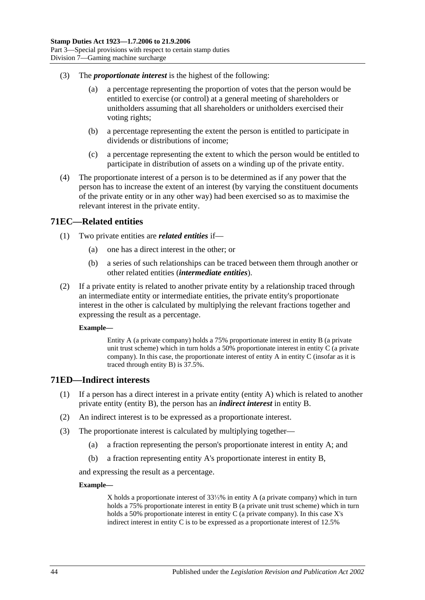- <span id="page-61-1"></span>(3) The *proportionate interest* is the highest of the following:
	- (a) a percentage representing the proportion of votes that the person would be entitled to exercise (or control) at a general meeting of shareholders or unitholders assuming that all shareholders or unitholders exercised their voting rights;
	- (b) a percentage representing the extent the person is entitled to participate in dividends or distributions of income;
	- (c) a percentage representing the extent to which the person would be entitled to participate in distribution of assets on a winding up of the private entity.
- (4) The proportionate interest of a person is to be determined as if any power that the person has to increase the extent of an interest (by varying the constituent documents of the private entity or in any other way) had been exercised so as to maximise the relevant interest in the private entity.

### <span id="page-61-4"></span>**71EC—Related entities**

- (1) Two private entities are *related entities* if—
	- (a) one has a direct interest in the other; or
	- (b) a series of such relationships can be traced between them through another or other related entities (*intermediate entities*).
- <span id="page-61-2"></span>(2) If a private entity is related to another private entity by a relationship traced through an intermediate entity or intermediate entities, the private entity's proportionate interest in the other is calculated by multiplying the relevant fractions together and expressing the result as a percentage.

#### **Example—**

Entity A (a private company) holds a 75% proportionate interest in entity B (a private unit trust scheme) which in turn holds a 50% proportionate interest in entity C (a private company). In this case, the proportionate interest of entity A in entity C (insofar as it is traced through entity B) is 37.5%.

### <span id="page-61-0"></span>**71ED—Indirect interests**

- (1) If a person has a direct interest in a private entity (entity A) which is related to another private entity (entity B), the person has an *indirect interest* in entity B.
- (2) An indirect interest is to be expressed as a proportionate interest.
- <span id="page-61-3"></span>(3) The proportionate interest is calculated by multiplying together—
	- (a) a fraction representing the person's proportionate interest in entity A; and
	- (b) a fraction representing entity A's proportionate interest in entity B,

and expressing the result as a percentage.

#### **Example—**

X holds a proportionate interest of 33⅓% in entity A (a private company) which in turn holds a 75% proportionate interest in entity B (a private unit trust scheme) which in turn holds a 50% proportionate interest in entity C (a private company). In this case X's indirect interest in entity C is to be expressed as a proportionate interest of 12.5%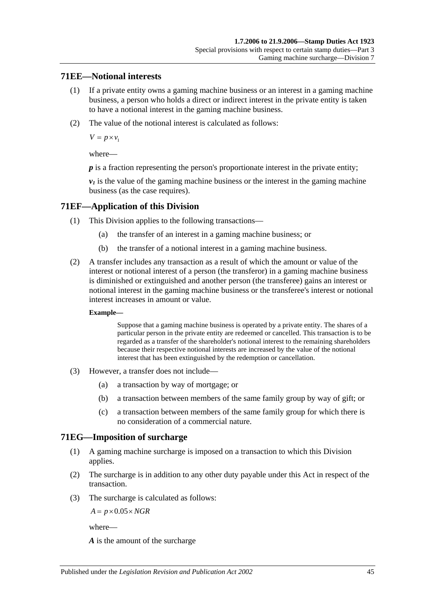## **71EE—Notional interests**

- (1) If a private entity owns a gaming machine business or an interest in a gaming machine business, a person who holds a direct or indirect interest in the private entity is taken to have a notional interest in the gaming machine business.
- (2) The value of the notional interest is calculated as follows:

 $V = p \times v_1$ 

where—

*p* is a fraction representing the person's proportionate interest in the private entity;

 $v_1$  is the value of the gaming machine business or the interest in the gaming machine business (as the case requires).

## **71EF—Application of this Division**

- (1) This Division applies to the following transactions—
	- (a) the transfer of an interest in a gaming machine business; or
	- (b) the transfer of a notional interest in a gaming machine business.
- (2) A transfer includes any transaction as a result of which the amount or value of the interest or notional interest of a person (the transferor) in a gaming machine business is diminished or extinguished and another person (the transferee) gains an interest or notional interest in the gaming machine business or the transferee's interest or notional interest increases in amount or value.

#### **Example—**

Suppose that a gaming machine business is operated by a private entity. The shares of a particular person in the private entity are redeemed or cancelled. This transaction is to be regarded as a transfer of the shareholder's notional interest to the remaining shareholders because their respective notional interests are increased by the value of the notional interest that has been extinguished by the redemption or cancellation.

- (3) However, a transfer does not include—
	- (a) a transaction by way of mortgage; or
	- (b) a transaction between members of the same family group by way of gift; or
	- (c) a transaction between members of the same family group for which there is no consideration of a commercial nature.

## **71EG—Imposition of surcharge**

- (1) A gaming machine surcharge is imposed on a transaction to which this Division applies.
- (2) The surcharge is in addition to any other duty payable under this Act in respect of the transaction.
- (3) The surcharge is calculated as follows:

 $A = p \times 0.05 \times NGR$ 

where—

*A* is the amount of the surcharge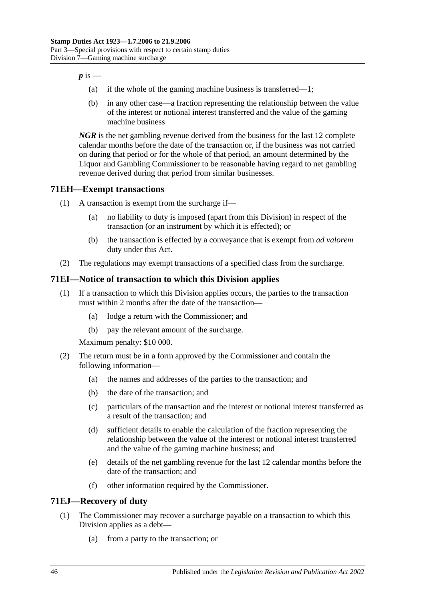$p$  is  $-$ 

- (a) if the whole of the gaming machine business is transferred—1;
- (b) in any other case—a fraction representing the relationship between the value of the interest or notional interest transferred and the value of the gaming machine business

*NGR* is the net gambling revenue derived from the business for the last 12 complete calendar months before the date of the transaction or, if the business was not carried on during that period or for the whole of that period, an amount determined by the Liquor and Gambling Commissioner to be reasonable having regard to net gambling revenue derived during that period from similar businesses.

# **71EH—Exempt transactions**

- (1) A transaction is exempt from the surcharge if—
	- (a) no liability to duty is imposed (apart from this Division) in respect of the transaction (or an instrument by which it is effected); or
	- (b) the transaction is effected by a conveyance that is exempt from *ad valorem* duty under this Act.
- (2) The regulations may exempt transactions of a specified class from the surcharge.

# **71EI—Notice of transaction to which this Division applies**

- (1) If a transaction to which this Division applies occurs, the parties to the transaction must within 2 months after the date of the transaction—
	- (a) lodge a return with the Commissioner; and
	- (b) pay the relevant amount of the surcharge.

Maximum penalty: \$10 000.

- (2) The return must be in a form approved by the Commissioner and contain the following information—
	- (a) the names and addresses of the parties to the transaction; and
	- (b) the date of the transaction; and
	- (c) particulars of the transaction and the interest or notional interest transferred as a result of the transaction; and
	- (d) sufficient details to enable the calculation of the fraction representing the relationship between the value of the interest or notional interest transferred and the value of the gaming machine business; and
	- (e) details of the net gambling revenue for the last 12 calendar months before the date of the transaction; and
	- (f) other information required by the Commissioner.

## **71EJ—Recovery of duty**

- (1) The Commissioner may recover a surcharge payable on a transaction to which this Division applies as a debt—
	- (a) from a party to the transaction; or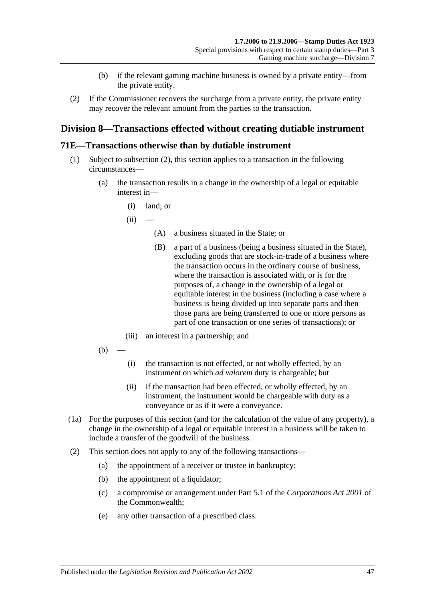- (b) if the relevant gaming machine business is owned by a private entity—from the private entity.
- (2) If the Commissioner recovers the surcharge from a private entity, the private entity may recover the relevant amount from the parties to the transaction.

# **Division 8—Transactions effected without creating dutiable instrument**

### <span id="page-64-0"></span>**71E—Transactions otherwise than by dutiable instrument**

- (1) Subject to [subsection](#page-64-1) (2), this section applies to a transaction in the following circumstances—
	- (a) the transaction results in a change in the ownership of a legal or equitable interest in—
		- (i) land; or
		- $(ii)$ 
			- (A) a business situated in the State; or
			- (B) a part of a business (being a business situated in the State), excluding goods that are stock-in-trade of a business where the transaction occurs in the ordinary course of business, where the transaction is associated with, or is for the purposes of, a change in the ownership of a legal or equitable interest in the business (including a case where a business is being divided up into separate parts and then those parts are being transferred to one or more persons as part of one transaction or one series of transactions); or
		- (iii) an interest in a partnership; and
	- $(b)$
- (i) the transaction is not effected, or not wholly effected, by an instrument on which *ad valorem* duty is chargeable; but
- (ii) if the transaction had been effected, or wholly effected, by an instrument, the instrument would be chargeable with duty as a conveyance or as if it were a conveyance.
- (1a) For the purposes of this section (and for the calculation of the value of any property), a change in the ownership of a legal or equitable interest in a business will be taken to include a transfer of the goodwill of the business.
- <span id="page-64-1"></span>(2) This section does not apply to any of the following transactions—
	- (a) the appointment of a receiver or trustee in bankruptcy;
	- (b) the appointment of a liquidator;
	- (c) a compromise or arrangement under Part 5.1 of the *Corporations Act 2001* of the Commonwealth;
	- (e) any other transaction of a prescribed class.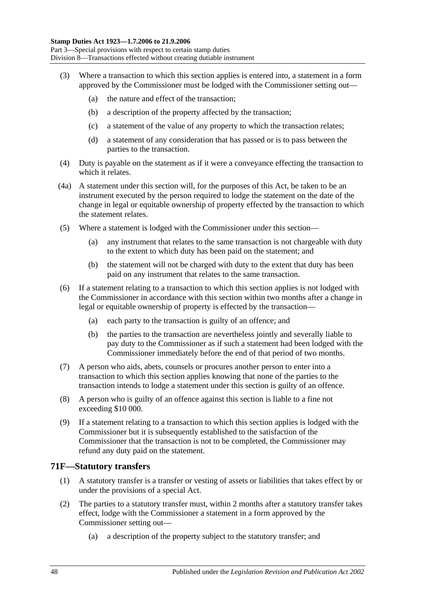- (3) Where a transaction to which this section applies is entered into, a statement in a form approved by the Commissioner must be lodged with the Commissioner setting out—
	- (a) the nature and effect of the transaction;
	- (b) a description of the property affected by the transaction;
	- (c) a statement of the value of any property to which the transaction relates;
	- (d) a statement of any consideration that has passed or is to pass between the parties to the transaction.
- (4) Duty is payable on the statement as if it were a conveyance effecting the transaction to which it relates.
- (4a) A statement under this section will, for the purposes of this Act, be taken to be an instrument executed by the person required to lodge the statement on the date of the change in legal or equitable ownership of property effected by the transaction to which the statement relates.
- (5) Where a statement is lodged with the Commissioner under this section—
	- (a) any instrument that relates to the same transaction is not chargeable with duty to the extent to which duty has been paid on the statement; and
	- (b) the statement will not be charged with duty to the extent that duty has been paid on any instrument that relates to the same transaction.
- (6) If a statement relating to a transaction to which this section applies is not lodged with the Commissioner in accordance with this section within two months after a change in legal or equitable ownership of property is effected by the transaction—
	- (a) each party to the transaction is guilty of an offence; and
	- (b) the parties to the transaction are nevertheless jointly and severally liable to pay duty to the Commissioner as if such a statement had been lodged with the Commissioner immediately before the end of that period of two months.
- (7) A person who aids, abets, counsels or procures another person to enter into a transaction to which this section applies knowing that none of the parties to the transaction intends to lodge a statement under this section is guilty of an offence.
- (8) A person who is guilty of an offence against this section is liable to a fine not exceeding \$10 000.
- (9) If a statement relating to a transaction to which this section applies is lodged with the Commissioner but it is subsequently established to the satisfaction of the Commissioner that the transaction is not to be completed, the Commissioner may refund any duty paid on the statement.

### **71F—Statutory transfers**

- (1) A statutory transfer is a transfer or vesting of assets or liabilities that takes effect by or under the provisions of a special Act.
- (2) The parties to a statutory transfer must, within 2 months after a statutory transfer takes effect, lodge with the Commissioner a statement in a form approved by the Commissioner setting out—
	- (a) a description of the property subject to the statutory transfer; and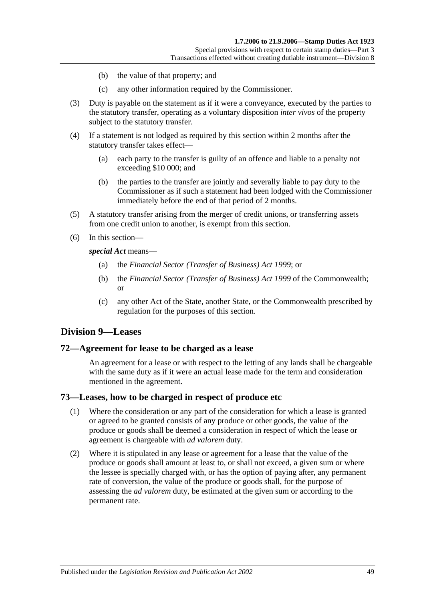- (b) the value of that property; and
- (c) any other information required by the Commissioner.
- (3) Duty is payable on the statement as if it were a conveyance, executed by the parties to the statutory transfer, operating as a voluntary disposition *inter vivos* of the property subject to the statutory transfer.
- (4) If a statement is not lodged as required by this section within 2 months after the statutory transfer takes effect—
	- (a) each party to the transfer is guilty of an offence and liable to a penalty not exceeding \$10 000; and
	- (b) the parties to the transfer are jointly and severally liable to pay duty to the Commissioner as if such a statement had been lodged with the Commissioner immediately before the end of that period of 2 months.
- (5) A statutory transfer arising from the merger of credit unions, or transferring assets from one credit union to another, is exempt from this section.
- (6) In this section—

*special Act* means—

- (a) the *[Financial Sector \(Transfer of Business\) Act](http://www.legislation.sa.gov.au/index.aspx?action=legref&type=act&legtitle=Financial%20Sector%20(Transfer%20of%20Business)%20Act%201999) 1999*; or
- (b) the *Financial Sector (Transfer of Business) Act 1999* of the Commonwealth; or
- (c) any other Act of the State, another State, or the Commonwealth prescribed by regulation for the purposes of this section.

## **Division 9—Leases**

### **72—Agreement for lease to be charged as a lease**

An agreement for a lease or with respect to the letting of any lands shall be chargeable with the same duty as if it were an actual lease made for the term and consideration mentioned in the agreement.

### **73—Leases, how to be charged in respect of produce etc**

- (1) Where the consideration or any part of the consideration for which a lease is granted or agreed to be granted consists of any produce or other goods, the value of the produce or goods shall be deemed a consideration in respect of which the lease or agreement is chargeable with *ad valorem* duty.
- (2) Where it is stipulated in any lease or agreement for a lease that the value of the produce or goods shall amount at least to, or shall not exceed, a given sum or where the lessee is specially charged with, or has the option of paying after, any permanent rate of conversion, the value of the produce or goods shall, for the purpose of assessing the *ad valorem* duty, be estimated at the given sum or according to the permanent rate.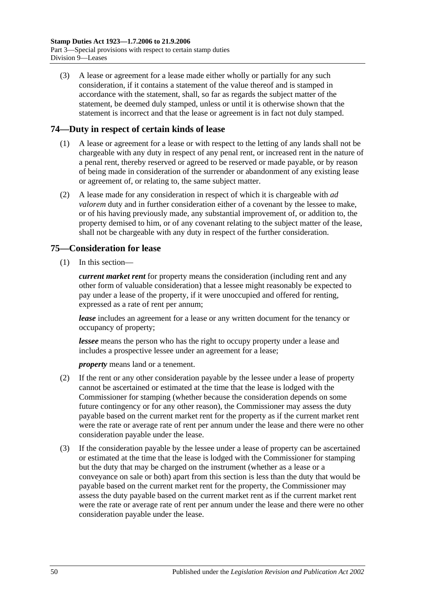(3) A lease or agreement for a lease made either wholly or partially for any such consideration, if it contains a statement of the value thereof and is stamped in accordance with the statement, shall, so far as regards the subject matter of the statement, be deemed duly stamped, unless or until it is otherwise shown that the statement is incorrect and that the lease or agreement is in fact not duly stamped.

# **74—Duty in respect of certain kinds of lease**

- (1) A lease or agreement for a lease or with respect to the letting of any lands shall not be chargeable with any duty in respect of any penal rent, or increased rent in the nature of a penal rent, thereby reserved or agreed to be reserved or made payable, or by reason of being made in consideration of the surrender or abandonment of any existing lease or agreement of, or relating to, the same subject matter.
- (2) A lease made for any consideration in respect of which it is chargeable with *ad valorem* duty and in further consideration either of a covenant by the lessee to make, or of his having previously made, any substantial improvement of, or addition to, the property demised to him, or of any covenant relating to the subject matter of the lease, shall not be chargeable with any duty in respect of the further consideration.

# **75—Consideration for lease**

(1) In this section—

*current market rent* for property means the consideration (including rent and any other form of valuable consideration) that a lessee might reasonably be expected to pay under a lease of the property, if it were unoccupied and offered for renting, expressed as a rate of rent per annum;

*lease* includes an agreement for a lease or any written document for the tenancy or occupancy of property;

*lessee* means the person who has the right to occupy property under a lease and includes a prospective lessee under an agreement for a lease;

*property* means land or a tenement.

- (2) If the rent or any other consideration payable by the lessee under a lease of property cannot be ascertained or estimated at the time that the lease is lodged with the Commissioner for stamping (whether because the consideration depends on some future contingency or for any other reason), the Commissioner may assess the duty payable based on the current market rent for the property as if the current market rent were the rate or average rate of rent per annum under the lease and there were no other consideration payable under the lease.
- (3) If the consideration payable by the lessee under a lease of property can be ascertained or estimated at the time that the lease is lodged with the Commissioner for stamping but the duty that may be charged on the instrument (whether as a lease or a conveyance on sale or both) apart from this section is less than the duty that would be payable based on the current market rent for the property, the Commissioner may assess the duty payable based on the current market rent as if the current market rent were the rate or average rate of rent per annum under the lease and there were no other consideration payable under the lease.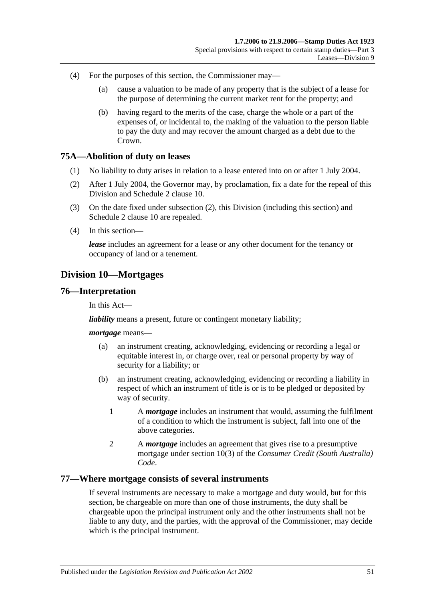- (4) For the purposes of this section, the Commissioner may—
	- (a) cause a valuation to be made of any property that is the subject of a lease for the purpose of determining the current market rent for the property; and
	- (b) having regard to the merits of the case, charge the whole or a part of the expenses of, or incidental to, the making of the valuation to the person liable to pay the duty and may recover the amount charged as a debt due to the Crown.

### **75A—Abolition of duty on leases**

- (1) No liability to duty arises in relation to a lease entered into on or after 1 July 2004.
- <span id="page-68-0"></span>(2) After 1 July 2004, the Governor may, by proclamation, fix a date for the repeal of this Division and Schedule 2 clause 10.
- (3) On the date fixed under [subsection](#page-68-0) (2), this Division (including this section) and Schedule 2 clause 10 are repealed.
- (4) In this section—

*lease* includes an agreement for a lease or any other document for the tenancy or occupancy of land or a tenement.

# **Division 10—Mortgages**

### **76—Interpretation**

In this Act—

*liability* means a present, future or contingent monetary liability;

#### *mortgage* means—

- (a) an instrument creating, acknowledging, evidencing or recording a legal or equitable interest in, or charge over, real or personal property by way of security for a liability; or
- (b) an instrument creating, acknowledging, evidencing or recording a liability in respect of which an instrument of title is or is to be pledged or deposited by way of security.
	- 1 A *mortgage* includes an instrument that would, assuming the fulfilment of a condition to which the instrument is subject, fall into one of the above categories.
	- 2 A *mortgage* includes an agreement that gives rise to a presumptive mortgage under section 10(3) of the *Consumer Credit (South Australia) Code*.

### **77—Where mortgage consists of several instruments**

If several instruments are necessary to make a mortgage and duty would, but for this section, be chargeable on more than one of those instruments, the duty shall be chargeable upon the principal instrument only and the other instruments shall not be liable to any duty, and the parties, with the approval of the Commissioner, may decide which is the principal instrument.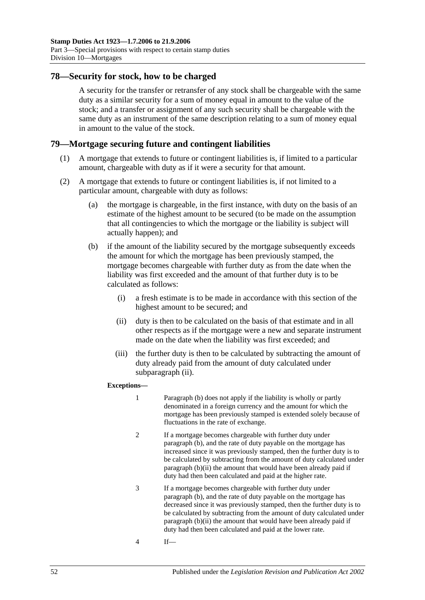## **78—Security for stock, how to be charged**

A security for the transfer or retransfer of any stock shall be chargeable with the same duty as a similar security for a sum of money equal in amount to the value of the stock; and a transfer or assignment of any such security shall be chargeable with the same duty as an instrument of the same description relating to a sum of money equal in amount to the value of the stock.

### **79—Mortgage securing future and contingent liabilities**

- (1) A mortgage that extends to future or contingent liabilities is, if limited to a particular amount, chargeable with duty as if it were a security for that amount.
- <span id="page-69-2"></span><span id="page-69-1"></span>(2) A mortgage that extends to future or contingent liabilities is, if not limited to a particular amount, chargeable with duty as follows:
	- (a) the mortgage is chargeable, in the first instance, with duty on the basis of an estimate of the highest amount to be secured (to be made on the assumption that all contingencies to which the mortgage or the liability is subject will actually happen); and
	- (b) if the amount of the liability secured by the mortgage subsequently exceeds the amount for which the mortgage has been previously stamped, the mortgage becomes chargeable with further duty as from the date when the liability was first exceeded and the amount of that further duty is to be calculated as follows:
		- (i) a fresh estimate is to be made in accordance with this section of the highest amount to be secured; and
		- (ii) duty is then to be calculated on the basis of that estimate and in all other respects as if the mortgage were a new and separate instrument made on the date when the liability was first exceeded; and
		- (iii) the further duty is then to be calculated by subtracting the amount of duty already paid from the amount of duty calculated under [subparagraph](#page-69-0) (ii).

#### <span id="page-69-0"></span>**Exceptions—**

- 1 [Paragraph](#page-69-1) (b) does not apply if the liability is wholly or partly denominated in a foreign currency and the amount for which the mortgage has been previously stamped is extended solely because of fluctuations in the rate of exchange.
- 2 If a mortgage becomes chargeable with further duty under [paragraph](#page-69-1) (b), and the rate of duty payable on the mortgage has increased since it was previously stamped, then the further duty is to be calculated by subtracting from the amount of duty calculated under [paragraph](#page-69-0) (b)(ii) the amount that would have been already paid if duty had then been calculated and paid at the higher rate.
- 3 If a mortgage becomes chargeable with further duty under [paragraph](#page-69-1) (b), and the rate of duty payable on the mortgage has decreased since it was previously stamped, then the further duty is to be calculated by subtracting from the amount of duty calculated under [paragraph](#page-69-0) (b)(ii) the amount that would have been already paid if duty had then been calculated and paid at the lower rate.
- 4 If—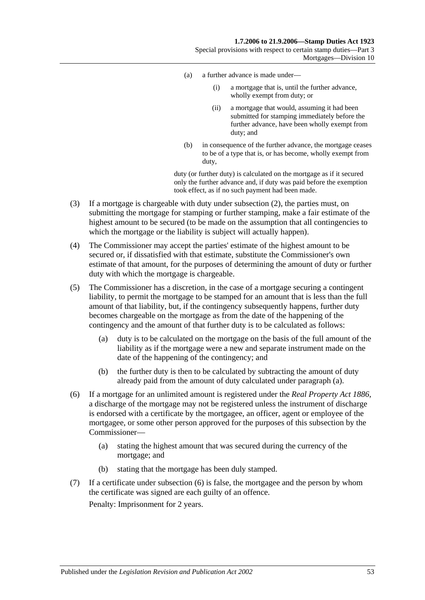- (a) a further advance is made under—
	- (i) a mortgage that is, until the further advance, wholly exempt from duty; or
	- (ii) a mortgage that would, assuming it had been submitted for stamping immediately before the further advance, have been wholly exempt from duty; and
- (b) in consequence of the further advance, the mortgage ceases to be of a type that is, or has become, wholly exempt from duty,

duty (or further duty) is calculated on the mortgage as if it secured only the further advance and, if duty was paid before the exemption took effect, as if no such payment had been made.

- (3) If a mortgage is chargeable with duty under [subsection](#page-69-2) (2), the parties must, on submitting the mortgage for stamping or further stamping, make a fair estimate of the highest amount to be secured (to be made on the assumption that all contingencies to which the mortgage or the liability is subject will actually happen).
- (4) The Commissioner may accept the parties' estimate of the highest amount to be secured or, if dissatisfied with that estimate, substitute the Commissioner's own estimate of that amount, for the purposes of determining the amount of duty or further duty with which the mortgage is chargeable.
- <span id="page-70-0"></span>(5) The Commissioner has a discretion, in the case of a mortgage securing a contingent liability, to permit the mortgage to be stamped for an amount that is less than the full amount of that liability, but, if the contingency subsequently happens, further duty becomes chargeable on the mortgage as from the date of the happening of the contingency and the amount of that further duty is to be calculated as follows:
	- (a) duty is to be calculated on the mortgage on the basis of the full amount of the liability as if the mortgage were a new and separate instrument made on the date of the happening of the contingency; and
	- (b) the further duty is then to be calculated by subtracting the amount of duty already paid from the amount of duty calculated under [paragraph](#page-70-0) (a).
- <span id="page-70-1"></span>(6) If a mortgage for an unlimited amount is registered under the *[Real Property Act](http://www.legislation.sa.gov.au/index.aspx?action=legref&type=act&legtitle=Real%20Property%20Act%201886) 1886*, a discharge of the mortgage may not be registered unless the instrument of discharge is endorsed with a certificate by the mortgagee, an officer, agent or employee of the mortgagee, or some other person approved for the purposes of this subsection by the Commissioner—
	- (a) stating the highest amount that was secured during the currency of the mortgage; and
	- (b) stating that the mortgage has been duly stamped.
- (7) If a certificate under [subsection](#page-70-1) (6) is false, the mortgagee and the person by whom the certificate was signed are each guilty of an offence.

Penalty: Imprisonment for 2 years.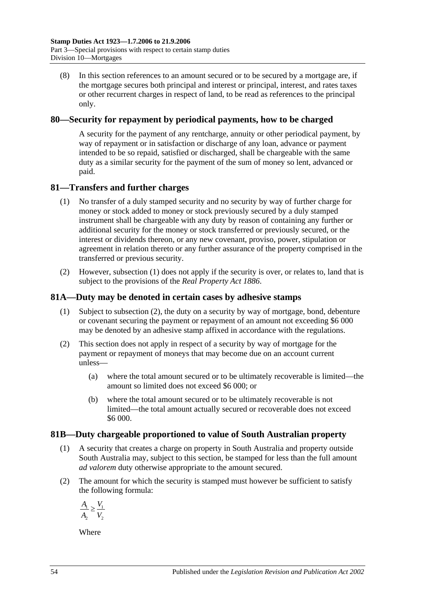(8) In this section references to an amount secured or to be secured by a mortgage are, if the mortgage secures both principal and interest or principal, interest, and rates taxes or other recurrent charges in respect of land, to be read as references to the principal only.

## **80—Security for repayment by periodical payments, how to be charged**

A security for the payment of any rentcharge, annuity or other periodical payment, by way of repayment or in satisfaction or discharge of any loan, advance or payment intended to be so repaid, satisfied or discharged, shall be chargeable with the same duty as a similar security for the payment of the sum of money so lent, advanced or paid.

# <span id="page-71-0"></span>**81—Transfers and further charges**

- (1) No transfer of a duly stamped security and no security by way of further charge for money or stock added to money or stock previously secured by a duly stamped instrument shall be chargeable with any duty by reason of containing any further or additional security for the money or stock transferred or previously secured, or the interest or dividends thereon, or any new covenant, proviso, power, stipulation or agreement in relation thereto or any further assurance of the property comprised in the transferred or previous security.
- (2) However, [subsection](#page-71-0) (1) does not apply if the security is over, or relates to, land that is subject to the provisions of the *[Real Property Act](http://www.legislation.sa.gov.au/index.aspx?action=legref&type=act&legtitle=Real%20Property%20Act%201886) 1886*.

# **81A—Duty may be denoted in certain cases by adhesive stamps**

- (1) Subject to [subsection](#page-71-1) (2), the duty on a security by way of mortgage, bond, debenture or covenant securing the payment or repayment of an amount not exceeding \$6 000 may be denoted by an adhesive stamp affixed in accordance with the regulations.
- <span id="page-71-1"></span>(2) This section does not apply in respect of a security by way of mortgage for the payment or repayment of moneys that may become due on an account current unless—
	- (a) where the total amount secured or to be ultimately recoverable is limited—the amount so limited does not exceed \$6 000; or
	- (b) where the total amount secured or to be ultimately recoverable is not limited—the total amount actually secured or recoverable does not exceed \$6 000.

## **81B—Duty chargeable proportioned to value of South Australian property**

- (1) A security that creates a charge on property in South Australia and property outside South Australia may, subject to this section, be stamped for less than the full amount *ad valorem* duty otherwise appropriate to the amount secured.
- (2) The amount for which the security is stamped must however be sufficient to satisfy the following formula:

$$
\frac{A_1}{A_2} \ge \frac{V_1}{V_2}
$$

Where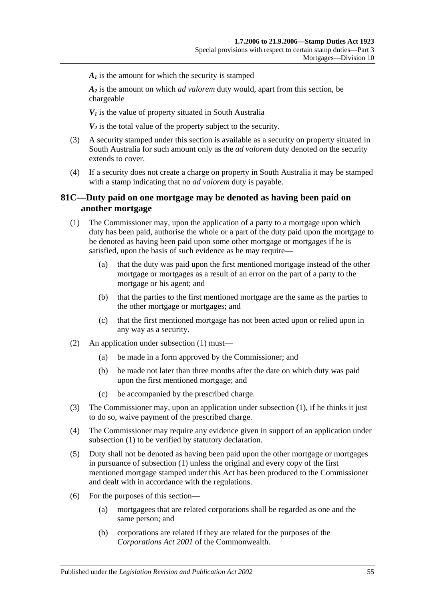$A<sub>i</sub>$  is the amount for which the security is stamped

*A2* is the amount on which *ad valorem* duty would, apart from this section, be chargeable

 $V_1$  is the value of property situated in South Australia

 $V_2$  is the total value of the property subject to the security.

- (3) A security stamped under this section is available as a security on property situated in South Australia for such amount only as the *ad valorem* duty denoted on the security extends to cover.
- (4) If a security does not create a charge on property in South Australia it may be stamped with a stamp indicating that no *ad valorem* duty is payable.

#### **81C—Duty paid on one mortgage may be denoted as having been paid on another mortgage**

- <span id="page-72-0"></span>(1) The Commissioner may, upon the application of a party to a mortgage upon which duty has been paid, authorise the whole or a part of the duty paid upon the mortgage to be denoted as having been paid upon some other mortgage or mortgages if he is satisfied, upon the basis of such evidence as he may require—
	- (a) that the duty was paid upon the first mentioned mortgage instead of the other mortgage or mortgages as a result of an error on the part of a party to the mortgage or his agent; and
	- (b) that the parties to the first mentioned mortgage are the same as the parties to the other mortgage or mortgages; and
	- (c) that the first mentioned mortgage has not been acted upon or relied upon in any way as a security.
- (2) An application under [subsection](#page-72-0) (1) must—
	- (a) be made in a form approved by the Commissioner; and
	- (b) be made not later than three months after the date on which duty was paid upon the first mentioned mortgage; and
	- (c) be accompanied by the prescribed charge.
- (3) The Commissioner may, upon an application under [subsection](#page-72-0) (1), if he thinks it just to do so, waive payment of the prescribed charge.
- (4) The Commissioner may require any evidence given in support of an application under [subsection](#page-72-0) (1) to be verified by statutory declaration.
- (5) Duty shall not be denoted as having been paid upon the other mortgage or mortgages in pursuance of [subsection](#page-72-0) (1) unless the original and every copy of the first mentioned mortgage stamped under this Act has been produced to the Commissioner and dealt with in accordance with the regulations.
- (6) For the purposes of this section—
	- (a) mortgagees that are related corporations shall be regarded as one and the same person; and
	- (b) corporations are related if they are related for the purposes of the *Corporations Act 2001* of the Commonwealth.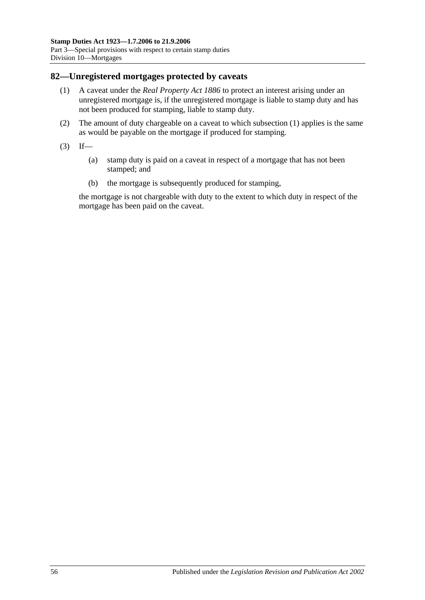#### <span id="page-73-0"></span>**82—Unregistered mortgages protected by caveats**

- (1) A caveat under the *[Real Property Act](http://www.legislation.sa.gov.au/index.aspx?action=legref&type=act&legtitle=Real%20Property%20Act%201886) 1886* to protect an interest arising under an unregistered mortgage is, if the unregistered mortgage is liable to stamp duty and has not been produced for stamping, liable to stamp duty.
- (2) The amount of duty chargeable on a caveat to which [subsection](#page-73-0) (1) applies is the same as would be payable on the mortgage if produced for stamping.
- $(3)$  If—
	- (a) stamp duty is paid on a caveat in respect of a mortgage that has not been stamped; and
	- (b) the mortgage is subsequently produced for stamping,

the mortgage is not chargeable with duty to the extent to which duty in respect of the mortgage has been paid on the caveat.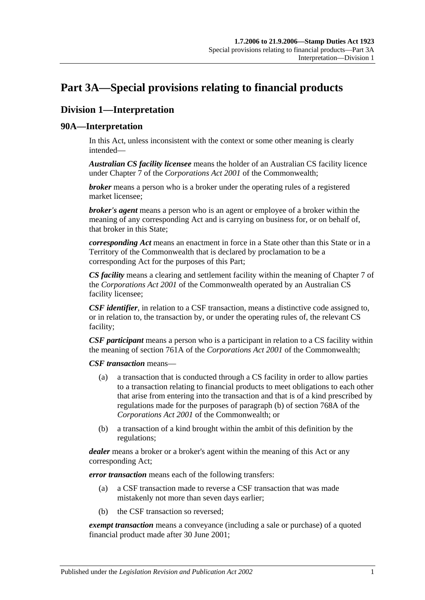# <span id="page-74-0"></span>**Part 3A—Special provisions relating to financial products**

# **Division 1—Interpretation**

### **90A—Interpretation**

In this Act, unless inconsistent with the context or some other meaning is clearly intended—

*Australian CS facility licensee* means the holder of an Australian CS facility licence under Chapter 7 of the *Corporations Act 2001* of the Commonwealth;

*broker* means a person who is a broker under the operating rules of a registered market licensee;

*broker's agent* means a person who is an agent or employee of a broker within the meaning of any corresponding Act and is carrying on business for, or on behalf of, that broker in this State;

*corresponding Act* means an enactment in force in a State other than this State or in a Territory of the Commonwealth that is declared by proclamation to be a corresponding Act for the purposes of this Part;

*CS facility* means a clearing and settlement facility within the meaning of Chapter 7 of the *Corporations Act 2001* of the Commonwealth operated by an Australian CS facility licensee;

*CSF identifier*, in relation to a CSF transaction, means a distinctive code assigned to, or in relation to, the transaction by, or under the operating rules of, the relevant CS facility;

*CSF participant* means a person who is a participant in relation to a CS facility within the meaning of section 761A of the *Corporations Act 2001* of the Commonwealth;

*CSF transaction* means—

- (a) a transaction that is conducted through a CS facility in order to allow parties to a transaction relating to financial products to meet obligations to each other that arise from entering into the transaction and that is of a kind prescribed by regulations made for the purposes of paragraph (b) of section 768A of the *Corporations Act 2001* of the Commonwealth; or
- (b) a transaction of a kind brought within the ambit of this definition by the regulations;

*dealer* means a broker or a broker's agent within the meaning of this Act or any corresponding Act;

*error transaction* means each of the following transfers:

- (a) a CSF transaction made to reverse a CSF transaction that was made mistakenly not more than seven days earlier;
- (b) the CSF transaction so reversed;

*exempt transaction* means a conveyance (including a sale or purchase) of a quoted financial product made after 30 June 2001;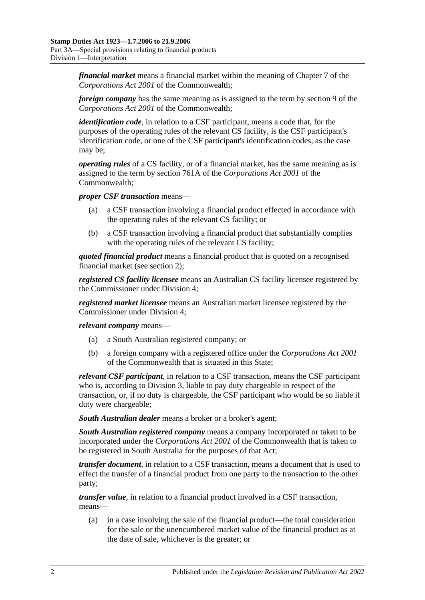*financial market* means a financial market within the meaning of Chapter 7 of the *Corporations Act 2001* of the Commonwealth;

*foreign company* has the same meaning as is assigned to the term by section 9 of the *Corporations Act 2001* of the Commonwealth;

*identification code*, in relation to a CSF participant, means a code that, for the purposes of the operating rules of the relevant CS facility, is the CSF participant's identification code, or one of the CSF participant's identification codes, as the case may be;

*operating rules* of a CS facility, or of a financial market, has the same meaning as is assigned to the term by section 761A of the *Corporations Act 2001* of the Commonwealth;

*proper CSF transaction* means—

- (a) a CSF transaction involving a financial product effected in accordance with the operating rules of the relevant CS facility; or
- (b) a CSF transaction involving a financial product that substantially complies with the operating rules of the relevant CS facility;

*quoted financial product* means a financial product that is quoted on a recognised financial market (see [section](#page-6-0) 2);

*registered CS facility licensee* means an Australian CS facility licensee registered by the Commissioner under [Division 4;](#page-84-0)

*registered market licensee* means an Australian market licensee registered by the Commissioner under [Division 4;](#page-84-0)

*relevant company* means—

- (a) a South Australian registered company; or
- (b) a foreign company with a registered office under the *Corporations Act 2001* of the Commonwealth that is situated in this State;

*relevant CSF participant*, in relation to a CSF transaction, means the CSF participant who is, according to [Division 3,](#page-81-0) liable to pay duty chargeable in respect of the transaction, or, if no duty is chargeable, the CSF participant who would be so liable if duty were chargeable;

*South Australian dealer* means a broker or a broker's agent;

*South Australian registered company* means a company incorporated or taken to be incorporated under the *Corporations Act 2001* of the Commonwealth that is taken to be registered in South Australia for the purposes of that Act;

*transfer document*, in relation to a CSF transaction, means a document that is used to effect the transfer of a financial product from one party to the transaction to the other party;

*transfer value*, in relation to a financial product involved in a CSF transaction, means—

(a) in a case involving the sale of the financial product—the total consideration for the sale or the unencumbered market value of the financial product as at the date of sale, whichever is the greater; or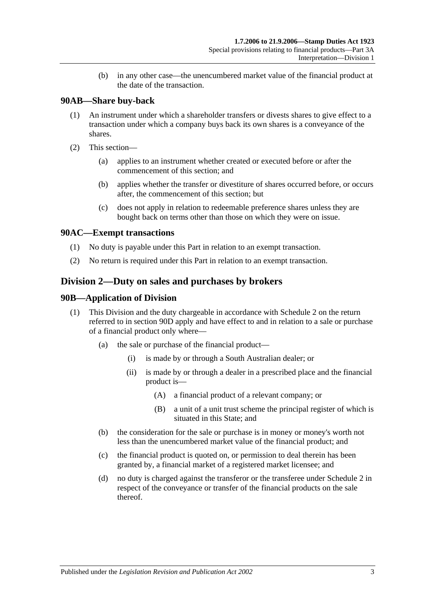(b) in any other case—the unencumbered market value of the financial product at the date of the transaction.

## **90AB—Share buy-back**

- (1) An instrument under which a shareholder transfers or divests shares to give effect to a transaction under which a company buys back its own shares is a conveyance of the shares.
- (2) This section—
	- (a) applies to an instrument whether created or executed before or after the commencement of this section; and
	- (b) applies whether the transfer or divestiture of shares occurred before, or occurs after, the commencement of this section; but
	- (c) does not apply in relation to redeemable preference shares unless they are bought back on terms other than those on which they were on issue.

## **90AC—Exempt transactions**

- (1) No duty is payable under this Part in relation to an exempt transaction.
- (2) No return is required under this Part in relation to an exempt transaction.

# <span id="page-76-0"></span>**Division 2—Duty on sales and purchases by brokers**

### **90B—Application of Division**

- (1) This Division and the duty chargeable in accordance with [Schedule 2](#page-100-0) on the return referred to in [section](#page-78-0) 90D apply and have effect to and in relation to a sale or purchase of a financial product only where—
	- (a) the sale or purchase of the financial product—
		- (i) is made by or through a South Australian dealer; or
		- (ii) is made by or through a dealer in a prescribed place and the financial product is—
			- (A) a financial product of a relevant company; or
			- (B) a unit of a unit trust scheme the principal register of which is situated in this State; and
	- (b) the consideration for the sale or purchase is in money or money's worth not less than the unencumbered market value of the financial product; and
	- (c) the financial product is quoted on, or permission to deal therein has been granted by, a financial market of a registered market licensee; and
	- (d) no duty is charged against the transferor or the transferee under [Schedule 2](#page-100-0) in respect of the conveyance or transfer of the financial products on the sale thereof.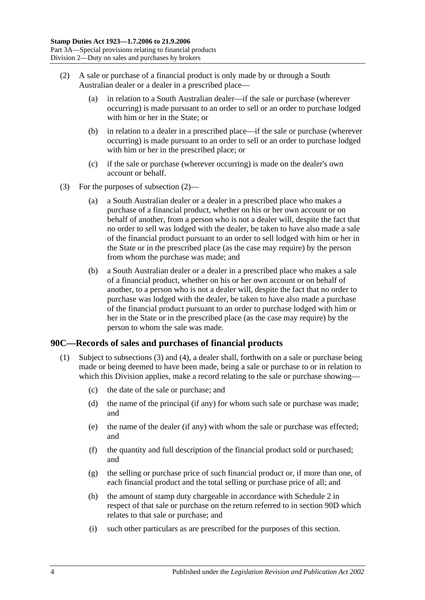- <span id="page-77-0"></span>(2) A sale or purchase of a financial product is only made by or through a South Australian dealer or a dealer in a prescribed place—
	- (a) in relation to a South Australian dealer—if the sale or purchase (wherever occurring) is made pursuant to an order to sell or an order to purchase lodged with him or her in the State; or
	- (b) in relation to a dealer in a prescribed place—if the sale or purchase (wherever occurring) is made pursuant to an order to sell or an order to purchase lodged with him or her in the prescribed place; or
	- (c) if the sale or purchase (wherever occurring) is made on the dealer's own account or behalf.
- (3) For the purposes of [subsection](#page-77-0) (2)—
	- (a) a South Australian dealer or a dealer in a prescribed place who makes a purchase of a financial product, whether on his or her own account or on behalf of another, from a person who is not a dealer will, despite the fact that no order to sell was lodged with the dealer, be taken to have also made a sale of the financial product pursuant to an order to sell lodged with him or her in the State or in the prescribed place (as the case may require) by the person from whom the purchase was made; and
	- (b) a South Australian dealer or a dealer in a prescribed place who makes a sale of a financial product, whether on his or her own account or on behalf of another, to a person who is not a dealer will, despite the fact that no order to purchase was lodged with the dealer, be taken to have also made a purchase of the financial product pursuant to an order to purchase lodged with him or her in the State or in the prescribed place (as the case may require) by the person to whom the sale was made.

#### <span id="page-77-2"></span><span id="page-77-1"></span>**90C—Records of sales and purchases of financial products**

- (1) Subject to [subsections](#page-78-1) (3) and [\(4\),](#page-78-2) a dealer shall, forthwith on a sale or purchase being made or being deemed to have been made, being a sale or purchase to or in relation to which this Division applies, make a record relating to the sale or purchase showing—
	- (c) the date of the sale or purchase; and
	- (d) the name of the principal (if any) for whom such sale or purchase was made; and
	- (e) the name of the dealer (if any) with whom the sale or purchase was effected; and
	- (f) the quantity and full description of the financial product sold or purchased; and
	- (g) the selling or purchase price of such financial product or, if more than one, of each financial product and the total selling or purchase price of all; and
	- (h) the amount of stamp duty chargeable in accordance with [Schedule 2](#page-100-0) in respect of that sale or purchase on the return referred to in [section](#page-78-0) 90D which relates to that sale or purchase; and
	- (i) such other particulars as are prescribed for the purposes of this section.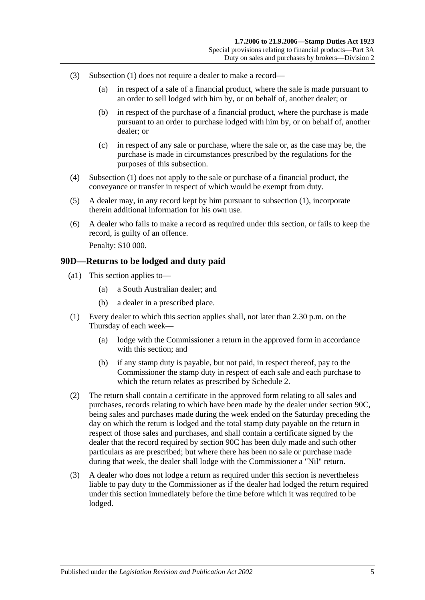- <span id="page-78-1"></span>(3) [Subsection](#page-77-1) (1) does not require a dealer to make a record—
	- (a) in respect of a sale of a financial product, where the sale is made pursuant to an order to sell lodged with him by, or on behalf of, another dealer; or
	- (b) in respect of the purchase of a financial product, where the purchase is made pursuant to an order to purchase lodged with him by, or on behalf of, another dealer; or
	- (c) in respect of any sale or purchase, where the sale or, as the case may be, the purchase is made in circumstances prescribed by the regulations for the purposes of this subsection.
- <span id="page-78-2"></span>(4) [Subsection](#page-77-1) (1) does not apply to the sale or purchase of a financial product, the conveyance or transfer in respect of which would be exempt from duty.
- (5) A dealer may, in any record kept by him pursuant to [subsection](#page-77-1) (1), incorporate therein additional information for his own use.
- (6) A dealer who fails to make a record as required under this section, or fails to keep the record, is guilty of an offence. Penalty: \$10 000.

#### <span id="page-78-0"></span>**90D—Returns to be lodged and duty paid**

- (a1) This section applies to—
	- (a) a South Australian dealer; and
	- (b) a dealer in a prescribed place.
- (1) Every dealer to which this section applies shall, not later than 2.30 p.m. on the Thursday of each week—
	- (a) lodge with the Commissioner a return in the approved form in accordance with this section; and
	- (b) if any stamp duty is payable, but not paid, in respect thereof, pay to the Commissioner the stamp duty in respect of each sale and each purchase to which the return relates as prescribed by [Schedule 2.](#page-100-0)
- (2) The return shall contain a certificate in the approved form relating to all sales and purchases, records relating to which have been made by the dealer under [section](#page-77-2) 90C, being sales and purchases made during the week ended on the Saturday preceding the day on which the return is lodged and the total stamp duty payable on the return in respect of those sales and purchases, and shall contain a certificate signed by the dealer that the record required by [section](#page-77-2) 90C has been duly made and such other particulars as are prescribed; but where there has been no sale or purchase made during that week, the dealer shall lodge with the Commissioner a "Nil" return.
- (3) A dealer who does not lodge a return as required under this section is nevertheless liable to pay duty to the Commissioner as if the dealer had lodged the return required under this section immediately before the time before which it was required to be lodged.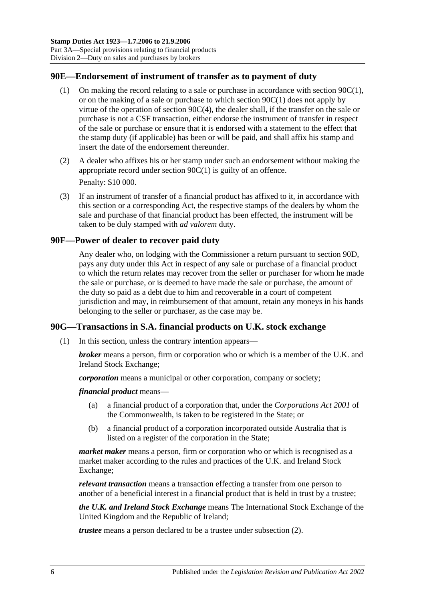#### **90E—Endorsement of instrument of transfer as to payment of duty**

- (1) On making the record relating to a sale or purchase in accordance with [section](#page-77-1) 90C(1), or on the making of a sale or purchase to which [section](#page-77-1) 90C(1) does not apply by virtue of the operation of section [90C\(4\),](#page-78-2) the dealer shall, if the transfer on the sale or purchase is not a CSF transaction, either endorse the instrument of transfer in respect of the sale or purchase or ensure that it is endorsed with a statement to the effect that the stamp duty (if applicable) has been or will be paid, and shall affix his stamp and insert the date of the endorsement thereunder.
- (2) A dealer who affixes his or her stamp under such an endorsement without making the appropriate record under [section](#page-77-1) 90C(1) is guilty of an offence. Penalty: \$10 000.
- <span id="page-79-0"></span>(3) If an instrument of transfer of a financial product has affixed to it, in accordance with this section or a corresponding Act, the respective stamps of the dealers by whom the sale and purchase of that financial product has been effected, the instrument will be taken to be duly stamped with *ad valorem* duty.

#### **90F—Power of dealer to recover paid duty**

Any dealer who, on lodging with the Commissioner a return pursuant to [section](#page-78-0) 90D, pays any duty under this Act in respect of any sale or purchase of a financial product to which the return relates may recover from the seller or purchaser for whom he made the sale or purchase, or is deemed to have made the sale or purchase, the amount of the duty so paid as a debt due to him and recoverable in a court of competent jurisdiction and may, in reimbursement of that amount, retain any moneys in his hands belonging to the seller or purchaser, as the case may be.

# <span id="page-79-1"></span>**90G—Transactions in S.A. financial products on U.K. stock exchange**

(1) In this section, unless the contrary intention appears—

*broker* means a person, firm or corporation who or which is a member of the U.K. and Ireland Stock Exchange;

*corporation* means a municipal or other corporation, company or society;

*financial product* means—

- (a) a financial product of a corporation that, under the *Corporations Act 2001* of the Commonwealth, is taken to be registered in the State; or
- (b) a financial product of a corporation incorporated outside Australia that is listed on a register of the corporation in the State;

*market maker* means a person, firm or corporation who or which is recognised as a market maker according to the rules and practices of the U.K. and Ireland Stock Exchange;

*relevant transaction* means a transaction effecting a transfer from one person to another of a beneficial interest in a financial product that is held in trust by a trustee;

*the U.K. and Ireland Stock Exchange* means The International Stock Exchange of the United Kingdom and the Republic of Ireland;

*trustee* means a person declared to be a trustee under [subsection](#page-80-0) (2).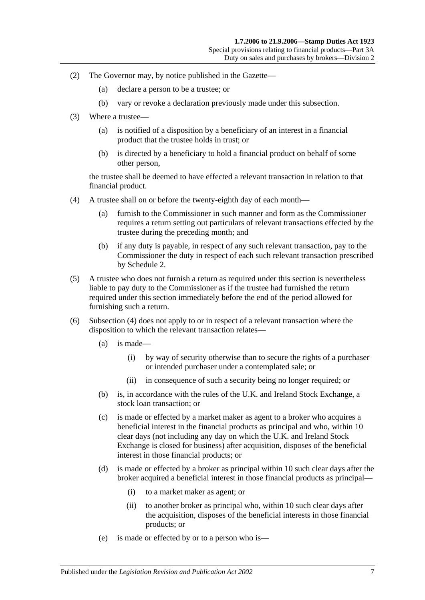- <span id="page-80-0"></span>(2) The Governor may, by notice published in the Gazette—
	- (a) declare a person to be a trustee; or
	- (b) vary or revoke a declaration previously made under this subsection.
- (3) Where a trustee—
	- (a) is notified of a disposition by a beneficiary of an interest in a financial product that the trustee holds in trust; or
	- (b) is directed by a beneficiary to hold a financial product on behalf of some other person,

the trustee shall be deemed to have effected a relevant transaction in relation to that financial product.

- <span id="page-80-1"></span>(4) A trustee shall on or before the twenty-eighth day of each month—
	- (a) furnish to the Commissioner in such manner and form as the Commissioner requires a return setting out particulars of relevant transactions effected by the trustee during the preceding month; and
	- (b) if any duty is payable, in respect of any such relevant transaction, pay to the Commissioner the duty in respect of each such relevant transaction prescribed by [Schedule 2.](#page-100-0)
- (5) A trustee who does not furnish a return as required under this section is nevertheless liable to pay duty to the Commissioner as if the trustee had furnished the return required under this section immediately before the end of the period allowed for furnishing such a return.
- (6) [Subsection](#page-80-1) (4) does not apply to or in respect of a relevant transaction where the disposition to which the relevant transaction relates—
	- (a) is made—
		- (i) by way of security otherwise than to secure the rights of a purchaser or intended purchaser under a contemplated sale; or
		- (ii) in consequence of such a security being no longer required; or
	- (b) is, in accordance with the rules of the U.K. and Ireland Stock Exchange, a stock loan transaction; or
	- (c) is made or effected by a market maker as agent to a broker who acquires a beneficial interest in the financial products as principal and who, within 10 clear days (not including any day on which the U.K. and Ireland Stock Exchange is closed for business) after acquisition, disposes of the beneficial interest in those financial products; or
	- (d) is made or effected by a broker as principal within 10 such clear days after the broker acquired a beneficial interest in those financial products as principal—
		- (i) to a market maker as agent; or
		- (ii) to another broker as principal who, within 10 such clear days after the acquisition, disposes of the beneficial interests in those financial products; or
	- (e) is made or effected by or to a person who is—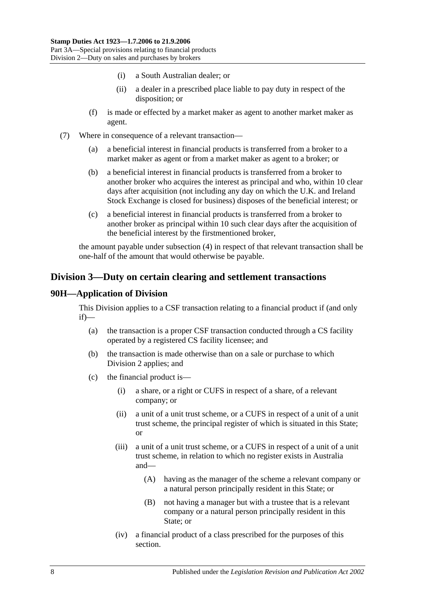- (i) a South Australian dealer; or
- (ii) a dealer in a prescribed place liable to pay duty in respect of the disposition; or
- (f) is made or effected by a market maker as agent to another market maker as agent.
- (7) Where in consequence of a relevant transaction—
	- (a) a beneficial interest in financial products is transferred from a broker to a market maker as agent or from a market maker as agent to a broker; or
	- (b) a beneficial interest in financial products is transferred from a broker to another broker who acquires the interest as principal and who, within 10 clear days after acquisition (not including any day on which the U.K. and Ireland Stock Exchange is closed for business) disposes of the beneficial interest; or
	- (c) a beneficial interest in financial products is transferred from a broker to another broker as principal within 10 such clear days after the acquisition of the beneficial interest by the firstmentioned broker,

the amount payable under [subsection](#page-80-1) (4) in respect of that relevant transaction shall be one-half of the amount that would otherwise be payable.

# <span id="page-81-0"></span>**Division 3—Duty on certain clearing and settlement transactions**

#### **90H—Application of Division**

This Division applies to a CSF transaction relating to a financial product if (and only if)—

- (a) the transaction is a proper CSF transaction conducted through a CS facility operated by a registered CS facility licensee; and
- (b) the transaction is made otherwise than on a sale or purchase to which [Division 2](#page-76-0) applies; and
- (c) the financial product is—
	- (i) a share, or a right or CUFS in respect of a share, of a relevant company; or
	- (ii) a unit of a unit trust scheme, or a CUFS in respect of a unit of a unit trust scheme, the principal register of which is situated in this State; or
	- (iii) a unit of a unit trust scheme, or a CUFS in respect of a unit of a unit trust scheme, in relation to which no register exists in Australia and—
		- (A) having as the manager of the scheme a relevant company or a natural person principally resident in this State; or
		- (B) not having a manager but with a trustee that is a relevant company or a natural person principally resident in this State; or
	- (iv) a financial product of a class prescribed for the purposes of this section.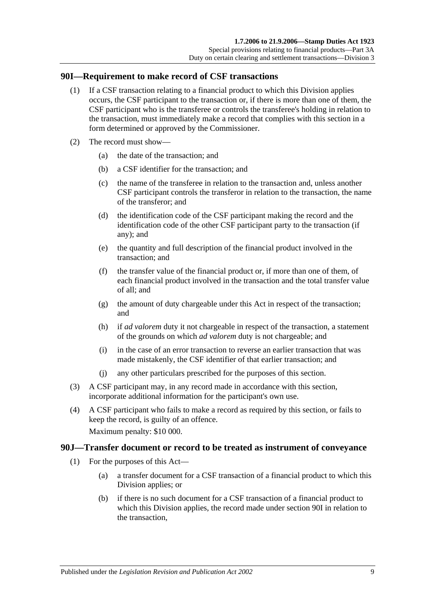#### <span id="page-82-0"></span>**90I—Requirement to make record of CSF transactions**

- (1) If a CSF transaction relating to a financial product to which this Division applies occurs, the CSF participant to the transaction or, if there is more than one of them, the CSF participant who is the transferee or controls the transferee's holding in relation to the transaction, must immediately make a record that complies with this section in a form determined or approved by the Commissioner.
- (2) The record must show—
	- (a) the date of the transaction; and
	- (b) a CSF identifier for the transaction; and
	- (c) the name of the transferee in relation to the transaction and, unless another CSF participant controls the transferor in relation to the transaction, the name of the transferor; and
	- (d) the identification code of the CSF participant making the record and the identification code of the other CSF participant party to the transaction (if any); and
	- (e) the quantity and full description of the financial product involved in the transaction; and
	- (f) the transfer value of the financial product or, if more than one of them, of each financial product involved in the transaction and the total transfer value of all; and
	- (g) the amount of duty chargeable under this Act in respect of the transaction; and
	- (h) if *ad valorem* duty it not chargeable in respect of the transaction, a statement of the grounds on which *ad valorem* duty is not chargeable; and
	- (i) in the case of an error transaction to reverse an earlier transaction that was made mistakenly, the CSF identifier of that earlier transaction; and
	- (j) any other particulars prescribed for the purposes of this section.
- (3) A CSF participant may, in any record made in accordance with this section, incorporate additional information for the participant's own use.
- (4) A CSF participant who fails to make a record as required by this section, or fails to keep the record, is guilty of an offence.

Maximum penalty: \$10 000.

#### <span id="page-82-1"></span>**90J—Transfer document or record to be treated as instrument of conveyance**

- (1) For the purposes of this Act—
	- (a) a transfer document for a CSF transaction of a financial product to which this Division applies; or
	- (b) if there is no such document for a CSF transaction of a financial product to which this Division applies, the record made under [section](#page-82-0) 90I in relation to the transaction,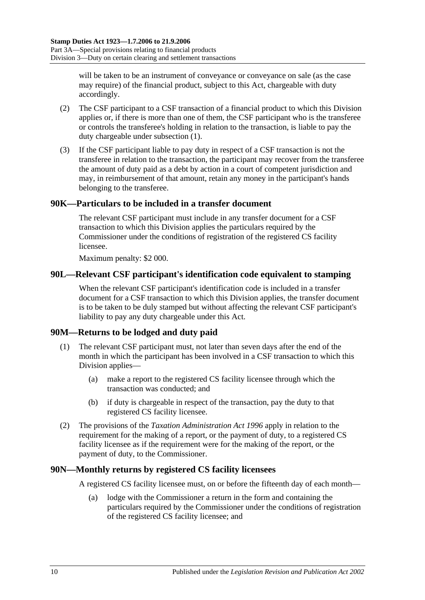will be taken to be an instrument of conveyance or conveyance on sale (as the case may require) of the financial product, subject to this Act, chargeable with duty accordingly.

- (2) The CSF participant to a CSF transaction of a financial product to which this Division applies or, if there is more than one of them, the CSF participant who is the transferee or controls the transferee's holding in relation to the transaction, is liable to pay the duty chargeable under [subsection](#page-82-1) (1).
- (3) If the CSF participant liable to pay duty in respect of a CSF transaction is not the transferee in relation to the transaction, the participant may recover from the transferee the amount of duty paid as a debt by action in a court of competent jurisdiction and may, in reimbursement of that amount, retain any money in the participant's hands belonging to the transferee.

## **90K—Particulars to be included in a transfer document**

The relevant CSF participant must include in any transfer document for a CSF transaction to which this Division applies the particulars required by the Commissioner under the conditions of registration of the registered CS facility licensee.

Maximum penalty: \$2 000.

#### **90L—Relevant CSF participant's identification code equivalent to stamping**

When the relevant CSF participant's identification code is included in a transfer document for a CSF transaction to which this Division applies, the transfer document is to be taken to be duly stamped but without affecting the relevant CSF participant's liability to pay any duty chargeable under this Act.

#### **90M—Returns to be lodged and duty paid**

- (1) The relevant CSF participant must, not later than seven days after the end of the month in which the participant has been involved in a CSF transaction to which this Division applies—
	- (a) make a report to the registered CS facility licensee through which the transaction was conducted; and
	- (b) if duty is chargeable in respect of the transaction, pay the duty to that registered CS facility licensee.
- (2) The provisions of the *[Taxation Administration Act](http://www.legislation.sa.gov.au/index.aspx?action=legref&type=act&legtitle=Taxation%20Administration%20Act%201996) 1996* apply in relation to the requirement for the making of a report, or the payment of duty, to a registered CS facility licensee as if the requirement were for the making of the report, or the payment of duty, to the Commissioner.

#### **90N—Monthly returns by registered CS facility licensees**

A registered CS facility licensee must, on or before the fifteenth day of each month—

(a) lodge with the Commissioner a return in the form and containing the particulars required by the Commissioner under the conditions of registration of the registered CS facility licensee; and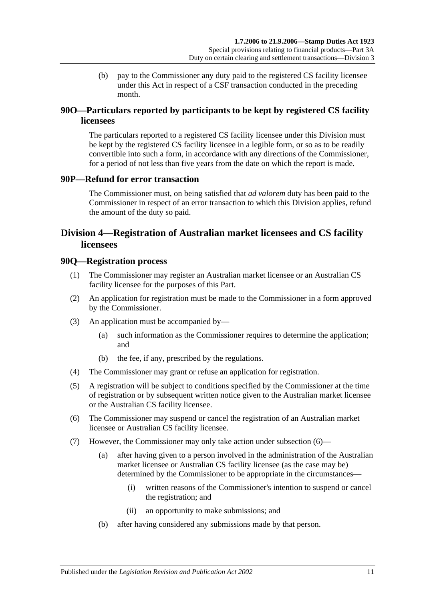(b) pay to the Commissioner any duty paid to the registered CS facility licensee under this Act in respect of a CSF transaction conducted in the preceding month.

# **90O—Particulars reported by participants to be kept by registered CS facility licensees**

The particulars reported to a registered CS facility licensee under this Division must be kept by the registered CS facility licensee in a legible form, or so as to be readily convertible into such a form, in accordance with any directions of the Commissioner, for a period of not less than five years from the date on which the report is made.

#### **90P—Refund for error transaction**

The Commissioner must, on being satisfied that *ad valorem* duty has been paid to the Commissioner in respect of an error transaction to which this Division applies, refund the amount of the duty so paid.

# <span id="page-84-0"></span>**Division 4—Registration of Australian market licensees and CS facility licensees**

#### **90Q—Registration process**

- (1) The Commissioner may register an Australian market licensee or an Australian CS facility licensee for the purposes of this Part.
- (2) An application for registration must be made to the Commissioner in a form approved by the Commissioner.
- (3) An application must be accompanied by—
	- (a) such information as the Commissioner requires to determine the application; and
	- (b) the fee, if any, prescribed by the regulations.
- (4) The Commissioner may grant or refuse an application for registration.
- (5) A registration will be subject to conditions specified by the Commissioner at the time of registration or by subsequent written notice given to the Australian market licensee or the Australian CS facility licensee.
- <span id="page-84-1"></span>(6) The Commissioner may suspend or cancel the registration of an Australian market licensee or Australian CS facility licensee.
- <span id="page-84-2"></span>(7) However, the Commissioner may only take action under [subsection](#page-84-1) (6)—
	- (a) after having given to a person involved in the administration of the Australian market licensee or Australian CS facility licensee (as the case may be) determined by the Commissioner to be appropriate in the circumstances—
		- (i) written reasons of the Commissioner's intention to suspend or cancel the registration; and
		- (ii) an opportunity to make submissions; and
	- (b) after having considered any submissions made by that person.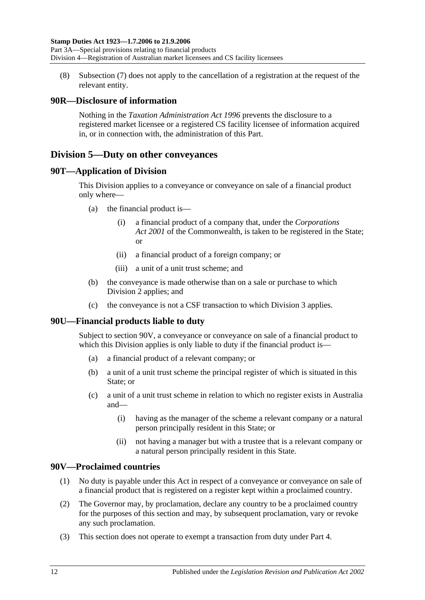(8) [Subsection](#page-84-2) (7) does not apply to the cancellation of a registration at the request of the relevant entity.

## **90R—Disclosure of information**

Nothing in the *[Taxation Administration Act](http://www.legislation.sa.gov.au/index.aspx?action=legref&type=act&legtitle=Taxation%20Administration%20Act%201996) 1996* prevents the disclosure to a registered market licensee or a registered CS facility licensee of information acquired in, or in connection with, the administration of this Part.

# <span id="page-85-1"></span>**Division 5—Duty on other conveyances**

#### **90T—Application of Division**

This Division applies to a conveyance or conveyance on sale of a financial product only where—

- (a) the financial product is—
	- (i) a financial product of a company that, under the *Corporations Act 2001* of the Commonwealth, is taken to be registered in the State; or
	- (ii) a financial product of a foreign company; or
	- (iii) a unit of a unit trust scheme; and
- (b) the conveyance is made otherwise than on a sale or purchase to which [Division 2](#page-76-0) applies; and
- (c) the conveyance is not a CSF transaction to which [Division 3](#page-81-0) applies.

# **90U—Financial products liable to duty**

Subject to [section](#page-85-0) 90V, a conveyance or conveyance on sale of a financial product to which this Division applies is only liable to duty if the financial product is—

- (a) a financial product of a relevant company; or
- (b) a unit of a unit trust scheme the principal register of which is situated in this State; or
- (c) a unit of a unit trust scheme in relation to which no register exists in Australia and—
	- (i) having as the manager of the scheme a relevant company or a natural person principally resident in this State; or
	- (ii) not having a manager but with a trustee that is a relevant company or a natural person principally resident in this State.

#### <span id="page-85-0"></span>**90V—Proclaimed countries**

- (1) No duty is payable under this Act in respect of a conveyance or conveyance on sale of a financial product that is registered on a register kept within a proclaimed country.
- (2) The Governor may, by proclamation, declare any country to be a proclaimed country for the purposes of this section and may, by subsequent proclamation, vary or revoke any such proclamation.
- (3) This section does not operate to exempt a transaction from duty under [Part 4.](#page-86-0)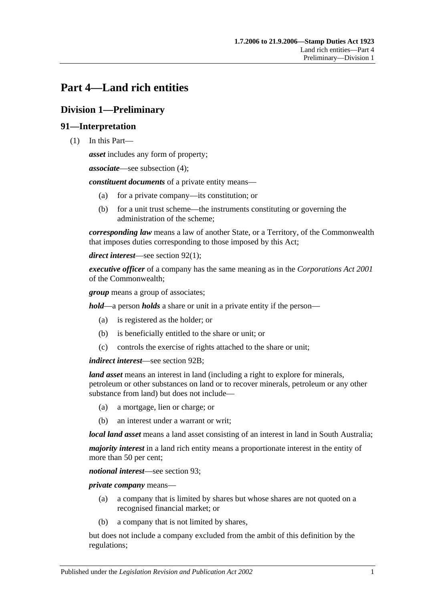# <span id="page-86-0"></span>**Part 4—Land rich entities**

# **Division 1—Preliminary**

## **91—Interpretation**

(1) In this Part—

*asset* includes any form of property;

*associate*—see [subsection](#page-88-0) (4);

*constituent documents* of a private entity means—

- (a) for a private company—its constitution; or
- (b) for a unit trust scheme—the instruments constituting or governing the administration of the scheme;

*corresponding law* means a law of another State, or a Territory, of the Commonwealth that imposes duties corresponding to those imposed by this Act;

*direct interest*—see [section](#page-88-1) 92(1);

*executive officer* of a company has the same meaning as in the *Corporations Act 2001* of the Commonwealth;

*group* means a group of associates;

*hold*—a person *holds* a share or unit in a private entity if the person—

- (a) is registered as the holder; or
- (b) is beneficially entitled to the share or unit; or
- (c) controls the exercise of rights attached to the share or unit;

*indirect interest*—see [section](#page-89-0) 92B;

*land asset* means an interest in land (including a right to explore for minerals, petroleum or other substances on land or to recover minerals, petroleum or any other substance from land) but does not include—

- (a) a mortgage, lien or charge; or
- (b) an interest under a warrant or writ;

*local land asset* means a land asset consisting of an interest in land in South Australia;

*majority interest* in a land rich entity means a proportionate interest in the entity of more than 50 per cent;

*notional interest*—see [section](#page-89-1) 93;

*private company* means—

- (a) a company that is limited by shares but whose shares are not quoted on a recognised financial market; or
- (b) a company that is not limited by shares,

but does not include a company excluded from the ambit of this definition by the regulations;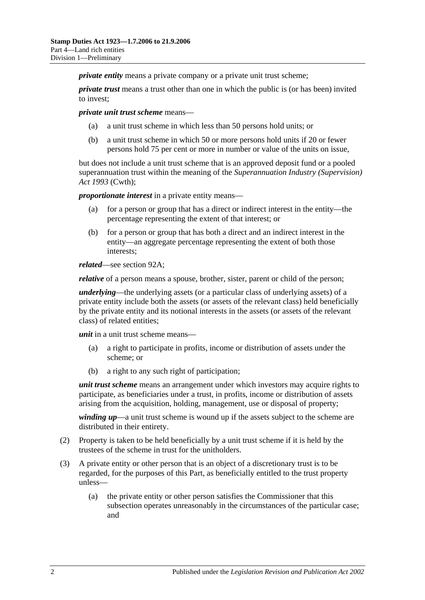*private entity* means a private company or a private unit trust scheme:

*private trust* means a trust other than one in which the public is (or has been) invited to invest;

*private unit trust scheme* means—

- (a) a unit trust scheme in which less than 50 persons hold units; or
- (b) a unit trust scheme in which 50 or more persons hold units if 20 or fewer persons hold 75 per cent or more in number or value of the units on issue,

but does not include a unit trust scheme that is an approved deposit fund or a pooled superannuation trust within the meaning of the *Superannuation Industry (Supervision) Act 1993* (Cwth);

*proportionate interest* in a private entity means—

- (a) for a person or group that has a direct or indirect interest in the entity—the percentage representing the extent of that interest; or
- (b) for a person or group that has both a direct and an indirect interest in the entity—an aggregate percentage representing the extent of both those interests;

*related*—see [section](#page-89-2) 92A;

*relative* of a person means a spouse, brother, sister, parent or child of the person;

*underlying*—the underlying assets (or a particular class of underlying assets) of a private entity include both the assets (or assets of the relevant class) held beneficially by the private entity and its notional interests in the assets (or assets of the relevant class) of related entities;

*unit* in a unit trust scheme means—

- (a) a right to participate in profits, income or distribution of assets under the scheme; or
- (b) a right to any such right of participation;

*unit trust scheme* means an arrangement under which investors may acquire rights to participate, as beneficiaries under a trust, in profits, income or distribution of assets arising from the acquisition, holding, management, use or disposal of property;

*winding up*—a unit trust scheme is wound up if the assets subject to the scheme are distributed in their entirety.

- (2) Property is taken to be held beneficially by a unit trust scheme if it is held by the trustees of the scheme in trust for the unitholders.
- (3) A private entity or other person that is an object of a discretionary trust is to be regarded, for the purposes of this Part, as beneficially entitled to the trust property unless—
	- (a) the private entity or other person satisfies the Commissioner that this subsection operates unreasonably in the circumstances of the particular case; and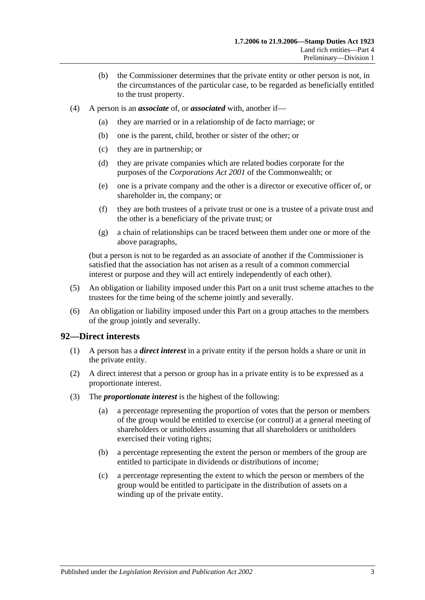- (b) the Commissioner determines that the private entity or other person is not, in the circumstances of the particular case, to be regarded as beneficially entitled to the trust property.
- <span id="page-88-0"></span>(4) A person is an *associate* of, or *associated* with, another if—
	- (a) they are married or in a relationship of de facto marriage; or
	- (b) one is the parent, child, brother or sister of the other; or
	- (c) they are in partnership; or
	- (d) they are private companies which are related bodies corporate for the purposes of the *Corporations Act 2001* of the Commonwealth; or
	- (e) one is a private company and the other is a director or executive officer of, or shareholder in, the company; or
	- (f) they are both trustees of a private trust or one is a trustee of a private trust and the other is a beneficiary of the private trust; or
	- (g) a chain of relationships can be traced between them under one or more of the above paragraphs,

(but a person is not to be regarded as an associate of another if the Commissioner is satisfied that the association has not arisen as a result of a common commercial interest or purpose and they will act entirely independently of each other).

- (5) An obligation or liability imposed under this Part on a unit trust scheme attaches to the trustees for the time being of the scheme jointly and severally.
- (6) An obligation or liability imposed under this Part on a group attaches to the members of the group jointly and severally.

#### <span id="page-88-1"></span>**92—Direct interests**

- (1) A person has a *direct interest* in a private entity if the person holds a share or unit in the private entity.
- (2) A direct interest that a person or group has in a private entity is to be expressed as a proportionate interest.
- (3) The *proportionate interest* is the highest of the following:
	- (a) a percentage representing the proportion of votes that the person or members of the group would be entitled to exercise (or control) at a general meeting of shareholders or unitholders assuming that all shareholders or unitholders exercised their voting rights;
	- (b) a percentage representing the extent the person or members of the group are entitled to participate in dividends or distributions of income;
	- (c) a percentage representing the extent to which the person or members of the group would be entitled to participate in the distribution of assets on a winding up of the private entity.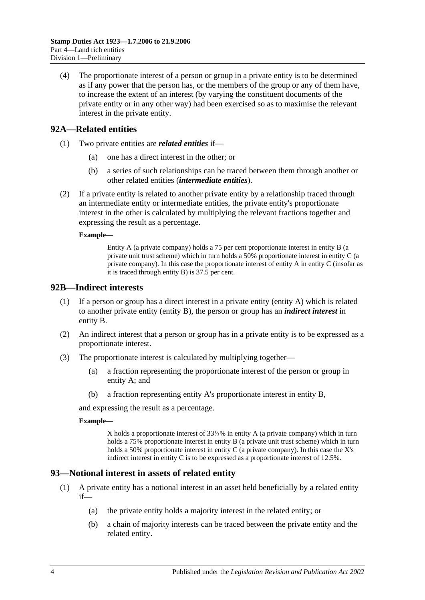(4) The proportionate interest of a person or group in a private entity is to be determined as if any power that the person has, or the members of the group or any of them have, to increase the extent of an interest (by varying the constituent documents of the private entity or in any other way) had been exercised so as to maximise the relevant interest in the private entity.

## <span id="page-89-2"></span>**92A—Related entities**

- (1) Two private entities are *related entities* if—
	- (a) one has a direct interest in the other; or
	- (b) a series of such relationships can be traced between them through another or other related entities (*intermediate entities*).
- (2) If a private entity is related to another private entity by a relationship traced through an intermediate entity or intermediate entities, the private entity's proportionate interest in the other is calculated by multiplying the relevant fractions together and expressing the result as a percentage.

#### **Example—**

Entity A (a private company) holds a 75 per cent proportionate interest in entity B (a private unit trust scheme) which in turn holds a 50% proportionate interest in entity C (a private company). In this case the proportionate interest of entity  $A$  in entity  $C$  (insofar as it is traced through entity B) is 37.5 per cent.

#### <span id="page-89-0"></span>**92B—Indirect interests**

- (1) If a person or group has a direct interest in a private entity (entity A) which is related to another private entity (entity B), the person or group has an *indirect interest* in entity B.
- (2) An indirect interest that a person or group has in a private entity is to be expressed as a proportionate interest.
- (3) The proportionate interest is calculated by multiplying together—
	- (a) a fraction representing the proportionate interest of the person or group in entity A; and
	- (b) a fraction representing entity A's proportionate interest in entity B,

and expressing the result as a percentage.

#### **Example—**

X holds a proportionate interest of 33⅓% in entity A (a private company) which in turn holds a 75% proportionate interest in entity B (a private unit trust scheme) which in turn holds a 50% proportionate interest in entity C (a private company). In this case the X's indirect interest in entity C is to be expressed as a proportionate interest of 12.5%.

#### <span id="page-89-1"></span>**93—Notional interest in assets of related entity**

- (1) A private entity has a notional interest in an asset held beneficially by a related entity  $if$ —
	- (a) the private entity holds a majority interest in the related entity; or
	- (b) a chain of majority interests can be traced between the private entity and the related entity.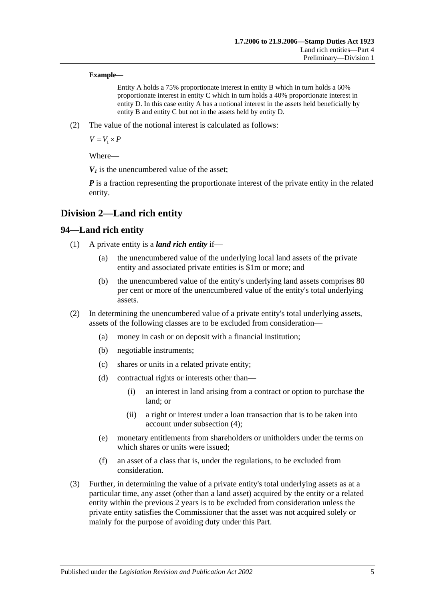#### **Example—**

Entity A holds a 75% proportionate interest in entity B which in turn holds a 60% proportionate interest in entity C which in turn holds a 40% proportionate interest in entity D. In this case entity A has a notional interest in the assets held beneficially by entity B and entity C but not in the assets held by entity D.

(2) The value of the notional interest is calculated as follows:

 $V = V_1 \times P$ 

Where—

 $V_1$  is the unencumbered value of the asset:

*P* is a fraction representing the proportionate interest of the private entity in the related entity.

# **Division 2—Land rich entity**

#### **94—Land rich entity**

- (1) A private entity is a *land rich entity* if—
	- (a) the unencumbered value of the underlying local land assets of the private entity and associated private entities is \$1m or more; and
	- (b) the unencumbered value of the entity's underlying land assets comprises 80 per cent or more of the unencumbered value of the entity's total underlying assets.
- (2) In determining the unencumbered value of a private entity's total underlying assets, assets of the following classes are to be excluded from consideration—
	- (a) money in cash or on deposit with a financial institution;
	- (b) negotiable instruments;
	- (c) shares or units in a related private entity;
	- (d) contractual rights or interests other than—
		- (i) an interest in land arising from a contract or option to purchase the land; or
		- (ii) a right or interest under a loan transaction that is to be taken into account under [subsection](#page-91-0) (4);
	- (e) monetary entitlements from shareholders or unitholders under the terms on which shares or units were issued;
	- (f) an asset of a class that is, under the regulations, to be excluded from consideration.
- <span id="page-90-0"></span>(3) Further, in determining the value of a private entity's total underlying assets as at a particular time, any asset (other than a land asset) acquired by the entity or a related entity within the previous 2 years is to be excluded from consideration unless the private entity satisfies the Commissioner that the asset was not acquired solely or mainly for the purpose of avoiding duty under this Part.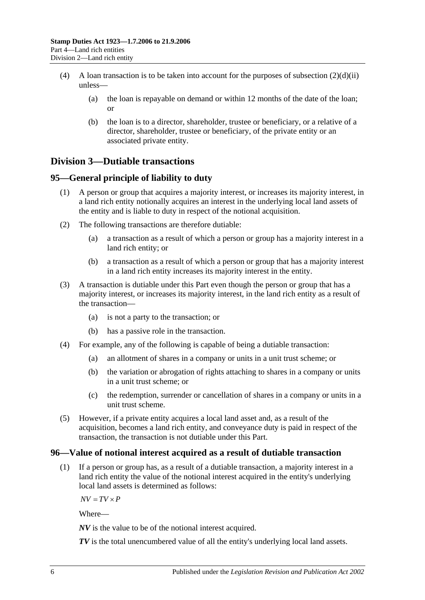- <span id="page-91-0"></span>(4) A loan transaction is to be taken into account for the purposes of [subsection](#page-90-0)  $(2)(d)(ii)$ unless—
	- (a) the loan is repayable on demand or within 12 months of the date of the loan; or
	- (b) the loan is to a director, shareholder, trustee or beneficiary, or a relative of a director, shareholder, trustee or beneficiary, of the private entity or an associated private entity.

# **Division 3—Dutiable transactions**

## **95—General principle of liability to duty**

- (1) A person or group that acquires a majority interest, or increases its majority interest, in a land rich entity notionally acquires an interest in the underlying local land assets of the entity and is liable to duty in respect of the notional acquisition.
- (2) The following transactions are therefore dutiable:
	- (a) a transaction as a result of which a person or group has a majority interest in a land rich entity; or
	- (b) a transaction as a result of which a person or group that has a majority interest in a land rich entity increases its majority interest in the entity.
- (3) A transaction is dutiable under this Part even though the person or group that has a majority interest, or increases its majority interest, in the land rich entity as a result of the transaction—
	- (a) is not a party to the transaction; or
	- (b) has a passive role in the transaction.
- (4) For example, any of the following is capable of being a dutiable transaction:
	- (a) an allotment of shares in a company or units in a unit trust scheme; or
	- (b) the variation or abrogation of rights attaching to shares in a company or units in a unit trust scheme; or
	- (c) the redemption, surrender or cancellation of shares in a company or units in a unit trust scheme.
- (5) However, if a private entity acquires a local land asset and, as a result of the acquisition, becomes a land rich entity, and conveyance duty is paid in respect of the transaction, the transaction is not dutiable under this Part.

#### **96—Value of notional interest acquired as a result of dutiable transaction**

(1) If a person or group has, as a result of a dutiable transaction, a majority interest in a land rich entity the value of the notional interest acquired in the entity's underlying local land assets is determined as follows:

 $\overline{AV} = \overline{TV} \times \overline{P}$ 

Where—

*NV* is the value to be of the notional interest acquired.

*TV* is the total unencumbered value of all the entity's underlying local land assets.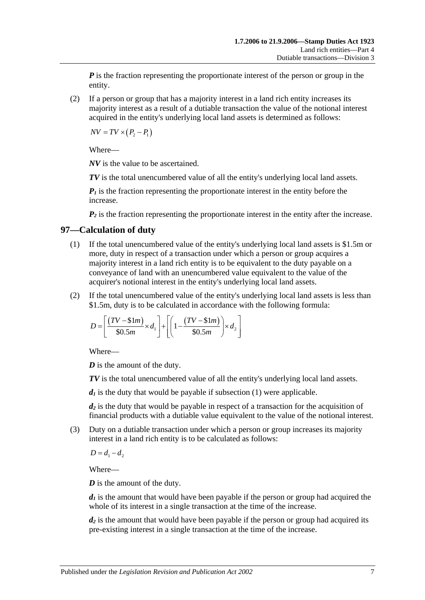*P* is the fraction representing the proportionate interest of the person or group in the entity.

(2) If a person or group that has a majority interest in a land rich entity increases its majority interest as a result of a dutiable transaction the value of the notional interest acquired in the entity's underlying local land assets is determined as follows:

 $\overline{NV} = \overline{TV} \times (P_2 - P_1)$ 

Where—

*NV* is the value to be ascertained.

*TV* is the total unencumbered value of all the entity's underlying local land assets.

 $P_1$  is the fraction representing the proportionate interest in the entity before the increase.

 $P_2$  is the fraction representing the proportionate interest in the entity after the increase.

#### <span id="page-92-0"></span>**97—Calculation of duty**

- (1) If the total unencumbered value of the entity's underlying local land assets is \$1.5m or more, duty in respect of a transaction under which a person or group acquires a majority interest in a land rich entity is to be equivalent to the duty payable on a conveyance of land with an unencumbered value equivalent to the value of the acquirer's notional interest in the entity's underlying local land assets.
- (2) If the total unencumbered value of the entity's underlying local land assets is less than \$1.5m, duty is to be calculated in accordance with the following formula:

$$
D = \left[ \frac{(TV - \text{$\$1m$})}{\text{$\$0.5m$}} \times d_1 \right] + \left[ \left( 1 - \frac{(TV - \text{$\$1m$})}{\text{$\$0.5m$}} \right) \times d_2 \right]
$$

Where—

*D* is the amount of the duty.

*TV* is the total unencumbered value of all the entity's underlying local land assets.

 $d_1$  is the duty that would be payable if [subsection](#page-92-0)  $(1)$  were applicable.

*d2* is the duty that would be payable in respect of a transaction for the acquisition of financial products with a dutiable value equivalent to the value of the notional interest.

(3) Duty on a dutiable transaction under which a person or group increases its majority interest in a land rich entity is to be calculated as follows:

 $D = d_1 - d_2$ 

Where—

*D* is the amount of the duty.

 $d_1$  is the amount that would have been payable if the person or group had acquired the whole of its interest in a single transaction at the time of the increase.

*d<sub>2</sub>* is the amount that would have been payable if the person or group had acquired its pre-existing interest in a single transaction at the time of the increase.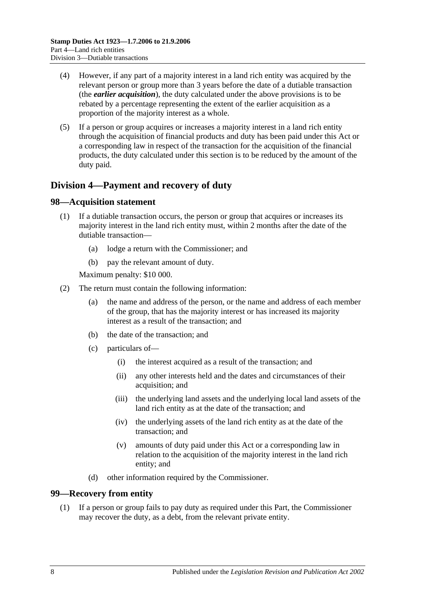- (4) However, if any part of a majority interest in a land rich entity was acquired by the relevant person or group more than 3 years before the date of a dutiable transaction (the *earlier acquisition*), the duty calculated under the above provisions is to be rebated by a percentage representing the extent of the earlier acquisition as a proportion of the majority interest as a whole.
- (5) If a person or group acquires or increases a majority interest in a land rich entity through the acquisition of financial products and duty has been paid under this Act or a corresponding law in respect of the transaction for the acquisition of the financial products, the duty calculated under this section is to be reduced by the amount of the duty paid.

# **Division 4—Payment and recovery of duty**

#### **98—Acquisition statement**

- (1) If a dutiable transaction occurs, the person or group that acquires or increases its majority interest in the land rich entity must, within 2 months after the date of the dutiable transaction—
	- (a) lodge a return with the Commissioner; and
	- (b) pay the relevant amount of duty.

Maximum penalty: \$10 000.

- (2) The return must contain the following information:
	- (a) the name and address of the person, or the name and address of each member of the group, that has the majority interest or has increased its majority interest as a result of the transaction; and
	- (b) the date of the transaction; and
	- (c) particulars of—
		- (i) the interest acquired as a result of the transaction; and
		- (ii) any other interests held and the dates and circumstances of their acquisition; and
		- (iii) the underlying land assets and the underlying local land assets of the land rich entity as at the date of the transaction; and
		- (iv) the underlying assets of the land rich entity as at the date of the transaction; and
		- (v) amounts of duty paid under this Act or a corresponding law in relation to the acquisition of the majority interest in the land rich entity; and
	- (d) other information required by the Commissioner.

#### **99—Recovery from entity**

(1) If a person or group fails to pay duty as required under this Part, the Commissioner may recover the duty, as a debt, from the relevant private entity.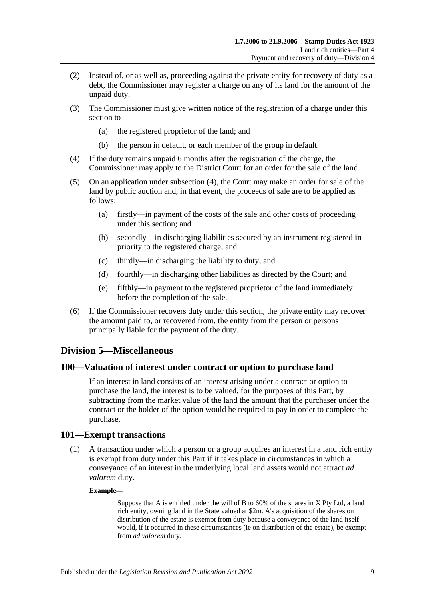- (2) Instead of, or as well as, proceeding against the private entity for recovery of duty as a debt, the Commissioner may register a charge on any of its land for the amount of the unpaid duty.
- (3) The Commissioner must give written notice of the registration of a charge under this section to—
	- (a) the registered proprietor of the land; and
	- (b) the person in default, or each member of the group in default.
- <span id="page-94-0"></span>(4) If the duty remains unpaid 6 months after the registration of the charge, the Commissioner may apply to the District Court for an order for the sale of the land.
- (5) On an application under [subsection](#page-94-0) (4), the Court may make an order for sale of the land by public auction and, in that event, the proceeds of sale are to be applied as follows:
	- (a) firstly—in payment of the costs of the sale and other costs of proceeding under this section; and
	- (b) secondly—in discharging liabilities secured by an instrument registered in priority to the registered charge; and
	- (c) thirdly—in discharging the liability to duty; and
	- (d) fourthly—in discharging other liabilities as directed by the Court; and
	- (e) fifthly—in payment to the registered proprietor of the land immediately before the completion of the sale.
- (6) If the Commissioner recovers duty under this section, the private entity may recover the amount paid to, or recovered from, the entity from the person or persons principally liable for the payment of the duty.

#### **Division 5—Miscellaneous**

#### **100—Valuation of interest under contract or option to purchase land**

If an interest in land consists of an interest arising under a contract or option to purchase the land, the interest is to be valued, for the purposes of this Part, by subtracting from the market value of the land the amount that the purchaser under the contract or the holder of the option would be required to pay in order to complete the purchase.

#### **101—Exempt transactions**

(1) A transaction under which a person or a group acquires an interest in a land rich entity is exempt from duty under this Part if it takes place in circumstances in which a conveyance of an interest in the underlying local land assets would not attract *ad valorem* duty.

#### **Example—**

Suppose that A is entitled under the will of B to 60% of the shares in X Pty Ltd, a land rich entity, owning land in the State valued at \$2m. A's acquisition of the shares on distribution of the estate is exempt from duty because a conveyance of the land itself would, if it occurred in these circumstances (ie on distribution of the estate), be exempt from *ad valorem* duty.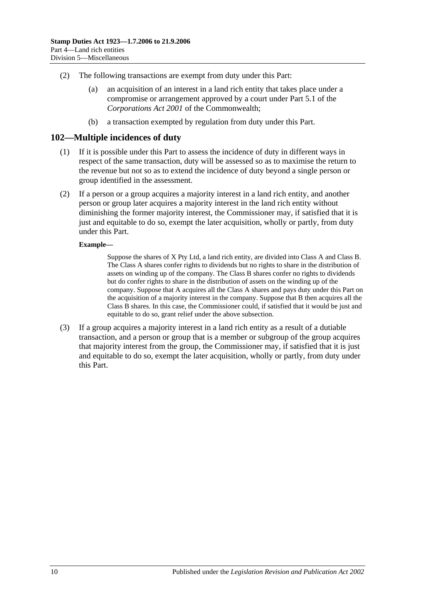- (2) The following transactions are exempt from duty under this Part:
	- (a) an acquisition of an interest in a land rich entity that takes place under a compromise or arrangement approved by a court under Part 5.1 of the *Corporations Act 2001* of the Commonwealth;
	- (b) a transaction exempted by regulation from duty under this Part.

#### **102—Multiple incidences of duty**

- (1) If it is possible under this Part to assess the incidence of duty in different ways in respect of the same transaction, duty will be assessed so as to maximise the return to the revenue but not so as to extend the incidence of duty beyond a single person or group identified in the assessment.
- (2) If a person or a group acquires a majority interest in a land rich entity, and another person or group later acquires a majority interest in the land rich entity without diminishing the former majority interest, the Commissioner may, if satisfied that it is just and equitable to do so, exempt the later acquisition, wholly or partly, from duty under this Part.

#### **Example—**

Suppose the shares of X Pty Ltd, a land rich entity, are divided into Class A and Class B. The Class A shares confer rights to dividends but no rights to share in the distribution of assets on winding up of the company. The Class B shares confer no rights to dividends but do confer rights to share in the distribution of assets on the winding up of the company. Suppose that A acquires all the Class A shares and pays duty under this Part on the acquisition of a majority interest in the company. Suppose that B then acquires all the Class B shares. In this case, the Commissioner could, if satisfied that it would be just and equitable to do so, grant relief under the above subsection.

(3) If a group acquires a majority interest in a land rich entity as a result of a dutiable transaction, and a person or group that is a member or subgroup of the group acquires that majority interest from the group, the Commissioner may, if satisfied that it is just and equitable to do so, exempt the later acquisition, wholly or partly, from duty under this Part.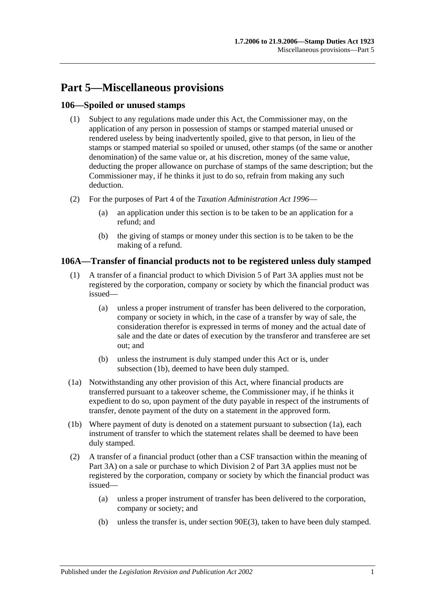# **Part 5—Miscellaneous provisions**

## **106—Spoiled or unused stamps**

- (1) Subject to any regulations made under this Act, the Commissioner may, on the application of any person in possession of stamps or stamped material unused or rendered useless by being inadvertently spoiled, give to that person, in lieu of the stamps or stamped material so spoiled or unused, other stamps (of the same or another denomination) of the same value or, at his discretion, money of the same value, deducting the proper allowance on purchase of stamps of the same description; but the Commissioner may, if he thinks it just to do so, refrain from making any such deduction.
- (2) For the purposes of Part 4 of the *[Taxation Administration Act](http://www.legislation.sa.gov.au/index.aspx?action=legref&type=act&legtitle=Taxation%20Administration%20Act%201996) 1996*
	- (a) an application under this section is to be taken to be an application for a refund; and
	- (b) the giving of stamps or money under this section is to be taken to be the making of a refund.

## **106A—Transfer of financial products not to be registered unless duly stamped**

- (1) A transfer of a financial product to which [Division 5](#page-85-1) of [Part 3A](#page-74-0) applies must not be registered by the corporation, company or society by which the financial product was issued—
	- (a) unless a proper instrument of transfer has been delivered to the corporation, company or society in which, in the case of a transfer by way of sale, the consideration therefor is expressed in terms of money and the actual date of sale and the date or dates of execution by the transferor and transferee are set out; and
	- (b) unless the instrument is duly stamped under this Act or is, under [subsection](#page-96-0) (1b), deemed to have been duly stamped.
- <span id="page-96-1"></span>(1a) Notwithstanding any other provision of this Act, where financial products are transferred pursuant to a takeover scheme, the Commissioner may, if he thinks it expedient to do so, upon payment of the duty payable in respect of the instruments of transfer, denote payment of the duty on a statement in the approved form.
- <span id="page-96-0"></span>(1b) Where payment of duty is denoted on a statement pursuant to [subsection](#page-96-1) (1a), each instrument of transfer to which the statement relates shall be deemed to have been duly stamped.
- (2) A transfer of a financial product (other than a CSF transaction within the meaning of [Part 3A\)](#page-74-0) on a sale or purchase to which [Division 2](#page-76-0) of [Part 3A](#page-74-0) applies must not be registered by the corporation, company or society by which the financial product was issued—
	- (a) unless a proper instrument of transfer has been delivered to the corporation, company or society; and
	- (b) unless the transfer is, under [section](#page-79-0) 90E(3), taken to have been duly stamped.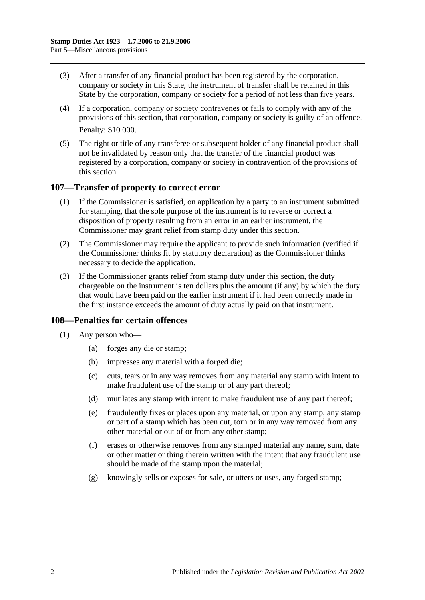- (3) After a transfer of any financial product has been registered by the corporation, company or society in this State, the instrument of transfer shall be retained in this State by the corporation, company or society for a period of not less than five years.
- (4) If a corporation, company or society contravenes or fails to comply with any of the provisions of this section, that corporation, company or society is guilty of an offence. Penalty: \$10 000.
- (5) The right or title of any transferee or subsequent holder of any financial product shall not be invalidated by reason only that the transfer of the financial product was registered by a corporation, company or society in contravention of the provisions of this section.

#### **107—Transfer of property to correct error**

- (1) If the Commissioner is satisfied, on application by a party to an instrument submitted for stamping, that the sole purpose of the instrument is to reverse or correct a disposition of property resulting from an error in an earlier instrument, the Commissioner may grant relief from stamp duty under this section.
- (2) The Commissioner may require the applicant to provide such information (verified if the Commissioner thinks fit by statutory declaration) as the Commissioner thinks necessary to decide the application.
- (3) If the Commissioner grants relief from stamp duty under this section, the duty chargeable on the instrument is ten dollars plus the amount (if any) by which the duty that would have been paid on the earlier instrument if it had been correctly made in the first instance exceeds the amount of duty actually paid on that instrument.

#### **108—Penalties for certain offences**

- <span id="page-97-0"></span>(1) Any person who—
	- (a) forges any die or stamp;
	- (b) impresses any material with a forged die;
	- (c) cuts, tears or in any way removes from any material any stamp with intent to make fraudulent use of the stamp or of any part thereof;
	- (d) mutilates any stamp with intent to make fraudulent use of any part thereof;
	- (e) fraudulently fixes or places upon any material, or upon any stamp, any stamp or part of a stamp which has been cut, torn or in any way removed from any other material or out of or from any other stamp;
	- (f) erases or otherwise removes from any stamped material any name, sum, date or other matter or thing therein written with the intent that any fraudulent use should be made of the stamp upon the material;
	- (g) knowingly sells or exposes for sale, or utters or uses, any forged stamp;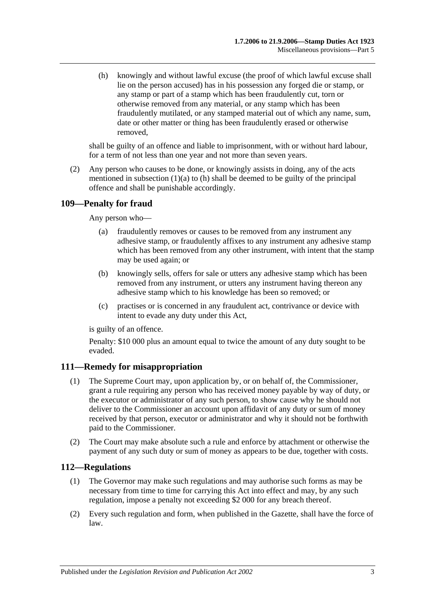<span id="page-98-0"></span>(h) knowingly and without lawful excuse (the proof of which lawful excuse shall lie on the person accused) has in his possession any forged die or stamp, or any stamp or part of a stamp which has been fraudulently cut, torn or otherwise removed from any material, or any stamp which has been fraudulently mutilated, or any stamped material out of which any name, sum, date or other matter or thing has been fraudulently erased or otherwise removed,

shall be guilty of an offence and liable to imprisonment, with or without hard labour, for a term of not less than one year and not more than seven years.

(2) Any person who causes to be done, or knowingly assists in doing, any of the acts mentioned in [subsection](#page-97-0)  $(1)(a)$  to  $(h)$  shall be deemed to be guilty of the principal offence and shall be punishable accordingly.

# **109—Penalty for fraud**

Any person who—

- (a) fraudulently removes or causes to be removed from any instrument any adhesive stamp, or fraudulently affixes to any instrument any adhesive stamp which has been removed from any other instrument, with intent that the stamp may be used again; or
- (b) knowingly sells, offers for sale or utters any adhesive stamp which has been removed from any instrument, or utters any instrument having thereon any adhesive stamp which to his knowledge has been so removed; or
- (c) practises or is concerned in any fraudulent act, contrivance or device with intent to evade any duty under this Act,

is guilty of an offence.

Penalty: \$10 000 plus an amount equal to twice the amount of any duty sought to be evaded.

#### **111—Remedy for misappropriation**

- (1) The Supreme Court may, upon application by, or on behalf of, the Commissioner, grant a rule requiring any person who has received money payable by way of duty, or the executor or administrator of any such person, to show cause why he should not deliver to the Commissioner an account upon affidavit of any duty or sum of money received by that person, executor or administrator and why it should not be forthwith paid to the Commissioner.
- (2) The Court may make absolute such a rule and enforce by attachment or otherwise the payment of any such duty or sum of money as appears to be due, together with costs.

#### **112—Regulations**

- (1) The Governor may make such regulations and may authorise such forms as may be necessary from time to time for carrying this Act into effect and may, by any such regulation, impose a penalty not exceeding \$2 000 for any breach thereof.
- (2) Every such regulation and form, when published in the Gazette, shall have the force of law.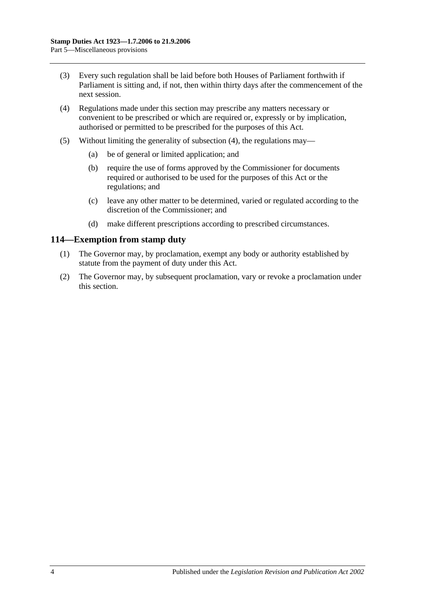- (3) Every such regulation shall be laid before both Houses of Parliament forthwith if Parliament is sitting and, if not, then within thirty days after the commencement of the next session.
- <span id="page-99-0"></span>(4) Regulations made under this section may prescribe any matters necessary or convenient to be prescribed or which are required or, expressly or by implication, authorised or permitted to be prescribed for the purposes of this Act.
- (5) Without limiting the generality of [subsection](#page-99-0) (4), the regulations may—
	- (a) be of general or limited application; and
	- (b) require the use of forms approved by the Commissioner for documents required or authorised to be used for the purposes of this Act or the regulations; and
	- (c) leave any other matter to be determined, varied or regulated according to the discretion of the Commissioner; and
	- (d) make different prescriptions according to prescribed circumstances.

#### **114—Exemption from stamp duty**

- (1) The Governor may, by proclamation, exempt any body or authority established by statute from the payment of duty under this Act.
- (2) The Governor may, by subsequent proclamation, vary or revoke a proclamation under this section.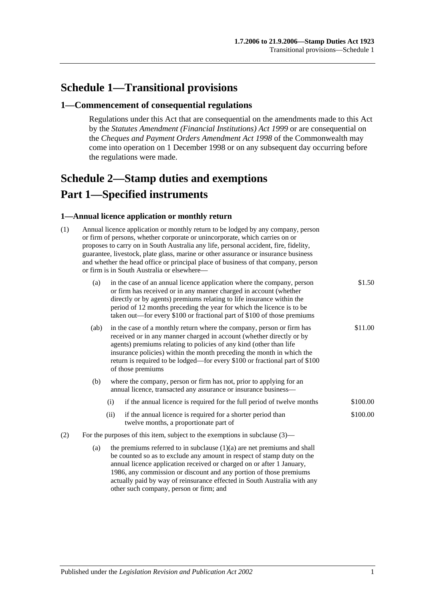# **Schedule 1—Transitional provisions**

#### **1—Commencement of consequential regulations**

Regulations under this Act that are consequential on the amendments made to this Act by the *[Statutes Amendment \(Financial Institutions\) Act](http://www.legislation.sa.gov.au/index.aspx?action=legref&type=act&legtitle=Statutes%20Amendment%20(Financial%20Institutions)%20Act%201999) 1999* or are consequential on the *Cheques and Payment Orders Amendment Act 1998* of the Commonwealth may come into operation on 1 December 1998 or on any subsequent day occurring before the regulations were made.

# <span id="page-100-0"></span>**Schedule 2—Stamp duties and exemptions Part 1—Specified instruments**

#### **1—Annual licence application or monthly return**

| (1) | Annual licence application or monthly return to be lodged by any company, person<br>or firm of persons, whether corporate or unincorporate, which carries on or<br>proposes to carry on in South Australia any life, personal accident, fire, fidelity,<br>guarantee, livestock, plate glass, marine or other assurance or insurance business<br>and whether the head office or principal place of business of that company, person<br>or firm is in South Australia or elsewhere- |                                                                                                                                                                                                                                                                                                                                                                                                  |                                                                                                                                        |          |  |  |  |
|-----|------------------------------------------------------------------------------------------------------------------------------------------------------------------------------------------------------------------------------------------------------------------------------------------------------------------------------------------------------------------------------------------------------------------------------------------------------------------------------------|--------------------------------------------------------------------------------------------------------------------------------------------------------------------------------------------------------------------------------------------------------------------------------------------------------------------------------------------------------------------------------------------------|----------------------------------------------------------------------------------------------------------------------------------------|----------|--|--|--|
|     | (a)                                                                                                                                                                                                                                                                                                                                                                                                                                                                                | in the case of an annual licence application where the company, person<br>or firm has received or in any manner charged in account (whether<br>directly or by agents) premiums relating to life insurance within the<br>period of 12 months preceding the year for which the licence is to be<br>taken out—for every \$100 or fractional part of \$100 of those premiums                         | \$1.50                                                                                                                                 |          |  |  |  |
|     | (ab)                                                                                                                                                                                                                                                                                                                                                                                                                                                                               | in the case of a monthly return where the company, person or firm has<br>received or in any manner charged in account (whether directly or by<br>agents) premiums relating to policies of any kind (other than life<br>insurance policies) within the month preceding the month in which the<br>return is required to be lodged—for every \$100 or fractional part of \$100<br>of those premiums |                                                                                                                                        |          |  |  |  |
|     | (b)                                                                                                                                                                                                                                                                                                                                                                                                                                                                                |                                                                                                                                                                                                                                                                                                                                                                                                  | where the company, person or firm has not, prior to applying for an<br>annual licence, transacted any assurance or insurance business- |          |  |  |  |
|     |                                                                                                                                                                                                                                                                                                                                                                                                                                                                                    | (i)                                                                                                                                                                                                                                                                                                                                                                                              | if the annual licence is required for the full period of twelve months                                                                 | \$100.00 |  |  |  |
|     |                                                                                                                                                                                                                                                                                                                                                                                                                                                                                    | (ii)                                                                                                                                                                                                                                                                                                                                                                                             | if the annual licence is required for a shorter period than<br>twelve months, a proportionate part of                                  | \$100.00 |  |  |  |
| (2) | For the purposes of this item, subject to the exemptions in subclause $(3)$ —                                                                                                                                                                                                                                                                                                                                                                                                      |                                                                                                                                                                                                                                                                                                                                                                                                  |                                                                                                                                        |          |  |  |  |
|     | (a)                                                                                                                                                                                                                                                                                                                                                                                                                                                                                | the premiums referred to in subclause $(1)(a)$ are net premiums and shall<br>be counted so as to exclude any amount in respect of stamp duty on the<br>annual licence application received or charged on or after 1 January,<br>1986, any commission or discount and any portion of those premiums<br>actually paid by way of reinsurance effected in South Australia with any                   |                                                                                                                                        |          |  |  |  |

other such company, person or firm; and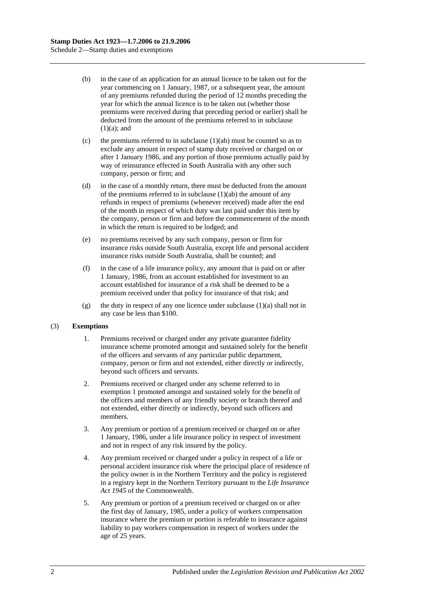- (b) in the case of an application for an annual licence to be taken out for the year commencing on 1 January, 1987, or a subsequent year, the amount of any premiums refunded during the period of 12 months preceding the year for which the annual licence is to be taken out (whether those premiums were received during that preceding period or earlier) shall be deducted from the amount of the premiums referred to in subclause  $(1)(a)$ ; and
- (c) the premiums referred to in subclause  $(1)(ab)$  must be counted so as to exclude any amount in respect of stamp duty received or charged on or after 1 January 1986, and any portion of those premiums actually paid by way of reinsurance effected in South Australia with any other such company, person or firm; and
- (d) in the case of a monthly return, there must be deducted from the amount of the premiums referred to in subclause  $(1)(ab)$  the amount of any refunds in respect of premiums (whenever received) made after the end of the month in respect of which duty was last paid under this item by the company, person or firm and before the commencement of the month in which the return is required to be lodged; and
- (e) no premiums received by any such company, person or firm for insurance risks outside South Australia, except life and personal accident insurance risks outside South Australia, shall be counted; and
- (f) in the case of a life insurance policy, any amount that is paid on or after 1 January, 1986, from an account established for investment to an account established for insurance of a risk shall be deemed to be a premium received under that policy for insurance of that risk; and
- (g) the duty in respect of any one licence under subclause  $(1)(a)$  shall not in any case be less than \$100.

#### (3) **Exemptions**

- 1. Premiums received or charged under any private guarantee fidelity insurance scheme promoted amongst and sustained solely for the benefit of the officers and servants of any particular public department, company, person or firm and not extended, either directly or indirectly, beyond such officers and servants.
- 2. Premiums received or charged under any scheme referred to in exemption 1 promoted amongst and sustained solely for the benefit of the officers and members of any friendly society or branch thereof and not extended, either directly or indirectly, beyond such officers and members.
- 3. Any premium or portion of a premium received or charged on or after 1 January, 1986, under a life insurance policy in respect of investment and not in respect of any risk insured by the policy.
- 4. Any premium received or charged under a policy in respect of a life or personal accident insurance risk where the principal place of residence of the policy owner is in the Northern Territory and the policy is registered in a registry kept in the Northern Territory pursuant to the *Life Insurance Act 1945* of the Commonwealth.
- 5. Any premium or portion of a premium received or charged on or after the first day of January, 1985, under a policy of workers compensation insurance where the premium or portion is referable to insurance against liability to pay workers compensation in respect of workers under the age of 25 years.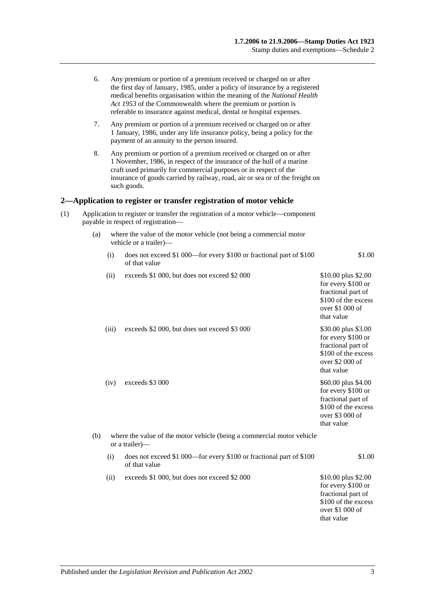|     | 6.  |                                                                                                                                                                                                                                                                                                                  | Any premium or portion of a premium received or charged on or after<br>the first day of January, 1985, under a policy of insurance by a registered<br>medical benefits organisation within the meaning of the National Health<br>Act 1953 of the Commonwealth where the premium or portion is<br>referable to insurance against medical, dental or hospital expenses. |                                                                                                                         |  |  |  |
|-----|-----|------------------------------------------------------------------------------------------------------------------------------------------------------------------------------------------------------------------------------------------------------------------------------------------------------------------|-----------------------------------------------------------------------------------------------------------------------------------------------------------------------------------------------------------------------------------------------------------------------------------------------------------------------------------------------------------------------|-------------------------------------------------------------------------------------------------------------------------|--|--|--|
|     | 7.  |                                                                                                                                                                                                                                                                                                                  | Any premium or portion of a premium received or charged on or after<br>1 January, 1986, under any life insurance policy, being a policy for the<br>payment of an annuity to the person insured.                                                                                                                                                                       |                                                                                                                         |  |  |  |
|     | 8.  | Any premium or portion of a premium received or charged on or after<br>1 November, 1986, in respect of the insurance of the hull of a marine<br>craft used primarily for commercial purposes or in respect of the<br>insurance of goods carried by railway, road, air or sea or of the freight on<br>such goods. |                                                                                                                                                                                                                                                                                                                                                                       |                                                                                                                         |  |  |  |
|     |     |                                                                                                                                                                                                                                                                                                                  | 2—Application to register or transfer registration of motor vehicle                                                                                                                                                                                                                                                                                                   |                                                                                                                         |  |  |  |
| (1) |     |                                                                                                                                                                                                                                                                                                                  | Application to register or transfer the registration of a motor vehicle—component<br>payable in respect of registration-                                                                                                                                                                                                                                              |                                                                                                                         |  |  |  |
|     | (a) | where the value of the motor vehicle (not being a commercial motor<br>vehicle or a trailer)-                                                                                                                                                                                                                     |                                                                                                                                                                                                                                                                                                                                                                       |                                                                                                                         |  |  |  |
|     |     | (i)                                                                                                                                                                                                                                                                                                              | does not exceed \$1 000—for every \$100 or fractional part of \$100<br>of that value                                                                                                                                                                                                                                                                                  | \$1.00                                                                                                                  |  |  |  |
|     |     | (ii)                                                                                                                                                                                                                                                                                                             | exceeds \$1 000, but does not exceed \$2 000                                                                                                                                                                                                                                                                                                                          | \$10.00 plus \$2.00<br>for every \$100 or<br>fractional part of<br>\$100 of the excess<br>over \$1 000 of<br>that value |  |  |  |
|     |     | (iii)                                                                                                                                                                                                                                                                                                            | exceeds \$2 000, but does not exceed \$3 000                                                                                                                                                                                                                                                                                                                          | \$30.00 plus \$3.00<br>for every \$100 or<br>fractional part of<br>\$100 of the excess<br>over \$2 000 of<br>that value |  |  |  |
|     |     | (iv)                                                                                                                                                                                                                                                                                                             | exceeds \$3 000                                                                                                                                                                                                                                                                                                                                                       | \$60.00 plus \$4.00<br>for every \$100 or<br>fractional part of<br>\$100 of the excess<br>over \$3 000 of<br>that value |  |  |  |
|     | (b) |                                                                                                                                                                                                                                                                                                                  | where the value of the motor vehicle (being a commercial motor vehicle<br>or a trailer)—                                                                                                                                                                                                                                                                              |                                                                                                                         |  |  |  |
|     |     | (i)                                                                                                                                                                                                                                                                                                              | does not exceed \$1 000—for every \$100 or fractional part of \$100<br>of that value                                                                                                                                                                                                                                                                                  | \$1.00                                                                                                                  |  |  |  |
|     |     | (ii)                                                                                                                                                                                                                                                                                                             | exceeds \$1 000, but does not exceed \$2 000                                                                                                                                                                                                                                                                                                                          | \$10.00 plus \$2.00<br>for every \$100 or<br>fractional part of<br>\$100 of the excess<br>over \$1 000 of<br>that value |  |  |  |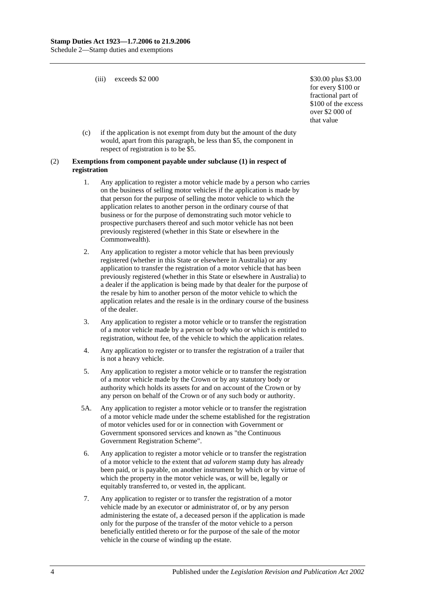(iii) exceeds  $$2\,000$   $$30.00 \, \text{plus } $3.00$ 

for every \$100 or fractional part of \$100 of the excess over \$2 000 of that value

(c) if the application is not exempt from duty but the amount of the duty would, apart from this paragraph, be less than \$5, the component in respect of registration is to be \$5.

#### (2) **Exemptions from component payable under subclause (1) in respect of registration**

- 1. Any application to register a motor vehicle made by a person who carries on the business of selling motor vehicles if the application is made by that person for the purpose of selling the motor vehicle to which the application relates to another person in the ordinary course of that business or for the purpose of demonstrating such motor vehicle to prospective purchasers thereof and such motor vehicle has not been previously registered (whether in this State or elsewhere in the Commonwealth).
- 2. Any application to register a motor vehicle that has been previously registered (whether in this State or elsewhere in Australia) or any application to transfer the registration of a motor vehicle that has been previously registered (whether in this State or elsewhere in Australia) to a dealer if the application is being made by that dealer for the purpose of the resale by him to another person of the motor vehicle to which the application relates and the resale is in the ordinary course of the business of the dealer.
- 3. Any application to register a motor vehicle or to transfer the registration of a motor vehicle made by a person or body who or which is entitled to registration, without fee, of the vehicle to which the application relates.
- 4. Any application to register or to transfer the registration of a trailer that is not a heavy vehicle.
- 5. Any application to register a motor vehicle or to transfer the registration of a motor vehicle made by the Crown or by any statutory body or authority which holds its assets for and on account of the Crown or by any person on behalf of the Crown or of any such body or authority.
- 5A. Any application to register a motor vehicle or to transfer the registration of a motor vehicle made under the scheme established for the registration of motor vehicles used for or in connection with Government or Government sponsored services and known as "the Continuous Government Registration Scheme".
- 6. Any application to register a motor vehicle or to transfer the registration of a motor vehicle to the extent that *ad valorem* stamp duty has already been paid, or is payable, on another instrument by which or by virtue of which the property in the motor vehicle was, or will be, legally or equitably transferred to, or vested in, the applicant.
- 7. Any application to register or to transfer the registration of a motor vehicle made by an executor or administrator of, or by any person administering the estate of, a deceased person if the application is made only for the purpose of the transfer of the motor vehicle to a person beneficially entitled thereto or for the purpose of the sale of the motor vehicle in the course of winding up the estate.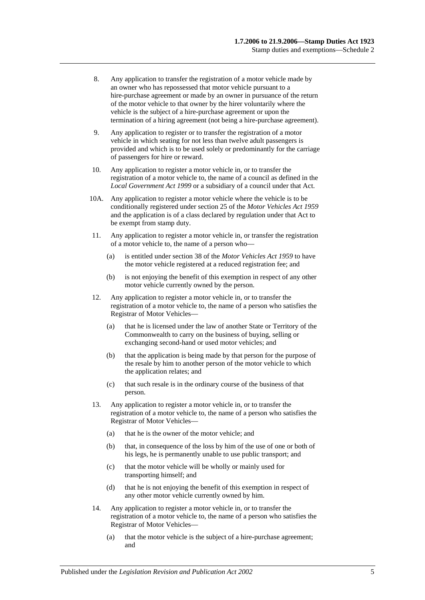- 8. Any application to transfer the registration of a motor vehicle made by an owner who has repossessed that motor vehicle pursuant to a hire-purchase agreement or made by an owner in pursuance of the return of the motor vehicle to that owner by the hirer voluntarily where the vehicle is the subject of a hire-purchase agreement or upon the termination of a hiring agreement (not being a hire-purchase agreement).
- 9. Any application to register or to transfer the registration of a motor vehicle in which seating for not less than twelve adult passengers is provided and which is to be used solely or predominantly for the carriage of passengers for hire or reward.
- 10. Any application to register a motor vehicle in, or to transfer the registration of a motor vehicle to, the name of a council as defined in the *[Local Government Act](http://www.legislation.sa.gov.au/index.aspx?action=legref&type=act&legtitle=Local%20Government%20Act%201999) 1999* or a subsidiary of a council under that Act.
- 10A. Any application to register a motor vehicle where the vehicle is to be conditionally registered under section 25 of the *[Motor Vehicles Act](http://www.legislation.sa.gov.au/index.aspx?action=legref&type=act&legtitle=Motor%20Vehicles%20Act%201959) 1959* and the application is of a class declared by regulation under that Act to be exempt from stamp duty.
- 11. Any application to register a motor vehicle in, or transfer the registration of a motor vehicle to, the name of a person who—
	- (a) is entitled under section 38 of the *[Motor Vehicles Act](http://www.legislation.sa.gov.au/index.aspx?action=legref&type=act&legtitle=Motor%20Vehicles%20Act%201959) 1959* to have the motor vehicle registered at a reduced registration fee; and
	- (b) is not enjoying the benefit of this exemption in respect of any other motor vehicle currently owned by the person.
- 12. Any application to register a motor vehicle in, or to transfer the registration of a motor vehicle to, the name of a person who satisfies the Registrar of Motor Vehicles—
	- (a) that he is licensed under the law of another State or Territory of the Commonwealth to carry on the business of buying, selling or exchanging second-hand or used motor vehicles; and
	- (b) that the application is being made by that person for the purpose of the resale by him to another person of the motor vehicle to which the application relates; and
	- (c) that such resale is in the ordinary course of the business of that person.
- 13. Any application to register a motor vehicle in, or to transfer the registration of a motor vehicle to, the name of a person who satisfies the Registrar of Motor Vehicles—
	- (a) that he is the owner of the motor vehicle; and
	- (b) that, in consequence of the loss by him of the use of one or both of his legs, he is permanently unable to use public transport; and
	- (c) that the motor vehicle will be wholly or mainly used for transporting himself; and
	- (d) that he is not enjoying the benefit of this exemption in respect of any other motor vehicle currently owned by him.
- 14. Any application to register a motor vehicle in, or to transfer the registration of a motor vehicle to, the name of a person who satisfies the Registrar of Motor Vehicles—
	- (a) that the motor vehicle is the subject of a hire-purchase agreement; and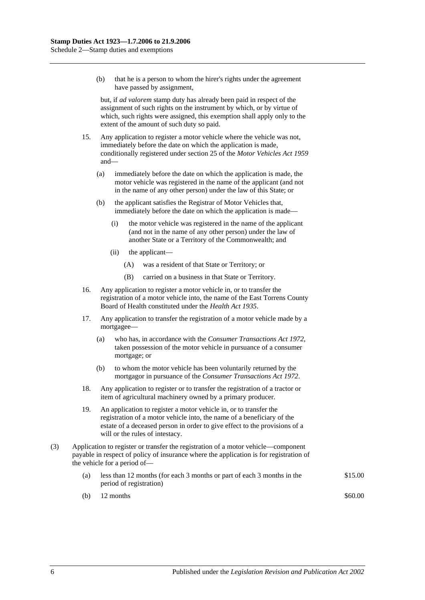(b) that he is a person to whom the hirer's rights under the agreement have passed by assignment,

but, if *ad valorem* stamp duty has already been paid in respect of the assignment of such rights on the instrument by which, or by virtue of which, such rights were assigned, this exemption shall apply only to the extent of the amount of such duty so paid.

- 15. Any application to register a motor vehicle where the vehicle was not, immediately before the date on which the application is made, conditionally registered under section 25 of the *[Motor Vehicles Act](http://www.legislation.sa.gov.au/index.aspx?action=legref&type=act&legtitle=Motor%20Vehicles%20Act%201959) 1959* and—
	- (a) immediately before the date on which the application is made, the motor vehicle was registered in the name of the applicant (and not in the name of any other person) under the law of this State; or
	- (b) the applicant satisfies the Registrar of Motor Vehicles that, immediately before the date on which the application is made—
		- (i) the motor vehicle was registered in the name of the applicant (and not in the name of any other person) under the law of another State or a Territory of the Commonwealth; and
		- (ii) the applicant—
			- (A) was a resident of that State or Territory; or
			- (B) carried on a business in that State or Territory.
- 16. Any application to register a motor vehicle in, or to transfer the registration of a motor vehicle into, the name of the East Torrens County Board of Health constituted under the *[Health Act](http://www.legislation.sa.gov.au/index.aspx?action=legref&type=act&legtitle=Health%20Act%201935) 1935*.
- 17. Any application to transfer the registration of a motor vehicle made by a mortgagee—
	- (a) who has, in accordance with the *[Consumer Transactions Act](http://www.legislation.sa.gov.au/index.aspx?action=legref&type=act&legtitle=Consumer%20Transactions%20Act%201972) 1972*, taken possession of the motor vehicle in pursuance of a consumer mortgage; or
	- (b) to whom the motor vehicle has been voluntarily returned by the mortgagor in pursuance of the *[Consumer Transactions Act](http://www.legislation.sa.gov.au/index.aspx?action=legref&type=act&legtitle=Consumer%20Transactions%20Act%201972) 1972*.
- 18. Any application to register or to transfer the registration of a tractor or item of agricultural machinery owned by a primary producer.
- 19. An application to register a motor vehicle in, or to transfer the registration of a motor vehicle into, the name of a beneficiary of the estate of a deceased person in order to give effect to the provisions of a will or the rules of intestacy.
- (3) Application to register or transfer the registration of a motor vehicle—component payable in respect of policy of insurance where the application is for registration of the vehicle for a period of—
	- (a) less than 12 months (for each 3 months or part of each 3 months in the period of registration) \$15.00
	- (b)  $12 \text{ months}$  \$60.00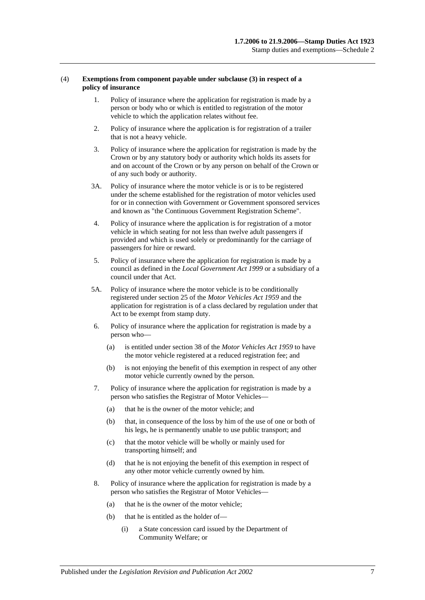#### (4) **Exemptions from component payable under subclause (3) in respect of a policy of insurance**

- 1. Policy of insurance where the application for registration is made by a person or body who or which is entitled to registration of the motor vehicle to which the application relates without fee.
- 2. Policy of insurance where the application is for registration of a trailer that is not a heavy vehicle.
- 3. Policy of insurance where the application for registration is made by the Crown or by any statutory body or authority which holds its assets for and on account of the Crown or by any person on behalf of the Crown or of any such body or authority.
- 3A. Policy of insurance where the motor vehicle is or is to be registered under the scheme established for the registration of motor vehicles used for or in connection with Government or Government sponsored services and known as "the Continuous Government Registration Scheme".
- 4. Policy of insurance where the application is for registration of a motor vehicle in which seating for not less than twelve adult passengers if provided and which is used solely or predominantly for the carriage of passengers for hire or reward.
- 5. Policy of insurance where the application for registration is made by a council as defined in the *[Local Government Act](http://www.legislation.sa.gov.au/index.aspx?action=legref&type=act&legtitle=Local%20Government%20Act%201999) 1999* or a subsidiary of a council under that Act.
- 5A. Policy of insurance where the motor vehicle is to be conditionally registered under section 25 of the *[Motor Vehicles Act](http://www.legislation.sa.gov.au/index.aspx?action=legref&type=act&legtitle=Motor%20Vehicles%20Act%201959) 1959* and the application for registration is of a class declared by regulation under that Act to be exempt from stamp duty.
- 6. Policy of insurance where the application for registration is made by a person who—
	- (a) is entitled under section 38 of the *[Motor Vehicles Act](http://www.legislation.sa.gov.au/index.aspx?action=legref&type=act&legtitle=Motor%20Vehicles%20Act%201959) 1959* to have the motor vehicle registered at a reduced registration fee; and
	- (b) is not enjoying the benefit of this exemption in respect of any other motor vehicle currently owned by the person.
- 7. Policy of insurance where the application for registration is made by a person who satisfies the Registrar of Motor Vehicles—
	- (a) that he is the owner of the motor vehicle; and
	- (b) that, in consequence of the loss by him of the use of one or both of his legs, he is permanently unable to use public transport; and
	- (c) that the motor vehicle will be wholly or mainly used for transporting himself; and
	- (d) that he is not enjoying the benefit of this exemption in respect of any other motor vehicle currently owned by him.
- 8. Policy of insurance where the application for registration is made by a person who satisfies the Registrar of Motor Vehicles—
	- (a) that he is the owner of the motor vehicle;
	- (b) that he is entitled as the holder of—
		- (i) a State concession card issued by the Department of Community Welfare; or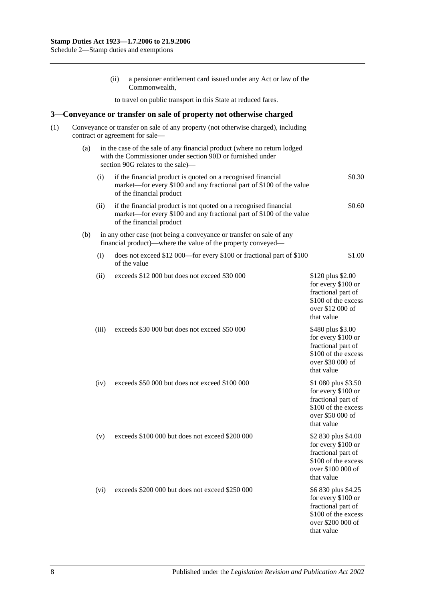|     |                                                                                                                      |                                                                                                                                                                             | (ii) | a pensioner entitlement card issued under any Act or law of the<br>Commonwealth,                                                                                     |                                                                                                                           |  |  |  |  |  |  |  |
|-----|----------------------------------------------------------------------------------------------------------------------|-----------------------------------------------------------------------------------------------------------------------------------------------------------------------------|------|----------------------------------------------------------------------------------------------------------------------------------------------------------------------|---------------------------------------------------------------------------------------------------------------------------|--|--|--|--|--|--|--|
|     |                                                                                                                      |                                                                                                                                                                             |      | to travel on public transport in this State at reduced fares.                                                                                                        |                                                                                                                           |  |  |  |  |  |  |  |
| 3–  |                                                                                                                      |                                                                                                                                                                             |      | Conveyance or transfer on sale of property not otherwise charged                                                                                                     |                                                                                                                           |  |  |  |  |  |  |  |
| (1) | Conveyance or transfer on sale of any property (not otherwise charged), including<br>contract or agreement for sale- |                                                                                                                                                                             |      |                                                                                                                                                                      |                                                                                                                           |  |  |  |  |  |  |  |
|     | (a)                                                                                                                  | in the case of the sale of any financial product (where no return lodged<br>with the Commissioner under section 90D or furnished under<br>section 90G relates to the sale)— |      |                                                                                                                                                                      |                                                                                                                           |  |  |  |  |  |  |  |
|     |                                                                                                                      | (i)                                                                                                                                                                         |      | if the financial product is quoted on a recognised financial<br>market—for every \$100 and any fractional part of \$100 of the value<br>of the financial product     | \$0.30                                                                                                                    |  |  |  |  |  |  |  |
|     |                                                                                                                      | (ii)                                                                                                                                                                        |      | if the financial product is not quoted on a recognised financial<br>market—for every \$100 and any fractional part of \$100 of the value<br>of the financial product | \$0.60                                                                                                                    |  |  |  |  |  |  |  |
|     | (b)                                                                                                                  |                                                                                                                                                                             |      | in any other case (not being a conveyance or transfer on sale of any<br>financial product)—where the value of the property conveyed—                                 |                                                                                                                           |  |  |  |  |  |  |  |
|     |                                                                                                                      | (i)                                                                                                                                                                         |      | does not exceed \$12 000—for every \$100 or fractional part of \$100<br>of the value                                                                                 | \$1.00                                                                                                                    |  |  |  |  |  |  |  |
|     |                                                                                                                      | (ii)                                                                                                                                                                        |      | exceeds \$12 000 but does not exceed \$30 000                                                                                                                        | \$120 plus \$2.00<br>for every \$100 or<br>fractional part of<br>\$100 of the excess<br>over \$12 000 of<br>that value    |  |  |  |  |  |  |  |
|     |                                                                                                                      | (iii)                                                                                                                                                                       |      | exceeds \$30 000 but does not exceed \$50 000                                                                                                                        | \$480 plus \$3.00<br>for every \$100 or<br>fractional part of<br>\$100 of the excess<br>over \$30 000 of<br>that value    |  |  |  |  |  |  |  |
|     |                                                                                                                      | (iv)                                                                                                                                                                        |      | exceeds \$50 000 but does not exceed \$100 000                                                                                                                       | \$1 080 plus \$3.50<br>for every \$100 or<br>fractional part of<br>\$100 of the excess<br>over \$50 000 of<br>that value  |  |  |  |  |  |  |  |
|     |                                                                                                                      | (v)                                                                                                                                                                         |      | exceeds \$100 000 but does not exceed \$200 000                                                                                                                      | \$2 830 plus \$4.00<br>for every \$100 or<br>fractional part of<br>\$100 of the excess<br>over \$100 000 of<br>that value |  |  |  |  |  |  |  |
|     |                                                                                                                      | (vi)                                                                                                                                                                        |      | exceeds \$200 000 but does not exceed \$250 000                                                                                                                      | \$6 830 plus \$4.25<br>for every \$100 or<br>fractional part of<br>\$100 of the excess<br>over \$200 000 of               |  |  |  |  |  |  |  |

that value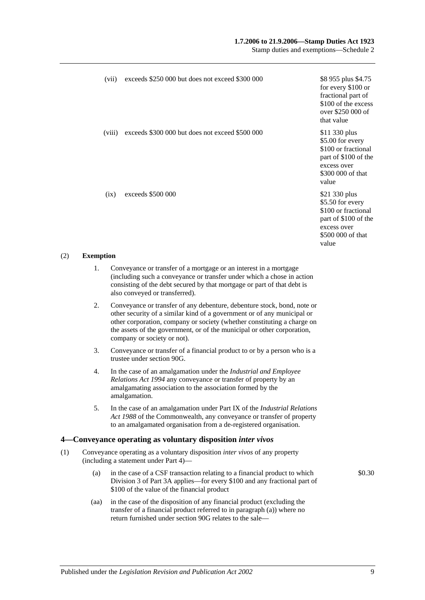# **1.7.2006 to 21.9.2006—Stamp Duties Act 1923**

Stamp duties and exemptions—Schedule 2

| (vii)  | exceeds \$250 000 but does not exceed \$300 000 | \$8 955 plus \$4.75<br>for every \$100 or<br>fractional part of<br>\$100 of the excess<br>over \$250 000 of<br>that value     |
|--------|-------------------------------------------------|-------------------------------------------------------------------------------------------------------------------------------|
| (viii) | exceeds \$300 000 but does not exceed \$500 000 | \$11 330 plus<br>\$5.00 for every<br>\$100 or fractional<br>part of \$100 of the<br>excess over<br>\$300 000 of that<br>value |
| (ix)   | exceeds \$500 000                               | \$21 330 plus<br>\$5.50 for every<br>\$100 or fractional<br>part of \$100 of the<br>excess over<br>\$500 000 of that<br>value |

### (2) **Exemption**

- 1. Conveyance or transfer of a mortgage or an interest in a mortgage (including such a conveyance or transfer under which a chose in action consisting of the debt secured by that mortgage or part of that debt is also conveyed or transferred).
- 2. Conveyance or transfer of any debenture, debenture stock, bond, note or other security of a similar kind of a government or of any municipal or other corporation, company or society (whether constituting a charge on the assets of the government, or of the municipal or other corporation, company or society or not).
- 3. Conveyance or transfer of a financial product to or by a person who is a trustee unde[r section](#page-79-0) 90G.
- 4. In the case of an amalgamation under the *[Industrial and Employee](http://www.legislation.sa.gov.au/index.aspx?action=legref&type=act&legtitle=Industrial%20and%20Employee%20Relations%20Act%201994)  [Relations Act](http://www.legislation.sa.gov.au/index.aspx?action=legref&type=act&legtitle=Industrial%20and%20Employee%20Relations%20Act%201994) 1994* any conveyance or transfer of property by an amalgamating association to the association formed by the amalgamation.
- 5. In the case of an amalgamation under Part IX of the *Industrial Relations Act 1988* of the Commonwealth, any conveyance or transfer of property to an amalgamated organisation from a de-registered organisation.

# **4—Conveyance operating as voluntary disposition** *inter vivos*

- (1) Conveyance operating as a voluntary disposition *inter vivos* of any property (including a statement under [Part 4\)](#page-86-0)—
	- (a) in the case of a CSF transaction relating to a financial product to which [Division 3](#page-81-0) of [Part 3A](#page-74-0) applies—for every \$100 and any fractional part of \$100 of the value of the financial product
	- (aa) in the case of the disposition of any financial product (excluding the transfer of a financial product referred to in paragraph (a)) where no return furnished under [section](#page-79-0) 90G relates to the sale—

\$0.30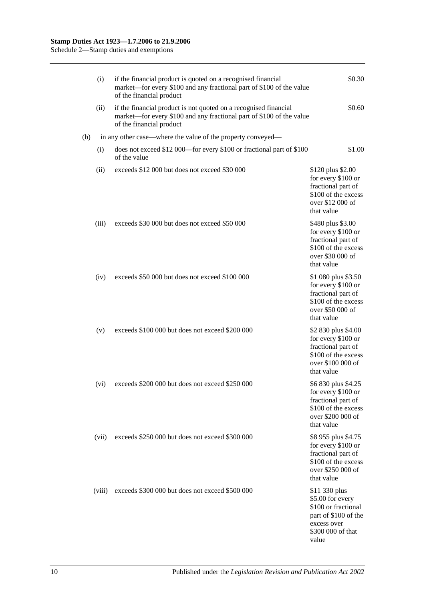|     | (i)    | if the financial product is quoted on a recognised financial<br>market—for every \$100 and any fractional part of \$100 of the value<br>of the financial product     | \$0.30                                                                                                                        |
|-----|--------|----------------------------------------------------------------------------------------------------------------------------------------------------------------------|-------------------------------------------------------------------------------------------------------------------------------|
|     | (ii)   | if the financial product is not quoted on a recognised financial<br>market—for every \$100 and any fractional part of \$100 of the value<br>of the financial product | \$0.60                                                                                                                        |
| (b) |        | in any other case—where the value of the property conveyed—                                                                                                          |                                                                                                                               |
|     | (i)    | does not exceed \$12 000—for every \$100 or fractional part of \$100<br>of the value                                                                                 | \$1.00                                                                                                                        |
|     | (ii)   | exceeds \$12 000 but does not exceed \$30 000                                                                                                                        | \$120 plus \$2.00<br>for every \$100 or<br>fractional part of<br>\$100 of the excess<br>over \$12 000 of<br>that value        |
|     | (iii)  | exceeds \$30 000 but does not exceed \$50 000                                                                                                                        | \$480 plus \$3.00<br>for every \$100 or<br>fractional part of<br>\$100 of the excess<br>over \$30 000 of<br>that value        |
|     | (iv)   | exceeds \$50 000 but does not exceed \$100 000                                                                                                                       | \$1 080 plus \$3.50<br>for every \$100 or<br>fractional part of<br>\$100 of the excess<br>over \$50 000 of<br>that value      |
|     | (v)    | exceeds \$100 000 but does not exceed \$200 000                                                                                                                      | \$2 830 plus \$4.00<br>for every \$100 or<br>fractional part of<br>\$100 of the excess<br>over \$100 000 of<br>that value     |
|     | (vi)   | exceeds \$200 000 but does not exceed \$250 000                                                                                                                      | \$6 830 plus \$4.25<br>for every \$100 or<br>fractional part of<br>\$100 of the excess<br>over \$200 000 of<br>that value     |
|     | (vii)  | exceeds \$250 000 but does not exceed \$300 000                                                                                                                      | \$8 955 plus \$4.75<br>for every \$100 or<br>fractional part of<br>\$100 of the excess<br>over \$250 000 of<br>that value     |
|     | (viii) | exceeds \$300 000 but does not exceed \$500 000                                                                                                                      | \$11 330 plus<br>\$5.00 for every<br>\$100 or fractional<br>part of \$100 of the<br>excess over<br>\$300 000 of that<br>value |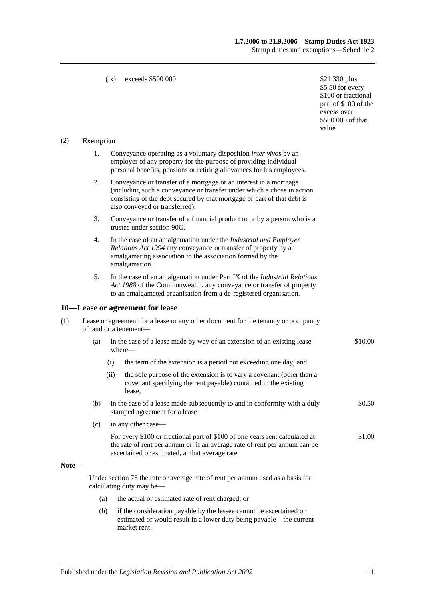# **1.7.2006 to 21.9.2006—Stamp Duties Act 1923** Stamp duties and exemptions—Schedule 2

#### (ix) exceeds  $$500,000$  \$21 330 plus

\$5.50 for every \$100 or fractional part of \$100 of the excess over \$500 000 of that value

#### (2) **Exemption**

- 1. Conveyance operating as a voluntary disposition *inter vivos* by an employer of any property for the purpose of providing individual personal benefits, pensions or retiring allowances for his employees.
- 2. Conveyance or transfer of a mortgage or an interest in a mortgage (including such a conveyance or transfer under which a chose in action consisting of the debt secured by that mortgage or part of that debt is also conveyed or transferred).
- 3. Conveyance or transfer of a financial product to or by a person who is a trustee unde[r section](#page-79-0) 90G.
- 4. In the case of an amalgamation under the *[Industrial and Employee](http://www.legislation.sa.gov.au/index.aspx?action=legref&type=act&legtitle=Industrial%20and%20Employee%20Relations%20Act%201994)  [Relations Act](http://www.legislation.sa.gov.au/index.aspx?action=legref&type=act&legtitle=Industrial%20and%20Employee%20Relations%20Act%201994) 1994* any conveyance or transfer of property by an amalgamating association to the association formed by the amalgamation.
- 5. In the case of an amalgamation under Part IX of the *Industrial Relations Act 1988* of the Commonwealth, any conveyance or transfer of property to an amalgamated organisation from a de-registered organisation.

#### **10—Lease or agreement for lease**

| (1) | Lease or agreement for a lease or any other document for the tenancy or occupancy |
|-----|-----------------------------------------------------------------------------------|
|     | of land or a tenement—                                                            |

- (a) in the case of a lease made by way of an extension of an existing lease where— \$10.00
	- (i) the term of the extension is a period not exceeding one day; and
	- (ii) the sole purpose of the extension is to vary a covenant (other than a covenant specifying the rent payable) contained in the existing lease,
- (b) in the case of a lease made subsequently to and in conformity with a duly stamped agreement for a lease \$0.50
- (c) in any other case—
	- For every \$100 or fractional part of \$100 of one years rent calculated at the rate of rent per annum or, if an average rate of rent per annum can be ascertained or estimated, at that average rate \$1.00

#### **Note—**

Under [section](#page-67-0) 75 the rate or average rate of rent per annum used as a basis for calculating duty may be—

- (a) the actual or estimated rate of rent charged; or
- (b) if the consideration payable by the lessee cannot be ascertained or estimated or would result in a lower duty being payable—the current market rent.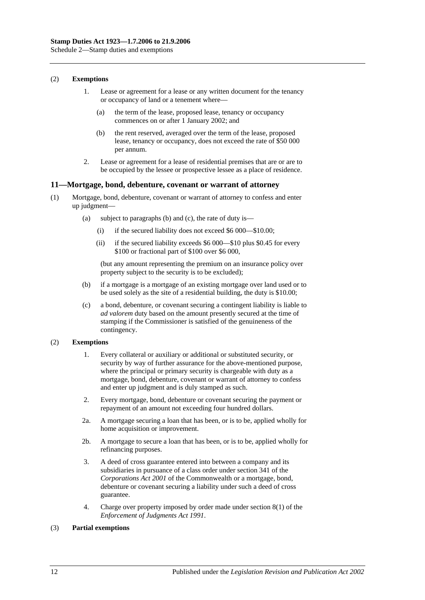### (2) **Exemptions**

- 1. Lease or agreement for a lease or any written document for the tenancy or occupancy of land or a tenement where—
	- (a) the term of the lease, proposed lease, tenancy or occupancy commences on or after 1 January 2002; and
	- (b) the rent reserved, averaged over the term of the lease, proposed lease, tenancy or occupancy, does not exceed the rate of \$50 000 per annum.
- 2. Lease or agreement for a lease of residential premises that are or are to be occupied by the lessee or prospective lessee as a place of residence.

# **11—Mortgage, bond, debenture, covenant or warrant of attorney**

- (1) Mortgage, bond, debenture, covenant or warrant of attorney to confess and enter up judgment—
	- (a) subject to paragraphs (b) and (c), the rate of duty is—
		- (i) if the secured liability does not exceed \$6 000—\$10.00;
		- (ii) if the secured liability exceeds \$6 000—\$10 plus \$0.45 for every \$100 or fractional part of \$100 over \$6 000,

(but any amount representing the premium on an insurance policy over property subject to the security is to be excluded);

- (b) if a mortgage is a mortgage of an existing mortgage over land used or to be used solely as the site of a residential building, the duty is \$10.00;
- (c) a bond, debenture, or covenant securing a contingent liability is liable to *ad valorem* duty based on the amount presently secured at the time of stamping if the Commissioner is satisfied of the genuineness of the contingency.

# (2) **Exemptions**

- 1. Every collateral or auxiliary or additional or substituted security, or security by way of further assurance for the above-mentioned purpose, where the principal or primary security is chargeable with duty as a mortgage, bond, debenture, covenant or warrant of attorney to confess and enter up judgment and is duly stamped as such.
- 2. Every mortgage, bond, debenture or covenant securing the payment or repayment of an amount not exceeding four hundred dollars.
- 2a. A mortgage securing a loan that has been, or is to be, applied wholly for home acquisition or improvement.
- 2b. A mortgage to secure a loan that has been, or is to be, applied wholly for refinancing purposes.
- 3. A deed of cross guarantee entered into between a company and its subsidiaries in pursuance of a class order under section 341 of the *Corporations Act 2001* of the Commonwealth or a mortgage, bond, debenture or covenant securing a liability under such a deed of cross guarantee.
- 4. Charge over property imposed by order made under section 8(1) of the *[Enforcement of Judgments Act](http://www.legislation.sa.gov.au/index.aspx?action=legref&type=act&legtitle=Enforcement%20of%20Judgments%20Act%201991) 1991*.

# (3) **Partial exemptions**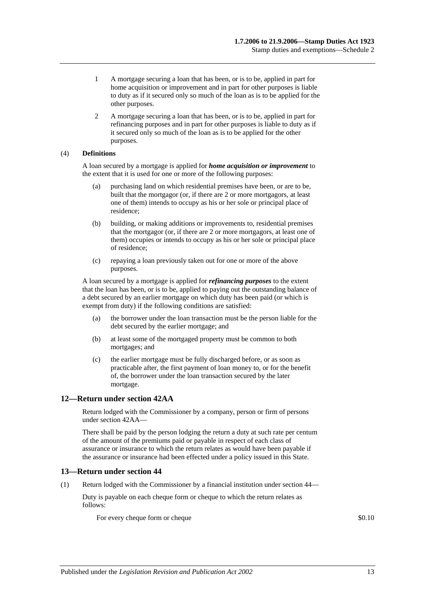- 1 A mortgage securing a loan that has been, or is to be, applied in part for home acquisition or improvement and in part for other purposes is liable to duty as if it secured only so much of the loan as is to be applied for the other purposes.
- 2 A mortgage securing a loan that has been, or is to be, applied in part for refinancing purposes and in part for other purposes is liable to duty as if it secured only so much of the loan as is to be applied for the other purposes.

# (4) **Definitions**

A loan secured by a mortgage is applied for *home acquisition or improvement* to the extent that it is used for one or more of the following purposes:

- (a) purchasing land on which residential premises have been, or are to be, built that the mortgagor (or, if there are 2 or more mortgagors, at least one of them) intends to occupy as his or her sole or principal place of residence;
- (b) building, or making additions or improvements to, residential premises that the mortgagor (or, if there are 2 or more mortgagors, at least one of them) occupies or intends to occupy as his or her sole or principal place of residence;
- (c) repaying a loan previously taken out for one or more of the above purposes.

A loan secured by a mortgage is applied for *refinancing purposes* to the extent that the loan has been, or is to be, applied to paying out the outstanding balance of a debt secured by an earlier mortgage on which duty has been paid (or which is exempt from duty) if the following conditions are satisfied:

- (a) the borrower under the loan transaction must be the person liable for the debt secured by the earlier mortgage; and
- (b) at least some of the mortgaged property must be common to both mortgages; and
- (c) the earlier mortgage must be fully discharged before, or as soon as practicable after, the first payment of loan money to, or for the benefit of, the borrower under the loan transaction secured by the later mortgage.

# **12—Return under section 42AA**

Return lodged with the Commissioner by a company, person or firm of persons unde[r section](#page-28-0) 42AA—

There shall be paid by the person lodging the return a duty at such rate per centum of the amount of the premiums paid or payable in respect of each class of assurance or insurance to which the return relates as would have been payable if the assurance or insurance had been effected under a policy issued in this State.

# **13—Return under section 44**

(1) Return lodged with the Commissioner by a financial institution under [section](#page-34-0) 44—

Duty is payable on each cheque form or cheque to which the return relates as follows:

For every cheque form or cheque  $\$0.10$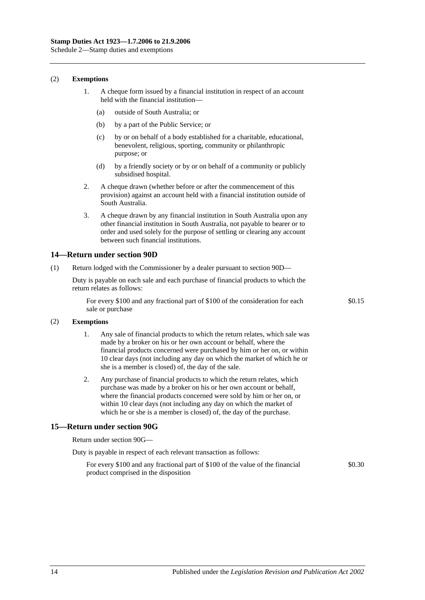(2) **Exemptions**

- 1. A cheque form issued by a financial institution in respect of an account held with the financial institution—
	- (a) outside of South Australia; or
	- (b) by a part of the Public Service; or
	- (c) by or on behalf of a body established for a charitable, educational, benevolent, religious, sporting, community or philanthropic purpose; or
	- (d) by a friendly society or by or on behalf of a community or publicly subsidised hospital.
- 2. A cheque drawn (whether before or after the commencement of this provision) against an account held with a financial institution outside of South Australia.
- 3. A cheque drawn by any financial institution in South Australia upon any other financial institution in South Australia, not payable to bearer or to order and used solely for the purpose of settling or clearing any account between such financial institutions.

### **14—Return under section 90D**

(1) Return lodged with the Commissioner by a dealer pursuant to [section](#page-78-0) 90D—

Duty is payable on each sale and each purchase of financial products to which the return relates as follows:

For every \$100 and any fractional part of \$100 of the consideration for each sale or purchase

\$0.15

#### (2) **Exemptions**

- 1. Any sale of financial products to which the return relates, which sale was made by a broker on his or her own account or behalf, where the financial products concerned were purchased by him or her on, or within 10 clear days (not including any day on which the market of which he or she is a member is closed) of, the day of the sale.
- 2. Any purchase of financial products to which the return relates, which purchase was made by a broker on his or her own account or behalf, where the financial products concerned were sold by him or her on, or within 10 clear days (not including any day on which the market of which he or she is a member is closed) of, the day of the purchase.

# **15—Return under section 90G**

Return under [section](#page-79-0) 90G—

| Duty is payable in respect of each relevant transaction as follows: |  |
|---------------------------------------------------------------------|--|
|---------------------------------------------------------------------|--|

For every \$100 and any fractional part of \$100 of the value of the financial product comprised in the disposition \$0.30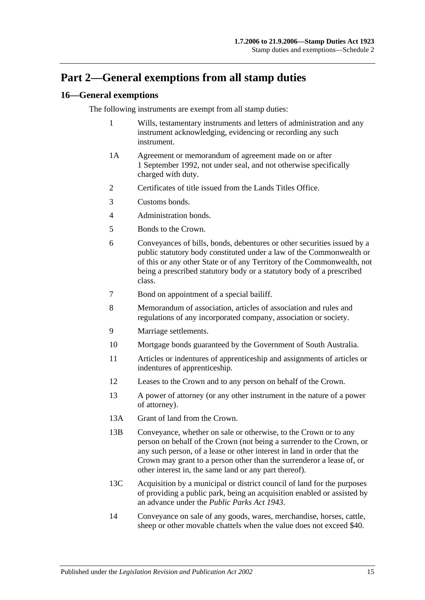# **Part 2—General exemptions from all stamp duties**

# **16—General exemptions**

The following instruments are exempt from all stamp duties:

- 1 Wills, testamentary instruments and letters of administration and any instrument acknowledging, evidencing or recording any such instrument.
- 1A Agreement or memorandum of agreement made on or after 1 September 1992, not under seal, and not otherwise specifically charged with duty.
- 2 Certificates of title issued from the Lands Titles Office.
- 3 Customs bonds.
- 4 Administration bonds.
- 5 Bonds to the Crown.
- 6 Conveyances of bills, bonds, debentures or other securities issued by a public statutory body constituted under a law of the Commonwealth or of this or any other State or of any Territory of the Commonwealth, not being a prescribed statutory body or a statutory body of a prescribed class.
- 7 Bond on appointment of a special bailiff.
- 8 Memorandum of association, articles of association and rules and regulations of any incorporated company, association or society.
- 9 Marriage settlements.
- 10 Mortgage bonds guaranteed by the Government of South Australia.
- 11 Articles or indentures of apprenticeship and assignments of articles or indentures of apprenticeship.
- 12 Leases to the Crown and to any person on behalf of the Crown.
- 13 A power of attorney (or any other instrument in the nature of a power of attorney).
- 13A Grant of land from the Crown.
- 13B Conveyance, whether on sale or otherwise, to the Crown or to any person on behalf of the Crown (not being a surrender to the Crown, or any such person, of a lease or other interest in land in order that the Crown may grant to a person other than the surrenderor a lease of, or other interest in, the same land or any part thereof).
- 13C Acquisition by a municipal or district council of land for the purposes of providing a public park, being an acquisition enabled or assisted by an advance under the *[Public Parks Act](http://www.legislation.sa.gov.au/index.aspx?action=legref&type=act&legtitle=Public%20Parks%20Act%201943) 1943*.
- 14 Conveyance on sale of any goods, wares, merchandise, horses, cattle, sheep or other movable chattels when the value does not exceed \$40.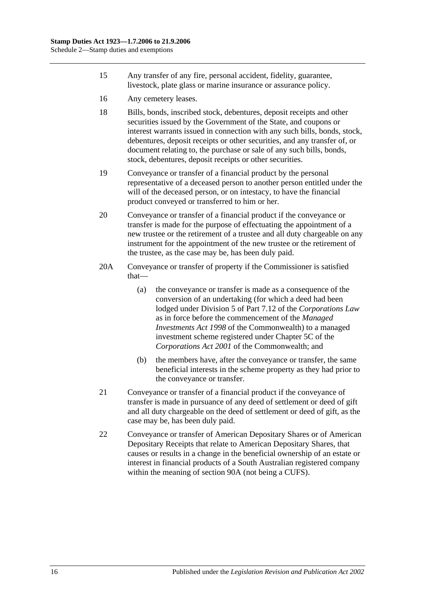- 15 Any transfer of any fire, personal accident, fidelity, guarantee, livestock, plate glass or marine insurance or assurance policy.
- 16 Any cemetery leases.
- 18 Bills, bonds, inscribed stock, debentures, deposit receipts and other securities issued by the Government of the State, and coupons or interest warrants issued in connection with any such bills, bonds, stock, debentures, deposit receipts or other securities, and any transfer of, or document relating to, the purchase or sale of any such bills, bonds, stock, debentures, deposit receipts or other securities.
- 19 Conveyance or transfer of a financial product by the personal representative of a deceased person to another person entitled under the will of the deceased person, or on intestacy, to have the financial product conveyed or transferred to him or her.
- 20 Conveyance or transfer of a financial product if the conveyance or transfer is made for the purpose of effectuating the appointment of a new trustee or the retirement of a trustee and all duty chargeable on any instrument for the appointment of the new trustee or the retirement of the trustee, as the case may be, has been duly paid.
- 20A Conveyance or transfer of property if the Commissioner is satisfied that—
	- (a) the conveyance or transfer is made as a consequence of the conversion of an undertaking (for which a deed had been lodged under Division 5 of Part 7.12 of the *Corporations Law* as in force before the commencement of the *Managed Investments Act 1998* of the Commonwealth) to a managed investment scheme registered under Chapter 5C of the *Corporations Act 2001* of the Commonwealth; and
	- (b) the members have, after the conveyance or transfer, the same beneficial interests in the scheme property as they had prior to the conveyance or transfer.
- 21 Conveyance or transfer of a financial product if the conveyance of transfer is made in pursuance of any deed of settlement or deed of gift and all duty chargeable on the deed of settlement or deed of gift, as the case may be, has been duly paid.
- 22 Conveyance or transfer of American Depositary Shares or of American Depositary Receipts that relate to American Depositary Shares, that causes or results in a change in the beneficial ownership of an estate or interest in financial products of a South Australian registered company within the meaning of [section](#page-74-1) 90A (not being a CUFS).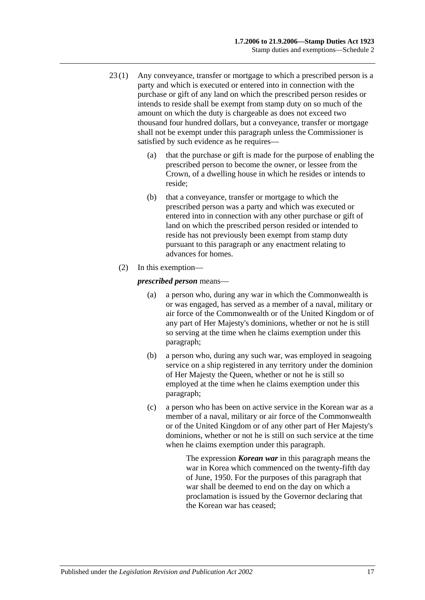- 23 (1) Any conveyance, transfer or mortgage to which a prescribed person is a party and which is executed or entered into in connection with the purchase or gift of any land on which the prescribed person resides or intends to reside shall be exempt from stamp duty on so much of the amount on which the duty is chargeable as does not exceed two thousand four hundred dollars, but a conveyance, transfer or mortgage shall not be exempt under this paragraph unless the Commissioner is satisfied by such evidence as he requires—
	- (a) that the purchase or gift is made for the purpose of enabling the prescribed person to become the owner, or lessee from the Crown, of a dwelling house in which he resides or intends to reside;
	- (b) that a conveyance, transfer or mortgage to which the prescribed person was a party and which was executed or entered into in connection with any other purchase or gift of land on which the prescribed person resided or intended to reside has not previously been exempt from stamp duty pursuant to this paragraph or any enactment relating to advances for homes.
	- (2) In this exemption—

<span id="page-116-0"></span>*prescribed person* means—

- (a) a person who, during any war in which the Commonwealth is or was engaged, has served as a member of a naval, military or air force of the Commonwealth or of the United Kingdom or of any part of Her Majesty's dominions, whether or not he is still so serving at the time when he claims exemption under this paragraph;
- <span id="page-116-1"></span>(b) a person who, during any such war, was employed in seagoing service on a ship registered in any territory under the dominion of Her Majesty the Queen, whether or not he is still so employed at the time when he claims exemption under this paragraph;
- <span id="page-116-2"></span>(c) a person who has been on active service in the Korean war as a member of a naval, military or air force of the Commonwealth or of the United Kingdom or of any other part of Her Majesty's dominions, whether or not he is still on such service at the time when he claims exemption under this paragraph.

The expression *Korean war* in this paragraph means the war in Korea which commenced on the twenty-fifth day of June, 1950. For the purposes of this paragraph that war shall be deemed to end on the day on which a proclamation is issued by the Governor declaring that the Korean war has ceased;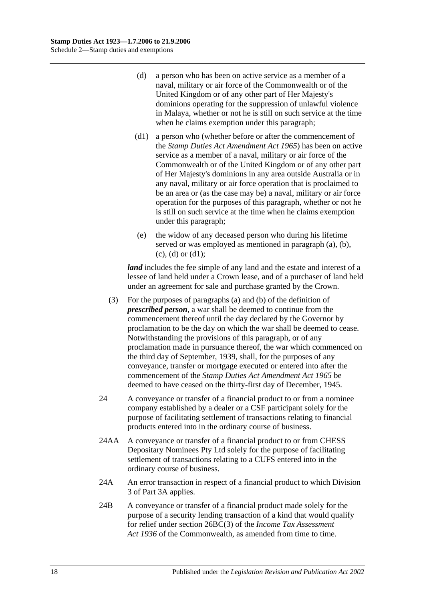- <span id="page-117-0"></span>(d) a person who has been on active service as a member of a naval, military or air force of the Commonwealth or of the United Kingdom or of any other part of Her Majesty's dominions operating for the suppression of unlawful violence in Malaya, whether or not he is still on such service at the time when he claims exemption under this paragraph;
- <span id="page-117-1"></span>(d1) a person who (whether before or after the commencement of the *[Stamp Duties Act Amendment Act](http://www.legislation.sa.gov.au/index.aspx?action=legref&type=act&legtitle=Stamp%20Duties%20Act%20Amendment%20Act%201965) 1965*) has been on active service as a member of a naval, military or air force of the Commonwealth or of the United Kingdom or of any other part of Her Majesty's dominions in any area outside Australia or in any naval, military or air force operation that is proclaimed to be an area or (as the case may be) a naval, military or air force operation for the purposes of this paragraph, whether or not he is still on such service at the time when he claims exemption under this paragraph;
- (e) the widow of any deceased person who during his lifetime served or was employed as mentioned in [paragraph](#page-116-0) (a), [\(b\),](#page-116-1)  $(c)$ ,  $(d)$  or  $(d1)$ ;

*land* includes the fee simple of any land and the estate and interest of a lessee of land held under a Crown lease, and of a purchaser of land held under an agreement for sale and purchase granted by the Crown.

- (3) For the purposes of [paragraphs](#page-116-0) (a) and [\(b\)](#page-116-1) of the definition of *prescribed person*, a war shall be deemed to continue from the commencement thereof until the day declared by the Governor by proclamation to be the day on which the war shall be deemed to cease. Notwithstanding the provisions of this paragraph, or of any proclamation made in pursuance thereof, the war which commenced on the third day of September, 1939, shall, for the purposes of any conveyance, transfer or mortgage executed or entered into after the commencement of the *[Stamp Duties Act Amendment Act](http://www.legislation.sa.gov.au/index.aspx?action=legref&type=act&legtitle=Stamp%20Duties%20Act%20Amendment%20Act%201965) 1965* be deemed to have ceased on the thirty-first day of December, 1945.
- 24 A conveyance or transfer of a financial product to or from a nominee company established by a dealer or a CSF participant solely for the purpose of facilitating settlement of transactions relating to financial products entered into in the ordinary course of business.
- 24AA A conveyance or transfer of a financial product to or from CHESS Depositary Nominees Pty Ltd solely for the purpose of facilitating settlement of transactions relating to a CUFS entered into in the ordinary course of business.
- 24A An error transaction in respect of a financial product to which [Division](#page-81-0)  [3](#page-81-0) of [Part 3A](#page-74-0) applies.
- 24B A conveyance or transfer of a financial product made solely for the purpose of a security lending transaction of a kind that would qualify for relief under section 26BC(3) of the *Income Tax Assessment Act 1936* of the Commonwealth, as amended from time to time.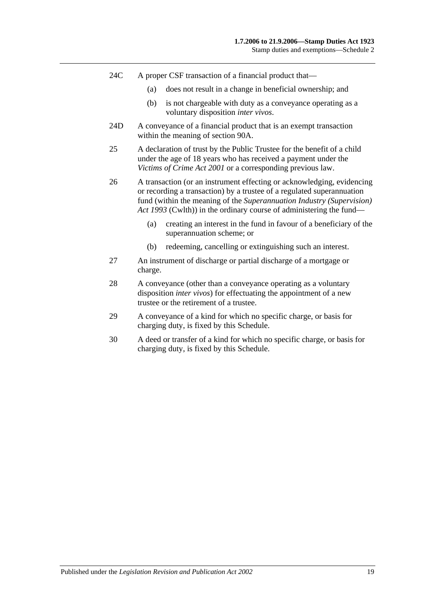- 24C A proper CSF transaction of a financial product that—
	- (a) does not result in a change in beneficial ownership; and
	- (b) is not chargeable with duty as a conveyance operating as a voluntary disposition *inter vivos*.
- 24D A conveyance of a financial product that is an exempt transaction within the meaning of [section](#page-74-1) 90A.
- 25 A declaration of trust by the Public Trustee for the benefit of a child under the age of 18 years who has received a payment under the *[Victims of Crime Act](http://www.legislation.sa.gov.au/index.aspx?action=legref&type=act&legtitle=Victims%20of%20Crime%20Act%202001) 2001* or a corresponding previous law.
- 26 A transaction (or an instrument effecting or acknowledging, evidencing or recording a transaction) by a trustee of a regulated superannuation fund (within the meaning of the *Superannuation Industry (Supervision) Act 1993* (Cwlth)) in the ordinary course of administering the fund—
	- (a) creating an interest in the fund in favour of a beneficiary of the superannuation scheme; or
	- (b) redeeming, cancelling or extinguishing such an interest.
- 27 An instrument of discharge or partial discharge of a mortgage or charge.
- 28 A conveyance (other than a conveyance operating as a voluntary disposition *inter vivos*) for effectuating the appointment of a new trustee or the retirement of a trustee.
- 29 A conveyance of a kind for which no specific charge, or basis for charging duty, is fixed by this Schedule.
- 30 A deed or transfer of a kind for which no specific charge, or basis for charging duty, is fixed by this Schedule.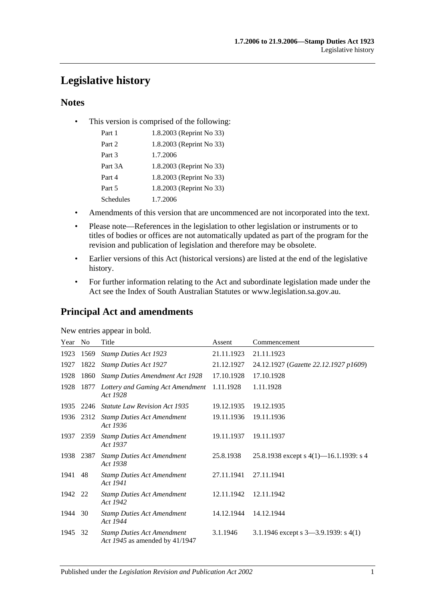# **Legislative history**

# **Notes**

• This version is comprised of the following:

| Part 1    | 1.8.2003 (Reprint No 33) |
|-----------|--------------------------|
| Part 2    | 1.8.2003 (Reprint No 33) |
| Part 3    | 1.7.2006                 |
| Part 3A   | 1.8.2003 (Reprint No 33) |
| Part 4    | 1.8.2003 (Reprint No 33) |
| Part 5    | 1.8.2003 (Reprint No 33) |
| Schedules | 1.7.2006                 |

- Amendments of this version that are uncommenced are not incorporated into the text.
- Please note—References in the legislation to other legislation or instruments or to titles of bodies or offices are not automatically updated as part of the program for the revision and publication of legislation and therefore may be obsolete.
- Earlier versions of this Act (historical versions) are listed at the end of the legislative history.
- For further information relating to the Act and subordinate legislation made under the Act see the Index of South Australian Statutes or www.legislation.sa.gov.au.

# **Principal Act and amendments**

| New entries appear in bold. |
|-----------------------------|
|-----------------------------|

| Year No |      | Title                                                               | Assent     | Commencement                              |
|---------|------|---------------------------------------------------------------------|------------|-------------------------------------------|
| 1923    | 1569 | <b>Stamp Duties Act 1923</b>                                        | 21.11.1923 | 21.11.1923                                |
| 1927    | 1822 | <b>Stamp Duties Act 1927</b>                                        | 21.12.1927 | 24.12.1927 (Gazette 22.12.1927 p1609)     |
| 1928    | 1860 | <b>Stamp Duties Amendment Act 1928</b>                              | 17.10.1928 | 17.10.1928                                |
| 1928    | 1877 | Lottery and Gaming Act Amendment<br>Act 1928                        | 1.11.1928  | 1.11.1928                                 |
| 1935    | 2246 | <b>Statute Law Revision Act 1935</b>                                | 19.12.1935 | 19.12.1935                                |
| 1936    | 2312 | <b>Stamp Duties Act Amendment</b><br>Act 1936                       | 19.11.1936 | 19.11.1936                                |
| 1937    | 2359 | <b>Stamp Duties Act Amendment</b><br>Act 1937                       | 19.11.1937 | 19.11.1937                                |
| 1938    | 2387 | <b>Stamp Duties Act Amendment</b><br>Act 1938                       | 25.8.1938  | 25.8.1938 except s $4(1)$ —16.1.1939: s 4 |
| 1941    | 48   | <b>Stamp Duties Act Amendment</b><br>Act 1941                       | 27.11.1941 | 27.11.1941                                |
| 1942    | 22   | <b>Stamp Duties Act Amendment</b><br>Act 1942                       | 12.11.1942 | 12.11.1942                                |
| 1944    | 30   | <b>Stamp Duties Act Amendment</b><br>Act 1944                       | 14.12.1944 | 14.12.1944                                |
| 1945    | 32   | <b>Stamp Duties Act Amendment</b><br>Act 1945 as amended by 41/1947 | 3.1.1946   | 3.1.1946 except s $3-3.9.1939$ : s $4(1)$ |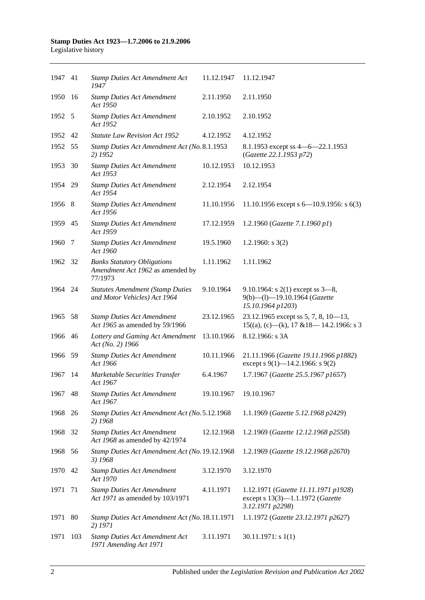| 1947 41 |      | <b>Stamp Duties Act Amendment Act</b><br>1947                                     | 11.12.1947 | 11.12.1947                                                                                   |
|---------|------|-----------------------------------------------------------------------------------|------------|----------------------------------------------------------------------------------------------|
| 1950    | -16  | <b>Stamp Duties Act Amendment</b><br>Act 1950                                     | 2.11.1950  | 2.11.1950                                                                                    |
| 1952 5  |      | <b>Stamp Duties Act Amendment</b><br>Act 1952                                     | 2.10.1952  | 2.10.1952                                                                                    |
| 1952 42 |      | <b>Statute Law Revision Act 1952</b>                                              | 4.12.1952  | 4.12.1952                                                                                    |
| 1952    | - 55 | Stamp Duties Act Amendment Act (No. 8.1.1953<br>2) 1952                           |            | 8.1.1953 except ss 4 - 6 - 22.1.1953<br>(Gazette 22.1.1953 p72)                              |
| 1953    | 30   | <b>Stamp Duties Act Amendment</b><br>Act 1953                                     | 10.12.1953 | 10.12.1953                                                                                   |
| 1954 29 |      | <b>Stamp Duties Act Amendment</b><br>Act 1954                                     | 2.12.1954  | 2.12.1954                                                                                    |
| 1956 8  |      | <b>Stamp Duties Act Amendment</b><br>Act 1956                                     | 11.10.1956 | 11.10.1956 except s $6-10.9.1956$ : s $6(3)$                                                 |
| 1959 45 |      | <b>Stamp Duties Act Amendment</b><br>Act 1959                                     | 17.12.1959 | 1.2.1960 (Gazette 7.1.1960 p1)                                                               |
| 1960    | 7    | <b>Stamp Duties Act Amendment</b><br>Act 1960                                     | 19.5.1960  | 1.2.1960: $s$ 3(2)                                                                           |
| 1962 32 |      | <b>Banks Statutory Obligations</b><br>Amendment Act 1962 as amended by<br>77/1973 | 1.11.1962  | 1.11.1962                                                                                    |
| 1964 24 |      | <b>Statutes Amendment (Stamp Duties</b><br>and Motor Vehicles) Act 1964           | 9.10.1964  | 9.10.1964: s $2(1)$ except ss $3-8$ ,<br>9(b)-(l)-19.10.1964 (Gazette<br>15.10.1964 p1203)   |
| 1965    | -58  | <b>Stamp Duties Act Amendment</b><br>Act 1965 as amended by 59/1966               | 23.12.1965 | 23.12.1965 except ss 5, 7, 8, 10-13,<br>$15((a), (c)$ —(k), 17 & 18—14.2.1966: s 3           |
| 1966 46 |      | Lottery and Gaming Act Amendment<br>Act (No. 2) 1966                              | 13.10.1966 | 8.12.1966: s 3A                                                                              |
| 1966    | - 59 | <b>Stamp Duties Act Amendment</b><br>Act 1966                                     | 10.11.1966 | 21.11.1966 (Gazette 19.11.1966 p1882)<br>except s 9(1)–14.2.1966: s 9(2)                     |
| 1967    | -14  | Marketable Securities Transfer<br>Act 1967                                        | 6.4.1967   | 1.7.1967 (Gazette 25.5.1967 p1657)                                                           |
| 1967    | 48   | <b>Stamp Duties Act Amendment</b><br>Act 1967                                     | 19.10.1967 | 19.10.1967                                                                                   |
| 1968    | 26   | Stamp Duties Act Amendment Act (No. 5.12.1968<br>2) 1968                          |            | 1.1.1969 (Gazette 5.12.1968 p2429)                                                           |
| 1968    | 32   | <b>Stamp Duties Act Amendment</b><br>Act 1968 as amended by 42/1974               | 12.12.1968 | 1.2.1969 (Gazette 12.12.1968 p2558)                                                          |
| 1968    | 56   | Stamp Duties Act Amendment Act (No. 19.12.1968<br>3) 1968                         |            | 1.2.1969 (Gazette 19.12.1968 p2670)                                                          |
| 1970    | 42   | <b>Stamp Duties Act Amendment</b><br>Act 1970                                     | 3.12.1970  | 3.12.1970                                                                                    |
| 1971    | 71   | <b>Stamp Duties Act Amendment</b><br>Act 1971 as amended by 103/1971              | 4.11.1971  | 1.12.1971 (Gazette 11.11.1971 p1928)<br>except s 13(3)-1.1.1972 (Gazette<br>3.12.1971 p2298) |
| 1971    | 80   | Stamp Duties Act Amendment Act (No. 18.11.1971<br>2) 1971                         |            | 1.1.1972 (Gazette 23.12.1971 p2627)                                                          |
| 1971    | 103  | <b>Stamp Duties Act Amendment Act</b><br>1971 Amending Act 1971                   | 3.11.1971  | 30.11.1971: s1(1)                                                                            |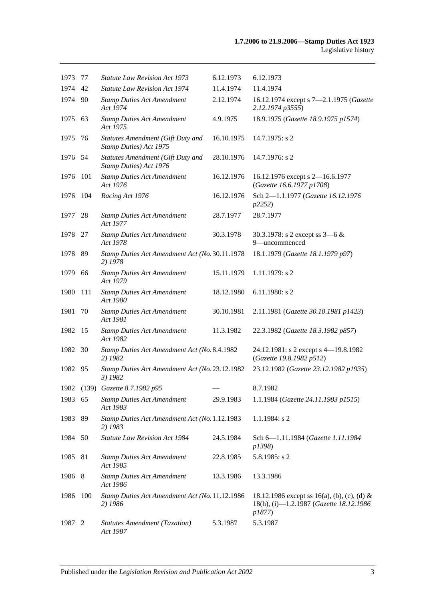| 1973    | 77  | <b>Statute Law Revision Act 1973</b>                        | 6.12.1973  | 6.12.1973                                                                                        |
|---------|-----|-------------------------------------------------------------|------------|--------------------------------------------------------------------------------------------------|
| 1974    | 42  | <b>Statute Law Revision Act 1974</b>                        | 11.4.1974  | 11.4.1974                                                                                        |
| 1974    | 90  | <b>Stamp Duties Act Amendment</b><br>Act 1974               | 2.12.1974  | 16.12.1974 except s 7-2.1.1975 (Gazette<br>2.12.1974 p3555)                                      |
| 1975    | 63  | <b>Stamp Duties Act Amendment</b><br>Act 1975               | 4.9.1975   | 18.9.1975 (Gazette 18.9.1975 p1574)                                                              |
| 1975    | 76  | Statutes Amendment (Gift Duty and<br>Stamp Duties) Act 1975 | 16.10.1975 | 14.7.1975: s 2                                                                                   |
| 1976 54 |     | Statutes Amendment (Gift Duty and<br>Stamp Duties) Act 1976 | 28.10.1976 | 14.7.1976: s 2                                                                                   |
| 1976    | 101 | <b>Stamp Duties Act Amendment</b><br>Act 1976               | 16.12.1976 | 16.12.1976 except s 2-16.6.1977<br>(Gazette 16.6.1977 p1708)                                     |
| 1976    | 104 | Racing Act 1976                                             | 16.12.1976 | Sch 2-1.1.1977 (Gazette 16.12.1976<br>p2252)                                                     |
| 1977    | 28  | <b>Stamp Duties Act Amendment</b><br>Act 1977               | 28.7.1977  | 28.7.1977                                                                                        |
| 1978    | -27 | <b>Stamp Duties Act Amendment</b><br>Act 1978               | 30.3.1978  | 30.3.1978: s 2 except ss $3-6 &$<br>9-uncommenced                                                |
| 1978    | 89  | Stamp Duties Act Amendment Act (No. 30.11.1978<br>2) 1978   |            | 18.1.1979 (Gazette 18.1.1979 p97)                                                                |
| 1979    | 66  | <b>Stamp Duties Act Amendment</b><br>Act 1979               | 15.11.1979 | 1.11.1979: s 2                                                                                   |
| 1980    | 111 | <b>Stamp Duties Act Amendment</b><br>Act 1980               | 18.12.1980 | $6.11.1980$ : s 2                                                                                |
| 1981    | 70  | <b>Stamp Duties Act Amendment</b><br>Act 1981               | 30.10.1981 | 2.11.1981 (Gazette 30.10.1981 p1423)                                                             |
| 1982    | 15  | <b>Stamp Duties Act Amendment</b><br>Act 1982               | 11.3.1982  | 22.3.1982 (Gazette 18.3.1982 p857)                                                               |
| 1982    | 30  | Stamp Duties Act Amendment Act (No. 8.4.1982<br>2) 1982     |            | 24.12.1981: s 2 except s 4-19.8.1982<br>(Gazette 19.8.1982 p512)                                 |
| 1982    | 95  | Stamp Duties Act Amendment Act (No. 23.12.1982<br>3) 1982   |            | 23.12.1982 (Gazette 23.12.1982 p1935)                                                            |
|         |     | 1982 (139) Gazette 8.7.1982 p95                             |            | 8.7.1982                                                                                         |
| 1983 65 |     | <b>Stamp Duties Act Amendment</b><br>Act 1983               | 29.9.1983  | 1.1.1984 (Gazette 24.11.1983 p1515)                                                              |
| 1983    | 89  | Stamp Duties Act Amendment Act (No. 1.12.1983<br>2) 1983    |            | 1.1.1984: s 2                                                                                    |
| 1984    | 50  | <b>Statute Law Revision Act 1984</b>                        | 24.5.1984  | Sch 6-1.11.1984 (Gazette 1.11.1984<br>p1398)                                                     |
| 1985    | 81  | <b>Stamp Duties Act Amendment</b><br>Act 1985               | 22.8.1985  | 5.8.1985: s 2                                                                                    |
| 1986 8  |     | <b>Stamp Duties Act Amendment</b><br>Act 1986               | 13.3.1986  | 13.3.1986                                                                                        |
| 1986    | 100 | Stamp Duties Act Amendment Act (No. 11.12.1986<br>2) 1986   |            | 18.12.1986 except ss 16(a), (b), (c), (d) &<br>18(h), (i)-1.2.1987 (Gazette 18.12.1986<br>p1877) |
| 1987    | 2   | <b>Statutes Amendment (Taxation)</b><br>Act 1987            | 5.3.1987   | 5.3.1987                                                                                         |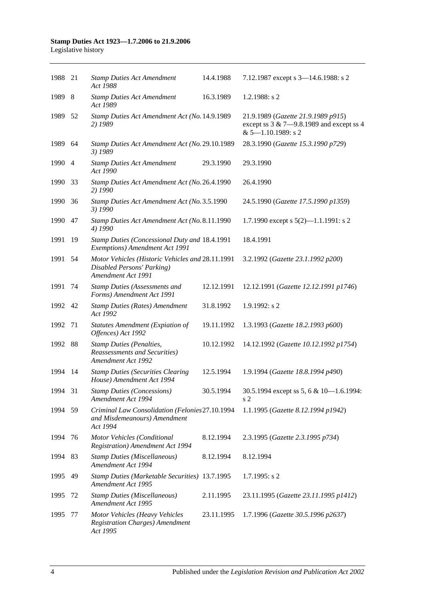| 1988 21 |      | <b>Stamp Duties Act Amendment</b><br>Act 1988                                                        | 14.4.1988  | 7.12.1987 except s 3-14.6.1988: s 2                                                                           |
|---------|------|------------------------------------------------------------------------------------------------------|------------|---------------------------------------------------------------------------------------------------------------|
| 1989 8  |      | <b>Stamp Duties Act Amendment</b><br>Act 1989                                                        | 16.3.1989  | 1.2.1988: $s$ 2                                                                                               |
| 1989    | - 52 | Stamp Duties Act Amendment Act (No. 14.9.1989<br>2) 1989                                             |            | 21.9.1989 (Gazette 21.9.1989 p915)<br>except ss $3 & 7 - 9.8.1989$ and except ss 4<br>$& 5 - 1.10.1989$ : s 2 |
| 1989 64 |      | Stamp Duties Act Amendment Act (No. 29.10.1989<br>3) 1989                                            |            | 28.3.1990 (Gazette 15.3.1990 p729)                                                                            |
| 1990 4  |      | <b>Stamp Duties Act Amendment</b><br>Act 1990                                                        | 29.3.1990  | 29.3.1990                                                                                                     |
| 1990    | 33   | Stamp Duties Act Amendment Act (No. 26.4.1990<br>2) 1990                                             |            | 26.4.1990                                                                                                     |
| 1990    | 36   | Stamp Duties Act Amendment Act (No. 3.5.1990<br>3) 1990                                              |            | 24.5.1990 (Gazette 17.5.1990 p1359)                                                                           |
| 1990    | 47   | Stamp Duties Act Amendment Act (No. 8.11.1990<br>4) 1990                                             |            | 1.7.1990 except s $5(2)$ —1.1.1991: s 2                                                                       |
| 1991    | 19   | Stamp Duties (Concessional Duty and 18.4.1991<br>Exemptions) Amendment Act 1991                      |            | 18.4.1991                                                                                                     |
| 1991    | 54   | Motor Vehicles (Historic Vehicles and 28.11.1991<br>Disabled Persons' Parking)<br>Amendment Act 1991 |            | 3.2.1992 (Gazette 23.1.1992 p200)                                                                             |
| 1991    | 74   | <b>Stamp Duties (Assessments and</b><br>Forms) Amendment Act 1991                                    | 12.12.1991 | 12.12.1991 (Gazette 12.12.1991 p1746)                                                                         |
| 1992 42 |      | <b>Stamp Duties (Rates) Amendment</b><br>Act 1992                                                    | 31.8.1992  | 1.9.1992: s 2                                                                                                 |
| 1992    | 71   | <b>Statutes Amendment (Expiation of</b><br>Offences) Act 1992                                        | 19.11.1992 | 1.3.1993 (Gazette 18.2.1993 p600)                                                                             |
| 1992    | 88   | <b>Stamp Duties (Penalties,</b><br>Reassessments and Securities)<br>Amendment Act 1992               | 10.12.1992 | 14.12.1992 (Gazette 10.12.1992 p1754)                                                                         |
| 1994    | 14   | <b>Stamp Duties (Securities Clearing</b><br>House) Amendment Act 1994                                | 12.5.1994  | 1.9.1994 (Gazette 18.8.1994 p490)                                                                             |
| 1994 31 |      | <b>Stamp Duties (Concessions)</b><br>Amendment Act 1994                                              | 30.5.1994  | 30.5.1994 except ss 5, 6 & 10-1.6.1994:<br>s 2                                                                |
| 1994 59 |      | Criminal Law Consolidation (Felonies 27.10.1994<br>and Misdemeanours) Amendment<br>Act 1994          |            | 1.1.1995 (Gazette 8.12.1994 p1942)                                                                            |
| 1994    | 76   | Motor Vehicles (Conditional<br><b>Registration</b> ) Amendment Act 1994                              | 8.12.1994  | 2.3.1995 (Gazette 2.3.1995 p734)                                                                              |
| 1994    | 83   | <b>Stamp Duties (Miscellaneous)</b><br>Amendment Act 1994                                            | 8.12.1994  | 8.12.1994                                                                                                     |
| 1995    | 49   | Stamp Duties (Marketable Securities) 13.7.1995<br>Amendment Act 1995                                 |            | $1.7.1995$ : s 2                                                                                              |
| 1995    | 72   | <b>Stamp Duties (Miscellaneous)</b><br>Amendment Act 1995                                            | 2.11.1995  | 23.11.1995 (Gazette 23.11.1995 p1412)                                                                         |
| 1995    | 77   | Motor Vehicles (Heavy Vehicles<br><b>Registration Charges)</b> Amendment<br>Act 1995                 | 23.11.1995 | 1.7.1996 (Gazette 30.5.1996 p2637)                                                                            |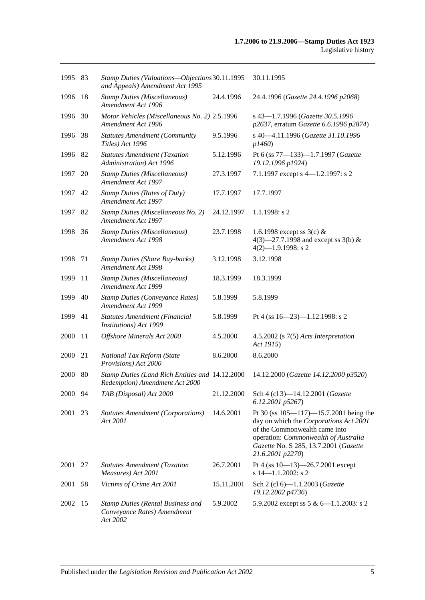| 1995 83 |     | Stamp Duties (Valuations-Objections 30.11.1995<br>and Appeals) Amendment Act 1995   |            | 30.11.1995                                                                                                                                                                                                                   |
|---------|-----|-------------------------------------------------------------------------------------|------------|------------------------------------------------------------------------------------------------------------------------------------------------------------------------------------------------------------------------------|
| 1996    | -18 | <b>Stamp Duties (Miscellaneous)</b><br>Amendment Act 1996                           | 24.4.1996  | 24.4.1996 (Gazette 24.4.1996 p2068)                                                                                                                                                                                          |
| 1996    | 30  | Motor Vehicles (Miscellaneous No. 2) 2.5.1996<br>Amendment Act 1996                 |            | s 43-1.7.1996 (Gazette 30.5.1996<br>p2637, erratum Gazette 6.6.1996 p2874)                                                                                                                                                   |
| 1996    | 38  | <b>Statutes Amendment (Community</b><br>Titles) Act 1996                            | 9.5.1996   | s 40-4.11.1996 (Gazette 31.10.1996<br>p1460)                                                                                                                                                                                 |
| 1996 82 |     | <b>Statutes Amendment (Taxation</b><br>Administration) Act 1996                     | 5.12.1996  | Pt 6 (ss 77-133)-1.7.1997 (Gazette<br>19.12.1996 p1924)                                                                                                                                                                      |
| 1997    | 20  | <b>Stamp Duties (Miscellaneous)</b><br>Amendment Act 1997                           | 27.3.1997  | 7.1.1997 except s 4-1.2.1997: s 2                                                                                                                                                                                            |
| 1997    | 42  | <b>Stamp Duties (Rates of Duty)</b><br>Amendment Act 1997                           | 17.7.1997  | 17.7.1997                                                                                                                                                                                                                    |
| 1997    | 82  | Stamp Duties (Miscellaneous No. 2)<br>Amendment Act 1997                            | 24.12.1997 | 1.1.1998: s2                                                                                                                                                                                                                 |
| 1998    | 36  | <b>Stamp Duties (Miscellaneous)</b><br>Amendment Act 1998                           | 23.7.1998  | 1.6.1998 except ss $3(c)$ &<br>4(3)–27.7.1998 and except ss 3(b) &<br>$4(2)$ -1.9.1998: s 2                                                                                                                                  |
| 1998    | 71  | <b>Stamp Duties (Share Buy-backs)</b><br>Amendment Act 1998                         | 3.12.1998  | 3.12.1998                                                                                                                                                                                                                    |
| 1999    | 11  | <b>Stamp Duties (Miscellaneous)</b><br>Amendment Act 1999                           | 18.3.1999  | 18.3.1999                                                                                                                                                                                                                    |
| 1999    | 40  | <b>Stamp Duties (Conveyance Rates)</b><br>Amendment Act 1999                        | 5.8.1999   | 5.8.1999                                                                                                                                                                                                                     |
| 1999    | 41  | Statutes Amendment (Financial<br>Institutions) Act 1999                             | 5.8.1999   | Pt 4 (ss $16 - 23$ )-1.12.1998: s 2                                                                                                                                                                                          |
| 2000    | -11 | Offshore Minerals Act 2000                                                          | 4.5.2000   | $4.5.2002$ (s $7(5)$ Acts Interpretation<br>Act 1915)                                                                                                                                                                        |
| 2000    | 21  | National Tax Reform (State<br>Provisions) Act 2000                                  | 8.6.2000   | 8.6.2000                                                                                                                                                                                                                     |
| 2000    | 80  | Stamp Duties (Land Rich Entities and 14.12.2000<br>Redemption) Amendment Act 2000   |            | 14.12.2000 (Gazette 14.12.2000 p3520)                                                                                                                                                                                        |
| 2000 94 |     | TAB (Disposal) Act 2000                                                             | 21.12.2000 | Sch 4 (cl 3)-14.12.2001 (Gazette<br>6.12.2001 p5267)                                                                                                                                                                         |
| 2001    | 23  | <b>Statutes Amendment (Corporations)</b><br>Act 2001                                | 14.6.2001  | Pt 30 (ss $105 - 117$ ) -15.7.2001 being the<br>day on which the Corporations Act 2001<br>of the Commonwealth came into<br>operation: Commonwealth of Australia<br>Gazette No. S 285, 13.7.2001 (Gazette<br>21.6.2001 p2270) |
| 2001    | 27  | <b>Statutes Amendment (Taxation</b><br>Measures) Act 2001                           | 26.7.2001  | Pt 4 (ss $10-13$ )-26.7.2001 except<br>s 14-1.1.2002: s 2                                                                                                                                                                    |
| 2001    | 58  | Victims of Crime Act 2001                                                           | 15.11.2001 | Sch 2 (cl 6)-1.1.2003 (Gazette<br>19.12.2002 p4736)                                                                                                                                                                          |
| 2002    | -15 | <b>Stamp Duties (Rental Business and</b><br>Conveyance Rates) Amendment<br>Act 2002 | 5.9.2002   | 5.9.2002 except ss 5 & 6-1.1.2003: s 2                                                                                                                                                                                       |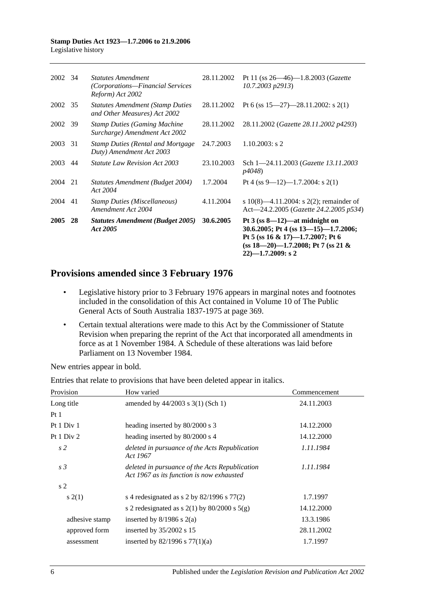|         |    | Act 2005                                                                          |            | 30.6.2005; Pt 4 (ss $13-15$ )-1.7.2006;<br>Pt 5 (ss 16 & 17)-1.7.2007; Pt 6<br>(ss $18-20$ )-1.7.2008; Pt 7 (ss 21 &<br>$22$ )-1.7.2009: s 2 |
|---------|----|-----------------------------------------------------------------------------------|------------|----------------------------------------------------------------------------------------------------------------------------------------------|
| 2005    | 28 | <b>Statutes Amendment (Budget 2005)</b>                                           | 30.6.2005  | Pt $3$ (ss 8—12)—at midnight on                                                                                                              |
| 2004    | 41 | <b>Stamp Duties (Miscellaneous)</b><br>Amendment Act 2004                         | 4.11.2004  | s 10(8)—4.11.2004: s 2(2); remainder of<br>Act—24.2.2005 (Gazette 24.2.2005 p534)                                                            |
| 2004 21 |    | Statutes Amendment (Budget 2004)<br>Act 2004                                      | 1.7.2004   | Pt 4 (ss 9—12)—1.7.2004: s 2(1)                                                                                                              |
| 2003    | 44 | <i>Statute Law Revision Act 2003</i>                                              | 23.10.2003 | Sch 1-24.11.2003 (Gazette 13.11.2003)<br><i>p4048</i> )                                                                                      |
| 2003    | 31 | <b>Stamp Duties (Rental and Mortgage)</b><br>Duty) Amendment Act 2003             | 24.7.2003  | $1.10.2003$ : s 2                                                                                                                            |
| 2002    | 39 | <b>Stamp Duties (Gaming Machine</b><br>Surcharge) Amendment Act 2002              | 28.11.2002 | 28.11.2002 (Gazette 28.11.2002 p4293)                                                                                                        |
| 2002 35 |    | <b>Statutes Amendment (Stamp Duties)</b><br>and Other Measures) Act 2002          | 28.11.2002 | Pt 6 (ss $15-27$ )-28.11.2002: s 2(1)                                                                                                        |
| 2002 34 |    | <b>Statutes Amendment</b><br>(Corporations-Financial Services<br>Reform) Act 2002 | 28.11.2002 | Pt 11 (ss $26 - 46$ )-1.8.2003 ( <i>Gazette</i><br>10.7.2003 p2913)                                                                          |
|         |    |                                                                                   |            |                                                                                                                                              |

# **Provisions amended since 3 February 1976**

- Legislative history prior to 3 February 1976 appears in marginal notes and footnotes included in the consolidation of this Act contained in Volume 10 of The Public General Acts of South Australia 1837-1975 at page 369.
- Certain textual alterations were made to this Act by the Commissioner of Statute Revision when preparing the reprint of the Act that incorporated all amendments in force as at 1 November 1984. A Schedule of these alterations was laid before Parliament on 13 November 1984.

New entries appear in bold.

| Provision      | How varied                                                                                  | Commencement |
|----------------|---------------------------------------------------------------------------------------------|--------------|
| Long title     | amended by $44/2003$ s 3(1) (Sch 1)                                                         | 24.11.2003   |
| Pt1            |                                                                                             |              |
| Pt 1 Div 1     | heading inserted by 80/2000 s 3                                                             | 14.12.2000   |
| Pt $1$ Div $2$ | heading inserted by 80/2000 s 4                                                             | 14.12.2000   |
| s <sub>2</sub> | deleted in pursuance of the Acts Republication<br>Act 1967                                  | 1.11.1984    |
| s <sub>3</sub> | deleted in pursuance of the Acts Republication<br>Act 1967 as its function is now exhausted | 1.11.1984    |
| s <sub>2</sub> |                                                                                             |              |
| s(2(1))        | s 4 redesignated as s 2 by $82/1996$ s $77(2)$                                              | 1.7.1997     |
|                | s 2 redesignated as s $2(1)$ by $80/2000$ s $5(g)$                                          | 14.12.2000   |
| adhesive stamp | inserted by $8/1986$ s $2(a)$                                                               | 13.3.1986    |
| approved form  | inserted by $35/2002$ s 15                                                                  | 28.11.2002   |
| assessment     | inserted by $82/1996$ s $77(1)(a)$                                                          | 1.7.1997     |

Entries that relate to provisions that have been deleted appear in italics.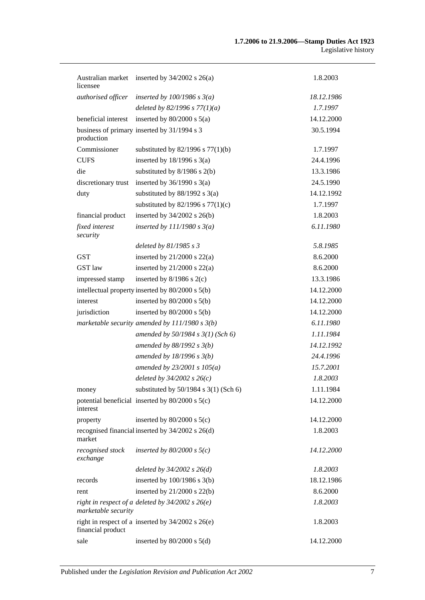| licensee                     | Australian market inserted by 34/2002 s 26(a)         | 1.8.2003   |
|------------------------------|-------------------------------------------------------|------------|
| authorised officer           | inserted by $100/1986$ s $3(a)$                       | 18.12.1986 |
|                              | deleted by 82/1996 s $77(1)(a)$                       | 1.7.1997   |
| beneficial interest          | inserted by $80/2000$ s $5(a)$                        | 14.12.2000 |
| production                   | business of primary inserted by 31/1994 s 3           | 30.5.1994  |
| Commissioner                 | substituted by $82/1996$ s $77(1)(b)$                 | 1.7.1997   |
| <b>CUFS</b>                  | inserted by $18/1996$ s $3(a)$                        | 24.4.1996  |
| die                          | substituted by $8/1986$ s $2(b)$                      | 13.3.1986  |
| discretionary trust          | inserted by $36/1990$ s $3(a)$                        | 24.5.1990  |
| duty                         | substituted by $88/1992$ s 3(a)                       | 14.12.1992 |
|                              | substituted by $82/1996$ s $77(1)(c)$                 | 1.7.1997   |
| financial product            | inserted by $34/2002$ s $26(b)$                       | 1.8.2003   |
| fixed interest<br>security   | inserted by $111/1980 s 3(a)$                         | 6.11.1980  |
|                              | deleted by $81/1985 s 3$                              | 5.8.1985   |
| <b>GST</b>                   | inserted by $21/2000$ s $22(a)$                       | 8.6.2000   |
| <b>GST</b> law               | inserted by $21/2000$ s $22(a)$                       | 8.6.2000   |
| impressed stamp              | inserted by $8/1986$ s $2(c)$                         | 13.3.1986  |
|                              | intellectual property inserted by 80/2000 s 5(b)      | 14.12.2000 |
| interest                     | inserted by $80/2000$ s $5(b)$                        | 14.12.2000 |
| jurisdiction                 | inserted by $80/2000$ s $5(b)$                        | 14.12.2000 |
|                              | marketable security amended by $111/1980 s 3(b)$      | 6.11.1980  |
|                              | amended by $50/1984$ s $3(1)$ (Sch 6)                 | 1.11.1984  |
|                              | amended by $88/1992 s 3(b)$                           | 14.12.1992 |
|                              | amended by $18/1996$ s $3(b)$                         | 24.4.1996  |
|                              | amended by $23/2001 s 105(a)$                         | 15.7.2001  |
|                              | deleted by $34/2002$ s $26(c)$                        | 1.8.2003   |
| money                        | substituted by $50/1984$ s $3(1)$ (Sch 6)             | 1.11.1984  |
| interest                     | potential beneficial inserted by $80/2000$ s $5(c)$   | 14.12.2000 |
| property                     | inserted by $80/2000$ s $5(c)$                        | 14.12.2000 |
| market                       | recognised financial inserted by 34/2002 s 26(d)      | 1.8.2003   |
| recognised stock<br>exchange | inserted by $80/2000$ s $5(c)$                        | 14.12.2000 |
|                              | deleted by $34/2002$ s $26(d)$                        | 1.8.2003   |
| records                      | inserted by $100/1986$ s $3(b)$                       | 18.12.1986 |
| rent                         | inserted by $21/2000$ s $22(b)$                       | 8.6.2000   |
| marketable security          | right in respect of a deleted by $34/2002$ s $26(e)$  | 1.8.2003   |
| financial product            | right in respect of a inserted by $34/2002$ s $26(e)$ | 1.8.2003   |
| sale                         | inserted by $80/2000$ s $5(d)$                        | 14.12.2000 |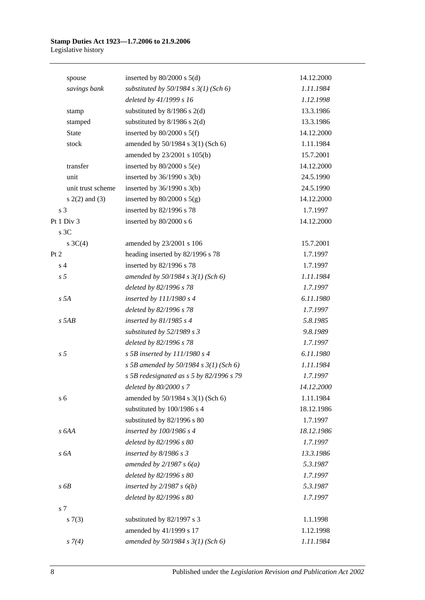| spouse             | inserted by $80/2000$ s $5(d)$            | 14.12.2000 |
|--------------------|-------------------------------------------|------------|
| savings bank       | substituted by $50/1984$ s $3(1)$ (Sch 6) | 1.11.1984  |
|                    | deleted by 41/1999 s 16                   | 1.12.1998  |
| stamp              | substituted by $8/1986$ s $2(d)$          | 13.3.1986  |
| stamped            | substituted by $8/1986$ s $2(d)$          | 13.3.1986  |
| State              | inserted by $80/2000$ s $5(f)$            | 14.12.2000 |
| stock              | amended by 50/1984 s 3(1) (Sch 6)         | 1.11.1984  |
|                    | amended by 23/2001 s 105(b)               | 15.7.2001  |
| transfer           | inserted by $80/2000$ s $5(e)$            | 14.12.2000 |
| unit               | inserted by $36/1990$ s $3(b)$            | 24.5.1990  |
| unit trust scheme  | inserted by 36/1990 s 3(b)                | 24.5.1990  |
| $s(2(2)$ and $(3)$ | inserted by $80/2000$ s $5(g)$            | 14.12.2000 |
| s 3                | inserted by 82/1996 s 78                  | 1.7.1997   |
| Pt 1 Div 3         | inserted by 80/2000 s 6                   | 14.12.2000 |
| s 3C               |                                           |            |
| s $3C(4)$          | amended by 23/2001 s 106                  | 15.7.2001  |
| Pt 2               | heading inserted by 82/1996 s 78          | 1.7.1997   |
| s <sub>4</sub>     | inserted by 82/1996 s 78                  | 1.7.1997   |
| s <sub>5</sub>     | amended by $50/1984$ s $3(1)$ (Sch 6)     | 1.11.1984  |
|                    | deleted by 82/1996 s 78                   | 1.7.1997   |
| s 5A               | inserted by $111/1980 s 4$                | 6.11.1980  |
|                    | deleted by 82/1996 s 78                   | 1.7.1997   |
| $s$ 5AB            | inserted by $81/1985$ s 4                 | 5.8.1985   |
|                    | substituted by $52/1989 s 3$              | 9.8.1989   |
|                    | deleted by 82/1996 s 78                   | 1.7.1997   |
| s <sub>5</sub>     | s 5B inserted by $111/1980$ s 4           | 6.11.1980  |
|                    | s 5B amended by 50/1984 s $3(1)$ (Sch 6)  | 1.11.1984  |
|                    | s 5B redesignated as s 5 by 82/1996 s 79  | 1.7.1997   |
|                    | deleted by 80/2000 s 7                    | 14.12.2000 |
| s <sub>6</sub>     | amended by 50/1984 s 3(1) (Sch 6)         | 1.11.1984  |
|                    | substituted by 100/1986 s 4               | 18.12.1986 |
|                    | substituted by 82/1996 s 80               | 1.7.1997   |
| s 6AA              | inserted by 100/1986 s 4                  | 18.12.1986 |
|                    | deleted by 82/1996 s 80                   | 1.7.1997   |
| s 6A               | inserted by $8/1986 s 3$                  | 13.3.1986  |
|                    | amended by $2/1987 s 6(a)$                | 5.3.1987   |
|                    | deleted by 82/1996 s 80                   | 1.7.1997   |
| s6B                | inserted by $2/1987 s 6(b)$               | 5.3.1987   |
|                    | deleted by 82/1996 s 80                   | 1.7.1997   |
| s 7                |                                           |            |
| s(7(3))            | substituted by 82/1997 s 3                | 1.1.1998   |
|                    | amended by 41/1999 s 17                   | 1.12.1998  |
| $s \, 7(4)$        | amended by 50/1984 s 3(1) (Sch 6)         | 1.11.1984  |
|                    |                                           |            |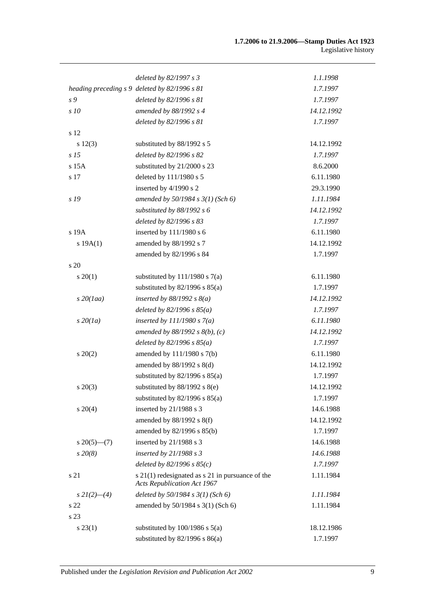|                      | deleted by 82/1997 s 3                                                                 | 1.1.1998   |
|----------------------|----------------------------------------------------------------------------------------|------------|
|                      | heading preceding s 9 deleted by 82/1996 s 81                                          | 1.7.1997   |
| s 9                  | deleted by 82/1996 s 81                                                                | 1.7.1997   |
| s 10                 | amended by 88/1992 s 4                                                                 | 14.12.1992 |
|                      | deleted by 82/1996 s 81                                                                | 1.7.1997   |
| s 12                 |                                                                                        |            |
| s 12(3)              | substituted by 88/1992 s 5                                                             | 14.12.1992 |
| s <sub>15</sub>      | deleted by 82/1996 s 82                                                                | 1.7.1997   |
| s 15A                | substituted by 21/2000 s 23                                                            | 8.6.2000   |
| s 17                 | deleted by 111/1980 s 5                                                                | 6.11.1980  |
|                      | inserted by 4/1990 s 2                                                                 | 29.3.1990  |
| s 19                 | amended by $50/1984$ s $3(1)$ (Sch 6)                                                  | 1.11.1984  |
|                      | substituted by $88/1992 s 6$                                                           | 14.12.1992 |
|                      | deleted by 82/1996 s 83                                                                | 1.7.1997   |
| s 19A                | inserted by 111/1980 s 6                                                               | 6.11.1980  |
| s 19A(1)             | amended by 88/1992 s 7                                                                 | 14.12.1992 |
|                      | amended by 82/1996 s 84                                                                | 1.7.1997   |
| s 20                 |                                                                                        |            |
| $s \ 20(1)$          | substituted by $111/1980$ s $7(a)$                                                     | 6.11.1980  |
|                      | substituted by $82/1996$ s $85(a)$                                                     | 1.7.1997   |
| $s$ 20(1aa)          | inserted by $88/1992 s 8(a)$                                                           | 14.12.1992 |
|                      | deleted by $82/1996 s 85(a)$                                                           | 1.7.1997   |
| $s\,20(1a)$          | inserted by $111/1980 s 7(a)$                                                          | 6.11.1980  |
|                      | amended by $88/1992 s 8(b)$ , (c)                                                      | 14.12.1992 |
|                      | deleted by $82/1996 s 85(a)$                                                           | 1.7.1997   |
| $s \ 20(2)$          | amended by 111/1980 s 7(b)                                                             | 6.11.1980  |
|                      | amended by 88/1992 s 8(d)                                                              | 14.12.1992 |
|                      | substituted by $82/1996$ s $85(a)$                                                     | 1.7.1997   |
| $s\,20(3)$           | substituted by $88/1992$ s $8(e)$                                                      | 14.12.1992 |
|                      | substituted by $82/1996$ s $85(a)$                                                     | 1.7.1997   |
| $s \ 20(4)$          | inserted by 21/1988 s 3                                                                | 14.6.1988  |
|                      | amended by 88/1992 s 8(f)                                                              | 14.12.1992 |
|                      | amended by 82/1996 s 85(b)                                                             | 1.7.1997   |
| $s \, 20(5)$ — $(7)$ | inserted by 21/1988 s 3                                                                | 14.6.1988  |
| $s\,20(8)$           | inserted by $21/1988 s 3$                                                              | 14.6.1988  |
|                      | deleted by $82/1996 s 85(c)$                                                           | 1.7.1997   |
| s 21                 | s 21(1) redesignated as s 21 in pursuance of the<br><b>Acts Republication Act 1967</b> | 1.11.1984  |
| $s\,2I(2)$ —(4)      | deleted by $50/1984$ s $3(1)$ (Sch 6)                                                  | 1.11.1984  |
| s 22                 | amended by 50/1984 s 3(1) (Sch 6)                                                      | 1.11.1984  |
| s 23                 |                                                                                        |            |
| $s\,23(1)$           | substituted by $100/1986$ s $5(a)$                                                     | 18.12.1986 |
|                      | substituted by $82/1996$ s $86(a)$                                                     | 1.7.1997   |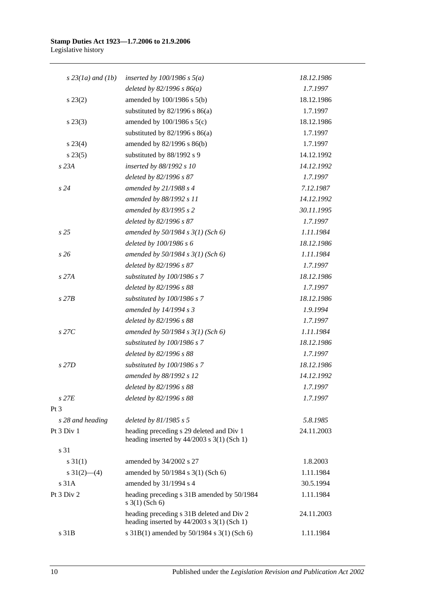| $s$ 23(1a) and (1b) | inserted by $100/1986$ s $5(a)$                                                           | 18.12.1986 |
|---------------------|-------------------------------------------------------------------------------------------|------------|
|                     | deleted by $82/1996 s 86(a)$                                                              | 1.7.1997   |
| $s\,23(2)$          | amended by 100/1986 s 5(b)                                                                | 18.12.1986 |
|                     | substituted by $82/1996$ s $86(a)$                                                        | 1.7.1997   |
| $s\,23(3)$          | amended by $100/1986$ s $5(c)$                                                            | 18.12.1986 |
|                     | substituted by $82/1996$ s $86(a)$                                                        | 1.7.1997   |
| $s\,23(4)$          | amended by 82/1996 s 86(b)                                                                | 1.7.1997   |
| $s\,23(5)$          | substituted by 88/1992 s 9                                                                | 14.12.1992 |
| s 23A               | inserted by 88/1992 s 10                                                                  | 14.12.1992 |
|                     | deleted by 82/1996 s 87                                                                   | 1.7.1997   |
| s24                 | amended by $21/1988 s 4$                                                                  | 7.12.1987  |
|                     | amended by 88/1992 s 11                                                                   | 14.12.1992 |
|                     | amended by 83/1995 s 2                                                                    | 30.11.1995 |
|                     | deleted by 82/1996 s 87                                                                   | 1.7.1997   |
| s <sub>25</sub>     | amended by $50/1984$ s $3(1)$ (Sch 6)                                                     | 1.11.1984  |
|                     | deleted by 100/1986 s 6                                                                   | 18.12.1986 |
| s26                 | amended by $50/1984$ s $3(1)$ (Sch 6)                                                     | 1.11.1984  |
|                     | deleted by 82/1996 s 87                                                                   | 1.7.1997   |
| s 27A               | substituted by 100/1986 s 7                                                               | 18.12.1986 |
|                     | deleted by 82/1996 s 88                                                                   | 1.7.1997   |
| $s$ 27 $B$          | substituted by 100/1986 s 7                                                               | 18.12.1986 |
|                     | amended by 14/1994 s 3                                                                    | 1.9.1994   |
|                     | deleted by 82/1996 s 88                                                                   | 1.7.1997   |
| $s$ 27 $C$          | amended by $50/1984$ s $3(1)$ (Sch 6)                                                     | 1.11.1984  |
|                     | substituted by 100/1986 s 7                                                               | 18.12.1986 |
|                     | deleted by 82/1996 s 88                                                                   | 1.7.1997   |
| s 27D               | substituted by 100/1986 s 7                                                               | 18.12.1986 |
|                     | amended by 88/1992 s 12                                                                   | 14.12.1992 |
|                     | deleted by 82/1996 s 88                                                                   | 1.7.1997   |
| $s$ 27 $E$          | deleted by 82/1996 s 88                                                                   | 1.7.1997   |
| Pt <sub>3</sub>     |                                                                                           |            |
| s 28 and heading    | deleted by $81/1985 s 5$                                                                  | 5.8.1985   |
| Pt 3 Div 1          | heading preceding s 29 deleted and Div 1<br>heading inserted by $44/2003$ s 3(1) (Sch 1)  | 24.11.2003 |
| s 31                |                                                                                           |            |
| $s \, 31(1)$        | amended by 34/2002 s 27                                                                   | 1.8.2003   |
| s $31(2)$ (4)       | amended by 50/1984 s 3(1) (Sch 6)                                                         | 1.11.1984  |
| s 31A               | amended by 31/1994 s 4                                                                    | 30.5.1994  |
| Pt 3 Div 2          | heading preceding s 31B amended by 50/1984<br>$s \; 3(1)$ (Sch 6)                         | 1.11.1984  |
|                     | heading preceding s 31B deleted and Div 2<br>heading inserted by $44/2003$ s 3(1) (Sch 1) | 24.11.2003 |
| s 31B               | s 31B(1) amended by 50/1984 s 3(1) (Sch 6)                                                | 1.11.1984  |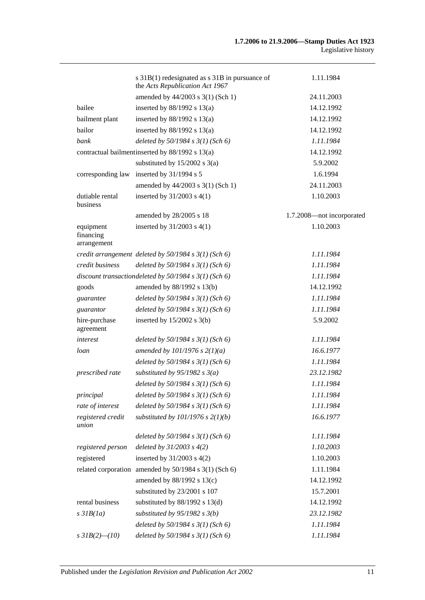|                                       | s 31B(1) redesignated as s 31B in pursuance of<br>the Acts Republication Act 1967 | 1.11.1984                 |
|---------------------------------------|-----------------------------------------------------------------------------------|---------------------------|
|                                       | amended by 44/2003 s 3(1) (Sch 1)                                                 | 24.11.2003                |
| bailee                                | inserted by $88/1992$ s $13(a)$                                                   | 14.12.1992                |
| bailment plant                        | inserted by $88/1992$ s $13(a)$                                                   | 14.12.1992                |
| bailor                                | inserted by $88/1992$ s $13(a)$                                                   | 14.12.1992                |
| bank                                  | deleted by $50/1984$ s $3(1)$ (Sch 6)                                             | 1.11.1984                 |
|                                       | contractual bailment inserted by 88/1992 s 13(a)                                  | 14.12.1992                |
|                                       | substituted by $15/2002$ s $3(a)$                                                 | 5.9.2002                  |
| corresponding law                     | inserted by 31/1994 s 5                                                           | 1.6.1994                  |
|                                       | amended by 44/2003 s 3(1) (Sch 1)                                                 | 24.11.2003                |
| dutiable rental<br>business           | inserted by $31/2003$ s $4(1)$                                                    | 1.10.2003                 |
|                                       | amended by 28/2005 s 18                                                           | 1.7.2008-not incorporated |
| equipment<br>financing<br>arrangement | inserted by $31/2003$ s $4(1)$                                                    | 1.10.2003                 |
|                                       | credit arrangement deleted by $50/1984$ s $3(1)$ (Sch 6)                          | 1.11.1984                 |
| credit business                       | deleted by $50/1984$ s $3(1)$ (Sch 6)                                             | 1.11.1984                 |
|                                       | discount transaction deleted by $50/1984$ s $3(1)$ (Sch 6)                        | 1.11.1984                 |
| goods                                 | amended by 88/1992 s 13(b)                                                        | 14.12.1992                |
| guarantee                             | deleted by $50/1984$ s $3(1)$ (Sch 6)                                             | 1.11.1984                 |
| guarantor                             | deleted by $50/1984$ s $3(1)$ (Sch 6)                                             | 1.11.1984                 |
| hire-purchase<br>agreement            | inserted by $15/2002$ s $3(b)$                                                    | 5.9.2002                  |
| interest                              | deleted by $50/1984$ s $3(1)$ (Sch 6)                                             | 1.11.1984                 |
| loan                                  | amended by $101/1976$ s $2(1)(a)$                                                 | 16.6.1977                 |
|                                       | deleted by 50/1984 s 3(1) (Sch 6)                                                 | 1.11.1984                 |
| prescribed rate                       | substituted by $95/1982$ s $3(a)$                                                 | 23.12.1982                |
|                                       | deleted by $50/1984 s 3(1)$ (Sch 6)                                               | 1.11.1984                 |
| principal                             | deleted by $50/1984$ s $3(1)$ (Sch 6)                                             | 1.11.1984                 |
| rate of interest                      | deleted by $50/1984$ s $3(1)$ (Sch 6)                                             | 1.11.1984                 |
| registered credit<br>union            | substituted by $101/1976$ s $2(1)(b)$                                             | 16.6.1977                 |
|                                       | deleted by $50/1984$ s $3(1)$ (Sch 6)                                             | 1.11.1984                 |
| registered person                     | deleted by $31/2003$ s $4(2)$                                                     | 1.10.2003                 |
| registered                            | inserted by $31/2003$ s $4(2)$                                                    | 1.10.2003                 |
|                                       | related corporation amended by 50/1984 s 3(1) (Sch 6)                             | 1.11.1984                 |
|                                       | amended by 88/1992 s 13(c)                                                        | 14.12.1992                |
|                                       | substituted by 23/2001 s 107                                                      | 15.7.2001                 |
| rental business                       | substituted by $88/1992$ s $13(d)$                                                | 14.12.1992                |
| $s$ 31 $B(1a)$                        | substituted by $95/1982$ s $3(b)$                                                 | 23.12.1982                |
|                                       | deleted by $50/1984$ s $3(1)$ (Sch 6)                                             | 1.11.1984                 |
| s $3IB(2)$ (10)                       | deleted by $50/1984$ s $3(1)$ (Sch 6)                                             | 1.11.1984                 |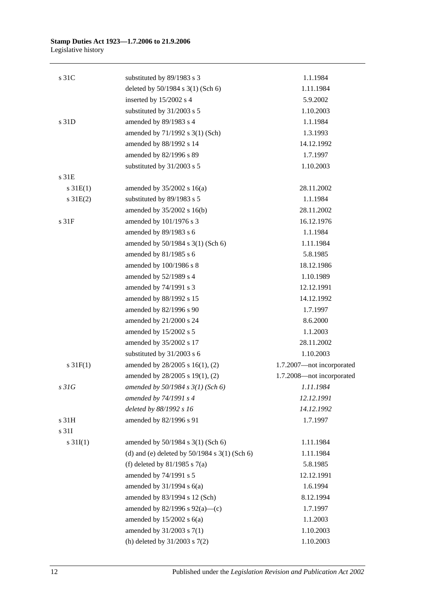| s 31C            | substituted by 89/1983 s 3                        | 1.1.1984                  |
|------------------|---------------------------------------------------|---------------------------|
|                  | deleted by 50/1984 s 3(1) (Sch 6)                 | 1.11.1984                 |
|                  | inserted by 15/2002 s 4                           | 5.9.2002                  |
|                  | substituted by 31/2003 s 5                        | 1.10.2003                 |
| s 31D            | amended by 89/1983 s 4                            | 1.1.1984                  |
|                  | amended by 71/1992 s 3(1) (Sch)                   | 1.3.1993                  |
|                  | amended by 88/1992 s 14                           | 14.12.1992                |
|                  | amended by 82/1996 s 89                           | 1.7.1997                  |
|                  | substituted by 31/2003 s 5                        | 1.10.2003                 |
| s 31E            |                                                   |                           |
| $s \, 31E(1)$    | amended by $35/2002$ s 16(a)                      | 28.11.2002                |
| $s \, 31E(2)$    | substituted by 89/1983 s 5                        | 1.1.1984                  |
|                  | amended by 35/2002 s 16(b)                        | 28.11.2002                |
| s 31F            | amended by 101/1976 s 3                           | 16.12.1976                |
|                  | amended by 89/1983 s 6                            | 1.1.1984                  |
|                  | amended by 50/1984 s 3(1) (Sch 6)                 | 1.11.1984                 |
|                  | amended by 81/1985 s 6                            | 5.8.1985                  |
|                  | amended by 100/1986 s 8                           | 18.12.1986                |
|                  | amended by 52/1989 s 4                            | 1.10.1989                 |
|                  | amended by 74/1991 s 3                            | 12.12.1991                |
|                  | amended by 88/1992 s 15                           | 14.12.1992                |
|                  | amended by 82/1996 s 90                           | 1.7.1997                  |
|                  | amended by 21/2000 s 24                           | 8.6.2000                  |
|                  | amended by 15/2002 s 5                            | 1.1.2003                  |
|                  | amended by 35/2002 s 17                           | 28.11.2002                |
|                  | substituted by 31/2003 s 6                        | 1.10.2003                 |
| $s \, 31F(1)$    | amended by 28/2005 s 16(1), (2)                   | 1.7.2007-not incorporated |
|                  | amended by 28/2005 s 19(1), (2)                   | 1.7.2008-not incorporated |
| s <sub>31G</sub> | amended by 50/1984 s 3(1) (Sch 6)                 | 1.11.1984                 |
|                  | amended by 74/1991 s 4                            | 12.12.1991                |
|                  | deleted by 88/1992 s 16                           | 14.12.1992                |
| s 31H            | amended by 82/1996 s 91                           | 1.7.1997                  |
| s 31I            |                                                   |                           |
| s $31I(1)$       | amended by 50/1984 s 3(1) (Sch 6)                 | 1.11.1984                 |
|                  | (d) and (e) deleted by $50/1984$ s $3(1)$ (Sch 6) | 1.11.1984                 |
|                  | (f) deleted by $81/1985$ s $7(a)$                 | 5.8.1985                  |
|                  | amended by 74/1991 s 5                            | 12.12.1991                |
|                  | amended by $31/1994$ s $6(a)$                     | 1.6.1994                  |
|                  | amended by 83/1994 s 12 (Sch)                     | 8.12.1994                 |
|                  | amended by $82/1996$ s $92(a)$ —(c)               | 1.7.1997                  |
|                  | amended by $15/2002$ s $6(a)$                     | 1.1.2003                  |
|                  | amended by 31/2003 s 7(1)                         | 1.10.2003                 |
|                  | (h) deleted by $31/2003$ s $7(2)$                 | 1.10.2003                 |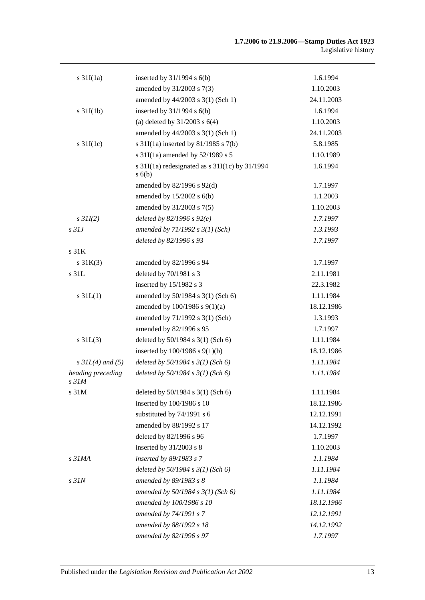| $s \frac{31I(1a)}{2}$                 | inserted by $31/1994$ s $6(b)$                               | 1.6.1994   |
|---------------------------------------|--------------------------------------------------------------|------------|
|                                       | amended by 31/2003 s 7(3)                                    | 1.10.2003  |
|                                       | amended by 44/2003 s 3(1) (Sch 1)                            | 24.11.2003 |
| $s \frac{31I(1b)}{2}$                 | inserted by $31/1994$ s $6(b)$                               | 1.6.1994   |
|                                       | (a) deleted by $31/2003$ s $6(4)$                            | 1.10.2003  |
|                                       | amended by 44/2003 s 3(1) (Sch 1)                            | 24.11.2003 |
| s $31I(1c)$                           | s $31I(1a)$ inserted by $81/1985$ s $7(b)$                   | 5.8.1985   |
|                                       | s 31I(1a) amended by 52/1989 s 5                             | 1.10.1989  |
|                                       | s $31I(1a)$ redesignated as s $31I(1c)$ by $31/1994$<br>s(6) | 1.6.1994   |
|                                       | amended by $82/1996$ s $92(d)$                               | 1.7.1997   |
|                                       | amended by $15/2002$ s $6(b)$                                | 1.1.2003   |
|                                       | amended by 31/2003 s 7(5)                                    | 1.10.2003  |
| $s$ 31I(2)                            | deleted by $82/1996 s 92(e)$                                 | 1.7.1997   |
| $s$ 31J                               | amended by $71/1992 s 3(1) (Sch)$                            | 1.3.1993   |
|                                       | deleted by 82/1996 s 93                                      | 1.7.1997   |
| s 31K                                 |                                                              |            |
| $s \, 31K(3)$                         | amended by 82/1996 s 94                                      | 1.7.1997   |
| s 31L                                 | deleted by 70/1981 s 3                                       | 2.11.1981  |
|                                       | inserted by 15/1982 s 3                                      | 22.3.1982  |
| $s \, 31L(1)$                         | amended by 50/1984 s 3(1) (Sch 6)                            | 1.11.1984  |
|                                       | amended by 100/1986 s 9(1)(a)                                | 18.12.1986 |
|                                       | amended by 71/1992 s 3(1) (Sch)                              | 1.3.1993   |
|                                       | amended by 82/1996 s 95                                      | 1.7.1997   |
| $s \, 31L(3)$                         | deleted by 50/1984 s 3(1) (Sch 6)                            | 1.11.1984  |
|                                       | inserted by $100/1986$ s $9(1)(b)$                           | 18.12.1986 |
| $s$ 31L(4) and (5)                    | deleted by $50/1984$ s $3(1)$ (Sch 6)                        | 1.11.1984  |
| heading preceding<br>s <sub>31M</sub> | deleted by $50/1984$ s $3(1)$ (Sch 6)                        | 1.11.1984  |
| s 31M                                 | deleted by 50/1984 s 3(1) (Sch 6)                            | 1.11.1984  |
|                                       | inserted by 100/1986 s 10                                    | 18.12.1986 |
|                                       | substituted by 74/1991 s 6                                   | 12.12.1991 |
|                                       | amended by 88/1992 s 17                                      | 14.12.1992 |
|                                       | deleted by 82/1996 s 96                                      | 1.7.1997   |
|                                       | inserted by 31/2003 s 8                                      | 1.10.2003  |
| s <sub>31MA</sub>                     | inserted by 89/1983 s 7                                      | 1.1.1984   |
|                                       | deleted by $50/1984$ s $3(1)$ (Sch 6)                        | 1.11.1984  |
| $s$ 31 $N$                            | amended by 89/1983 s 8                                       | 1.1.1984   |
|                                       | amended by $50/1984$ s $3(1)$ (Sch 6)                        | 1.11.1984  |
|                                       | amended by 100/1986 s 10                                     | 18.12.1986 |
|                                       | amended by 74/1991 s 7                                       | 12.12.1991 |
|                                       | amended by 88/1992 s 18                                      | 14.12.1992 |
|                                       | amended by 82/1996 s 97                                      | 1.7.1997   |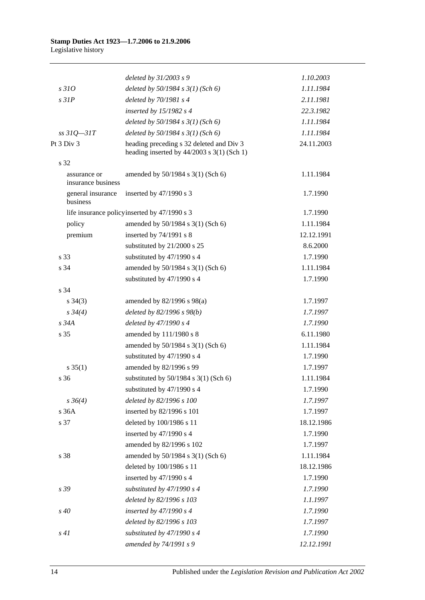|                                    | deleted by 31/2003 s 9                        | 1.10.2003  |
|------------------------------------|-----------------------------------------------|------------|
| s310                               | deleted by $50/1984$ s $3(1)$ (Sch 6)         | 1.11.1984  |
| $s$ 31 $P$                         | deleted by $70/1981 s4$                       | 2.11.1981  |
|                                    | inserted by $15/1982$ s 4                     | 22.3.1982  |
|                                    | deleted by $50/1984 s 3(1)$ (Sch 6)           | 1.11.1984  |
| $ss31Q - 31T$                      | deleted by $50/1984$ s $3(1)$ (Sch 6)         | 1.11.1984  |
| Pt 3 Div 3                         | heading preceding s 32 deleted and Div 3      | 24.11.2003 |
|                                    | heading inserted by $44/2003$ s 3(1) (Sch 1)  |            |
| s 32                               |                                               |            |
| assurance or<br>insurance business | amended by 50/1984 s 3(1) (Sch 6)             | 1.11.1984  |
| general insurance<br>business      | inserted by $47/1990$ s 3                     | 1.7.1990   |
|                                    | life insurance policy inserted by 47/1990 s 3 | 1.7.1990   |
| policy                             | amended by 50/1984 s 3(1) (Sch 6)             | 1.11.1984  |
| premium                            | inserted by 74/1991 s 8                       | 12.12.1991 |
|                                    | substituted by 21/2000 s 25                   | 8.6.2000   |
| s 33                               | substituted by 47/1990 s 4                    | 1.7.1990   |
| s 34                               | amended by 50/1984 s 3(1) (Sch 6)             | 1.11.1984  |
|                                    | substituted by 47/1990 s 4                    | 1.7.1990   |
| s 34                               |                                               |            |
| $s \; 34(3)$                       | amended by 82/1996 s 98(a)                    | 1.7.1997   |
| $s \, 34(4)$                       | deleted by $82/1996 s 98(b)$                  | 1.7.1997   |
| $s\,34A$                           | deleted by 47/1990 s 4                        | 1.7.1990   |
| s 35                               | amended by 111/1980 s 8                       | 6.11.1980  |
|                                    | amended by 50/1984 s 3(1) (Sch 6)             | 1.11.1984  |
|                                    | substituted by 47/1990 s 4                    | 1.7.1990   |
| $s \, 35(1)$                       | amended by 82/1996 s 99                       | 1.7.1997   |
| s 36                               | substituted by $50/1984$ s $3(1)$ (Sch 6)     | 1.11.1984  |
|                                    | substituted by $47/1990$ s 4                  | 1.7.1990   |
| $s \, 36(4)$                       | deleted by 82/1996 s 100                      | 1.7.1997   |
| s 36A                              | inserted by 82/1996 s 101                     | 1.7.1997   |
| s 37                               | deleted by 100/1986 s 11                      | 18.12.1986 |
|                                    | inserted by 47/1990 s 4                       | 1.7.1990   |
|                                    | amended by 82/1996 s 102                      | 1.7.1997   |
| s 38                               | amended by 50/1984 s 3(1) (Sch 6)             | 1.11.1984  |
|                                    | deleted by 100/1986 s 11                      | 18.12.1986 |
|                                    | inserted by 47/1990 s 4                       | 1.7.1990   |
| s 39                               | substituted by 47/1990 s 4                    | 1.7.1990   |
|                                    | deleted by 82/1996 s 103                      | 1.1.1997   |
| $s\,40$                            | inserted by 47/1990 s 4                       | 1.7.1990   |
|                                    | deleted by 82/1996 s 103                      | 1.7.1997   |
| s41                                | substituted by 47/1990 s 4                    | 1.7.1990   |
|                                    | amended by 74/1991 s 9                        | 12.12.1991 |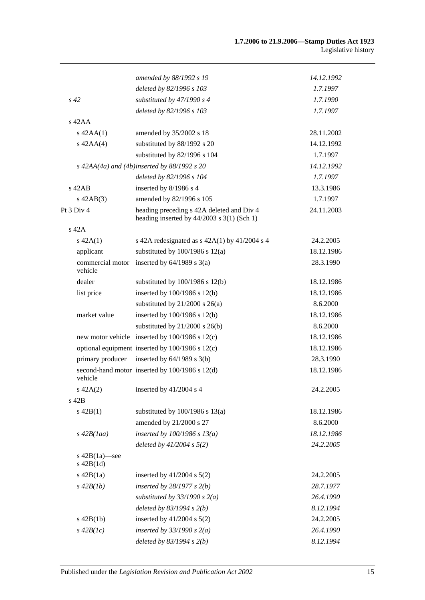|                                    | amended by 88/1992 s 19                                                                   | 14.12.1992 |
|------------------------------------|-------------------------------------------------------------------------------------------|------------|
|                                    | deleted by 82/1996 s 103                                                                  | 1.7.1997   |
| s 42                               | substituted by $47/1990 s 4$                                                              | 1.7.1990   |
|                                    | deleted by 82/1996 s 103                                                                  | 1.7.1997   |
| $s$ 42AA                           |                                                                                           |            |
| $s$ 42AA $(1)$                     | amended by 35/2002 s 18                                                                   | 28.11.2002 |
| $s$ 42AA $(4)$                     | substituted by 88/1992 s 20                                                               | 14.12.1992 |
|                                    | substituted by 82/1996 s 104                                                              | 1.7.1997   |
|                                    | s $42AA(4a)$ and $(4b)$ inserted by 88/1992 s 20                                          | 14.12.1992 |
|                                    | deleted by 82/1996 s 104                                                                  | 1.7.1997   |
| $s$ 42AB                           | inserted by 8/1986 s 4                                                                    | 13.3.1986  |
| $s\,42AB(3)$                       | amended by 82/1996 s 105                                                                  | 1.7.1997   |
| Pt 3 Div 4                         | heading preceding s 42A deleted and Div 4<br>heading inserted by $44/2003$ s 3(1) (Sch 1) | 24.11.2003 |
| $s$ 42 $A$                         |                                                                                           |            |
| $s\ 42A(1)$                        | s 42A redesignated as $s$ 42A(1) by 41/2004 s 4                                           | 24.2.2005  |
| applicant                          | substituted by $100/1986$ s $12(a)$                                                       | 18.12.1986 |
| commercial motor<br>vehicle        | inserted by $64/1989$ s $3(a)$                                                            | 28.3.1990  |
| dealer                             | substituted by $100/1986$ s $12(b)$                                                       | 18.12.1986 |
| list price                         | inserted by 100/1986 s 12(b)                                                              | 18.12.1986 |
|                                    | substituted by $21/2000$ s $26(a)$                                                        | 8.6.2000   |
| market value                       | inserted by 100/1986 s 12(b)                                                              | 18.12.1986 |
|                                    | substituted by $21/2000$ s $26(b)$                                                        | 8.6.2000   |
|                                    | new motor vehicle inserted by 100/1986 s 12(c)                                            | 18.12.1986 |
|                                    | optional equipment inserted by 100/1986 s 12(c)                                           | 18.12.1986 |
| primary producer                   | inserted by $64/1989$ s $3(b)$                                                            | 28.3.1990  |
| vehicle                            | second-hand motor inserted by 100/1986 s 12(d)                                            | 18.12.1986 |
| $s\ 42A(2)$                        | inserted by $41/2004$ s 4                                                                 | 24.2.2005  |
| s 42B                              |                                                                                           |            |
| $s\ 42B(1)$                        | substituted by $100/1986$ s $13(a)$                                                       | 18.12.1986 |
|                                    | amended by 21/2000 s 27                                                                   | 8.6.2000   |
| $s\,42B(1aa)$                      | inserted by $100/1986$ s $13(a)$                                                          | 18.12.1986 |
|                                    | deleted by $41/2004$ s $5(2)$                                                             | 24.2.2005  |
| s $42B(1a)$ —see<br>$s$ 42B $(1d)$ |                                                                                           |            |
| $s\ 42B(1a)$                       | inserted by $41/2004$ s $5(2)$                                                            | 24.2.2005  |
| $s\,42B(1b)$                       | inserted by $28/1977 s 2(b)$                                                              | 28.7.1977  |
|                                    | substituted by $33/1990 s 2(a)$                                                           | 26.4.1990  |
|                                    | deleted by $83/1994$ s $2(b)$                                                             | 8.12.1994  |
| $s$ 42B(1b)                        | inserted by $41/2004$ s $5(2)$                                                            | 24.2.2005  |
| $s\,42B(1c)$                       | inserted by $33/1990$ s $2(a)$                                                            | 26.4.1990  |
|                                    | deleted by 83/1994 s 2(b)                                                                 | 8.12.1994  |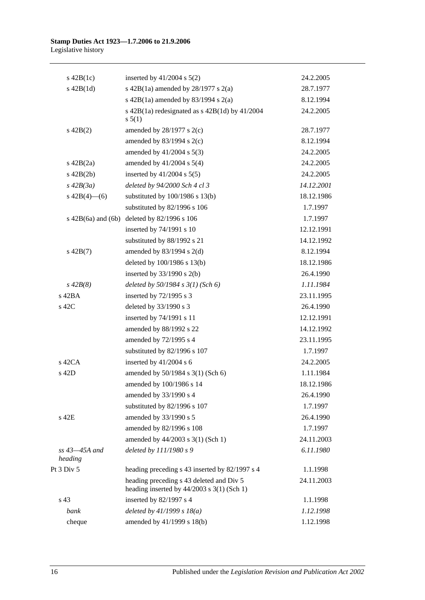| $s\ 42B(1c)$                  | inserted by $41/2004$ s $5(2)$                                                           | 24.2.2005  |
|-------------------------------|------------------------------------------------------------------------------------------|------------|
| $s\ 42B(1d)$                  | s 42B(1a) amended by $28/1977$ s $2(a)$                                                  | 28.7.1977  |
|                               | s $42B(1a)$ amended by $83/1994$ s $2(a)$                                                | 8.12.1994  |
|                               | s $42B(1a)$ redesignated as s $42B(1d)$ by $41/2004$<br>s 5(1)                           | 24.2.2005  |
| $s\ 42B(2)$                   | amended by $28/1977$ s $2(c)$                                                            | 28.7.1977  |
|                               | amended by $83/1994$ s $2(c)$                                                            | 8.12.1994  |
|                               | amended by $41/2004$ s $5(3)$                                                            | 24.2.2005  |
| $s\ 42B(2a)$                  | amended by $41/2004$ s $5(4)$                                                            | 24.2.2005  |
| $s\ 42B(2b)$                  | inserted by $41/2004$ s $5(5)$                                                           | 24.2.2005  |
| $s\,42B(3a)$                  | deleted by 94/2000 Sch 4 cl 3                                                            | 14.12.2001 |
| $s\ 42B(4)$ (6)               | substituted by $100/1986$ s $13(b)$                                                      | 18.12.1986 |
|                               | substituted by 82/1996 s 106                                                             | 1.7.1997   |
|                               | s $42B(6a)$ and $(6b)$ deleted by $82/1996$ s $106$                                      | 1.7.1997   |
|                               | inserted by 74/1991 s 10                                                                 | 12.12.1991 |
|                               | substituted by 88/1992 s 21                                                              | 14.12.1992 |
| $s\ 42B(7)$                   | amended by $83/1994$ s $2(d)$                                                            | 8.12.1994  |
|                               | deleted by 100/1986 s 13(b)                                                              | 18.12.1986 |
|                               | inserted by $33/1990$ s 2(b)                                                             | 26.4.1990  |
| $s\,42B(8)$                   | deleted by $50/1984$ s $3(1)$ (Sch 6)                                                    | 1.11.1984  |
| $s$ 42BA                      | inserted by $72/1995$ s 3                                                                | 23.11.1995 |
| s 42C                         | deleted by 33/1990 s 3                                                                   | 26.4.1990  |
|                               | inserted by 74/1991 s 11                                                                 | 12.12.1991 |
|                               | amended by 88/1992 s 22                                                                  | 14.12.1992 |
|                               | amended by 72/1995 s 4                                                                   | 23.11.1995 |
|                               | substituted by 82/1996 s 107                                                             | 1.7.1997   |
| $s$ 42CA                      | inserted by $41/2004$ s 6                                                                | 24.2.2005  |
| s 42D                         | amended by 50/1984 s 3(1) (Sch 6)                                                        | 1.11.1984  |
|                               | amended by 100/1986 s 14                                                                 | 18.12.1986 |
|                               | amended by 33/1990 s 4                                                                   | 26.4.1990  |
|                               | substituted by 82/1996 s 107                                                             | 1.7.1997   |
| s 42E                         | amended by 33/1990 s 5                                                                   | 26.4.1990  |
|                               | amended by 82/1996 s 108                                                                 | 1.7.1997   |
|                               | amended by 44/2003 s 3(1) (Sch 1)                                                        | 24.11.2003 |
| $ss$ 43 $-45A$ and<br>heading | deleted by 111/1980 s 9                                                                  | 6.11.1980  |
| Pt 3 Div 5                    | heading preceding s 43 inserted by 82/1997 s 4                                           | 1.1.1998   |
|                               | heading preceding s 43 deleted and Div 5<br>heading inserted by $44/2003$ s 3(1) (Sch 1) | 24.11.2003 |
| s 43                          | inserted by 82/1997 s 4                                                                  | 1.1.1998   |
| bank                          | deleted by $41/1999 s 18(a)$                                                             | 1.12.1998  |
| cheque                        | amended by 41/1999 s 18(b)                                                               | 1.12.1998  |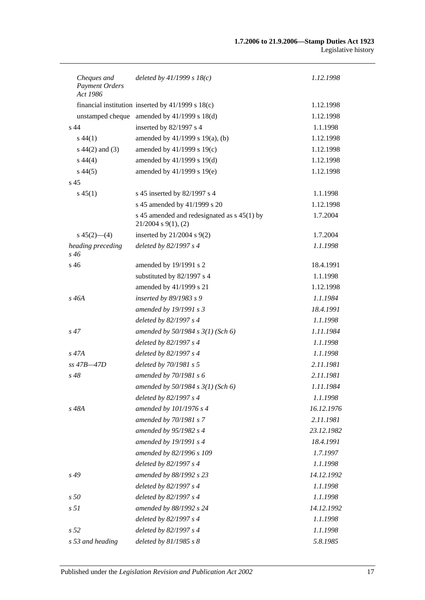| Cheques and<br>Payment Orders<br>Act 1986 | deleted by $41/1999 s 18(c)$                                              | 1.12.1998  |
|-------------------------------------------|---------------------------------------------------------------------------|------------|
|                                           | financial institution inserted by 41/1999 s 18(c)                         | 1.12.1998  |
|                                           | unstamped cheque amended by 41/1999 s 18(d)                               | 1.12.1998  |
| s <sub>44</sub>                           | inserted by 82/1997 s 4                                                   | 1.1.1998   |
| $s\,44(1)$                                | amended by 41/1999 s 19(a), (b)                                           | 1.12.1998  |
| $s\ 44(2)$ and (3)                        | amended by 41/1999 s 19(c)                                                | 1.12.1998  |
| $s\,44(4)$                                | amended by 41/1999 s 19(d)                                                | 1.12.1998  |
| $s\,44(5)$                                | amended by 41/1999 s 19(e)                                                | 1.12.1998  |
| s <sub>45</sub>                           |                                                                           |            |
| $s\,45(1)$                                | s 45 inserted by 82/1997 s 4                                              | 1.1.1998   |
|                                           | s 45 amended by 41/1999 s 20                                              | 1.12.1998  |
|                                           | s 45 amended and redesignated as $s$ 45(1) by<br>$21/2004$ s $9(1)$ , (2) | 1.7.2004   |
| $s\,45(2)$ —(4)                           | inserted by $21/2004$ s $9(2)$                                            | 1.7.2004   |
| heading preceding<br>s 46                 | deleted by 82/1997 s 4                                                    | 1.1.1998   |
| s 46                                      | amended by 19/1991 s 2                                                    | 18.4.1991  |
|                                           | substituted by 82/1997 s 4                                                | 1.1.1998   |
|                                           | amended by 41/1999 s 21                                                   | 1.12.1998  |
| s 46A                                     | inserted by 89/1983 s 9                                                   | 1.1.1984   |
|                                           | amended by 19/1991 s 3                                                    | 18.4.1991  |
|                                           | deleted by 82/1997 s 4                                                    | 1.1.1998   |
| $s\,47$                                   | amended by $50/1984 s 3(1)$ (Sch 6)                                       | 1.11.1984  |
|                                           | deleted by 82/1997 s 4                                                    | 1.1.1998   |
| s 47A                                     | deleted by 82/1997 s 4                                                    | 1.1.1998   |
| $ss$ 47B $-47D$                           | deleted by 70/1981 s 5                                                    | 2.11.1981  |
| $s\,48$                                   | amended by 70/1981 s 6                                                    | 2.11.1981  |
|                                           | amended by 50/1984 s 3(1) (Sch 6)                                         | 1.11.1984  |
|                                           | deleted by 82/1997 s 4                                                    | 1.1.1998   |
| s 48A                                     | amended by 101/1976 s 4                                                   | 16.12.1976 |
|                                           | amended by 70/1981 s 7                                                    | 2.11.1981  |
|                                           | amended by 95/1982 s 4                                                    | 23.12.1982 |
|                                           | amended by 19/1991 s 4                                                    | 18.4.1991  |
|                                           | amended by 82/1996 s 109                                                  | 1.7.1997   |
|                                           | deleted by 82/1997 s 4                                                    | 1.1.1998   |
| $s\,49$                                   | amended by 88/1992 s 23                                                   | 14.12.1992 |
|                                           | deleted by 82/1997 s 4                                                    | 1.1.1998   |
| s50                                       | deleted by 82/1997 s 4                                                    | 1.1.1998   |
| s <sub>51</sub>                           | amended by 88/1992 s 24                                                   | 14.12.1992 |
|                                           | deleted by 82/1997 s 4                                                    | 1.1.1998   |
| s <sub>52</sub>                           | deleted by 82/1997 s 4                                                    | 1.1.1998   |
| s 53 and heading                          | deleted by $81/1985 s 8$                                                  | 5.8.1985   |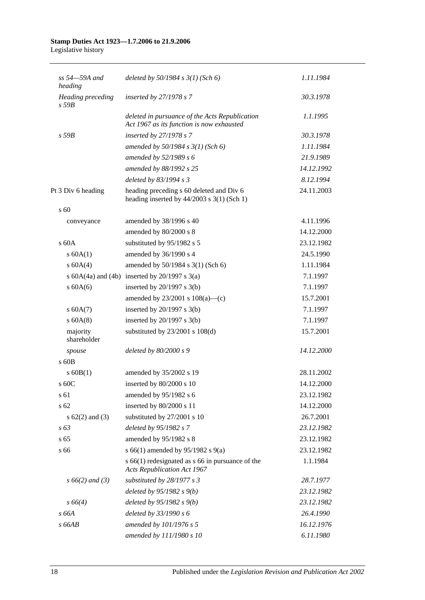# **Stamp Duties Act 1923—1.7.2006 to 21.9.2006**

Legislative history

| $ss 54 - 59A$ and<br>heading           | deleted by $50/1984 s 3(1)$ (Sch 6)                                                         | 1.11.1984  |
|----------------------------------------|---------------------------------------------------------------------------------------------|------------|
| <b>Heading</b> preceding<br>$s$ 59 $B$ | inserted by $27/1978 s 7$                                                                   | 30.3.1978  |
|                                        | deleted in pursuance of the Acts Republication<br>Act 1967 as its function is now exhausted | 1.1.1995   |
| $s$ 59B                                | inserted by $27/1978 s 7$                                                                   | 30.3.1978  |
|                                        | amended by $50/1984$ s $3(1)$ (Sch 6)                                                       | 1.11.1984  |
|                                        | amended by $52/1989 s 6$                                                                    | 21.9.1989  |
|                                        | amended by 88/1992 s 25                                                                     | 14.12.1992 |
|                                        | deleted by $83/1994 s3$                                                                     | 8.12.1994  |
| Pt 3 Div 6 heading                     | heading preceding s 60 deleted and Div 6<br>heading inserted by $44/2003$ s 3(1) (Sch 1)    | 24.11.2003 |
| $\mathrm{s}$ 60                        |                                                                                             |            |
| conveyance                             | amended by 38/1996 s 40                                                                     | 4.11.1996  |
|                                        | amended by 80/2000 s 8                                                                      | 14.12.2000 |
| $\rm s$ 60A                            | substituted by 95/1982 s 5                                                                  | 23.12.1982 |
| s 60A(1)                               | amended by 36/1990 s 4                                                                      | 24.5.1990  |
| s 60A(4)                               | amended by 50/1984 s 3(1) (Sch 6)                                                           | 1.11.1984  |
|                                        | s $60A(4a)$ and $(4b)$ inserted by $20/1997$ s $3(a)$                                       | 7.1.1997   |
| $s$ 60A(6)                             | inserted by $20/1997$ s $3(b)$                                                              | 7.1.1997   |
|                                        | amended by $23/2001$ s $108(a)$ —(c)                                                        | 15.7.2001  |
| s 60A(7)                               | inserted by $20/1997$ s $3(b)$                                                              | 7.1.1997   |
| s 60A(8)                               | inserted by $20/1997$ s $3(b)$                                                              | 7.1.1997   |
| majority<br>shareholder                | substituted by $23/2001$ s $108(d)$                                                         | 15.7.2001  |
| spouse                                 | deleted by $80/2000 s9$                                                                     | 14.12.2000 |
| s 60B                                  |                                                                                             |            |
| $s$ 60B(1)                             | amended by 35/2002 s 19                                                                     | 28.11.2002 |
| $\,$ s 60C                             | inserted by 80/2000 s 10                                                                    | 14.12.2000 |
| s 61                                   | amended by 95/1982 s 6                                                                      | 23.12.1982 |
| s 62                                   | inserted by 80/2000 s 11                                                                    | 14.12.2000 |
| $s \, 62(2)$ and (3)                   | substituted by 27/2001 s 10                                                                 | 26.7.2001  |
| $s\,63$                                | deleted by 95/1982 s 7                                                                      | 23.12.1982 |
| s <sub>65</sub>                        | amended by 95/1982 s 8                                                                      | 23.12.1982 |
| s 66                                   | s 66(1) amended by 95/1982 s 9(a)                                                           | 23.12.1982 |
|                                        | $s$ 66(1) redesignated as $s$ 66 in pursuance of the<br><b>Acts Republication Act 1967</b>  | 1.1.1984   |
| $s\,66(2)$ and (3)                     | substituted by 28/1977 s 3                                                                  | 28.7.1977  |
|                                        | deleted by $95/1982 s 9(b)$                                                                 | 23.12.1982 |
| $s\,66(4)$                             | deleted by $95/1982 s(9)$                                                                   | 23.12.1982 |
| s 66A                                  | deleted by 33/1990 s 6                                                                      | 26.4.1990  |
| s66AB                                  | amended by 101/1976 s 5                                                                     | 16.12.1976 |
|                                        | amended by 111/1980 s 10                                                                    | 6.11.1980  |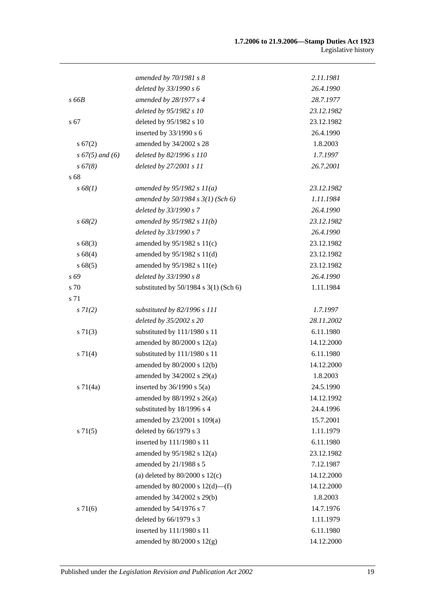|                    | amended by $70/1981$ s 8                  | 2.11.1981  |
|--------------------|-------------------------------------------|------------|
|                    | deleted by 33/1990 s 6                    | 26.4.1990  |
| s 66B              | amended by 28/1977 s 4                    | 28.7.1977  |
|                    | deleted by 95/1982 s 10                   | 23.12.1982 |
| s 67               | deleted by 95/1982 s 10                   | 23.12.1982 |
|                    | inserted by 33/1990 s 6                   | 26.4.1990  |
| s 67(2)            | amended by 34/2002 s 28                   | 1.8.2003   |
| $s\,67(5)$ and (6) | deleted by 82/1996 s 110                  | 1.7.1997   |
| s 67(8)            | deleted by 27/2001 s 11                   | 26.7.2001  |
| s 68               |                                           |            |
| s 68(1)            | amended by $95/1982 s 11(a)$              | 23.12.1982 |
|                    | amended by $50/1984 s 3(1)$ (Sch 6)       | 1.11.1984  |
|                    | deleted by 33/1990 s 7                    | 26.4.1990  |
| s 68(2)            | amended by $95/1982 s 11(b)$              | 23.12.1982 |
|                    | deleted by 33/1990 s 7                    | 26.4.1990  |
| s68(3)             | amended by $95/1982$ s $11(c)$            | 23.12.1982 |
| s68(4)             | amended by 95/1982 s 11(d)                | 23.12.1982 |
| s68(5)             | amended by 95/1982 s 11(e)                | 23.12.1982 |
| s 69               | deleted by 33/1990 s 8                    | 26.4.1990  |
| s 70               | substituted by $50/1984$ s $3(1)$ (Sch 6) | 1.11.1984  |
| s 71               |                                           |            |
| $s \, 7I(2)$       | substituted by 82/1996 s 111              | 1.7.1997   |
|                    | deleted by 35/2002 s 20                   | 28.11.2002 |
| $s \, 71(3)$       | substituted by 111/1980 s 11              | 6.11.1980  |
|                    | amended by $80/2000$ s $12(a)$            | 14.12.2000 |
| s 71(4)            | substituted by 111/1980 s 11              | 6.11.1980  |
|                    | amended by 80/2000 s 12(b)                | 14.12.2000 |
|                    | amended by 34/2002 s 29(a)                | 1.8.2003   |
| $s \, 71(4a)$      | inserted by $36/1990$ s $5(a)$            | 24.5.1990  |
|                    | amended by $88/1992$ s $26(a)$            | 14.12.1992 |
|                    | substituted by 18/1996 s 4                | 24.4.1996  |
|                    | amended by 23/2001 s 109(a)               | 15.7.2001  |
| $s \, 71(5)$       | deleted by 66/1979 s 3                    | 1.11.1979  |
|                    | inserted by 111/1980 s 11                 | 6.11.1980  |
|                    | amended by $95/1982$ s $12(a)$            | 23.12.1982 |
|                    | amended by 21/1988 s 5                    | 7.12.1987  |
|                    | (a) deleted by $80/2000$ s $12(c)$        | 14.12.2000 |
|                    | amended by $80/2000$ s $12(d)$ —(f)       | 14.12.2000 |
|                    | amended by 34/2002 s 29(b)                | 1.8.2003   |
| s 71(6)            | amended by 54/1976 s 7                    | 14.7.1976  |
|                    | deleted by 66/1979 s 3                    | 1.11.1979  |
|                    | inserted by 111/1980 s 11                 | 6.11.1980  |
|                    | amended by 80/2000 s 12(g)                | 14.12.2000 |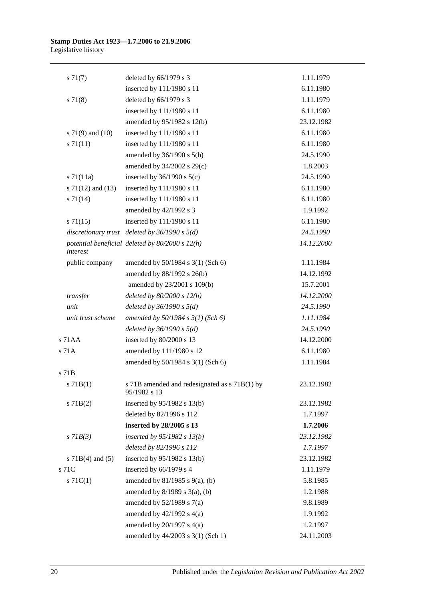| $s \, 71(7)$          | deleted by $66/1979$ s 3                                      | 1.11.1979  |
|-----------------------|---------------------------------------------------------------|------------|
|                       | inserted by 111/1980 s 11                                     | 6.11.1980  |
| $s \, 71(8)$          | deleted by 66/1979 s 3                                        | 1.11.1979  |
|                       | inserted by 111/1980 s 11                                     | 6.11.1980  |
|                       | amended by 95/1982 s 12(b)                                    | 23.12.1982 |
| s $71(9)$ and $(10)$  | inserted by 111/1980 s 11                                     | 6.11.1980  |
| $s \, 71(11)$         | inserted by 111/1980 s 11                                     | 6.11.1980  |
|                       | amended by 36/1990 s 5(b)                                     | 24.5.1990  |
|                       | amended by 34/2002 s 29(c)                                    | 1.8.2003   |
| $s \, 71(11a)$        | inserted by $36/1990$ s $5(c)$                                | 24.5.1990  |
| s $71(12)$ and $(13)$ | inserted by 111/1980 s 11                                     | 6.11.1980  |
| $s \, 71(14)$         | inserted by 111/1980 s 11                                     | 6.11.1980  |
|                       | amended by 42/1992 s 3                                        | 1.9.1992   |
| $s \, 71(15)$         | inserted by 111/1980 s 11                                     | 6.11.1980  |
|                       | discretionary trust deleted by $36/1990 s 5(d)$               | 24.5.1990  |
| interest              | potential beneficial deleted by $80/2000 s 12(h)$             | 14.12.2000 |
| public company        | amended by 50/1984 s 3(1) (Sch 6)                             | 1.11.1984  |
|                       | amended by 88/1992 s 26(b)                                    | 14.12.1992 |
|                       | amended by 23/2001 s 109(b)                                   | 15.7.2001  |
| $transfer$            | deleted by $80/2000 s 12(h)$                                  | 14.12.2000 |
| unit                  | deleted by $36/1990 s 5(d)$                                   | 24.5.1990  |
| unit trust scheme     | amended by $50/1984$ s $3(1)$ (Sch 6)                         | 1.11.1984  |
|                       | deleted by $36/1990 s 5(d)$                                   | 24.5.1990  |
| s 71AA                | inserted by 80/2000 s 13                                      | 14.12.2000 |
| s 71A                 | amended by 111/1980 s 12                                      | 6.11.1980  |
|                       | amended by 50/1984 s 3(1) (Sch 6)                             | 1.11.1984  |
| s 71B                 |                                                               |            |
| s 71B(1)              | s 71B amended and redesignated as s 71B(1) by<br>95/1982 s 13 | 23.12.1982 |
| $s$ 71B(2)            | inserted by 95/1982 s 13(b)                                   | 23.12.1982 |
|                       | deleted by 82/1996 s 112                                      | 1.7.1997   |
|                       | inserted by 28/2005 s 13                                      | 1.7.2006   |
| $s$ 71 $B(3)$         | inserted by $95/1982$ s $13(b)$                               | 23.12.1982 |
|                       | deleted by 82/1996 s 112                                      | 1.7.1997   |
| s $71B(4)$ and $(5)$  | inserted by $95/1982$ s 13(b)                                 | 23.12.1982 |
| s 71C                 | inserted by 66/1979 s 4                                       | 1.11.1979  |
| $s \, 71C(1)$         | amended by $81/1985$ s $9(a)$ , (b)                           | 5.8.1985   |
|                       | amended by $8/1989$ s $3(a)$ , (b)                            | 1.2.1988   |
|                       | amended by $52/1989$ s $7(a)$                                 | 9.8.1989   |
|                       | amended by $42/1992$ s $4(a)$                                 | 1.9.1992   |
|                       | amended by $20/1997$ s $4(a)$                                 | 1.2.1997   |
|                       | amended by 44/2003 s 3(1) (Sch 1)                             | 24.11.2003 |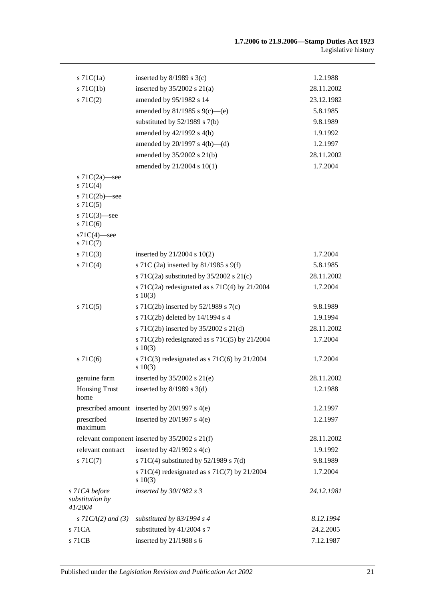| $s$ 71C(1a)                                 | inserted by $8/1989$ s 3(c)                                   | 1.2.1988   |
|---------------------------------------------|---------------------------------------------------------------|------------|
| $s$ 71 $C(1b)$                              | inserted by $35/2002$ s $21(a)$                               | 28.11.2002 |
| $s \, 71C(2)$                               | amended by 95/1982 s 14                                       | 23.12.1982 |
|                                             | amended by 81/1985 s 9(c)—(e)                                 | 5.8.1985   |
|                                             | substituted by $52/1989$ s $7(b)$                             | 9.8.1989   |
|                                             | amended by 42/1992 s 4(b)                                     | 1.9.1992   |
|                                             | amended by $20/1997$ s $4(b)$ —(d)                            | 1.2.1997   |
|                                             | amended by 35/2002 s 21(b)                                    | 28.11.2002 |
|                                             | amended by 21/2004 s 10(1)                                    | 1.7.2004   |
| s $71C(2a)$ —see<br>$s \, 71C(4)$           |                                                               |            |
| s $71C(2b)$ —see<br>s71C(5)                 |                                                               |            |
| s $71C(3)$ —see<br>$s$ 71 $C(6)$            |                                                               |            |
| $s71C(4)$ -see<br>$s \, 71C(7)$             |                                                               |            |
| $s \, 71C(3)$                               | inserted by $21/2004$ s $10(2)$                               | 1.7.2004   |
| $s \, 71C(4)$                               | s 71C (2a) inserted by 81/1985 s 9(f)                         | 5.8.1985   |
|                                             | s 71C(2a) substituted by $35/2002$ s 21(c)                    | 28.11.2002 |
|                                             | s 71C(2a) redesignated as s 71C(4) by $21/2004$<br>s 10(3)    | 1.7.2004   |
| s71C(5)                                     | s 71C(2b) inserted by $52/1989$ s 7(c)                        | 9.8.1989   |
|                                             | s 71C(2b) deleted by 14/1994 s 4                              | 1.9.1994   |
|                                             | s 71C(2b) inserted by 35/2002 s 21(d)                         | 28.11.2002 |
|                                             | s 71C(2b) redesignated as s 71C(5) by $21/2004$<br>s 10(3)    | 1.7.2004   |
| s71C(6)                                     | s 71C(3) redesignated as s 71C(6) by $21/2004$<br>$s \ 10(3)$ | 1.7.2004   |
| genuine farm                                | inserted by $35/2002$ s $21(e)$                               | 28.11.2002 |
| <b>Housing Trust</b><br>home                | inserted by $8/1989$ s 3(d)                                   | 1.2.1988   |
|                                             | prescribed amount inserted by 20/1997 s 4(e)                  | 1.2.1997   |
| prescribed<br>maximum                       | inserted by $20/1997$ s $4(e)$                                | 1.2.1997   |
|                                             | relevant component inserted by $35/2002$ s $21(f)$            | 28.11.2002 |
| relevant contract                           | inserted by $42/1992$ s $4(c)$                                | 1.9.1992   |
| s71C(7)                                     | s 71C(4) substituted by $52/1989$ s 7(d)                      | 9.8.1989   |
|                                             | s 71C(4) redesignated as s 71C(7) by 21/2004<br>s 10(3)       | 1.7.2004   |
| s 71CA before<br>substitution by<br>41/2004 | inserted by $30/1982$ s 3                                     | 24.12.1981 |
| s $7ICA(2)$ and $(3)$                       | substituted by $83/1994$ s 4                                  | 8.12.1994  |
| s 71CA                                      | substituted by 41/2004 s 7                                    | 24.2.2005  |
| s 71CB                                      | inserted by 21/1988 s 6                                       | 7.12.1987  |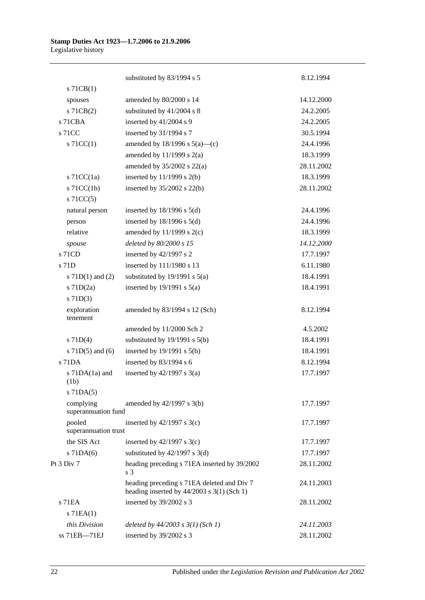|                                  | substituted by 83/1994 s 5                                                                 | 8.12.1994  |
|----------------------------------|--------------------------------------------------------------------------------------------|------------|
| $s$ 71CB $(1)$                   |                                                                                            |            |
| spouses                          | amended by 80/2000 s 14                                                                    | 14.12.2000 |
| s 71CB(2)                        | substituted by 41/2004 s 8                                                                 | 24.2.2005  |
| s 71CBA                          | inserted by 41/2004 s 9                                                                    | 24.2.2005  |
| s 71CC                           | inserted by 31/1994 s 7                                                                    | 30.5.1994  |
| $\vert$ s 71CC(1)                | amended by $18/1996$ s $5(a)$ —(c)                                                         | 24.4.1996  |
|                                  | amended by $11/1999$ s $2(a)$                                                              | 18.3.1999  |
|                                  | amended by $35/2002$ s $22(a)$                                                             | 28.11.2002 |
| s $71CC(1a)$                     | inserted by $11/1999$ s $2(b)$                                                             | 18.3.1999  |
| $s$ 71CC(1b)                     | inserted by $35/2002$ s $22(b)$                                                            | 28.11.2002 |
| $s$ 71CC(5)                      |                                                                                            |            |
| natural person                   | inserted by $18/1996$ s $5(d)$                                                             | 24.4.1996  |
| person                           | inserted by $18/1996$ s $5(d)$                                                             | 24.4.1996  |
| relative                         | amended by $11/1999$ s $2(c)$                                                              | 18.3.1999  |
| spouse                           | deleted by 80/2000 s 15                                                                    | 14.12.2000 |
| s 71CD                           | inserted by 42/1997 s 2                                                                    | 17.7.1997  |
| s 71D                            | inserted by 111/1980 s 13                                                                  | 6.11.1980  |
| s $71D(1)$ and $(2)$             | substituted by $19/1991$ s $5(a)$                                                          | 18.4.1991  |
| $s$ 71D $(2a)$                   | inserted by $19/1991$ s $5(a)$                                                             | 18.4.1991  |
| $s$ 71D(3)                       |                                                                                            |            |
| exploration<br>tenement          | amended by 83/1994 s 12 (Sch)                                                              | 8.12.1994  |
|                                  | amended by 11/2000 Sch 2                                                                   | 4.5.2002   |
| $s$ 71D(4)                       | substituted by $19/1991$ s $5(b)$                                                          | 18.4.1991  |
| s $71D(5)$ and $(6)$             | inserted by $19/1991$ s $5(b)$                                                             | 18.4.1991  |
| s 71DA                           | inserted by 83/1994 s 6                                                                    | 8.12.1994  |
| s $71DA(1a)$ and<br>(1b)         | inserted by $42/1997$ s $3(a)$                                                             | 17.7.1997  |
| $s$ 71DA $(5)$                   |                                                                                            |            |
| complying<br>superannuation fund | amended by $42/1997$ s $3(b)$                                                              | 17.7.1997  |
| pooled<br>superannuation trust   | inserted by $42/1997$ s 3(c)                                                               | 17.7.1997  |
| the SIS Act                      | inserted by $42/1997$ s 3(c)                                                               | 17.7.1997  |
| $s$ 71DA(6)                      | substituted by $42/1997$ s 3(d)                                                            | 17.7.1997  |
| Pt 3 Div 7                       | heading preceding s 71EA inserted by 39/2002<br>s <sub>3</sub>                             | 28.11.2002 |
|                                  | heading preceding s 71EA deleted and Div 7<br>heading inserted by $44/2003$ s 3(1) (Sch 1) | 24.11.2003 |
| $s$ 71EA                         | inserted by 39/2002 s 3                                                                    | 28.11.2002 |
| $s$ 71EA $(1)$                   |                                                                                            |            |
| this Division                    | deleted by $44/2003$ s $3(1)$ (Sch 1)                                                      | 24.11.2003 |
| ss 71EB-71EJ                     | inserted by 39/2002 s 3                                                                    | 28.11.2002 |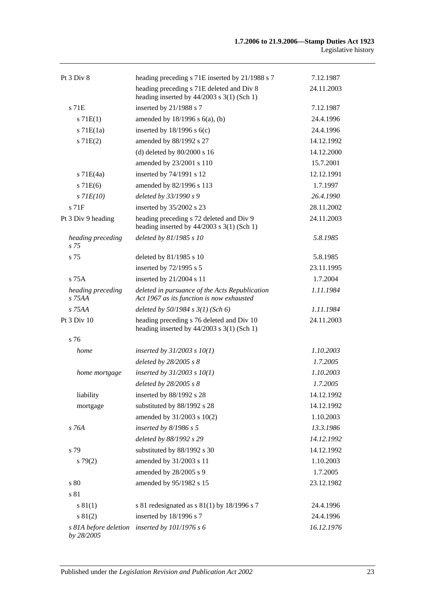| Pt 3 Div 8                          | heading preceding s 71E inserted by 21/1988 s 7                                             | 7.12.1987  |
|-------------------------------------|---------------------------------------------------------------------------------------------|------------|
|                                     | heading preceding s 71E deleted and Div 8<br>heading inserted by $44/2003$ s 3(1) (Sch 1)   | 24.11.2003 |
| s 71E                               | inserted by 21/1988 s 7                                                                     | 7.12.1987  |
| s 71E(1)                            | amended by $18/1996$ s $6(a)$ , (b)                                                         | 24.4.1996  |
| $s$ 71 $E(1a)$                      | inserted by $18/1996$ s $6(c)$                                                              | 24.4.1996  |
| s 71E(2)                            | amended by 88/1992 s 27                                                                     | 14.12.1992 |
|                                     | (d) deleted by $80/2000$ s 16                                                               | 14.12.2000 |
|                                     | amended by 23/2001 s 110                                                                    | 15.7.2001  |
| $s$ 71 $E(4a)$                      | inserted by 74/1991 s 12                                                                    | 12.12.1991 |
| $s$ 71 $E(6)$                       | amended by 82/1996 s 113                                                                    | 1.7.1997   |
| $s$ 71 $E(10)$                      | deleted by 33/1990 s 9                                                                      | 26.4.1990  |
| $s$ 71 $F$                          | inserted by 35/2002 s 23                                                                    | 28.11.2002 |
| Pt 3 Div 9 heading                  | heading preceding s 72 deleted and Div 9<br>heading inserted by $44/2003$ s 3(1) (Sch 1)    | 24.11.2003 |
| heading preceding<br>s 75           | deleted by 81/1985 s 10                                                                     | 5.8.1985   |
| s 75                                | deleted by 81/1985 s 10                                                                     | 5.8.1985   |
|                                     | inserted by 72/1995 s 5                                                                     | 23.11.1995 |
| $s$ 75A                             | inserted by 21/2004 s 11                                                                    | 1.7.2004   |
| heading preceding<br>s 75AA         | deleted in pursuance of the Acts Republication<br>Act 1967 as its function is now exhausted | 1.11.1984  |
| s 75AA                              | deleted by $50/1984$ s $3(1)$ (Sch 6)                                                       | 1.11.1984  |
| Pt 3 Div 10                         | heading preceding s 76 deleted and Div 10<br>heading inserted by $44/2003$ s 3(1) (Sch 1)   | 24.11.2003 |
| s 76                                |                                                                                             |            |
| home                                | inserted by $31/2003$ s $10(1)$                                                             | 1.10.2003  |
|                                     | deleted by 28/2005 s 8                                                                      | 1.7.2005   |
| home mortgage                       | inserted by $31/2003$ s $10(1)$                                                             | 1.10.2003  |
|                                     | deleted by 28/2005 s 8                                                                      | 1.7.2005   |
| liability                           | inserted by 88/1992 s 28                                                                    | 14.12.1992 |
| mortgage                            | substituted by 88/1992 s 28                                                                 | 14.12.1992 |
|                                     | amended by 31/2003 s 10(2)                                                                  | 1.10.2003  |
| s 76A                               | inserted by $8/1986$ s 5                                                                    | 13.3.1986  |
|                                     | deleted by 88/1992 s 29                                                                     | 14.12.1992 |
| s 79                                | substituted by 88/1992 s 30                                                                 | 14.12.1992 |
| s79(2)                              | amended by 31/2003 s 11                                                                     | 1.10.2003  |
|                                     | amended by 28/2005 s 9                                                                      | 1.7.2005   |
| s 80                                | amended by 95/1982 s 15                                                                     | 23.12.1982 |
| s 81                                |                                                                                             |            |
| s 81(1)                             | s 81 redesignated as s $81(1)$ by 18/1996 s 7                                               | 24.4.1996  |
| s 81(2)                             | inserted by 18/1996 s 7                                                                     | 24.4.1996  |
| s 81A before deletion<br>by 28/2005 | inserted by $101/1976 s 6$                                                                  | 16.12.1976 |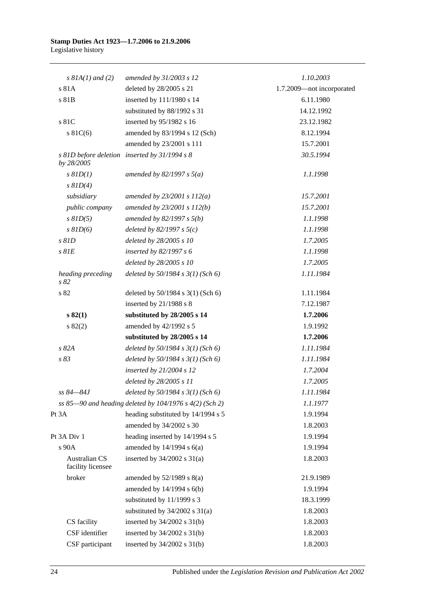| $s$ 81A(1) and (2)                        | amended by 31/2003 s 12                                 | 1.10.2003                 |
|-------------------------------------------|---------------------------------------------------------|---------------------------|
| s 81A                                     | deleted by 28/2005 s 21                                 | 1.7.2009-not incorporated |
| s 81B                                     | inserted by 111/1980 s 14                               | 6.11.1980                 |
|                                           | substituted by 88/1992 s 31                             | 14.12.1992                |
| s 81C                                     | inserted by 95/1982 s 16                                | 23.12.1982                |
| $s \, 81C(6)$                             | amended by 83/1994 s 12 (Sch)                           | 8.12.1994                 |
|                                           | amended by 23/2001 s 111                                | 15.7.2001                 |
| by 28/2005                                | s 81D before deletion inserted by 31/1994 s 8           | 30.5.1994                 |
| $s$ $81D(1)$                              | amended by 82/1997 s $5(a)$                             | 1.1.1998                  |
| $s$ $81D(4)$                              |                                                         |                           |
| subsidiary                                | amended by $23/2001 s 112(a)$                           | 15.7.2001                 |
| public company                            | amended by $23/2001 s 112(b)$                           | 15.7.2001                 |
| $s$ $81D(5)$                              | amended by $82/1997 s 5(b)$                             | 1.1.1998                  |
| $s$ $81D(6)$                              | deleted by $82/1997 s 5(c)$                             | 1.1.1998                  |
| $s$ $81D$                                 | deleted by 28/2005 s 10                                 | 1.7.2005                  |
| $s$ $81E$                                 | inserted by $82/1997 s 6$                               | 1.1.1998                  |
|                                           | deleted by 28/2005 s 10                                 | 1.7.2005                  |
| heading preceding<br>s82                  | deleted by $50/1984$ s $3(1)$ (Sch 6)                   | 1.11.1984                 |
| s 82                                      | deleted by $50/1984$ s $3(1)$ (Sch 6)                   | 1.11.1984                 |
|                                           | inserted by 21/1988 s 8                                 | 7.12.1987                 |
| s 82(1)                                   | substituted by 28/2005 s 14                             | 1.7.2006                  |
| s 82(2)                                   | amended by 42/1992 s 5                                  | 1.9.1992                  |
|                                           | substituted by 28/2005 s 14                             | 1.7.2006                  |
| s 82A                                     | deleted by $50/1984 s 3(1)$ (Sch 6)                     | 1.11.1984                 |
| s 83                                      | deleted by $50/1984$ s $3(1)$ (Sch 6)                   | 1.11.1984                 |
|                                           | inserted by $21/2004$ s 12                              | 1.7.2004                  |
|                                           | deleted by 28/2005 s 11                                 | 1.7.2005                  |
| ss 84-84J                                 | deleted by $50/1984 s 3(1)$ (Sch 6)                     | 1.11.1984                 |
|                                           | ss 85-90 and heading deleted by 104/1976 s 4(2) (Sch 2) | 1.1.1977                  |
| Pt 3A                                     | heading substituted by 14/1994 s 5                      | 1.9.1994                  |
|                                           | amended by 34/2002 s 30                                 | 1.8.2003                  |
| Pt 3A Div 1                               | heading inserted by 14/1994 s 5                         | 1.9.1994                  |
| s 90A                                     | amended by $14/1994$ s $6(a)$                           | 1.9.1994                  |
| <b>Australian CS</b><br>facility licensee | inserted by $34/2002$ s $31(a)$                         | 1.8.2003                  |
| broker                                    | amended by $52/1989$ s $8(a)$                           | 21.9.1989                 |
|                                           | amended by 14/1994 s 6(b)                               | 1.9.1994                  |
|                                           | substituted by 11/1999 s 3                              | 18.3.1999                 |
|                                           | substituted by $34/2002$ s $31(a)$                      | 1.8.2003                  |
| CS facility                               | inserted by $34/2002$ s $31(b)$                         | 1.8.2003                  |
| CSF identifier                            | inserted by $34/2002$ s $31(b)$                         | 1.8.2003                  |
| CSF participant                           | inserted by $34/2002$ s $31(b)$                         | 1.8.2003                  |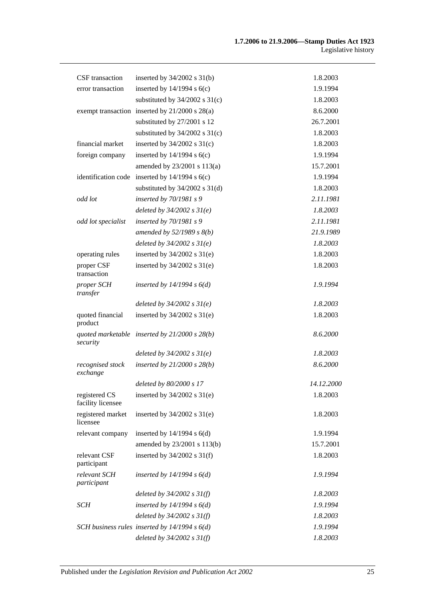| CSF transaction                    | inserted by $34/2002$ s $31(b)$                    | 1.8.2003   |
|------------------------------------|----------------------------------------------------|------------|
| error transaction                  | inserted by $14/1994$ s $6(c)$                     | 1.9.1994   |
|                                    | substituted by $34/2002$ s $31(c)$                 | 1.8.2003   |
|                                    | exempt transaction inserted by $21/2000$ s $28(a)$ | 8.6.2000   |
|                                    | substituted by 27/2001 s 12                        | 26.7.2001  |
|                                    | substituted by $34/2002$ s $31(c)$                 | 1.8.2003   |
| financial market                   | inserted by $34/2002$ s $31(c)$                    | 1.8.2003   |
| foreign company                    | inserted by $14/1994$ s $6(c)$                     | 1.9.1994   |
|                                    | amended by 23/2001 s 113(a)                        | 15.7.2001  |
| identification code                | inserted by $14/1994$ s $6(c)$                     | 1.9.1994   |
|                                    | substituted by $34/2002$ s $31(d)$                 | 1.8.2003   |
| odd lot                            | inserted by $70/1981 s$ 9                          | 2.11.1981  |
|                                    | deleted by $34/2002 s 31(e)$                       | 1.8.2003   |
| odd lot specialist                 | inserted by $70/1981$ s 9                          | 2.11.1981  |
|                                    | amended by $52/1989 s 8(b)$                        | 21.9.1989  |
|                                    | deleted by $34/2002 s 31(e)$                       | 1.8.2003   |
| operating rules                    | inserted by $34/2002$ s $31(e)$                    | 1.8.2003   |
| proper CSF<br>transaction          | inserted by $34/2002$ s $31(e)$                    | 1.8.2003   |
| proper SCH<br>transfer             | inserted by $14/1994 s 6(d)$                       | 1.9.1994   |
|                                    | deleted by $34/2002 s 31(e)$                       | 1.8.2003   |
| quoted financial<br>product        | inserted by $34/2002$ s $31(e)$                    | 1.8.2003   |
| security                           | quoted marketable inserted by $21/2000 s 28(b)$    | 8.6.2000   |
|                                    | deleted by $34/2002 s 31(e)$                       | 1.8.2003   |
| recognised stock<br>exchange       | inserted by $21/2000 s 28(b)$                      | 8.6.2000   |
|                                    | deleted by 80/2000 s 17                            | 14.12.2000 |
| registered CS<br>facility licensee | inserted by $34/2002$ s $31(e)$                    | 1.8.2003   |
| registered market<br>licensee      | inserted by $34/2002$ s $31(e)$                    | 1.8.2003   |
| relevant company                   | inserted by $14/1994$ s $6(d)$                     | 1.9.1994   |
|                                    | amended by 23/2001 s 113(b)                        | 15.7.2001  |
| relevant CSF<br>participant        | inserted by $34/2002$ s $31(f)$                    | 1.8.2003   |
| relevant SCH<br>participant        | inserted by $14/1994 s 6(d)$                       | 1.9.1994   |
|                                    | deleted by $34/2002 s 31(f)$                       | 1.8.2003   |
| SCH                                | inserted by $14/1994 s 6(d)$                       | 1.9.1994   |
|                                    | deleted by $34/2002$ s $31(f)$                     | 1.8.2003   |
|                                    | SCH business rules inserted by $14/1994 s 6(d)$    | 1.9.1994   |
|                                    | deleted by $34/2002$ s $31(f)$                     | 1.8.2003   |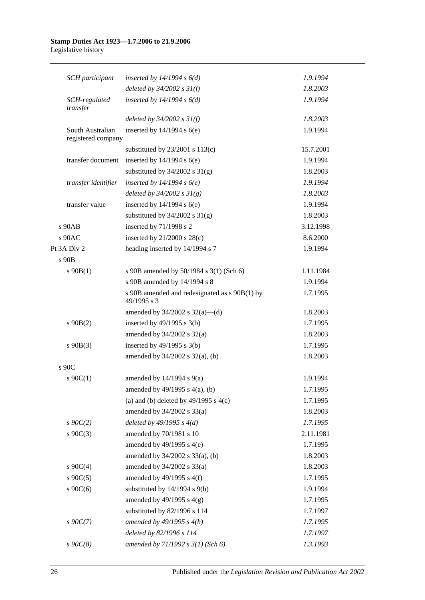#### **Stamp Duties Act 1923—1.7.2006 to 21.9.2006** Legislative history

| <b>SCH</b> participant                 | inserted by $14/1994 s 6(d)$                                 | 1.9.1994  |
|----------------------------------------|--------------------------------------------------------------|-----------|
|                                        | deleted by $34/2002$ s $31(f)$                               | 1.8.2003  |
| SCH-regulated<br>transfer              | inserted by $14/1994 s 6(d)$                                 | 1.9.1994  |
|                                        | deleted by $34/2002$ s $31(f)$                               | 1.8.2003  |
| South Australian<br>registered company | inserted by $14/1994$ s $6(e)$                               | 1.9.1994  |
|                                        | substituted by $23/2001$ s $113(c)$                          | 15.7.2001 |
| transfer document                      | inserted by $14/1994$ s $6(e)$                               | 1.9.1994  |
|                                        | substituted by $34/2002$ s $31(g)$                           | 1.8.2003  |
| transfer identifier                    | inserted by $14/1994 s6(e)$                                  | 1.9.1994  |
|                                        | deleted by $34/2002 s 31(g)$                                 | 1.8.2003  |
| transfer value                         | inserted by $14/1994$ s $6(e)$                               | 1.9.1994  |
|                                        | substituted by $34/2002$ s $31(g)$                           | 1.8.2003  |
| s 90AB                                 | inserted by 71/1998 s 2                                      | 3.12.1998 |
| s 90AC                                 | inserted by $21/2000$ s $28(c)$                              | 8.6.2000  |
| Pt 3A Div 2                            | heading inserted by 14/1994 s 7                              | 1.9.1994  |
| s 90B                                  |                                                              |           |
| $s\ 90B(1)$                            | s 90B amended by 50/1984 s 3(1) (Sch 6)                      | 1.11.1984 |
|                                        | s 90B amended by 14/1994 s 8                                 | 1.9.1994  |
|                                        | s 90B amended and redesignated as s 90B(1) by<br>49/1995 s 3 | 1.7.1995  |
|                                        | amended by $34/2002$ s $32(a)$ —(d)                          | 1.8.2003  |
| $s\ 90B(2)$                            | inserted by $49/1995$ s 3(b)                                 | 1.7.1995  |
|                                        | amended by $34/2002$ s $32(a)$                               | 1.8.2003  |
| $s\ 90B(3)$                            | inserted by $49/1995$ s $3(b)$                               | 1.7.1995  |
|                                        | amended by $34/2002$ s $32(a)$ , (b)                         | 1.8.2003  |
| s 90C                                  |                                                              |           |
| $s \ 90C(1)$                           | amended by $14/1994$ s $9(a)$                                | 1.9.1994  |
|                                        | amended by 49/1995 s 4(a), (b)                               | 1.7.1995  |
|                                        | (a) and (b) deleted by $49/1995$ s $4(c)$                    | 1.7.1995  |
|                                        | amended by $34/2002$ s $33(a)$                               | 1.8.2003  |
| $s \, 90C(2)$                          | deleted by $49/1995 s 4(d)$                                  | 1.7.1995  |
| $s \ 90C(3)$                           | amended by 70/1981 s 10                                      | 2.11.1981 |
|                                        | amended by $49/1995$ s $4(e)$                                | 1.7.1995  |
|                                        | amended by 34/2002 s 33(a), (b)                              | 1.8.2003  |
| $s \ 90C(4)$                           | amended by 34/2002 s 33(a)                                   | 1.8.2003  |
| $s \ 90C(5)$                           | amended by $49/1995$ s $4(f)$                                | 1.7.1995  |
| s $90C(6)$                             | substituted by 14/1994 s 9(b)                                | 1.9.1994  |
|                                        | amended by $49/1995$ s $4(g)$                                | 1.7.1995  |
|                                        | substituted by 82/1996 s 114                                 | 1.7.1997  |
| $s \, 90C(7)$                          | amended by $49/1995 s 4(h)$                                  | 1.7.1995  |
|                                        | deleted by 82/1996 s 114                                     | 1.7.1997  |
| $s\,90C(8)$                            | amended by $71/1992 s 3(1)$ (Sch 6)                          | 1.3.1993  |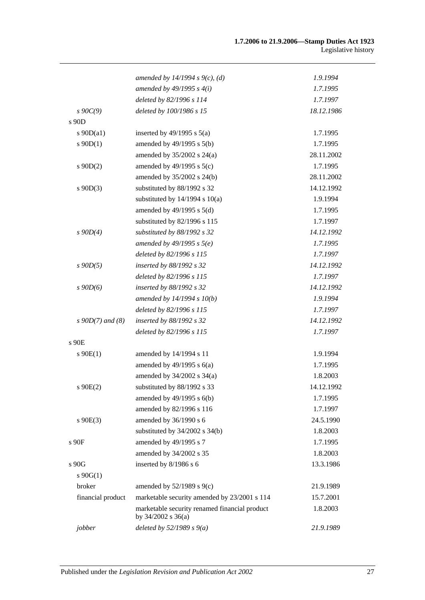|                       | amended by 14/1994 s 9(c), (d)                                          | 1.9.1994   |
|-----------------------|-------------------------------------------------------------------------|------------|
|                       | amended by $49/1995 s 4(i)$                                             | 1.7.1995   |
|                       | deleted by 82/1996 s 114                                                | 1.7.1997   |
| $s \, 90C(9)$         | deleted by 100/1986 s 15                                                | 18.12.1986 |
| s 90D                 |                                                                         |            |
| s $90D(a1)$           | inserted by $49/1995$ s $5(a)$                                          | 1.7.1995   |
| $s \, 90D(1)$         | amended by 49/1995 s 5(b)                                               | 1.7.1995   |
|                       | amended by $35/2002$ s $24(a)$                                          | 28.11.2002 |
| $s$ 90D(2)            | amended by $49/1995$ s $5(c)$                                           | 1.7.1995   |
|                       | amended by 35/2002 s 24(b)                                              | 28.11.2002 |
| $s$ 90D(3)            | substituted by 88/1992 s 32                                             | 14.12.1992 |
|                       | substituted by $14/1994$ s $10(a)$                                      | 1.9.1994   |
|                       | amended by $49/1995$ s $5(d)$                                           | 1.7.1995   |
|                       | substituted by 82/1996 s 115                                            | 1.7.1997   |
| $s$ 90D(4)            | substituted by 88/1992 s 32                                             | 14.12.1992 |
|                       | amended by $49/1995 s 5(e)$                                             | 1.7.1995   |
|                       | deleted by 82/1996 s 115                                                | 1.7.1997   |
| $s$ 90D(5)            | inserted by 88/1992 s 32                                                | 14.12.1992 |
|                       | deleted by 82/1996 s 115                                                | 1.7.1997   |
| $s$ 90D(6)            | inserted by 88/1992 s 32                                                | 14.12.1992 |
|                       | amended by 14/1994 s 10(b)                                              | 1.9.1994   |
|                       | deleted by 82/1996 s 115                                                | 1.7.1997   |
| $s \, 90D(7)$ and (8) | inserted by 88/1992 s 32                                                | 14.12.1992 |
|                       | deleted by 82/1996 s 115                                                | 1.7.1997   |
| s 90E                 |                                                                         |            |
| $s \ 90E(1)$          | amended by 14/1994 s 11                                                 | 1.9.1994   |
|                       | amended by $49/1995$ s $6(a)$                                           | 1.7.1995   |
|                       | amended by $34/2002$ s $34(a)$                                          | 1.8.2003   |
| $s \space 90E(2)$     | substituted by 88/1992 s 33                                             | 14.12.1992 |
|                       | amended by 49/1995 s 6(b)                                               | 1.7.1995   |
|                       | amended by 82/1996 s 116                                                | 1.7.1997   |
| $s\ 90E(3)$           | amended by 36/1990 s 6                                                  | 24.5.1990  |
|                       | substituted by $34/2002$ s $34(b)$                                      | 1.8.2003   |
| $\sqrt{s}$ 90F        | amended by 49/1995 s 7                                                  | 1.7.1995   |
|                       | amended by 34/2002 s 35                                                 | 1.8.2003   |
| s 90G                 | inserted by 8/1986 s 6                                                  | 13.3.1986  |
| $s \, 90G(1)$         |                                                                         |            |
| broker                | amended by $52/1989$ s $9(c)$                                           | 21.9.1989  |
| financial product     | marketable security amended by 23/2001 s 114                            | 15.7.2001  |
|                       | marketable security renamed financial product<br>by $34/2002$ s $36(a)$ | 1.8.2003   |
| jobber                | deleted by $52/1989 s 9(a)$                                             | 21.9.1989  |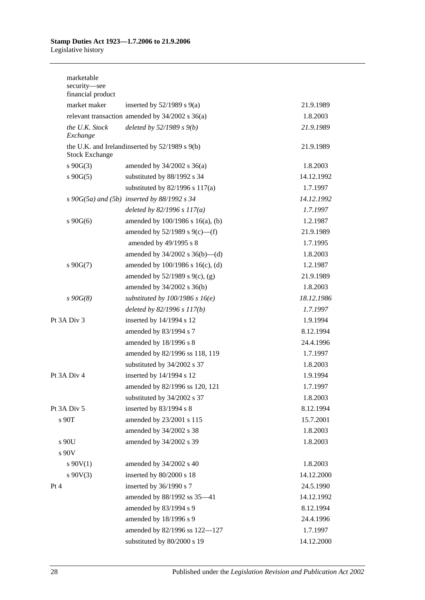#### **Stamp Duties Act 1923—1.7.2006 to 21.9.2006** Legislative history

| marketable<br>security-see<br>financial product |                                                     |            |
|-------------------------------------------------|-----------------------------------------------------|------------|
| market maker                                    | inserted by $52/1989$ s $9(a)$                      | 21.9.1989  |
|                                                 | relevant transaction amended by $34/2002$ s $36(a)$ | 1.8.2003   |
| the U.K. Stock<br>Exchange                      | deleted by $52/1989 s 9(b)$                         | 21.9.1989  |
| <b>Stock Exchange</b>                           | the U.K. and Irelandinserted by 52/1989 s 9(b)      | 21.9.1989  |
| $s \ 90G(3)$                                    | amended by $34/2002$ s $36(a)$                      | 1.8.2003   |
| $s\ 90G(5)$                                     | substituted by 88/1992 s 34                         | 14.12.1992 |
|                                                 | substituted by $82/1996$ s $117(a)$                 | 1.7.1997   |
|                                                 | $s\ 90G(5a)$ and $(5b)$ inserted by 88/1992 s 34    | 14.12.1992 |
|                                                 | deleted by $82/1996 s 117(a)$                       | 1.7.1997   |
| $s\ 90G(6)$                                     | amended by $100/1986$ s $16(a)$ , (b)               | 1.2.1987   |
|                                                 | amended by $52/1989$ s $9(c)$ —(f)                  | 21.9.1989  |
|                                                 | amended by 49/1995 s 8                              | 1.7.1995   |
|                                                 | amended by $34/2002$ s $36(b)$ —(d)                 | 1.8.2003   |
| $s\ 90G(7)$                                     | amended by 100/1986 s 16(c), (d)                    | 1.2.1987   |
|                                                 | amended by 52/1989 s 9(c), (g)                      | 21.9.1989  |
|                                                 | amended by 34/2002 s 36(b)                          | 1.8.2003   |
| $s\,90G(8)$                                     | substituted by $100/1986$ s $16(e)$                 | 18.12.1986 |
|                                                 | deleted by $82/1996 s 117(b)$                       | 1.7.1997   |
| Pt 3A Div 3                                     | inserted by 14/1994 s 12                            | 1.9.1994   |
|                                                 | amended by 83/1994 s 7                              | 8.12.1994  |
|                                                 | amended by 18/1996 s 8                              | 24.4.1996  |
|                                                 | amended by 82/1996 ss 118, 119                      | 1.7.1997   |
|                                                 | substituted by 34/2002 s 37                         | 1.8.2003   |
| Pt 3A Div 4                                     | inserted by 14/1994 s 12                            | 1.9.1994   |
|                                                 | amended by 82/1996 ss 120, 121                      | 1.7.1997   |
|                                                 | substituted by 34/2002 s 37                         | 1.8.2003   |
| Pt 3A Div 5                                     | inserted by 83/1994 s 8                             | 8.12.1994  |
| s 90T                                           | amended by 23/2001 s 115                            | 15.7.2001  |
|                                                 | amended by 34/2002 s 38                             | 1.8.2003   |
| s 90U<br>s 90V                                  | amended by 34/2002 s 39                             | 1.8.2003   |
| $s \ 90V(1)$                                    | amended by 34/2002 s 40                             | 1.8.2003   |
| $s\ 90V(3)$                                     | inserted by 80/2000 s 18                            | 14.12.2000 |
| Pt 4                                            | inserted by 36/1990 s 7                             | 24.5.1990  |
|                                                 | amended by 88/1992 ss 35-41                         | 14.12.1992 |
|                                                 | amended by 83/1994 s 9                              | 8.12.1994  |
|                                                 | amended by 18/1996 s 9                              | 24.4.1996  |
|                                                 | amended by 82/1996 ss 122-127                       | 1.7.1997   |
|                                                 | substituted by 80/2000 s 19                         | 14.12.2000 |
|                                                 |                                                     |            |

28 Published under the *Legislation Revision and Publication Act 2002*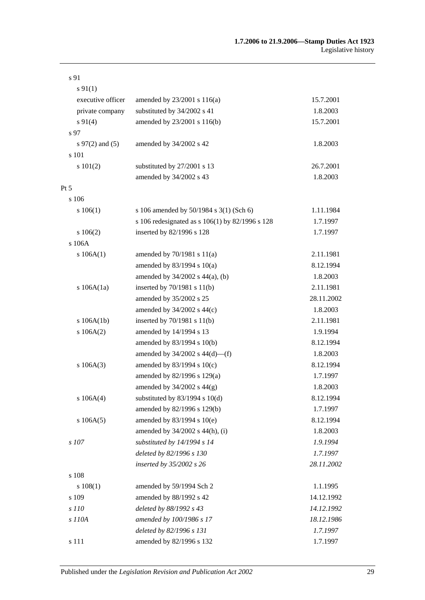| s 91               |                                                 |            |
|--------------------|-------------------------------------------------|------------|
| $s\,91(1)$         |                                                 |            |
| executive officer  | amended by 23/2001 s 116(a)                     | 15.7.2001  |
| private company    | substituted by 34/2002 s 41                     | 1.8.2003   |
| $s\,91(4)$         | amended by 23/2001 s 116(b)                     | 15.7.2001  |
| s 97               |                                                 |            |
| $s\,97(2)$ and (5) | amended by 34/2002 s 42                         | 1.8.2003   |
| s 101              |                                                 |            |
| s 101(2)           | substituted by 27/2001 s 13                     | 26.7.2001  |
|                    | amended by 34/2002 s 43                         | 1.8.2003   |
| $Pt\,5$            |                                                 |            |
| s 106              |                                                 |            |
| s 106(1)           | s 106 amended by 50/1984 s 3(1) (Sch 6)         | 1.11.1984  |
|                    | s 106 redesignated as s 106(1) by 82/1996 s 128 | 1.7.1997   |
| 106(2)             | inserted by 82/1996 s 128                       | 1.7.1997   |
| s 106A             |                                                 |            |
| s 106A(1)          | amended by $70/1981$ s $11(a)$                  | 2.11.1981  |
|                    | amended by 83/1994 s 10(a)                      | 8.12.1994  |
|                    | amended by $34/2002$ s $44(a)$ , (b)            | 1.8.2003   |
| s $106A(1a)$       | inserted by 70/1981 s 11(b)                     | 2.11.1981  |
|                    | amended by 35/2002 s 25                         | 28.11.2002 |
|                    | amended by 34/2002 s 44(c)                      | 1.8.2003   |
| s 106A(1b)         | inserted by $70/1981$ s $11(b)$                 | 2.11.1981  |
| s 106A(2)          | amended by 14/1994 s 13                         | 1.9.1994   |
|                    | amended by 83/1994 s 10(b)                      | 8.12.1994  |
|                    | amended by $34/2002$ s $44(d)$ —(f)             | 1.8.2003   |
| s 106A(3)          | amended by 83/1994 s 10(c)                      | 8.12.1994  |
|                    | amended by 82/1996 s 129(a)                     | 1.7.1997   |
|                    | amended by $34/2002$ s $44(g)$                  | 1.8.2003   |
| s 106A(4)          | substituted by $83/1994$ s $10(d)$              | 8.12.1994  |
|                    | amended by 82/1996 s 129(b)                     | 1.7.1997   |
| s 106A(5)          | amended by 83/1994 s 10(e)                      | 8.12.1994  |
|                    | amended by 34/2002 s 44(h), (i)                 | 1.8.2003   |
| s 107              | substituted by 14/1994 s 14                     | 1.9.1994   |
|                    | deleted by 82/1996 s 130                        | 1.7.1997   |
|                    | inserted by 35/2002 s 26                        | 28.11.2002 |
| s 108              |                                                 |            |
| s 108(1)           | amended by 59/1994 Sch 2                        | 1.1.1995   |
| s 109              | amended by 88/1992 s 42                         | 14.12.1992 |
| s 110              | deleted by 88/1992 s 43                         | 14.12.1992 |
| s 110A             | amended by 100/1986 s 17                        | 18.12.1986 |
|                    | deleted by 82/1996 s 131                        | 1.7.1997   |
| s 111              | amended by 82/1996 s 132                        | 1.7.1997   |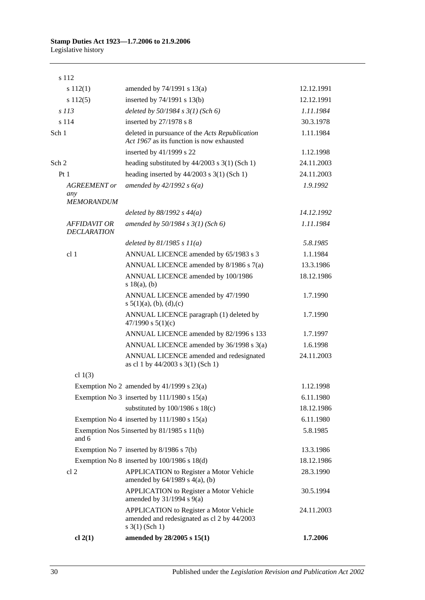| s 112                                           |                                                                                                                      |            |
|-------------------------------------------------|----------------------------------------------------------------------------------------------------------------------|------------|
| s 112(1)                                        | amended by 74/1991 s 13(a)                                                                                           | 12.12.1991 |
| s 112(5)                                        | inserted by 74/1991 s 13(b)                                                                                          | 12.12.1991 |
| s 113                                           | deleted by 50/1984 s 3(1) (Sch 6)                                                                                    | 1.11.1984  |
| s 114                                           | inserted by 27/1978 s 8                                                                                              | 30.3.1978  |
| Sch 1                                           | deleted in pursuance of the Acts Republication<br>Act 1967 as its function is now exhausted                          | 1.11.1984  |
|                                                 | inserted by 41/1999 s 22                                                                                             | 1.12.1998  |
| Sch 2                                           | heading substituted by $44/2003$ s $3(1)$ (Sch 1)                                                                    | 24.11.2003 |
| Pt <sub>1</sub>                                 | heading inserted by $44/2003$ s 3(1) (Sch 1)                                                                         | 24.11.2003 |
| <b>AGREEMENT</b> or<br>any<br><b>MEMORANDUM</b> | amended by $42/1992 s 6(a)$                                                                                          | 1.9.1992   |
|                                                 | deleted by $88/1992$ s $44(a)$                                                                                       | 14.12.1992 |
| <b>AFFIDAVIT OR</b><br><b>DECLARATION</b>       | amended by $50/1984 s 3(1)$ (Sch 6)                                                                                  | 1.11.1984  |
|                                                 | deleted by $81/1985 s 11(a)$                                                                                         | 5.8.1985   |
| cl 1                                            | ANNUAL LICENCE amended by 65/1983 s 3                                                                                | 1.1.1984   |
|                                                 | ANNUAL LICENCE amended by 8/1986 s 7(a)                                                                              | 13.3.1986  |
|                                                 | ANNUAL LICENCE amended by 100/1986<br>s $18(a)$ , (b)                                                                | 18.12.1986 |
|                                                 | ANNUAL LICENCE amended by 47/1990<br>s $5(1)(a)$ , (b), (d), (c)                                                     | 1.7.1990   |
|                                                 | ANNUAL LICENCE paragraph (1) deleted by<br>47/1990 s $5(1)(c)$                                                       | 1.7.1990   |
|                                                 | ANNUAL LICENCE amended by 82/1996 s 133                                                                              | 1.7.1997   |
|                                                 | ANNUAL LICENCE amended by 36/1998 s 3(a)                                                                             | 1.6.1998   |
|                                                 | ANNUAL LICENCE amended and redesignated<br>as cl 1 by 44/2003 s 3(1) (Sch 1)                                         | 24.11.2003 |
| cl $1(3)$                                       |                                                                                                                      |            |
|                                                 | Exemption No 2 amended by $41/1999$ s $23(a)$                                                                        | 1.12.1998  |
|                                                 | Exemption No 3 inserted by $111/1980$ s $15(a)$                                                                      | 6.11.1980  |
|                                                 | substituted by $100/1986$ s $18(c)$                                                                                  | 18.12.1986 |
|                                                 | Exemption No 4 inserted by $111/1980$ s $15(a)$                                                                      | 6.11.1980  |
| and 6                                           | Exemption Nos 5 inserted by 81/1985 s 11(b)                                                                          | 5.8.1985   |
|                                                 | Exemption No 7 inserted by $8/1986$ s $7(b)$                                                                         | 13.3.1986  |
|                                                 | Exemption No $8$ inserted by $100/1986$ s $18(d)$                                                                    | 18.12.1986 |
| cl <sub>2</sub>                                 | <b>APPLICATION</b> to Register a Motor Vehicle<br>amended by $64/1989$ s $4(a)$ , (b)                                | 28.3.1990  |
|                                                 | <b>APPLICATION</b> to Register a Motor Vehicle<br>amended by $31/1994$ s $9(a)$                                      | 30.5.1994  |
|                                                 | <b>APPLICATION</b> to Register a Motor Vehicle<br>amended and redesignated as cl 2 by 44/2003<br>$s \; 3(1)$ (Sch 1) | 24.11.2003 |
| $cl$ 2(1)                                       | amended by 28/2005 s 15(1)                                                                                           | 1.7.2006   |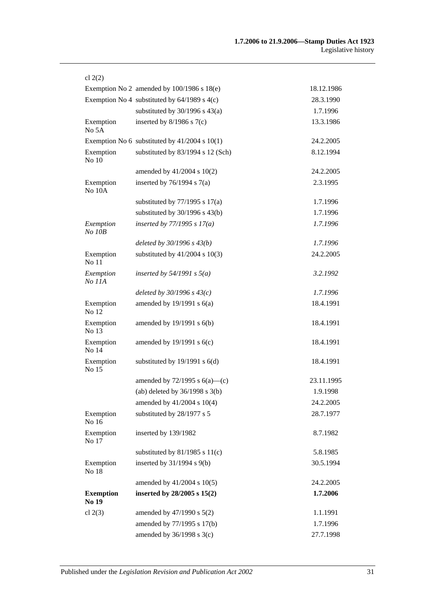| cl $2(2)$                 |                                                   |            |
|---------------------------|---------------------------------------------------|------------|
|                           | Exemption No 2 amended by $100/1986$ s $18(e)$    | 18.12.1986 |
|                           | Exemption No 4 substituted by $64/1989$ s $4(c)$  | 28.3.1990  |
|                           | substituted by $30/1996$ s $43(a)$                | 1.7.1996   |
| Exemption<br>No 5A        | inserted by $8/1986$ s $7(c)$                     | 13.3.1986  |
|                           | Exemption No 6 substituted by $41/2004$ s $10(1)$ | 24.2.2005  |
| Exemption<br>No 10        | substituted by 83/1994 s 12 (Sch)                 | 8.12.1994  |
|                           | amended by 41/2004 s 10(2)                        | 24.2.2005  |
| Exemption<br>No 10A       | inserted by $76/1994$ s $7(a)$                    | 2.3.1995   |
|                           | substituted by $77/1995$ s $17(a)$                | 1.7.1996   |
|                           | substituted by $30/1996$ s $43(b)$                | 1.7.1996   |
| Exemption<br>No 10B       | inserted by $77/1995 s 17(a)$                     | 1.7.1996   |
|                           | deleted by 30/1996 s 43(b)                        | 1.7.1996   |
| Exemption<br>No 11        | substituted by $41/2004$ s $10(3)$                | 24.2.2005  |
| Exemption<br>No 11A       | inserted by $54/1991$ s $5(a)$                    | 3.2.1992   |
|                           | deleted by $30/1996 s 43(c)$                      | 1.7.1996   |
| Exemption<br>No 12        | amended by $19/1991$ s $6(a)$                     | 18.4.1991  |
| Exemption<br>No 13        | amended by 19/1991 s 6(b)                         | 18.4.1991  |
| Exemption<br>No 14        | amended by $19/1991$ s $6(c)$                     | 18.4.1991  |
| Exemption<br>No 15        | substituted by $19/1991$ s $6(d)$                 | 18.4.1991  |
|                           | amended by $72/1995$ s $6(a)$ —(c)                | 23.11.1995 |
|                           | (ab) deleted by $36/1998$ s $3(b)$                | 1.9.1998   |
|                           | amended by 41/2004 s 10(4)                        | 24.2.2005  |
| Exemption<br>No 16        | substituted by 28/1977 s 5                        | 28.7.1977  |
| Exemption<br>No 17        | inserted by 139/1982                              | 8.7.1982   |
|                           | substituted by $81/1985$ s $11(c)$                | 5.8.1985   |
| Exemption<br>No 18        | inserted by $31/1994$ s $9(b)$                    | 30.5.1994  |
|                           | amended by 41/2004 s 10(5)                        | 24.2.2005  |
| <b>Exemption</b><br>No 19 | inserted by $28/2005$ s $15(2)$                   | 1.7.2006   |
| cl $2(3)$                 | amended by $47/1990$ s $5(2)$                     | 1.1.1991   |
|                           | amended by 77/1995 s 17(b)                        | 1.7.1996   |
|                           | amended by 36/1998 s 3(c)                         | 27.7.1998  |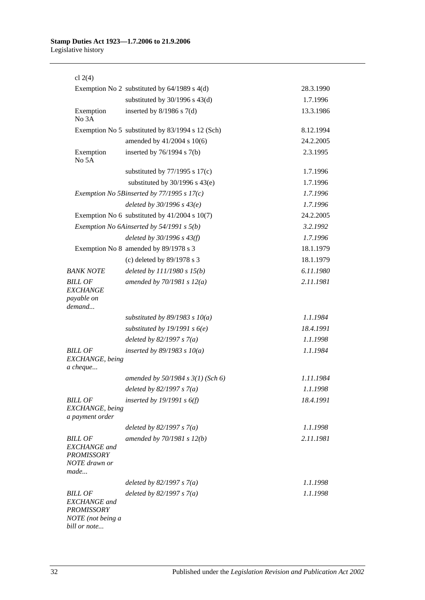| cl $2(4)$                                                                                       |                                                  |           |
|-------------------------------------------------------------------------------------------------|--------------------------------------------------|-----------|
|                                                                                                 | Exemption No 2 substituted by $64/1989$ s $4(d)$ | 28.3.1990 |
|                                                                                                 | substituted by $30/1996$ s $43(d)$               | 1.7.1996  |
| Exemption<br>No 3A                                                                              | inserted by $8/1986$ s $7(d)$                    | 13.3.1986 |
|                                                                                                 | Exemption No 5 substituted by 83/1994 s 12 (Sch) | 8.12.1994 |
|                                                                                                 | amended by 41/2004 s 10(6)                       | 24.2.2005 |
| Exemption<br>No 5A                                                                              | inserted by $76/1994$ s $7(b)$                   | 2.3.1995  |
|                                                                                                 | substituted by $77/1995$ s $17(c)$               | 1.7.1996  |
|                                                                                                 | substituted by $30/1996$ s $43(e)$               | 1.7.1996  |
|                                                                                                 | Exemption No 5Binserted by $77/1995 s 17(c)$     | 1.7.1996  |
|                                                                                                 | deleted by $30/1996 s 43(e)$                     | 1.7.1996  |
|                                                                                                 | Exemption No 6 substituted by $41/2004$ s 10(7)  | 24.2.2005 |
|                                                                                                 | Exemption No 6Ainserted by $54/1991$ s $5(b)$    | 3.2.1992  |
|                                                                                                 | deleted by $30/1996 s 43(f)$                     | 1.7.1996  |
|                                                                                                 | Exemption No 8 amended by 89/1978 s 3            | 18.1.1979 |
|                                                                                                 | (c) deleted by $89/1978$ s 3                     | 18.1.1979 |
| <b>BANK NOTE</b>                                                                                | deleted by $111/1980 s 15(b)$                    | 6.11.1980 |
| <b>BILL OF</b><br><b>EXCHANGE</b><br>payable on<br>demand                                       | amended by $70/1981 s 12(a)$                     | 2.11.1981 |
|                                                                                                 | substituted by $89/1983$ s $10(a)$               | 1.1.1984  |
|                                                                                                 | substituted by 19/1991 s $6(e)$                  | 18.4.1991 |
|                                                                                                 | deleted by $82/1997 s 7(a)$                      | 1.1.1998  |
| <b>BILL OF</b><br>EXCHANGE, being<br>a cheque                                                   | inserted by $89/1983$ s $10(a)$                  | 1.1.1984  |
|                                                                                                 | amended by $50/1984$ s $3(1)$ (Sch 6)            | 1.11.1984 |
|                                                                                                 | deleted by $82/1997 s 7(a)$                      | 1.1.1998  |
| <b>BILL OF</b><br>EXCHANGE, being<br>a payment order                                            | inserted by 19/1991 s $6(f)$                     | 18.4.1991 |
|                                                                                                 | deleted by $82/1997 s 7(a)$                      | 1.1.1998  |
| <b>BILL OF</b><br><b>EXCHANGE</b> and<br><b>PROMISSORY</b><br>NOTE drawn or<br>made             | amended by $70/1981 s 12(b)$                     | 2.11.1981 |
|                                                                                                 | deleted by $82/1997 s 7(a)$                      | 1.1.1998  |
| <b>BILL OF</b><br><b>EXCHANGE</b> and<br><b>PROMISSORY</b><br>NOTE (not being a<br>bill or note | deleted by $82/1997 s 7(a)$                      | 1.1.1998  |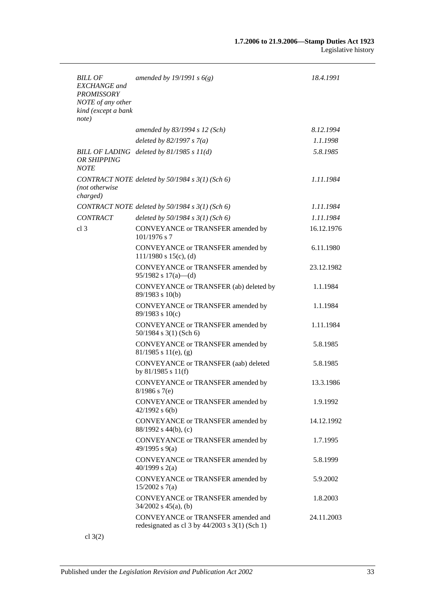| BILL OF<br><b>EXCHANGE</b> and<br><b>PROMISSORY</b><br>NOTE of any other<br>kind (except a bank<br>note) | amended by 19/1991 s $6(g)$                                                                | 18.4.1991  |
|----------------------------------------------------------------------------------------------------------|--------------------------------------------------------------------------------------------|------------|
|                                                                                                          | amended by $83/1994$ s 12 (Sch)                                                            | 8.12.1994  |
|                                                                                                          | deleted by $82/1997 s 7(a)$                                                                | 1.1.1998   |
| <b>OR SHIPPING</b><br><b>NOTE</b>                                                                        | BILL OF LADING deleted by $81/1985 s 11(d)$                                                | 5.8.1985   |
| (not otherwise<br>charged)                                                                               | CONTRACT NOTE deleted by 50/1984 s 3(1) (Sch 6)                                            | 1.11.1984  |
|                                                                                                          | CONTRACT NOTE deleted by $50/1984 s 3(1)$ (Sch 6)                                          | 1.11.1984  |
| <b>CONTRACT</b>                                                                                          | deleted by $50/1984$ s $3(1)$ (Sch 6)                                                      | 1.11.1984  |
| cl <sub>3</sub>                                                                                          | CONVEYANCE or TRANSFER amended by<br>$101/1976$ s 7                                        | 16.12.1976 |
|                                                                                                          | CONVEYANCE or TRANSFER amended by<br>$111/1980$ s $15(c)$ , (d)                            | 6.11.1980  |
|                                                                                                          | CONVEYANCE or TRANSFER amended by<br>95/1982 s $17(a)$ - (d)                               | 23.12.1982 |
|                                                                                                          | CONVEYANCE or TRANSFER (ab) deleted by<br>89/1983 s 10(b)                                  | 1.1.1984   |
|                                                                                                          | CONVEYANCE or TRANSFER amended by<br>$89/1983$ s $10(c)$                                   | 1.1.1984   |
|                                                                                                          | CONVEYANCE or TRANSFER amended by<br>$50/1984$ s 3(1) (Sch 6)                              | 1.11.1984  |
|                                                                                                          | CONVEYANCE or TRANSFER amended by<br>$81/1985$ s $11(e)$ , (g)                             | 5.8.1985   |
|                                                                                                          | CONVEYANCE or TRANSFER (aab) deleted<br>by $81/1985$ s $11(f)$                             | 5.8.1985   |
|                                                                                                          | CONVEYANCE or TRANSFER amended by<br>$8/1986$ s 7(e)                                       | 13.3.1986  |
|                                                                                                          | CONVEYANCE or TRANSFER amended by<br>$42/1992$ s $6(b)$                                    | 1.9.1992   |
|                                                                                                          | CONVEYANCE or TRANSFER amended by<br>88/1992 s 44(b), (c)                                  | 14.12.1992 |
|                                                                                                          | CONVEYANCE or TRANSFER amended by<br>49/1995 s 9(a)                                        | 1.7.1995   |
|                                                                                                          | CONVEYANCE or TRANSFER amended by<br>40/1999 s $2(a)$                                      | 5.8.1999   |
|                                                                                                          | CONVEYANCE or TRANSFER amended by<br>$15/2002$ s 7(a)                                      | 5.9.2002   |
|                                                                                                          | CONVEYANCE or TRANSFER amended by<br>$34/2002$ s $45(a)$ , (b)                             | 1.8.2003   |
|                                                                                                          | CONVEYANCE or TRANSFER amended and<br>redesignated as cl $3$ by $44/2003$ s $3(1)$ (Sch 1) | 24.11.2003 |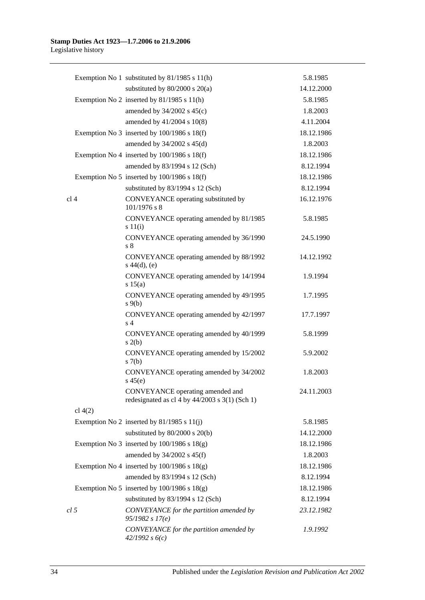|                 | Exemption No 1 substituted by 81/1985 s 11(h)                                      | 5.8.1985<br>14.12.2000 |
|-----------------|------------------------------------------------------------------------------------|------------------------|
|                 | substituted by $80/2000$ s $20(a)$                                                 |                        |
|                 | Exemption No 2 inserted by 81/1985 s 11(h)                                         | 5.8.1985               |
|                 | amended by 34/2002 s 45(c)                                                         | 1.8.2003               |
|                 | amended by 41/2004 s 10(8)                                                         | 4.11.2004              |
|                 | Exemption No 3 inserted by $100/1986$ s $18(f)$                                    | 18.12.1986             |
|                 | amended by $34/2002$ s $45(d)$                                                     | 1.8.2003               |
|                 | Exemption No 4 inserted by $100/1986$ s $18(f)$                                    | 18.12.1986             |
|                 | amended by 83/1994 s 12 (Sch)                                                      | 8.12.1994              |
|                 | Exemption No 5 inserted by 100/1986 s 18(f)                                        | 18.12.1986             |
|                 | substituted by 83/1994 s 12 (Sch)                                                  | 8.12.1994              |
| cl <sub>4</sub> | CONVEYANCE operating substituted by<br>$101/1976$ s 8                              | 16.12.1976             |
|                 | CONVEYANCE operating amended by 81/1985<br>s 11(i)                                 | 5.8.1985               |
|                 | CONVEYANCE operating amended by 36/1990<br>s 8                                     | 24.5.1990              |
|                 | CONVEYANCE operating amended by 88/1992<br>$s\ 44(d), (e)$                         | 14.12.1992             |
|                 | CONVEYANCE operating amended by 14/1994<br>s 15(a)                                 | 1.9.1994               |
|                 | CONVEYANCE operating amended by 49/1995<br>$s \theta(b)$                           | 1.7.1995               |
|                 | CONVEYANCE operating amended by 42/1997<br>s <sub>4</sub>                          | 17.7.1997              |
|                 | CONVEYANCE operating amended by 40/1999<br>s(2(b)                                  | 5.8.1999               |
|                 | CONVEYANCE operating amended by 15/2002<br>s(7(b)                                  | 5.9.2002               |
|                 | CONVEYANCE operating amended by 34/2002<br>$s\,45(e)$                              | 1.8.2003               |
|                 | CONVEYANCE operating amended and<br>redesignated as cl 4 by 44/2003 s 3(1) (Sch 1) | 24.11.2003             |
| cl $4(2)$       |                                                                                    |                        |
|                 | Exemption No 2 inserted by $81/1985$ s $11(j)$                                     | 5.8.1985               |
|                 | substituted by $80/2000$ s $20(b)$                                                 | 14.12.2000             |
|                 | Exemption No 3 inserted by $100/1986$ s $18(g)$                                    | 18.12.1986             |
|                 | amended by $34/2002$ s $45(f)$                                                     | 1.8.2003               |
|                 | Exemption No 4 inserted by $100/1986$ s $18(g)$                                    | 18.12.1986             |
|                 | amended by 83/1994 s 12 (Sch)                                                      | 8.12.1994              |
|                 | Exemption No 5 inserted by $100/1986$ s $18(g)$                                    | 18.12.1986             |
|                 | substituted by 83/1994 s 12 (Sch)                                                  | 8.12.1994              |
| cl <sub>5</sub> | CONVEYANCE for the partition amended by<br>95/1982 s 17(e)                         | 23.12.1982             |
|                 | CONVEYANCE for the partition amended by<br>42/1992 s6(c)                           | 1.9.1992               |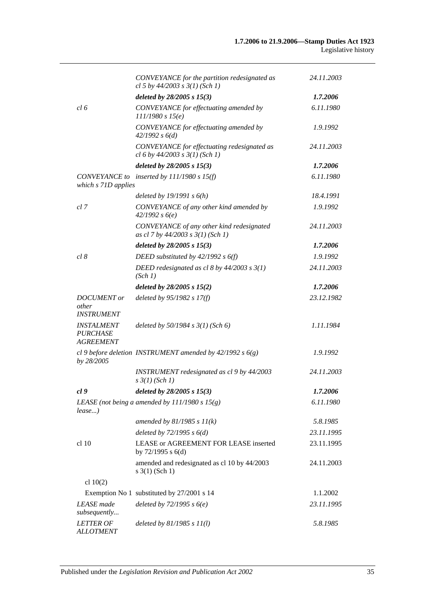|                                                                 | CONVEYANCE for the partition redesignated as<br>cl 5 by $44/2003$ s $3(1)$ (Sch 1) | 24.11.2003 |
|-----------------------------------------------------------------|------------------------------------------------------------------------------------|------------|
|                                                                 | deleted by $28/2005 s 15(3)$                                                       | 1.7.2006   |
| cl 6                                                            | CONVEYANCE for effectuating amended by<br>111/1980 s 15(e)                         | 6.11.1980  |
|                                                                 | CONVEYANCE for effectuating amended by<br>42/1992 s 6(d)                           | 1.9.1992   |
|                                                                 | CONVEYANCE for effectuating redesignated as<br>cl 6 by $44/2003$ s $3(1)$ (Sch 1)  | 24.11.2003 |
|                                                                 | deleted by 28/2005 s 15(3)                                                         | 1.7.2006   |
| which s 71D applies                                             | CONVEYANCE to inserted by 111/1980 s 15(f)                                         | 6.11.1980  |
|                                                                 | deleted by $19/1991 s 6(h)$                                                        | 18.4.1991  |
| cl 7                                                            | CONVEYANCE of any other kind amended by<br>42/1992 s6(e)                           | 1.9.1992   |
|                                                                 | CONVEYANCE of any other kind redesignated<br>as cl 7 by 44/2003 s 3(1) (Sch 1)     | 24.11.2003 |
|                                                                 | deleted by $28/2005 s 15(3)$                                                       | 1.7.2006   |
| cl 8                                                            | DEED substituted by $42/1992 s 6(f)$                                               | 1.9.1992   |
|                                                                 | DEED redesignated as cl 8 by $44/2003$ s $3(1)$<br>(Sch 1)                         | 24.11.2003 |
|                                                                 | deleted by $28/2005$ s $15(2)$                                                     | 1.7.2006   |
| <b>DOCUMENT</b> or<br>other<br><b>INSTRUMENT</b>                | deleted by $95/1982 s 17(f)$                                                       | 23.12.1982 |
| <i><b>INSTALMENT</b></i><br><b>PURCHASE</b><br><b>AGREEMENT</b> | deleted by $50/1984$ s $3(1)$ (Sch 6)                                              | 1.11.1984  |
| by 28/2005                                                      | cl 9 before deletion INSTRUMENT amended by $42/1992 s 6(g)$                        | 1.9.1992   |
|                                                                 | INSTRUMENT redesignated as cl 9 by 44/2003<br>$s \frac{3}{1}$ (Sch 1)              | 24.11.2003 |
| cl 9                                                            | deleted by 28/2005 s 15(3)                                                         | 1.7.2006   |
| lease)                                                          | LEASE (not being a amended by $111/1980 s 15(g)$ )                                 | 6.11.1980  |
|                                                                 | amended by $81/1985 s 11(k)$                                                       | 5.8.1985   |
|                                                                 | deleted by $72/1995 s 6(d)$                                                        | 23.11.1995 |
| cl 10                                                           | LEASE or AGREEMENT FOR LEASE inserted<br>by $72/1995$ s $6(d)$                     | 23.11.1995 |
|                                                                 | amended and redesignated as cl 10 by 44/2003<br>$s \; 3(1)$ (Sch 1)                | 24.11.2003 |
| cl $10(2)$                                                      |                                                                                    |            |
|                                                                 | Exemption No 1 substituted by 27/2001 s 14                                         | 1.1.2002   |
| <b>LEASE</b> made<br>subsequently                               | deleted by $72/1995 s 6(e)$                                                        | 23.11.1995 |
| <b>LETTER OF</b><br><b>ALLOTMENT</b>                            | deleted by $81/1985 s 11(l)$                                                       | 5.8.1985   |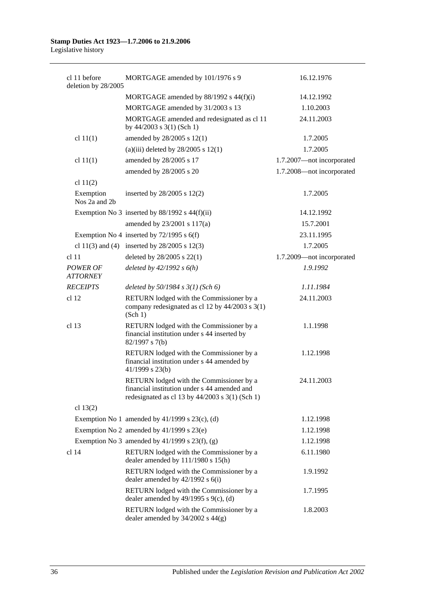| cl 11 before<br>deletion by 28/2005 | MORTGAGE amended by 101/1976 s 9                                                                                                              | 16.12.1976                |
|-------------------------------------|-----------------------------------------------------------------------------------------------------------------------------------------------|---------------------------|
|                                     | MORTGAGE amended by 88/1992 s 44(f)(i)                                                                                                        | 14.12.1992                |
|                                     | MORTGAGE amended by 31/2003 s 13                                                                                                              | 1.10.2003                 |
|                                     | MORTGAGE amended and redesignated as cl 11<br>by $44/2003$ s 3(1) (Sch 1)                                                                     | 24.11.2003                |
| cl $11(1)$                          | amended by 28/2005 s 12(1)                                                                                                                    | 1.7.2005                  |
|                                     | (a)(iii) deleted by $28/2005$ s 12(1)                                                                                                         | 1.7.2005                  |
| cl $11(1)$                          | amended by 28/2005 s 17                                                                                                                       | 1.7.2007-not incorporated |
|                                     | amended by 28/2005 s 20                                                                                                                       | 1.7.2008-not incorporated |
| cl $11(2)$                          |                                                                                                                                               |                           |
| Exemption<br>Nos 2a and 2b          | inserted by $28/2005$ s $12(2)$                                                                                                               | 1.7.2005                  |
|                                     | Exemption No 3 inserted by $88/1992$ s $44(f)(ii)$                                                                                            | 14.12.1992                |
|                                     | amended by 23/2001 s 117(a)                                                                                                                   | 15.7.2001                 |
|                                     | Exemption No 4 inserted by $72/1995$ s 6(f)                                                                                                   | 23.11.1995                |
|                                     | cl 11(3) and (4) inserted by $28/2005$ s 12(3)                                                                                                | 1.7.2005                  |
| cl <sub>11</sub>                    | deleted by 28/2005 s 22(1)                                                                                                                    | 1.7.2009-not incorporated |
| <b>POWER OF</b><br><b>ATTORNEY</b>  | deleted by $42/1992 s 6(h)$                                                                                                                   | 1.9.1992                  |
| <b>RECEIPTS</b>                     | deleted by $50/1984$ s $3(1)$ (Sch 6)                                                                                                         | 1.11.1984                 |
| cl <sub>12</sub>                    | RETURN lodged with the Commissioner by a<br>company redesignated as cl 12 by 44/2003 s 3(1)<br>(Sch 1)                                        | 24.11.2003                |
| cl 13                               | RETURN lodged with the Commissioner by a<br>financial institution under s 44 inserted by<br>82/1997 s 7(b)                                    | 1.1.1998                  |
|                                     | RETURN lodged with the Commissioner by a<br>financial institution under s 44 amended by<br>41/1999 s 23(b)                                    | 1.12.1998                 |
|                                     | RETURN lodged with the Commissioner by a<br>financial institution under s 44 amended and<br>redesignated as cl 13 by $44/2003$ s 3(1) (Sch 1) | 24.11.2003                |
| cl $13(2)$                          |                                                                                                                                               |                           |
|                                     | Exemption No 1 amended by $41/1999$ s $23(c)$ , (d)                                                                                           | 1.12.1998                 |
|                                     | Exemption No 2 amended by $41/1999$ s $23(e)$                                                                                                 | 1.12.1998                 |
|                                     | Exemption No 3 amended by $41/1999$ s $23(f)$ , (g)                                                                                           | 1.12.1998                 |
| cl <sub>14</sub>                    | RETURN lodged with the Commissioner by a<br>dealer amended by 111/1980 s 15(h)                                                                | 6.11.1980                 |
|                                     | RETURN lodged with the Commissioner by a<br>dealer amended by $42/1992$ s $6(i)$                                                              | 1.9.1992                  |
|                                     | RETURN lodged with the Commissioner by a<br>dealer amended by $49/1995$ s $9(c)$ , (d)                                                        | 1.7.1995                  |
|                                     | RETURN lodged with the Commissioner by a<br>dealer amended by $34/2002$ s $44(g)$                                                             | 1.8.2003                  |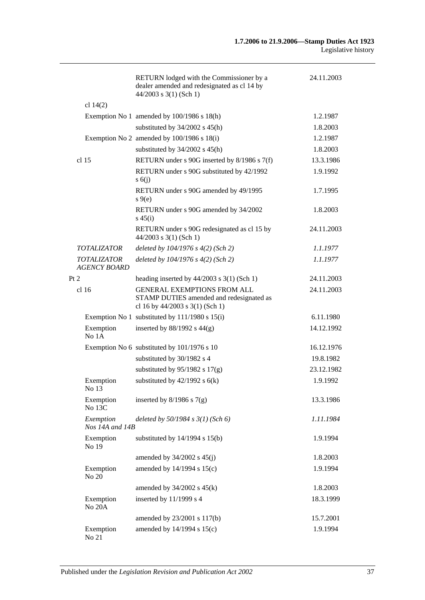|                                           | RETURN lodged with the Commissioner by a<br>dealer amended and redesignated as cl 14 by<br>$44/2003$ s 3(1) (Sch 1) | 24.11.2003 |
|-------------------------------------------|---------------------------------------------------------------------------------------------------------------------|------------|
| cl $14(2)$                                |                                                                                                                     |            |
|                                           | Exemption No 1 amended by $100/1986$ s $18(h)$                                                                      | 1.2.1987   |
|                                           | substituted by $34/2002$ s $45(h)$                                                                                  | 1.8.2003   |
|                                           | Exemption No 2 amended by $100/1986$ s $18(i)$                                                                      | 1.2.1987   |
|                                           | substituted by $34/2002$ s $45(h)$                                                                                  | 1.8.2003   |
| cl <sub>15</sub>                          | RETURN under s 90G inserted by 8/1986 s 7(f)                                                                        | 13.3.1986  |
|                                           | RETURN under s 90G substituted by 42/1992<br>s(6)                                                                   | 1.9.1992   |
|                                           | RETURN under s 90G amended by 49/1995<br>$s \theta(e)$                                                              | 1.7.1995   |
|                                           | RETURN under s 90G amended by 34/2002<br>$s\,45(i)$                                                                 | 1.8.2003   |
|                                           | RETURN under s 90G redesignated as cl 15 by<br>$44/2003$ s 3(1) (Sch 1)                                             | 24.11.2003 |
| <b>TOTALIZATOR</b>                        | deleted by $104/1976$ s $4(2)$ (Sch 2)                                                                              | 1.1.1977   |
| <b>TOTALIZATOR</b><br><b>AGENCY BOARD</b> | deleted by 104/1976 s 4(2) (Sch 2)                                                                                  | 1.1.1977   |
| Pt 2                                      | heading inserted by $44/2003$ s 3(1) (Sch 1)                                                                        | 24.11.2003 |
| cl <sub>16</sub>                          | <b>GENERAL EXEMPTIONS FROM ALL</b><br>STAMP DUTIES amended and redesignated as<br>cl 16 by 44/2003 s 3(1) (Sch 1)   | 24.11.2003 |
|                                           | Exemption No 1 substituted by 111/1980 s 15(i)                                                                      | 6.11.1980  |
| Exemption<br>No 1A                        | inserted by $88/1992$ s $44(g)$                                                                                     | 14.12.1992 |
|                                           | Exemption No 6 substituted by 101/1976 s 10                                                                         | 16.12.1976 |
|                                           | substituted by 30/1982 s 4                                                                                          | 19.8.1982  |
|                                           | substituted by $95/1982$ s $17(g)$                                                                                  | 23.12.1982 |
| Exemption<br>No 13                        | substituted by $42/1992$ s $6(k)$                                                                                   | 1.9.1992   |
| Exemption<br>No 13C                       | inserted by $8/1986$ s $7(g)$                                                                                       | 13.3.1986  |
| Exemption<br>Nos 14A and 14B              | deleted by $50/1984$ s $3(1)$ (Sch 6)                                                                               | 1.11.1984  |
| Exemption<br>No 19                        | substituted by $14/1994$ s $15(b)$                                                                                  | 1.9.1994   |
|                                           | amended by $34/2002$ s $45(j)$                                                                                      | 1.8.2003   |
| Exemption<br>No 20                        | amended by 14/1994 s 15(c)                                                                                          | 1.9.1994   |
|                                           | amended by $34/2002$ s $45(k)$                                                                                      | 1.8.2003   |
| Exemption<br>No 20A                       | inserted by 11/1999 s 4                                                                                             | 18.3.1999  |
|                                           | amended by 23/2001 s 117(b)                                                                                         | 15.7.2001  |
| Exemption<br>No 21                        | amended by 14/1994 s 15(c)                                                                                          | 1.9.1994   |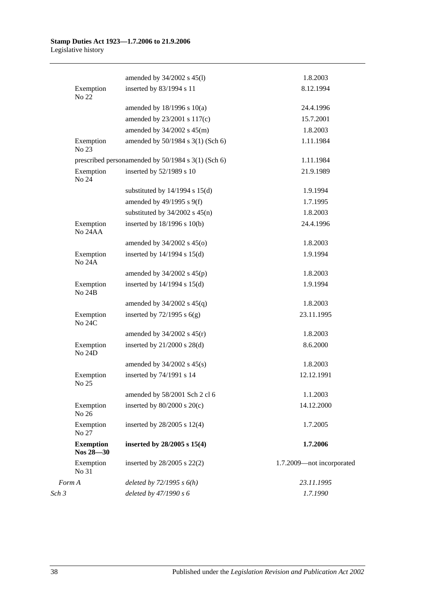#### **Stamp Duties Act 1923—1.7.2006 to 21.9.2006** Legislative history

|                            |                                                    | amended by 34/2002 s 45(l)         | 1.8.2003                  |
|----------------------------|----------------------------------------------------|------------------------------------|---------------------------|
|                            | Exemption<br>No 22                                 | inserted by 83/1994 s 11           | 8.12.1994                 |
|                            |                                                    | amended by $18/1996$ s $10(a)$     | 24.4.1996                 |
|                            |                                                    | amended by 23/2001 s 117(c)        | 15.7.2001                 |
|                            |                                                    | amended by $34/2002$ s $45(m)$     | 1.8.2003                  |
| No 23                      | Exemption                                          | amended by 50/1984 s 3(1) (Sch 6)  | 1.11.1984                 |
|                            | prescribed personamended by 50/1984 s 3(1) (Sch 6) |                                    | 1.11.1984                 |
|                            | Exemption<br>No 24                                 | inserted by 52/1989 s 10           | 21.9.1989                 |
|                            |                                                    | substituted by $14/1994$ s $15(d)$ | 1.9.1994                  |
|                            |                                                    | amended by $49/1995$ s $9(f)$      | 1.7.1995                  |
|                            |                                                    | substituted by $34/2002$ s $45(n)$ | 1.8.2003                  |
| Exemption<br>No 24AA       | inserted by 18/1996 s 10(b)                        | 24.4.1996                          |                           |
|                            |                                                    | amended by $34/2002$ s $45(0)$     | 1.8.2003                  |
|                            | Exemption<br><b>No 24A</b>                         | inserted by $14/1994$ s $15(d)$    | 1.9.1994                  |
|                            |                                                    | amended by $34/2002$ s $45(p)$     | 1.8.2003                  |
| Exemption<br><b>No 24B</b> | inserted by $14/1994$ s $15(d)$                    | 1.9.1994                           |                           |
|                            |                                                    | amended by $34/2002$ s $45(q)$     | 1.8.2003                  |
|                            | Exemption<br><b>No 24C</b>                         | inserted by $72/1995$ s $6(g)$     | 23.11.1995                |
|                            |                                                    | amended by $34/2002$ s $45(r)$     | 1.8.2003                  |
|                            | Exemption<br>No 24D                                | inserted by $21/2000$ s $28(d)$    | 8.6.2000                  |
|                            |                                                    | amended by $34/2002$ s $45(s)$     | 1.8.2003                  |
| Exemption<br>No 25         | inserted by 74/1991 s 14                           | 12.12.1991                         |                           |
|                            | amended by 58/2001 Sch 2 cl 6                      | 1.1.2003                           |                           |
| No 26                      | Exemption                                          | inserted by $80/2000$ s $20(c)$    | 14.12.2000                |
| No 27                      | Exemption                                          | inserted by $28/2005$ s $12(4)$    | 1.7.2005                  |
|                            | <b>Exemption</b><br>Nos 28-30                      | inserted by $28/2005$ s $15(4)$    | 1.7.2006                  |
| No 31                      | Exemption                                          | inserted by $28/2005$ s $22(2)$    | 1.7.2009-not incorporated |
| Form A                     |                                                    | deleted by $72/1995 s 6(h)$        | 23.11.1995                |
| Sch 3                      |                                                    | deleted by 47/1990 s 6             | 1.7.1990                  |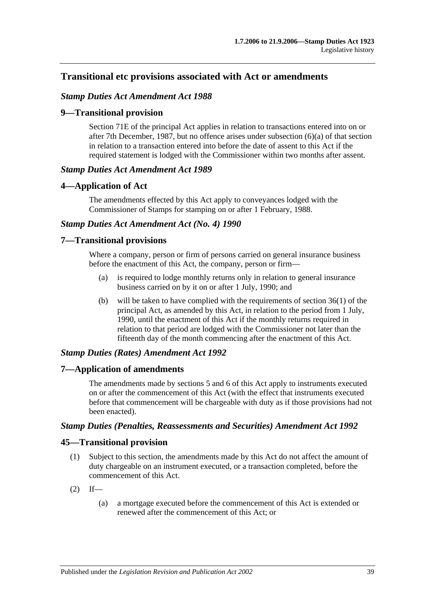# **Transitional etc provisions associated with Act or amendments**

## *Stamp Duties Act Amendment Act 1988*

## **9—Transitional provision**

Section 71E of the principal Act applies in relation to transactions entered into on or after 7th December, 1987, but no offence arises under subsection (6)(a) of that section in relation to a transaction entered into before the date of assent to this Act if the required statement is lodged with the Commissioner within two months after assent.

### *Stamp Duties Act Amendment Act 1989*

### **4—Application of Act**

The amendments effected by this Act apply to conveyances lodged with the Commissioner of Stamps for stamping on or after 1 February, 1988.

## *Stamp Duties Act Amendment Act (No. 4) 1990*

#### **7—Transitional provisions**

Where a company, person or firm of persons carried on general insurance business before the enactment of this Act, the company, person or firm—

- (a) is required to lodge monthly returns only in relation to general insurance business carried on by it on or after 1 July, 1990; and
- (b) will be taken to have complied with the requirements of section 36(1) of the principal Act, as amended by this Act, in relation to the period from 1 July, 1990, until the enactment of this Act if the monthly returns required in relation to that period are lodged with the Commissioner not later than the fifteenth day of the month commencing after the enactment of this Act.

### *Stamp Duties (Rates) Amendment Act 1992*

### **7—Application of amendments**

The amendments made by sections 5 and 6 of this Act apply to instruments executed on or after the commencement of this Act (with the effect that instruments executed before that commencement will be chargeable with duty as if those provisions had not been enacted).

#### *Stamp Duties (Penalties, Reassessments and Securities) Amendment Act 1992*

### **45—Transitional provision**

- (1) Subject to this section, the amendments made by this Act do not affect the amount of duty chargeable on an instrument executed, or a transaction completed, before the commencement of this Act.
- $(2)$  If—
	- (a) a mortgage executed before the commencement of this Act is extended or renewed after the commencement of this Act; or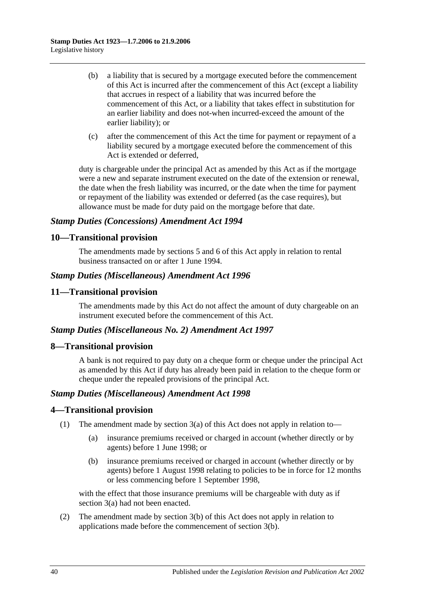- (b) a liability that is secured by a mortgage executed before the commencement of this Act is incurred after the commencement of this Act (except a liability that accrues in respect of a liability that was incurred before the commencement of this Act, or a liability that takes effect in substitution for an earlier liability and does not-when incurred-exceed the amount of the earlier liability); or
- (c) after the commencement of this Act the time for payment or repayment of a liability secured by a mortgage executed before the commencement of this Act is extended or deferred,

duty is chargeable under the principal Act as amended by this Act as if the mortgage were a new and separate instrument executed on the date of the extension or renewal, the date when the fresh liability was incurred, or the date when the time for payment or repayment of the liability was extended or deferred (as the case requires), but allowance must be made for duty paid on the mortgage before that date.

# *Stamp Duties (Concessions) Amendment Act 1994*

# **10—Transitional provision**

The amendments made by sections 5 and 6 of this Act apply in relation to rental business transacted on or after 1 June 1994.

# *Stamp Duties (Miscellaneous) Amendment Act 1996*

# **11—Transitional provision**

The amendments made by this Act do not affect the amount of duty chargeable on an instrument executed before the commencement of this Act.

### *Stamp Duties (Miscellaneous No. 2) Amendment Act 1997*

### **8—Transitional provision**

A bank is not required to pay duty on a cheque form or cheque under the principal Act as amended by this Act if duty has already been paid in relation to the cheque form or cheque under the repealed provisions of the principal Act.

### *Stamp Duties (Miscellaneous) Amendment Act 1998*

# **4—Transitional provision**

- (1) The amendment made by section 3(a) of this Act does not apply in relation to—
	- (a) insurance premiums received or charged in account (whether directly or by agents) before 1 June 1998; or
	- (b) insurance premiums received or charged in account (whether directly or by agents) before 1 August 1998 relating to policies to be in force for 12 months or less commencing before 1 September 1998,

with the effect that those insurance premiums will be chargeable with duty as if section 3(a) had not been enacted.

(2) The amendment made by section 3(b) of this Act does not apply in relation to applications made before the commencement of section 3(b).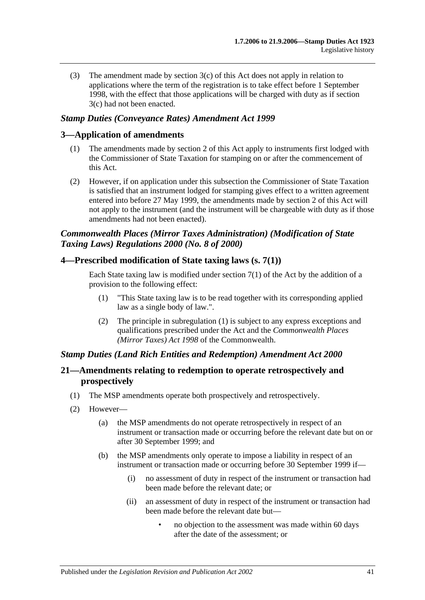(3) The amendment made by section 3(c) of this Act does not apply in relation to applications where the term of the registration is to take effect before 1 September 1998, with the effect that those applications will be charged with duty as if section 3(c) had not been enacted.

# *Stamp Duties (Conveyance Rates) Amendment Act 1999*

# **3—Application of amendments**

- (1) The amendments made by section 2 of this Act apply to instruments first lodged with the Commissioner of State Taxation for stamping on or after the commencement of this Act.
- (2) However, if on application under this subsection the Commissioner of State Taxation is satisfied that an instrument lodged for stamping gives effect to a written agreement entered into before 27 May 1999, the amendments made by section 2 of this Act will not apply to the instrument (and the instrument will be chargeable with duty as if those amendments had not been enacted).

# *Commonwealth Places (Mirror Taxes Administration) (Modification of State Taxing Laws) Regulations 2000 (No. 8 of 2000)*

## **4—Prescribed modification of State taxing laws (s. 7(1))**

Each State taxing law is modified under section  $7(1)$  of the Act by the addition of a provision to the following effect:

- (1) "This State taxing law is to be read together with its corresponding applied law as a single body of law.".
- (2) The principle in subregulation (1) is subject to any express exceptions and qualifications prescribed under the Act and the *Commonwealth Places (Mirror Taxes) Act 1998* of the Commonwealth.

### *Stamp Duties (Land Rich Entities and Redemption) Amendment Act 2000*

# **21—Amendments relating to redemption to operate retrospectively and prospectively**

- (1) The MSP amendments operate both prospectively and retrospectively.
- (2) However—
	- (a) the MSP amendments do not operate retrospectively in respect of an instrument or transaction made or occurring before the relevant date but on or after 30 September 1999; and
	- (b) the MSP amendments only operate to impose a liability in respect of an instrument or transaction made or occurring before 30 September 1999 if—
		- (i) no assessment of duty in respect of the instrument or transaction had been made before the relevant date; or
		- (ii) an assessment of duty in respect of the instrument or transaction had been made before the relevant date but—
			- no objection to the assessment was made within 60 days after the date of the assessment; or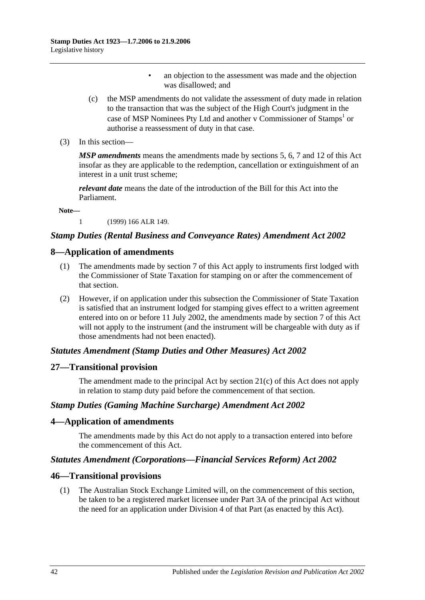- an objection to the assessment was made and the objection was disallowed; and
- (c) the MSP amendments do not validate the assessment of duty made in relation to the transaction that was the subject of the High Court's judgment in the case of MSP Nominees Pty Ltd and another v Commissioner of Stamps<sup>1</sup> or authorise a reassessment of duty in that case.
- (3) In this section—

*MSP amendments* means the amendments made by sections 5, 6, 7 and 12 of this Act insofar as they are applicable to the redemption, cancellation or extinguishment of an interest in a unit trust scheme;

*relevant date* means the date of the introduction of the Bill for this Act into the Parliament.

**Note—**

1 (1999) 166 ALR 149.

## *Stamp Duties (Rental Business and Conveyance Rates) Amendment Act 2002*

### **8—Application of amendments**

- (1) The amendments made by section 7 of this Act apply to instruments first lodged with the Commissioner of State Taxation for stamping on or after the commencement of that section.
- (2) However, if on application under this subsection the Commissioner of State Taxation is satisfied that an instrument lodged for stamping gives effect to a written agreement entered into on or before 11 July 2002, the amendments made by section 7 of this Act will not apply to the instrument (and the instrument will be chargeable with duty as if those amendments had not been enacted).

### *Statutes Amendment (Stamp Duties and Other Measures) Act 2002*

### **27—Transitional provision**

The amendment made to the principal Act by section 21(c) of this Act does not apply in relation to stamp duty paid before the commencement of that section.

### *Stamp Duties (Gaming Machine Surcharge) Amendment Act 2002*

### **4—Application of amendments**

The amendments made by this Act do not apply to a transaction entered into before the commencement of this Act.

### *Statutes Amendment (Corporations—Financial Services Reform) Act 2002*

#### **46—Transitional provisions**

(1) The Australian Stock Exchange Limited will, on the commencement of this section, be taken to be a registered market licensee under Part 3A of the principal Act without the need for an application under Division 4 of that Part (as enacted by this Act).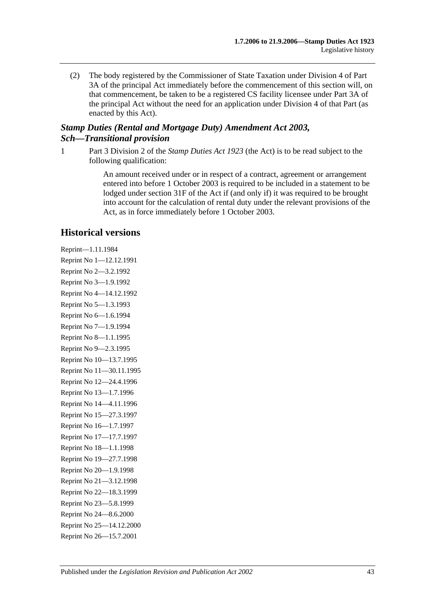(2) The body registered by the Commissioner of State Taxation under Division 4 of Part 3A of the principal Act immediately before the commencement of this section will, on that commencement, be taken to be a registered CS facility licensee under Part 3A of the principal Act without the need for an application under Division 4 of that Part (as enacted by this Act).

# *Stamp Duties (Rental and Mortgage Duty) Amendment Act 2003, Sch—Transitional provision*

1 Part 3 Division 2 of the *[Stamp Duties Act](http://www.legislation.sa.gov.au/index.aspx?action=legref&type=act&legtitle=Stamp%20Duties%20Act%201923) 1923* (the Act) is to be read subject to the following qualification:

> An amount received under or in respect of a contract, agreement or arrangement entered into before 1 October 2003 is required to be included in a statement to be lodged under section 31F of the Act if (and only if) it was required to be brought into account for the calculation of rental duty under the relevant provisions of the Act, as in force immediately before 1 October 2003.

# **Historical versions**

Reprint—1.11.1984 Reprint No 1—12.12.1991 Reprint No 2—3.2.1992 Reprint No 3—1.9.1992 Reprint No 4—14.12.1992 Reprint No 5—1.3.1993 Reprint No 6—1.6.1994 Reprint No 7—1.9.1994 Reprint No 8—1.1.1995 Reprint No 9—2.3.1995 Reprint No 10—13.7.1995 Reprint No 11—30.11.1995 Reprint No 12—24.4.1996 Reprint No 13—1.7.1996 Reprint No 14—4.11.1996 Reprint No 15—27.3.1997 Reprint No 16—1.7.1997 Reprint No 17—17.7.1997 Reprint No 18—1.1.1998 Reprint No 19—27.7.1998 Reprint No 20—1.9.1998 Reprint No 21—3.12.1998 Reprint No 22—18.3.1999 Reprint No 23—5.8.1999 Reprint No 24—8.6.2000 Reprint No 25—14.12.2000 Reprint No 26—15.7.2001